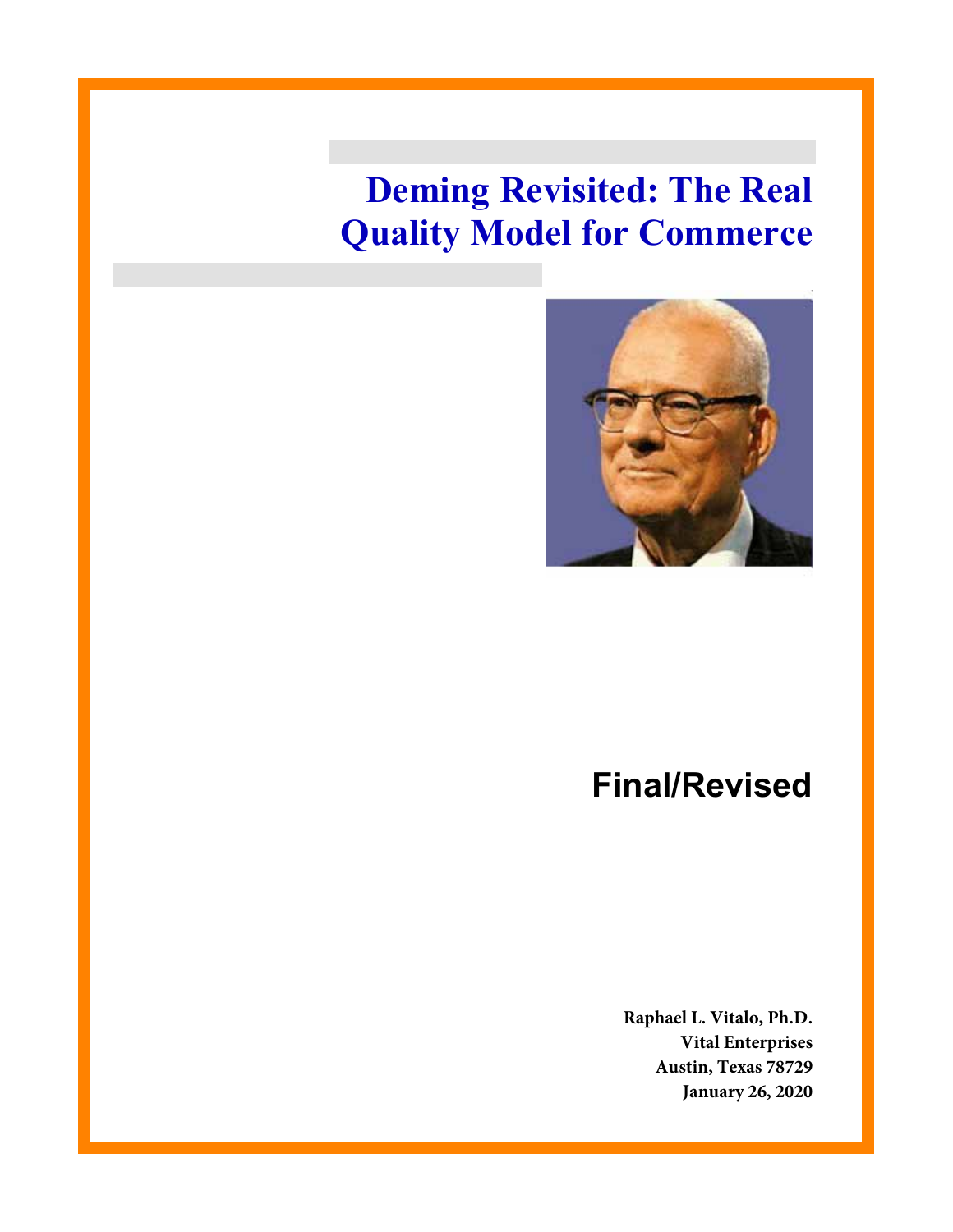# **Deming Revisited: The Real Quality Model for Commerce**



## **Final/Revised**

**Raphael L. Vitalo, Ph.D. Vital Enterprises Austin, Texas 78729 January 26, 2020**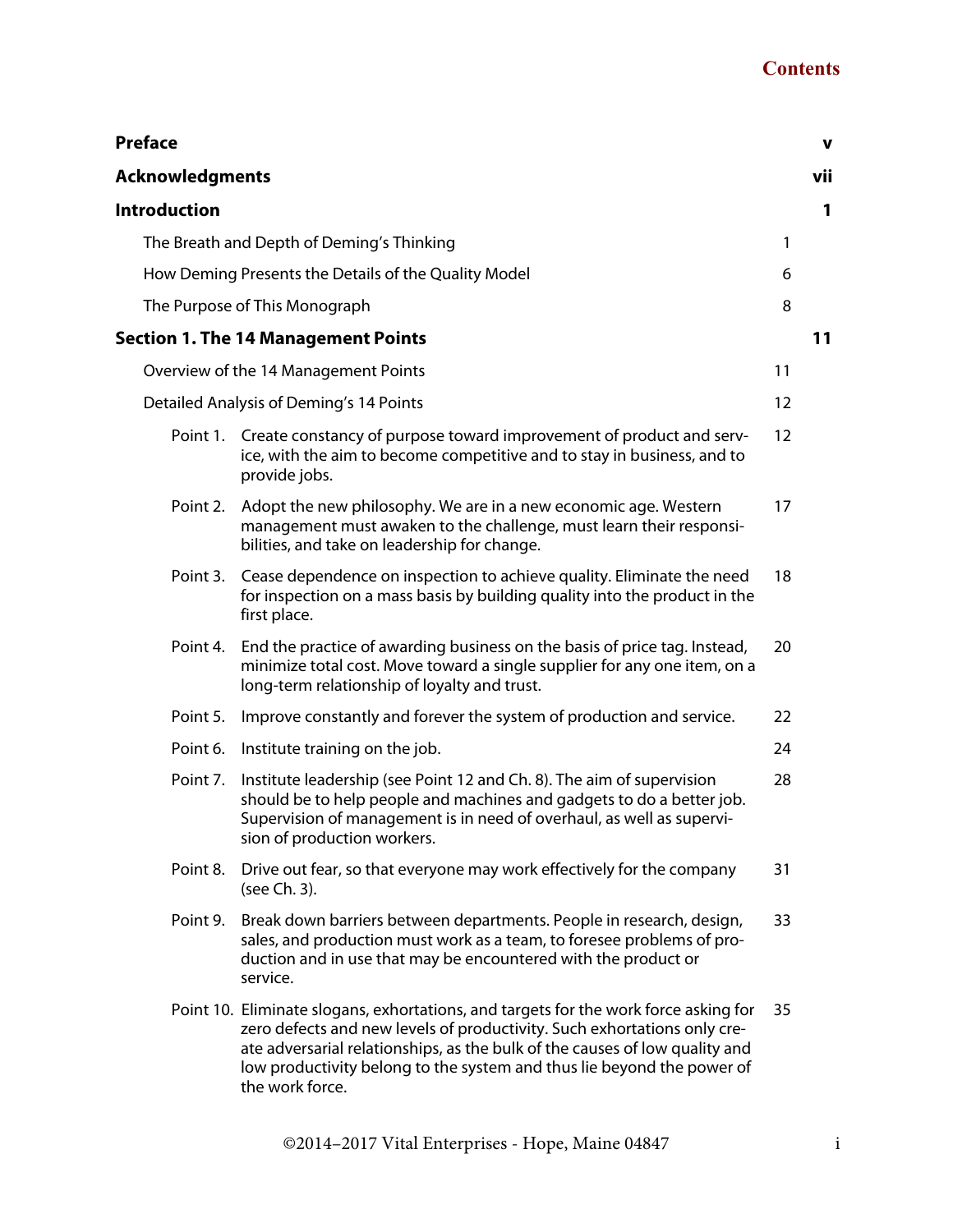## **Contents**

| Preface                |                                                                                                                                                                                                                                                                                                                                              |              | $\mathbf v$ |
|------------------------|----------------------------------------------------------------------------------------------------------------------------------------------------------------------------------------------------------------------------------------------------------------------------------------------------------------------------------------------|--------------|-------------|
| <b>Acknowledgments</b> |                                                                                                                                                                                                                                                                                                                                              |              | vii         |
| <b>Introduction</b>    |                                                                                                                                                                                                                                                                                                                                              |              | 1           |
|                        | The Breath and Depth of Deming's Thinking                                                                                                                                                                                                                                                                                                    | $\mathbf{1}$ |             |
|                        | How Deming Presents the Details of the Quality Model                                                                                                                                                                                                                                                                                         | 6            |             |
|                        | The Purpose of This Monograph                                                                                                                                                                                                                                                                                                                | 8            |             |
|                        | <b>Section 1. The 14 Management Points</b>                                                                                                                                                                                                                                                                                                   |              | 11          |
|                        | Overview of the 14 Management Points                                                                                                                                                                                                                                                                                                         | 11           |             |
|                        | Detailed Analysis of Deming's 14 Points                                                                                                                                                                                                                                                                                                      | 12           |             |
| Point 1.               | Create constancy of purpose toward improvement of product and serv-<br>ice, with the aim to become competitive and to stay in business, and to<br>provide jobs.                                                                                                                                                                              | 12           |             |
| Point 2.               | Adopt the new philosophy. We are in a new economic age. Western<br>management must awaken to the challenge, must learn their responsi-<br>bilities, and take on leadership for change.                                                                                                                                                       | 17           |             |
| Point 3.               | Cease dependence on inspection to achieve quality. Eliminate the need<br>for inspection on a mass basis by building quality into the product in the<br>first place.                                                                                                                                                                          | 18           |             |
| Point 4.               | End the practice of awarding business on the basis of price tag. Instead,<br>minimize total cost. Move toward a single supplier for any one item, on a<br>long-term relationship of loyalty and trust.                                                                                                                                       | 20           |             |
| Point 5.               | Improve constantly and forever the system of production and service.                                                                                                                                                                                                                                                                         | 22           |             |
| Point 6.               | Institute training on the job.                                                                                                                                                                                                                                                                                                               | 24           |             |
| Point 7.               | Institute leadership (see Point 12 and Ch. 8). The aim of supervision<br>should be to help people and machines and gadgets to do a better job.<br>Supervision of management is in need of overhaul, as well as supervi-<br>sion of production workers.                                                                                       | 28           |             |
| Point 8.               | Drive out fear, so that everyone may work effectively for the company<br>(see Ch. 3).                                                                                                                                                                                                                                                        | 31           |             |
| Point 9.               | Break down barriers between departments. People in research, design,<br>sales, and production must work as a team, to foresee problems of pro-<br>duction and in use that may be encountered with the product or<br>service.                                                                                                                 | 33           |             |
|                        | Point 10. Eliminate slogans, exhortations, and targets for the work force asking for<br>zero defects and new levels of productivity. Such exhortations only cre-<br>ate adversarial relationships, as the bulk of the causes of low quality and<br>low productivity belong to the system and thus lie beyond the power of<br>the work force. | 35           |             |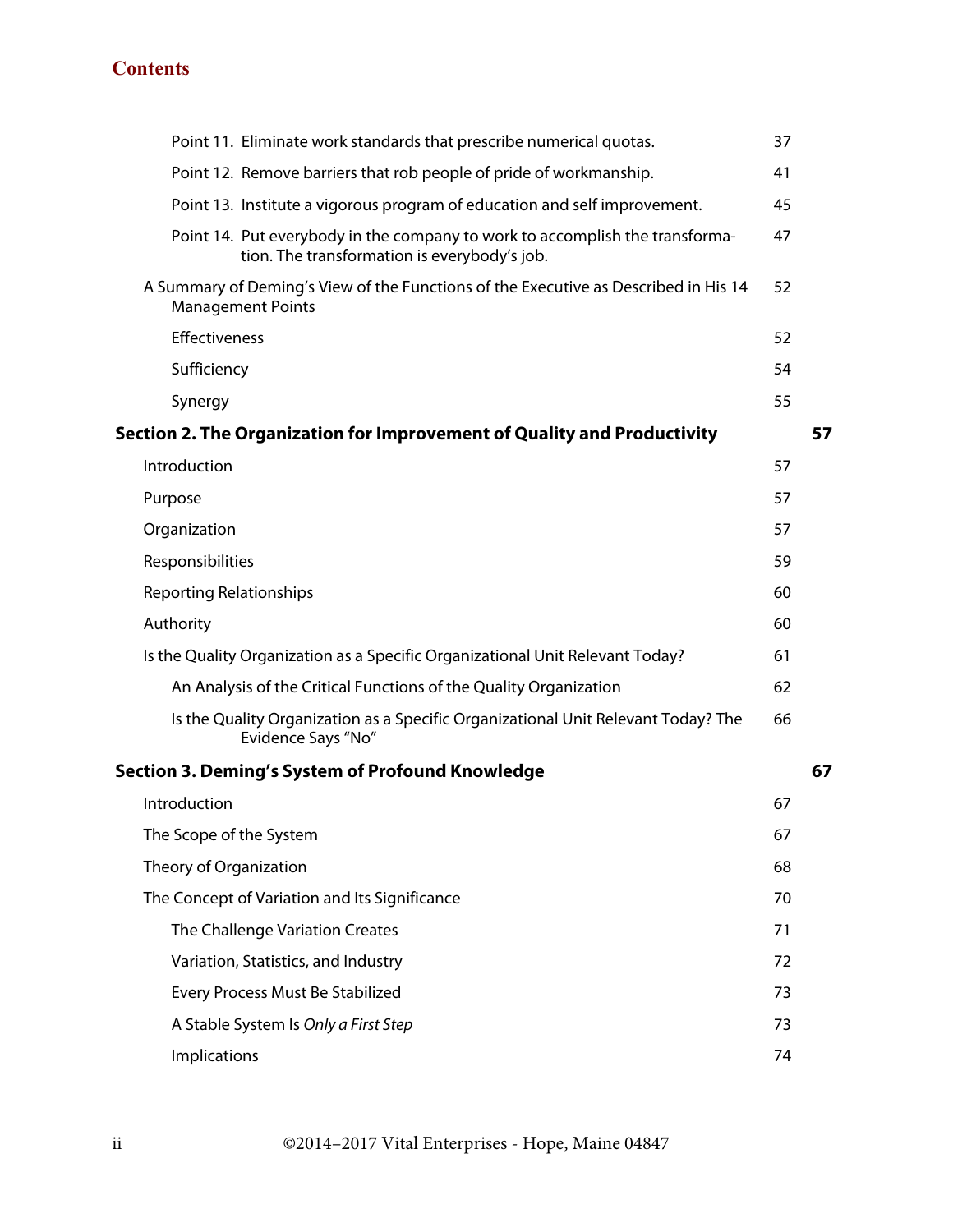## **Contents**

| Point 11. Eliminate work standards that prescribe numerical quotas.                                                          | 37 |    |
|------------------------------------------------------------------------------------------------------------------------------|----|----|
| Point 12. Remove barriers that rob people of pride of workmanship.                                                           | 41 |    |
| Point 13. Institute a vigorous program of education and self improvement.                                                    | 45 |    |
| Point 14. Put everybody in the company to work to accomplish the transforma-<br>tion. The transformation is everybody's job. | 47 |    |
| A Summary of Deming's View of the Functions of the Executive as Described in His 14<br><b>Management Points</b>              | 52 |    |
| Effectiveness                                                                                                                | 52 |    |
| Sufficiency                                                                                                                  | 54 |    |
| Synergy                                                                                                                      | 55 |    |
| Section 2. The Organization for Improvement of Quality and Productivity                                                      |    | 57 |
| Introduction                                                                                                                 | 57 |    |
| Purpose                                                                                                                      | 57 |    |
| Organization                                                                                                                 | 57 |    |
| Responsibilities                                                                                                             | 59 |    |
| <b>Reporting Relationships</b>                                                                                               | 60 |    |
| Authority                                                                                                                    | 60 |    |
| Is the Quality Organization as a Specific Organizational Unit Relevant Today?                                                | 61 |    |
| An Analysis of the Critical Functions of the Quality Organization                                                            | 62 |    |
| Is the Quality Organization as a Specific Organizational Unit Relevant Today? The<br>Evidence Says "No"                      | 66 |    |
| Section 3. Deming's System of Profound Knowledge                                                                             |    | 67 |
| Introduction                                                                                                                 | 67 |    |
| The Scope of the System                                                                                                      | 67 |    |
| Theory of Organization                                                                                                       | 68 |    |
| The Concept of Variation and Its Significance                                                                                | 70 |    |
| The Challenge Variation Creates                                                                                              | 71 |    |
| Variation, Statistics, and Industry                                                                                          | 72 |    |
| Every Process Must Be Stabilized                                                                                             | 73 |    |
| A Stable System Is Only a First Step                                                                                         | 73 |    |
| Implications                                                                                                                 | 74 |    |
|                                                                                                                              |    |    |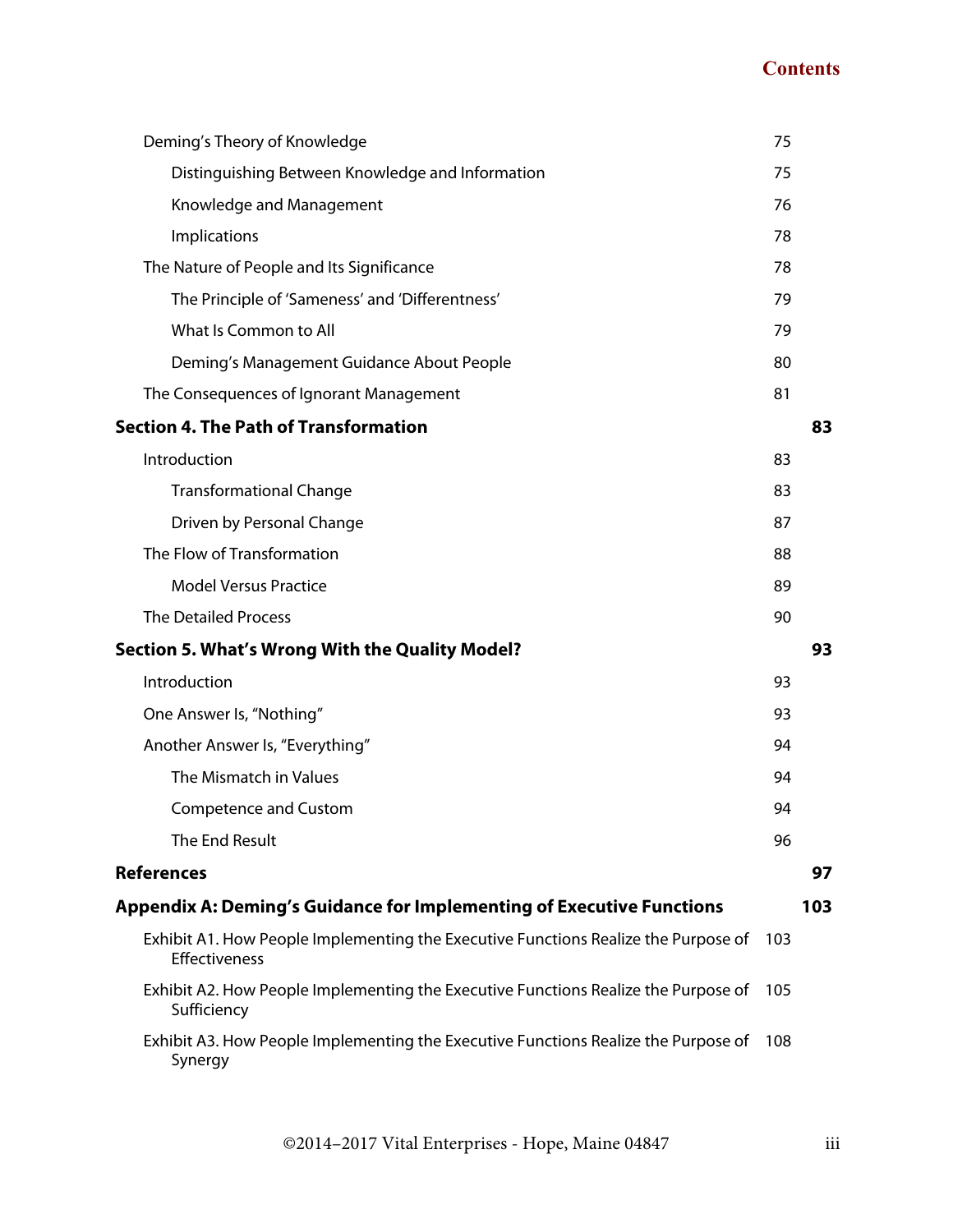## **Contents**

| Deming's Theory of Knowledge                                                                        | 75  |     |
|-----------------------------------------------------------------------------------------------------|-----|-----|
| Distinguishing Between Knowledge and Information                                                    | 75  |     |
| Knowledge and Management                                                                            | 76  |     |
| Implications                                                                                        | 78  |     |
| The Nature of People and Its Significance                                                           | 78  |     |
| The Principle of 'Sameness' and 'Differentness'                                                     | 79  |     |
| What Is Common to All                                                                               | 79  |     |
| Deming's Management Guidance About People                                                           | 80  |     |
| The Consequences of Ignorant Management                                                             | 81  |     |
| <b>Section 4. The Path of Transformation</b>                                                        |     | 83  |
| Introduction                                                                                        | 83  |     |
| <b>Transformational Change</b>                                                                      | 83  |     |
| Driven by Personal Change                                                                           | 87  |     |
| The Flow of Transformation                                                                          | 88  |     |
| <b>Model Versus Practice</b>                                                                        | 89  |     |
| <b>The Detailed Process</b>                                                                         | 90  |     |
| Section 5. What's Wrong With the Quality Model?                                                     |     | 93  |
| Introduction                                                                                        | 93  |     |
| One Answer Is, "Nothing"                                                                            | 93  |     |
| Another Answer Is, "Everything"                                                                     | 94  |     |
| The Mismatch in Values                                                                              | 94  |     |
| Competence and Custom                                                                               | 94  |     |
| The End Result                                                                                      | 96  |     |
| <b>References</b>                                                                                   |     | 97  |
| <b>Appendix A: Deming's Guidance for Implementing of Executive Functions</b>                        |     | 103 |
| Exhibit A1. How People Implementing the Executive Functions Realize the Purpose of<br>Effectiveness | 103 |     |
| Exhibit A2. How People Implementing the Executive Functions Realize the Purpose of<br>Sufficiency   | 105 |     |
| Exhibit A3. How People Implementing the Executive Functions Realize the Purpose of<br>Synergy       | 108 |     |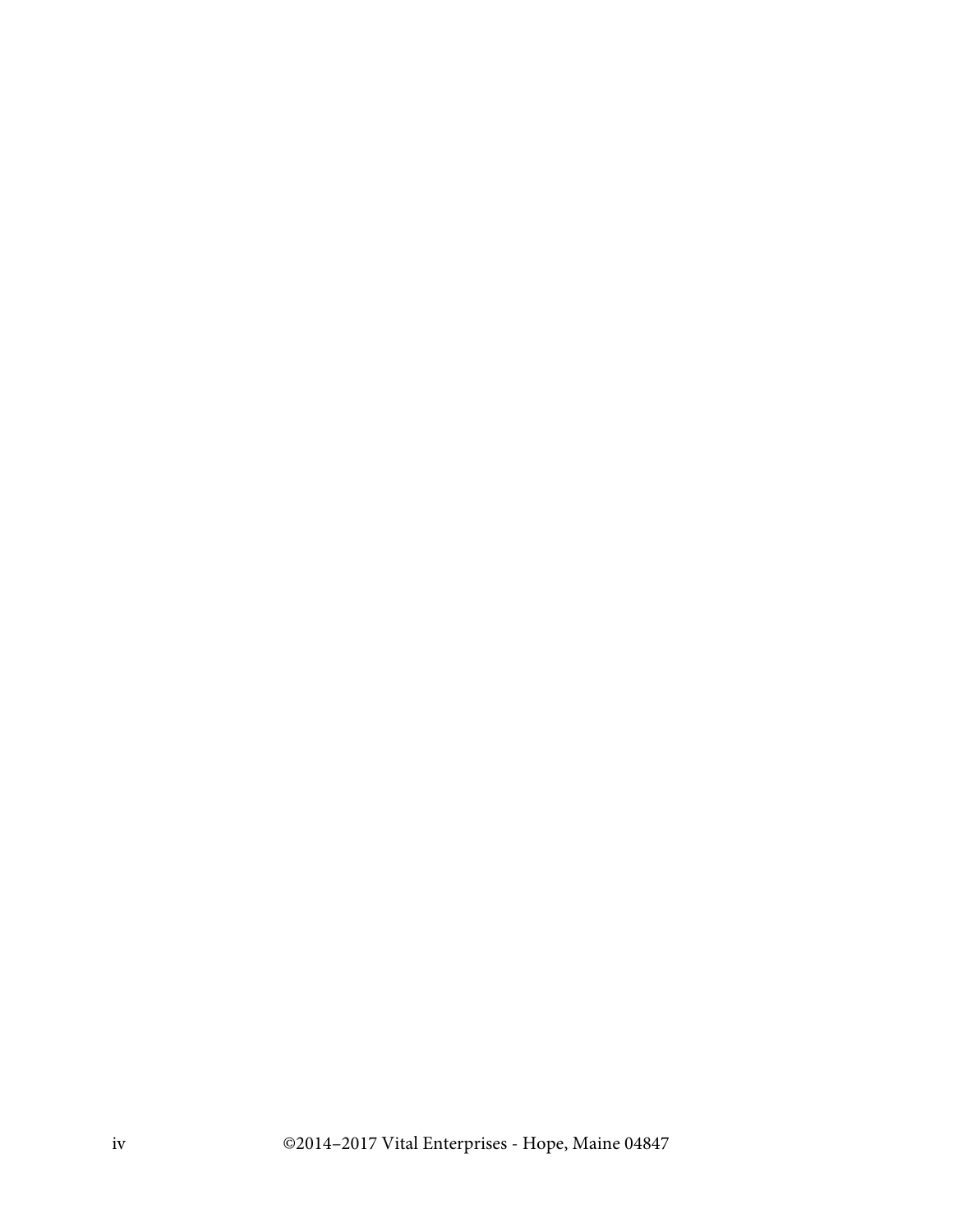iv ©2014–2017 Vital Enterprises - Hope, Maine 04847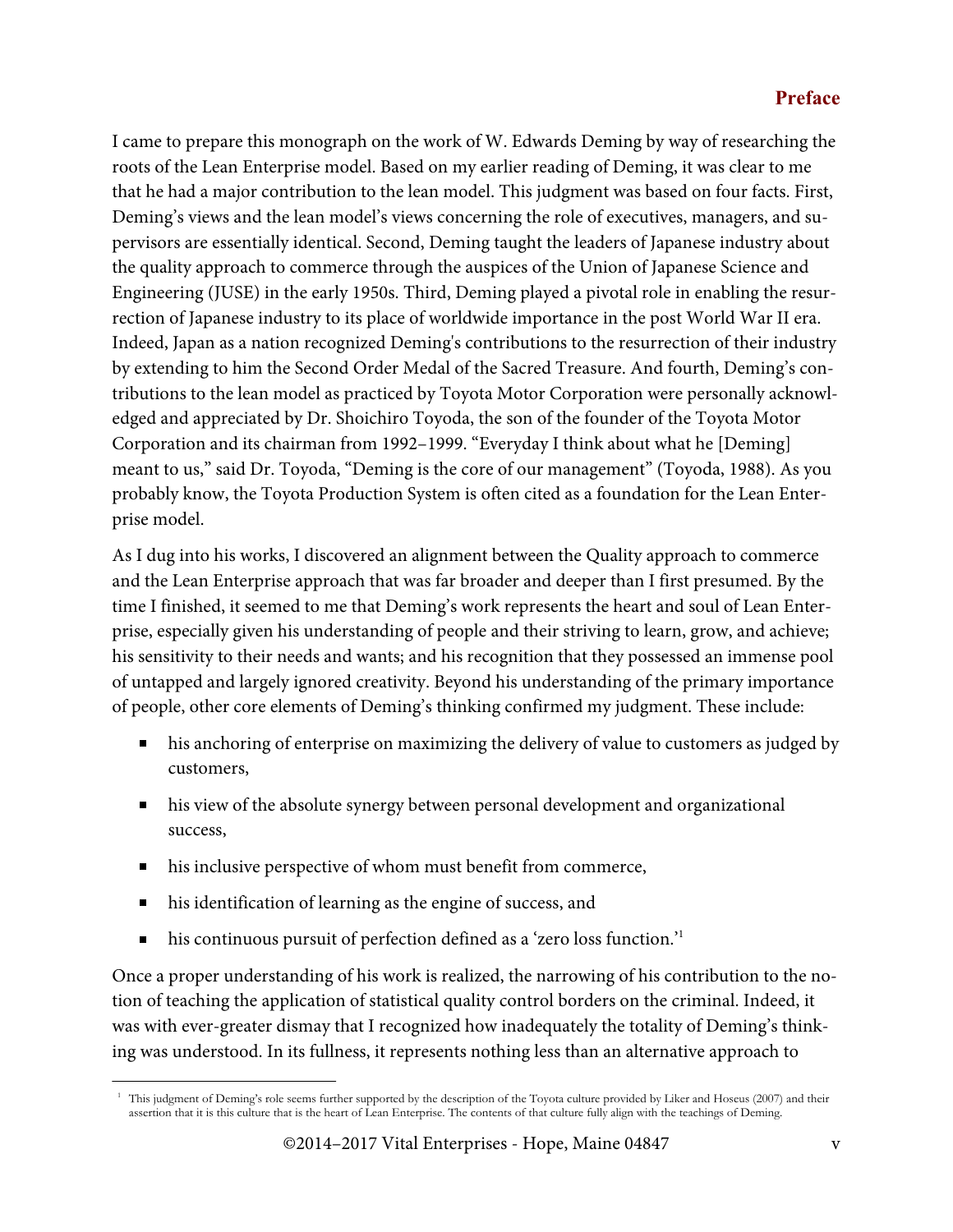## **Preface**

I came to prepare this monograph on the work of W. Edwards Deming by way of researching the roots of the Lean Enterprise model. Based on my earlier reading of Deming, it was clear to me that he had a major contribution to the lean model. This judgment was based on four facts. First, Deming's views and the lean model's views concerning the role of executives, managers, and supervisors are essentially identical. Second, Deming taught the leaders of Japanese industry about the quality approach to commerce through the auspices of the Union of Japanese Science and Engineering (JUSE) in the early 1950s. Third, Deming played a pivotal role in enabling the resurrection of Japanese industry to its place of worldwide importance in the post World War II era. Indeed, Japan as a nation recognized Deming's contributions to the resurrection of their industry by extending to him the Second Order Medal of the Sacred Treasure. And fourth, Deming's contributions to the lean model as practiced by Toyota Motor Corporation were personally acknowledged and appreciated by Dr. Shoichiro Toyoda, the son of the founder of the Toyota Motor Corporation and its chairman from 1992–1999. "Everyday I think about what he [Deming] meant to us," said Dr. Toyoda, "Deming is the core of our management" (Toyoda, 1988). As you probably know, the Toyota Production System is often cited as a foundation for the Lean Enterprise model.

As I dug into his works, I discovered an alignment between the Quality approach to commerce and the Lean Enterprise approach that was far broader and deeper than I first presumed. By the time I finished, it seemed to me that Deming's work represents the heart and soul of Lean Enterprise, especially given his understanding of people and their striving to learn, grow, and achieve; his sensitivity to their needs and wants; and his recognition that they possessed an immense pool of untapped and largely ignored creativity. Beyond his understanding of the primary importance of people, other core elements of Deming's thinking confirmed my judgment. These include:

- his anchoring of enterprise on maximizing the delivery of value to customers as judged by customers,
- his view of the absolute synergy between personal development and organizational success,
- $\blacksquare$ his inclusive perspective of whom must benefit from commerce,
- his identification of learning as the engine of success, and
- his continuous pursuit of perfection defined as a 'zero loss function.'<sup>1</sup>

Once a proper understanding of his work is realized, the narrowing of his contribution to the notion of teaching the application of statistical quality control borders on the criminal. Indeed, it was with ever-greater dismay that I recognized how inadequately the totality of Deming's thinking was understood. In its fullness, it represents nothing less than an alternative approach to

<sup>&</sup>lt;sup>1</sup> This judgment of Deming's role seems further supported by the description of the Toyota culture provided by Liker and Hoseus (2007) and their assertion that it is this culture that is the heart of Lean Enterprise. The contents of that culture fully align with the teachings of Deming.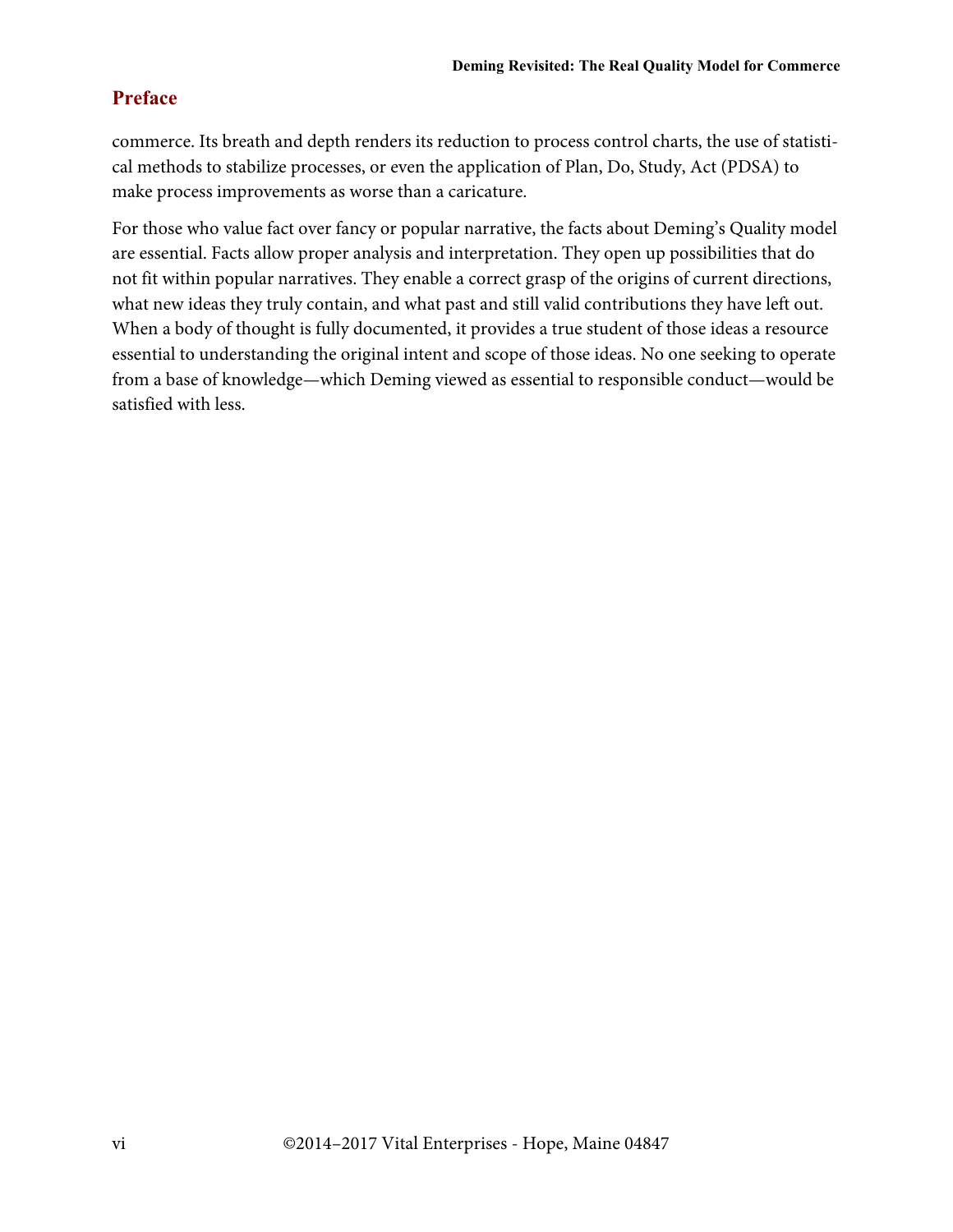## **Preface**

commerce. Its breath and depth renders its reduction to process control charts, the use of statistical methods to stabilize processes, or even the application of Plan, Do, Study, Act (PDSA) to make process improvements as worse than a caricature.

For those who value fact over fancy or popular narrative, the facts about Deming's Quality model are essential. Facts allow proper analysis and interpretation. They open up possibilities that do not fit within popular narratives. They enable a correct grasp of the origins of current directions, what new ideas they truly contain, and what past and still valid contributions they have left out. When a body of thought is fully documented, it provides a true student of those ideas a resource essential to understanding the original intent and scope of those ideas. No one seeking to operate from a base of knowledge—which Deming viewed as essential to responsible conduct—would be satisfied with less.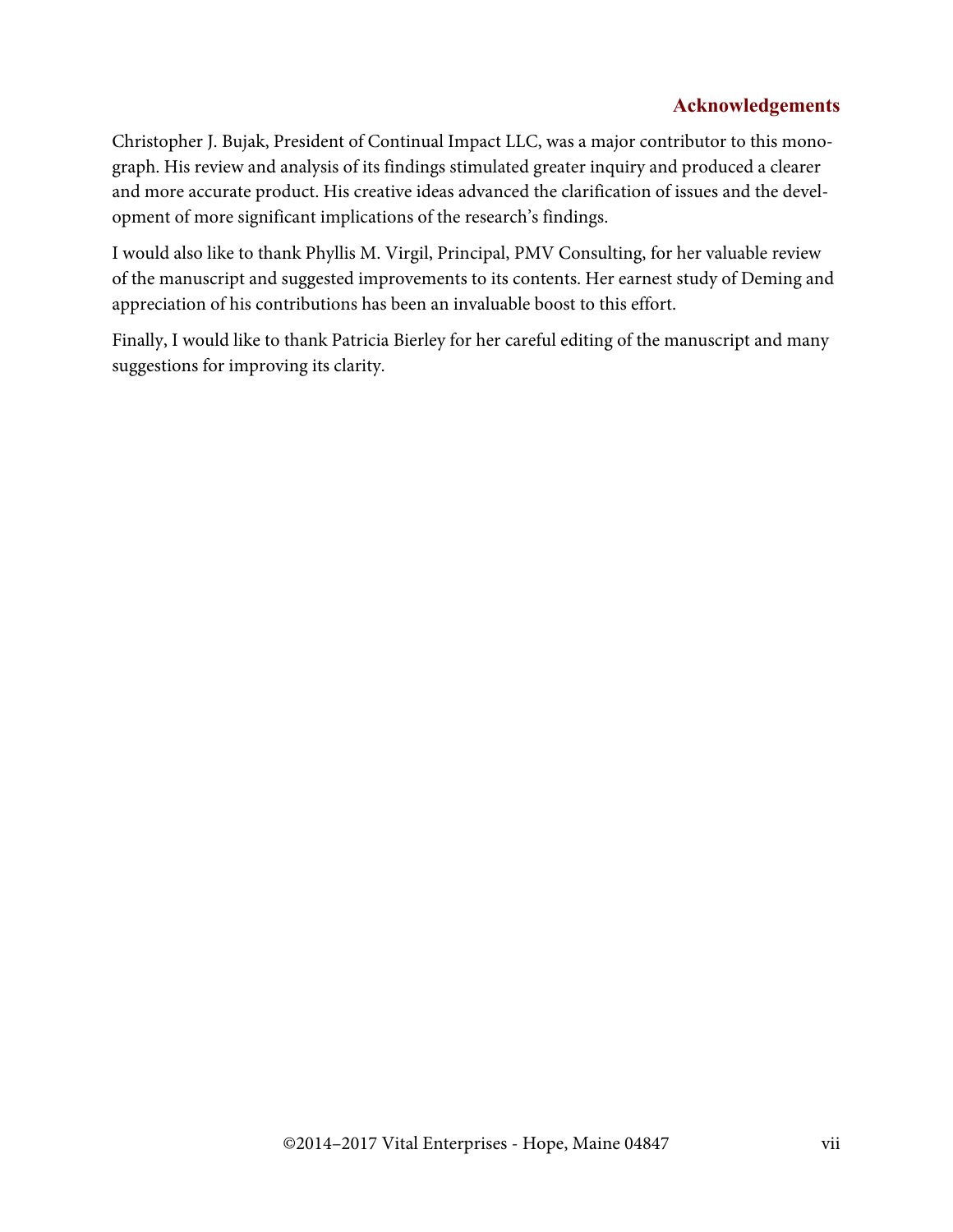## **Acknowledgements**

Christopher J. Bujak, President of Continual Impact LLC, was a major contributor to this monograph. His review and analysis of its findings stimulated greater inquiry and produced a clearer and more accurate product. His creative ideas advanced the clarification of issues and the development of more significant implications of the research's findings.

I would also like to thank Phyllis M. Virgil, Principal, PMV Consulting, for her valuable review of the manuscript and suggested improvements to its contents. Her earnest study of Deming and appreciation of his contributions has been an invaluable boost to this effort.

Finally, I would like to thank Patricia Bierley for her careful editing of the manuscript and many suggestions for improving its clarity.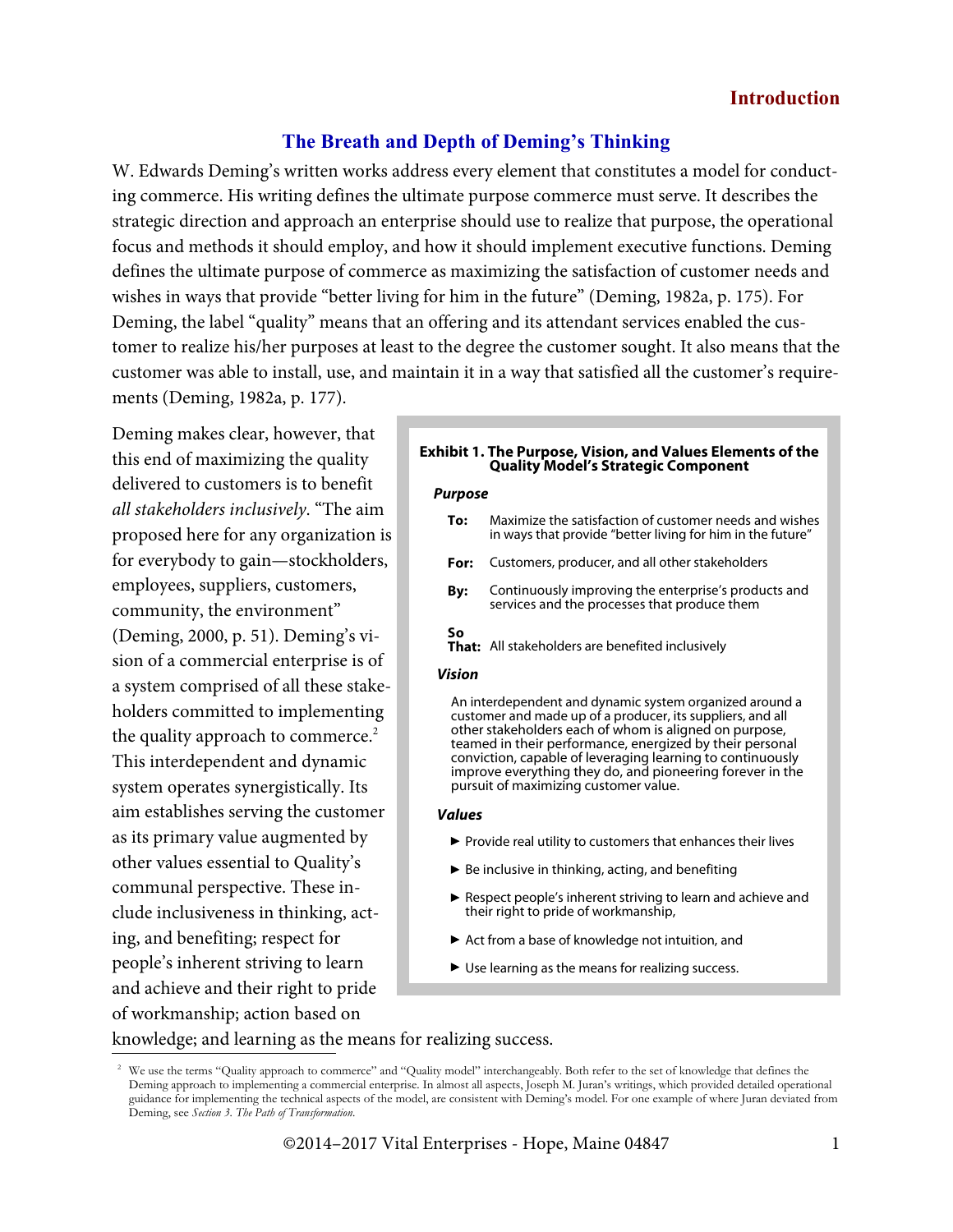#### **The Breath and Depth of Deming's Thinking**

W. Edwards Deming's written works address every element that constitutes a model for conducting commerce. His writing defines the ultimate purpose commerce must serve. It describes the strategic direction and approach an enterprise should use to realize that purpose, the operational focus and methods it should employ, and how it should implement executive functions. Deming defines the ultimate purpose of commerce as maximizing the satisfaction of customer needs and wishes in ways that provide "better living for him in the future" (Deming, 1982a, p. 175). For Deming, the label "quality" means that an offering and its attendant services enabled the customer to realize his/her purposes at least to the degree the customer sought. It also means that the customer was able to install, use, and maintain it in a way that satisfied all the customer's requirements (Deming, 1982a, p. 177).

Deming makes clear, however, that this end of maximizing the quality delivered to customers is to benefit *all stakeholders inclusively*. "The aim proposed here for any organization is for everybody to gain—stockholders, employees, suppliers, customers, community, the environment" (Deming, 2000, p. 51). Deming's vision of a commercial enterprise is of a system comprised of all these stakeholders committed to implementing the quality approach to commerce. $2$ This interdependent and dynamic system operates synergistically. Its aim establishes serving the customer as its primary value augmented by other values essential to Quality's communal perspective. These include inclusiveness in thinking, acting, and benefiting; respect for people's inherent striving to learn and achieve and their right to pride of workmanship; action based on

## **Exhibit 1. The Purpose, Vision, and Values Elements of the Quality Model's Strategic Component**

#### *Purpose*

- Maximize the satisfaction of customer needs and wishes in ways that provide "better living for him in the future" **To:**
- For: Customers, producer, and all other stakeholders
- Continuously improving the enterprise's products and **By:** services and the processes that produce them

#### **So**

All stakeholders are benefited inclusively **That:**

#### *Vision*

An interdependent and dynamic system organized around a customer and made up of a producer, its suppliers, and all other stakeholders each of whom is aligned on purpose, teamed in their performance, energized by their personal conviction, capable of leveraging learning to continuously improve everything they do, and pioneering forever in the pursuit of maximizing customer value.

#### *Values*

- $\blacktriangleright$  Provide real utility to customers that enhances their lives
- $\blacktriangleright$  Be inclusive in thinking, acting, and benefiting
- Respect people's inherent striving to learn and achieve and their right to pride of workmanship,
- Act from a base of knowledge not intuition, and
- Use learning as the means for realizing success.

knowledge; and learning as the means for realizing success.

<sup>&</sup>lt;sup>2</sup> We use the terms "Quality approach to commerce" and "Quality model" interchangeably. Both refer to the set of knowledge that defines the Deming approach to implementing a commercial enterprise. In almost all aspects, Joseph M. Juran's writings, which provided detailed operational guidance for implementing the technical aspects of the model, are consistent with Deming's model. For one example of where Juran deviated from Deming, see *Section 3. The Path of Transformation*.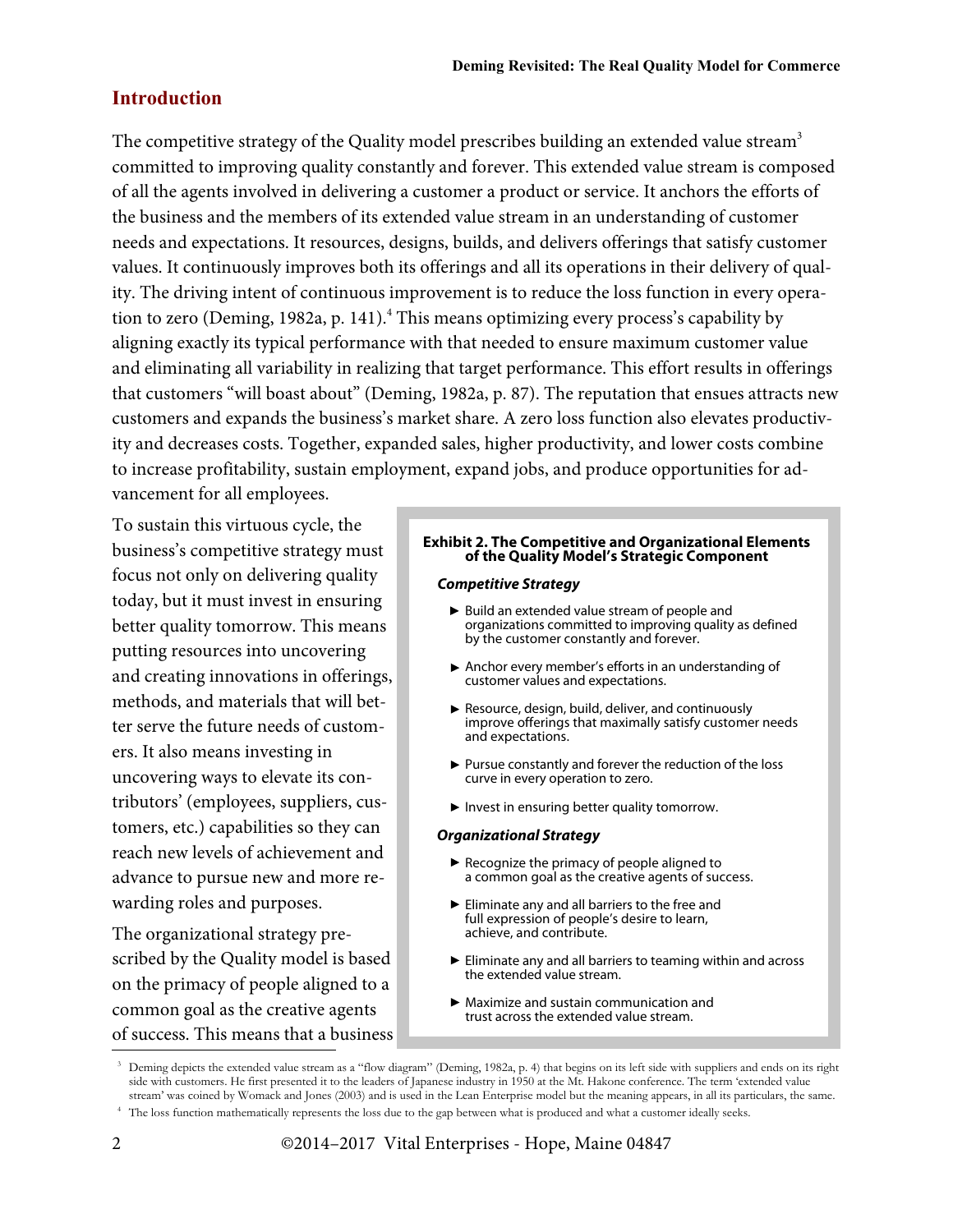The competitive strategy of the Quality model prescribes building an extended value stream<sup>3</sup> committed to improving quality constantly and forever. This extended value stream is composed of all the agents involved in delivering a customer a product or service. It anchors the efforts of the business and the members of its extended value stream in an understanding of customer needs and expectations. It resources, designs, builds, and delivers offerings that satisfy customer values. It continuously improves both its offerings and all its operations in their delivery of quality. The driving intent of continuous improvement is to reduce the loss function in every operation to zero (Deming, 1982a, p. 141).<sup>4</sup> This means optimizing every process's capability by aligning exactly its typical performance with that needed to ensure maximum customer value and eliminating all variability in realizing that target performance. This effort results in offerings that customers "will boast about" (Deming, 1982a, p. 87). The reputation that ensues attracts new customers and expands the business's market share. A zero loss function also elevates productivity and decreases costs. Together, expanded sales, higher productivity, and lower costs combine to increase profitability, sustain employment, expand jobs, and produce opportunities for advancement for all employees.

To sustain this virtuous cycle, the business's competitive strategy must focus not only on delivering quality today, but it must invest in ensuring better quality tomorrow. This means putting resources into uncovering and creating innovations in offerings, methods, and materials that will better serve the future needs of customers. It also means investing in uncovering ways to elevate its contributors' (employees, suppliers, customers, etc.) capabilities so they can reach new levels of achievement and advance to pursue new and more rewarding roles and purposes.

The organizational strategy prescribed by the Quality model is based on the primacy of people aligned to a common goal as the creative agents of success. This means that a business

## **Exhibit 2. The Competitive and Organizational Elements of the Quality Model's Strategic Component**

#### *Competitive Strategy*

- Build an extended value stream of people and organizations committed to improving quality as defined by the customer constantly and forever.
- Anchor every member's efforts in an understanding of customer values and expectations.
- Resource, design, build, deliver, and continuously improve offerings that maximally satisfy customer needs and expectations.
- $\blacktriangleright$  Pursue constantly and forever the reduction of the loss curve in every operation to zero.
- $\blacktriangleright$  Invest in ensuring better quality tomorrow.

#### *Organizational Strategy*

- Recognize the primacy of people aligned to a common goal as the creative agents of success.
- Eliminate any and all barriers to the free and full expression of people's desire to learn, achieve, and contribute.
- Eliminate any and all barriers to teaming within and across the extended value stream.
- Maximize and sustain communication and trust across the extended value stream.

<sup>&</sup>lt;sup>3</sup> Deming depicts the extended value stream as a "flow diagram" (Deming, 1982a, p. 4) that begins on its left side with suppliers and ends on its right side with customers. He first presented it to the leaders of Japanese industry in 1950 at the Mt. Hakone conference. The term 'extended value stream' was coined by Womack and Jones (2003) and is used in the Lean Enterprise model but the meaning appears, in all its particulars, the same.

<sup>4</sup> The loss function mathematically represents the loss due to the gap between what is produced and what a customer ideally seeks.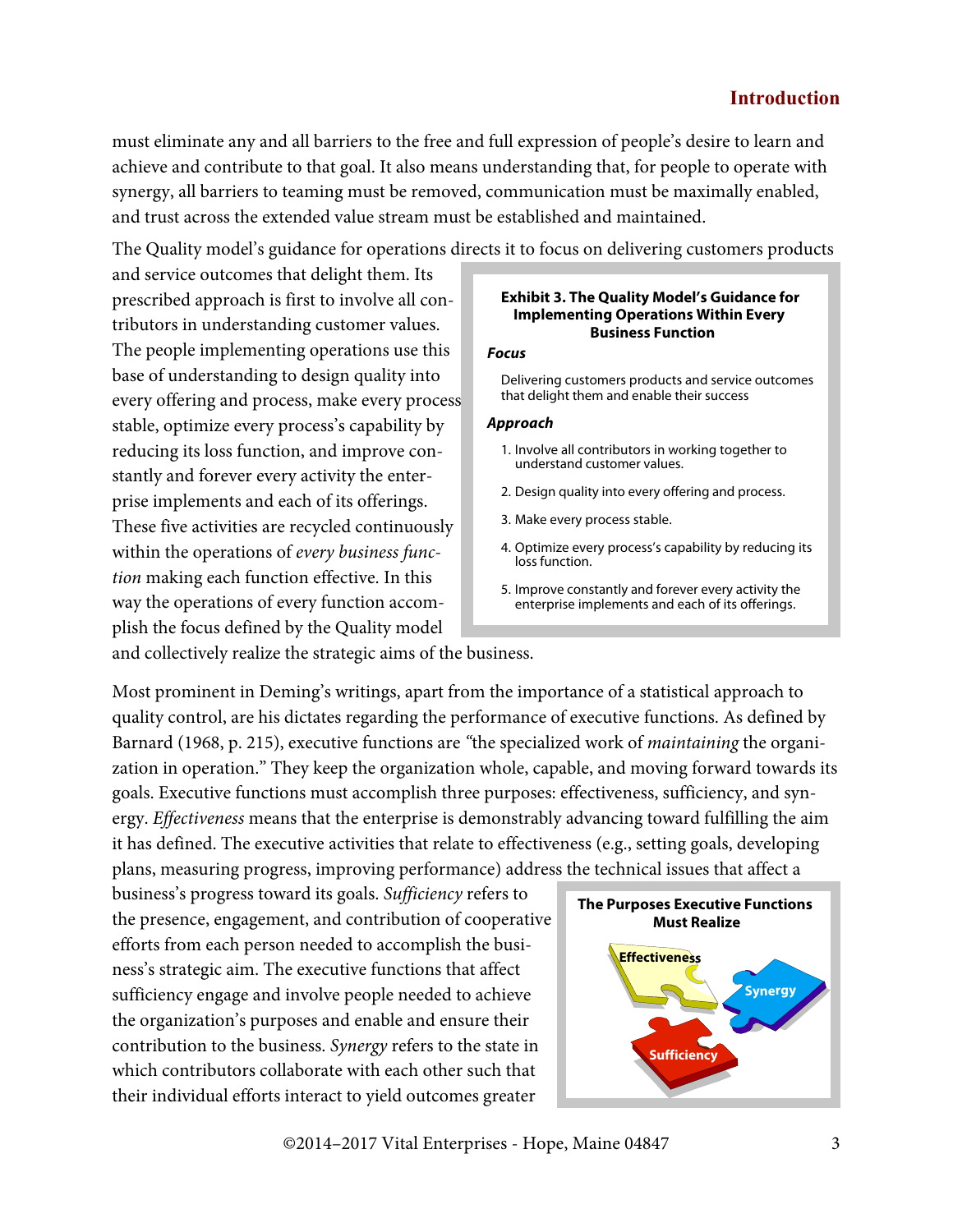must eliminate any and all barriers to the free and full expression of people's desire to learn and achieve and contribute to that goal. It also means understanding that, for people to operate with synergy, all barriers to teaming must be removed, communication must be maximally enabled, and trust across the extended value stream must be established and maintained.

The Quality model's guidance for operations directs it to focus on delivering customers products

and service outcomes that delight them. Its prescribed approach is first to involve all contributors in understanding customer values. The people implementing operations use this base of understanding to design quality into every offering and process, make every process stable, optimize every process's capability by reducing its loss function, and improve constantly and forever every activity the enterprise implements and each of its offerings. These five activities are recycled continuously within the operations of *every business function* making each function effective. In this way the operations of every function accomplish the focus defined by the Quality model

#### **Exhibit 3. The Quality Model's Guidance for Business Function Implementing Operations Within Every**

#### *Focus*

Delivering customers products and service outcomes that delight them and enable their success

#### *Approach*

- 1. Involve all contributors in working together to understand customer values.
- 2. Design quality into every offering and process.
- 3. Make every process stable.
- 4. Optimize every process's capability by reducing its loss function.
- 5. Improve constantly and forever every activity the enterprise implements and each of its offerings.

and collectively realize the strategic aims of the business.

Most prominent in Deming's writings, apart from the importance of a statistical approach to quality control, are his dictates regarding the performance of executive functions. As defined by Barnard (1968, p. 215), executive functions are *"*the specialized work of *maintaining* the organization in operation." They keep the organization whole, capable, and moving forward towards its goals. Executive functions must accomplish three purposes: effectiveness, sufficiency, and synergy. *Effectiveness* means that the enterprise is demonstrably advancing toward fulfilling the aim it has defined. The executive activities that relate to effectiveness (e.g., setting goals, developing plans, measuring progress, improving performance) address the technical issues that affect a

business's progress toward its goals. *Sufficiency* refers to the presence, engagement, and contribution of cooperative efforts from each person needed to accomplish the business's strategic aim. The executive functions that affect sufficiency engage and involve people needed to achieve the organization's purposes and enable and ensure their contribution to the business. *Synergy* refers to the state in which contributors collaborate with each other such that their individual efforts interact to yield outcomes greater

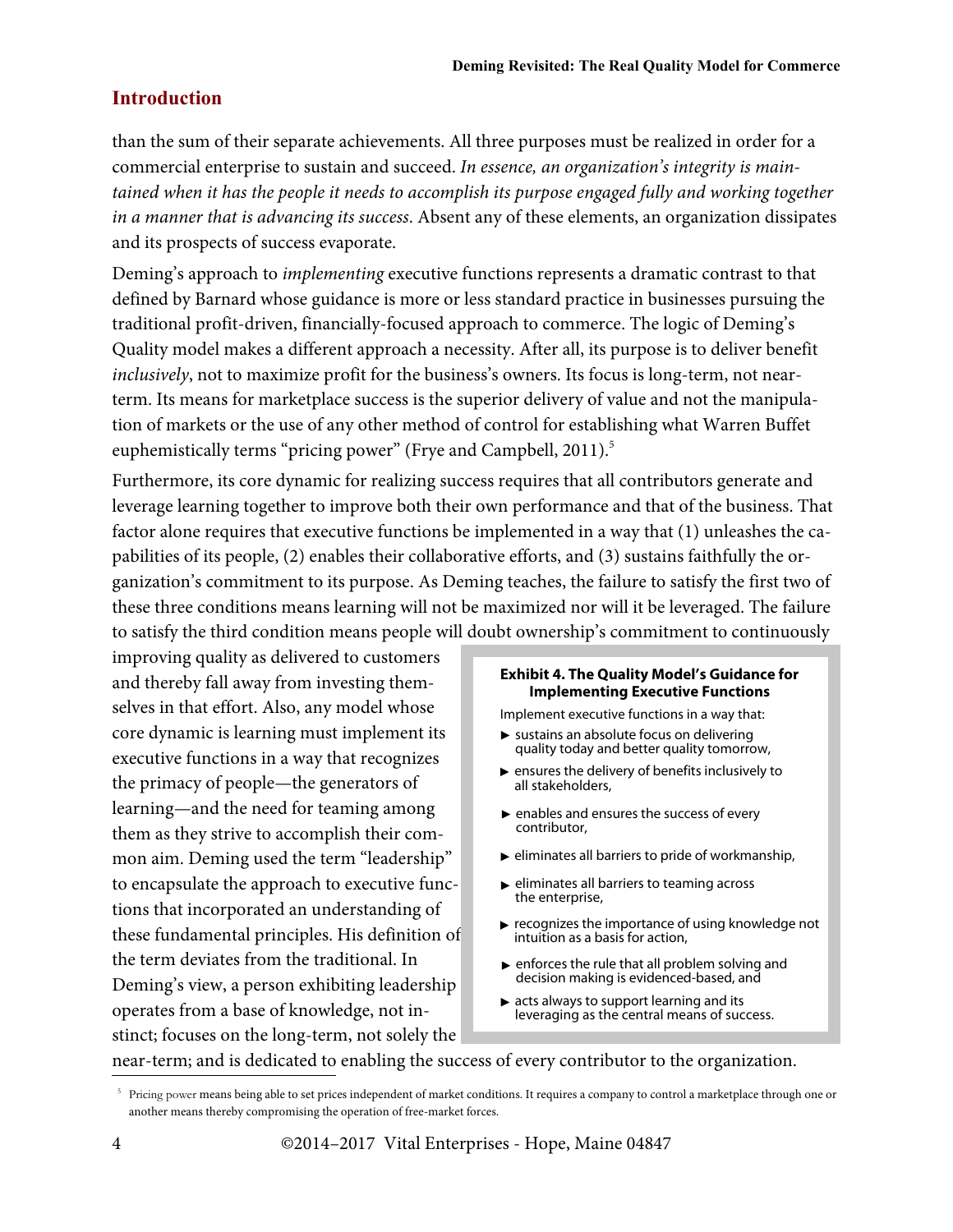than the sum of their separate achievements. All three purposes must be realized in order for a commercial enterprise to sustain and succeed. *In essence, an organization's integrity is maintained when it has the people it needs to accomplish its purpose engaged fully and working together in a manner that is advancing its success*. Absent any of these elements, an organization dissipates and its prospects of success evaporate.

Deming's approach to *implementing* executive functions represents a dramatic contrast to that defined by Barnard whose guidance is more or less standard practice in businesses pursuing the traditional profit-driven, financially-focused approach to commerce. The logic of Deming's Quality model makes a different approach a necessity. After all, its purpose is to deliver benefit *inclusively*, not to maximize profit for the business's owners. Its focus is long-term, not nearterm. Its means for marketplace success is the superior delivery of value and not the manipulation of markets or the use of any other method of control for establishing what Warren Buffet euphemistically terms "pricing power" (Frye and Campbell, 2011).<sup>5</sup>

Furthermore, its core dynamic for realizing success requires that all contributors generate and leverage learning together to improve both their own performance and that of the business. That factor alone requires that executive functions be implemented in a way that (1) unleashes the capabilities of its people, (2) enables their collaborative efforts, and (3) sustains faithfully the organization's commitment to its purpose. As Deming teaches, the failure to satisfy the first two of these three conditions means learning will not be maximized nor will it be leveraged. The failure to satisfy the third condition means people will doubt ownership's commitment to continuously

improving quality as delivered to customers and thereby fall away from investing themselves in that effort. Also, any model whose core dynamic is learning must implement its executive functions in a way that recognizes the primacy of people—the generators of learning—and the need for teaming among them as they strive to accomplish their common aim. Deming used the term "leadership" to encapsulate the approach to executive functions that incorporated an understanding of these fundamental principles. His definition of the term deviates from the traditional. In Deming's view, a person exhibiting leadership operates from a base of knowledge, not instinct; focuses on the long-term, not solely the

#### **Exhibit 4. The Quality Model's Guidance for Implementing Executive Functions**

Implement executive functions in a way that:

- sustains an absolute focus on delivering quality today and better quality tomorrow,
- $\blacktriangleright$  ensures the delivery of benefits inclusively to all stakeholders,
- $\blacktriangleright$  enables and ensures the success of every contributor,
- $\blacktriangleright$  eliminates all barriers to pride of workmanship,
- $\blacktriangleright$  eliminates all barriers to teaming across the enterprise,
- **Exercise** recognizes the importance of using knowledge not intuition as a basis for action,
- $\blacktriangleright$  enforces the rule that all problem solving and decision making is evidenced-based, and
- acts always to support learning and its leveraging as the central means of success.

near-term; and is dedicated to enabling the success of every contributor to the organization.

<sup>5</sup> Pricing power means being able to set prices independent of market conditions. It requires a company to control a marketplace through one or another means thereby compromising the operation of free-market forces.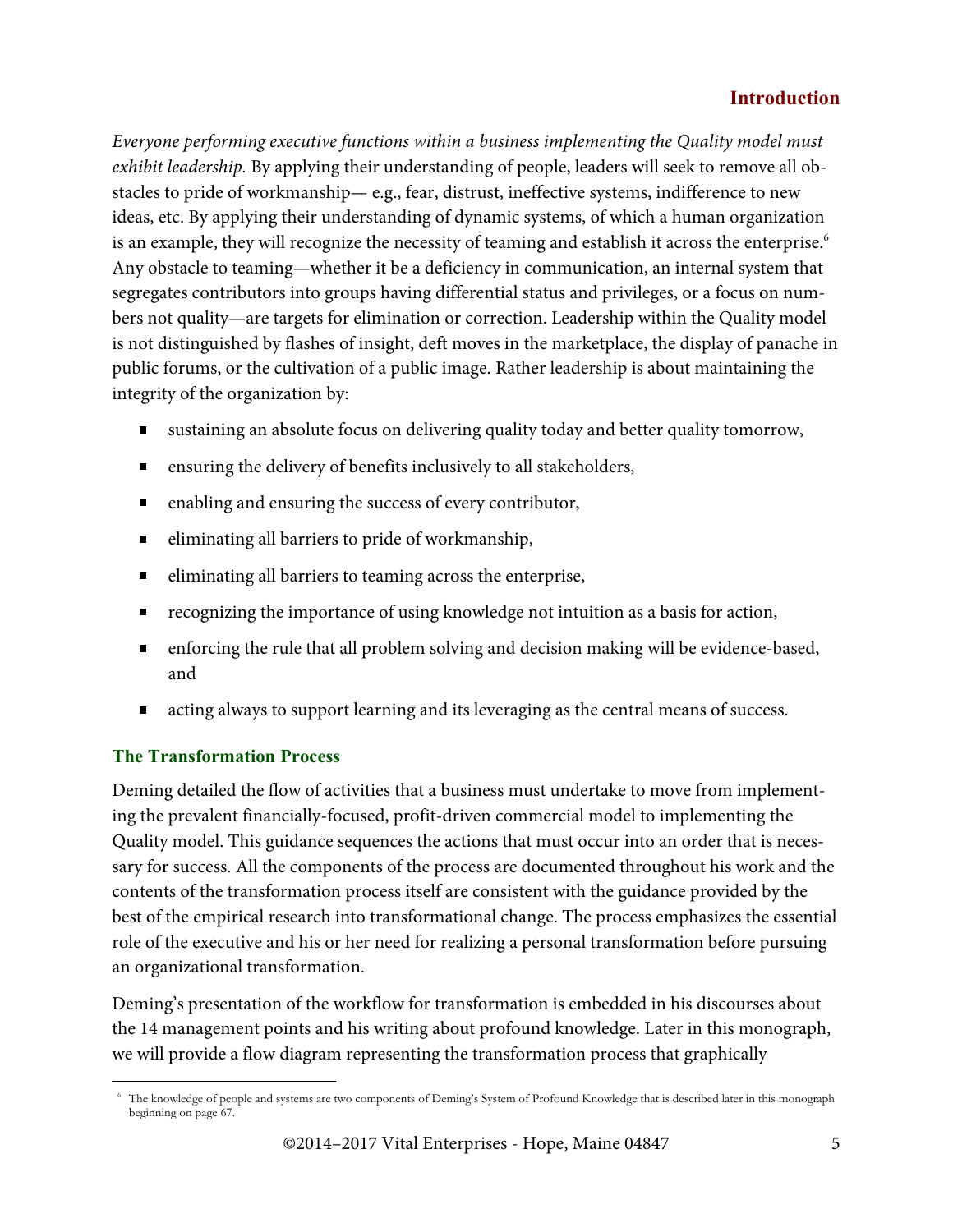*Everyone performing executive functions within a business implementing the Quality model must exhibit leadership.* By applying their understanding of people, leaders will seek to remove all obstacles to pride of workmanship— e.g., fear, distrust, ineffective systems, indifference to new ideas, etc. By applying their understanding of dynamic systems, of which a human organization is an example, they will recognize the necessity of teaming and establish it across the enterprise.<sup>6</sup> Any obstacle to teaming—whether it be a deficiency in communication, an internal system that segregates contributors into groups having differential status and privileges, or a focus on numbers not quality—are targets for elimination or correction. Leadership within the Quality model is not distinguished by flashes of insight, deft moves in the marketplace, the display of panache in public forums, or the cultivation of a public image. Rather leadership is about maintaining the integrity of the organization by:

- sustaining an absolute focus on delivering quality today and better quality tomorrow,
- ensuring the delivery of benefits inclusively to all stakeholders,
- enabling and ensuring the success of every contributor,  $\blacksquare$
- eliminating all barriers to pride of workmanship,  $\blacksquare$
- eliminating all barriers to teaming across the enterprise,  $\blacksquare$
- recognizing the importance of using knowledge not intuition as a basis for action,
- enforcing the rule that all problem solving and decision making will be evidence-based, and
- acting always to support learning and its leveraging as the central means of success.

## **The Transformation Process**

Deming detailed the flow of activities that a business must undertake to move from implementing the prevalent financially-focused, profit-driven commercial model to implementing the Quality model. This guidance sequences the actions that must occur into an order that is necessary for success. All the components of the process are documented throughout his work and the contents of the transformation process itself are consistent with the guidance provided by the best of the empirical research into transformational change. The process emphasizes the essential role of the executive and his or her need for realizing a personal transformation before pursuing an organizational transformation.

Deming's presentation of the workflow for transformation is embedded in his discourses about the 14 management points and his writing about profound knowledge. Later in this monograph, we will provide a flow diagram representing the transformation process that graphically

<sup>6</sup> The knowledge of people and systems are two components of Deming's System of Profound Knowledge that is described later in this monograph beginning on page 67.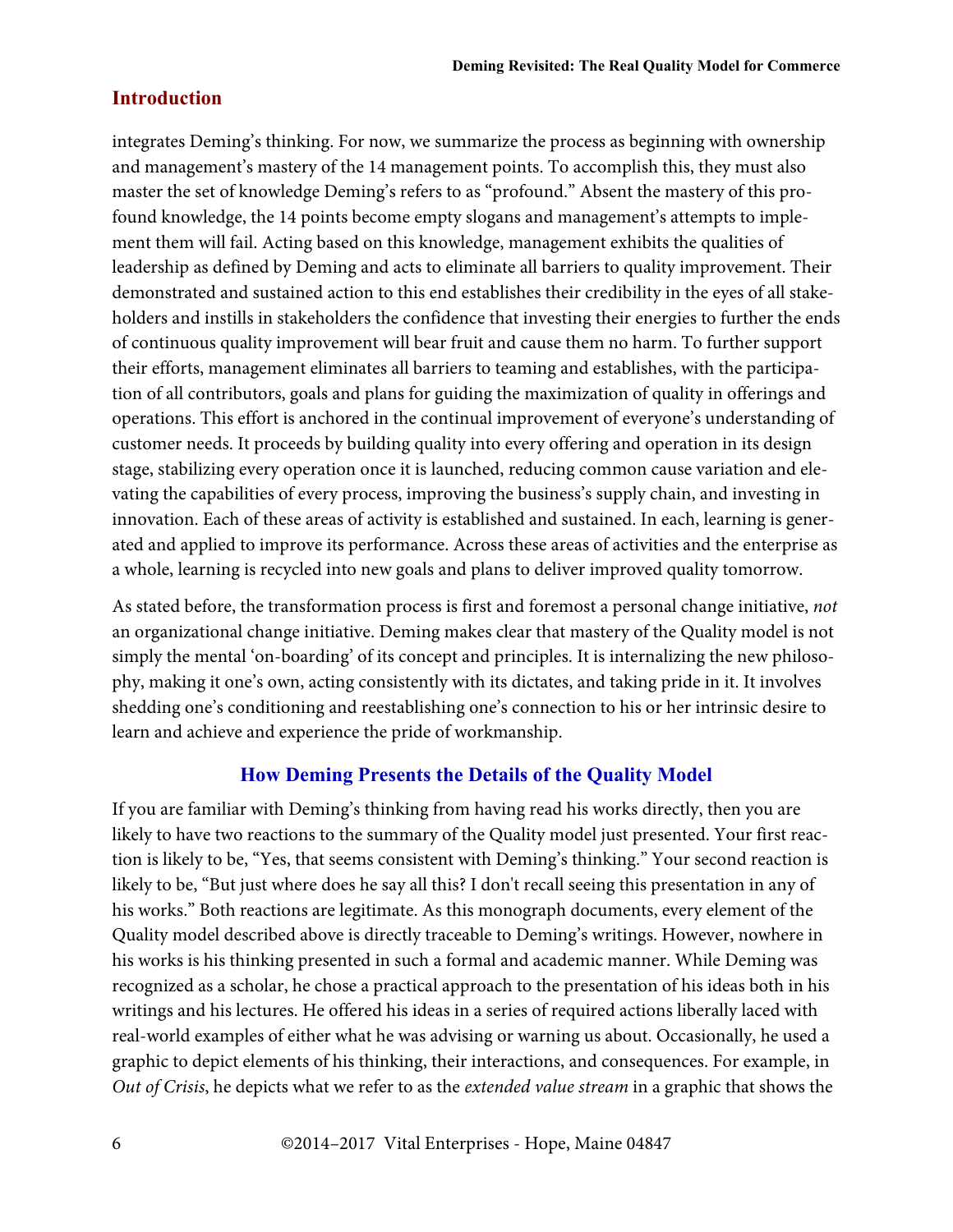integrates Deming's thinking. For now, we summarize the process as beginning with ownership and management's mastery of the 14 management points. To accomplish this, they must also master the set of knowledge Deming's refers to as "profound." Absent the mastery of this profound knowledge, the 14 points become empty slogans and management's attempts to implement them will fail. Acting based on this knowledge, management exhibits the qualities of leadership as defined by Deming and acts to eliminate all barriers to quality improvement. Their demonstrated and sustained action to this end establishes their credibility in the eyes of all stakeholders and instills in stakeholders the confidence that investing their energies to further the ends of continuous quality improvement will bear fruit and cause them no harm. To further support their efforts, management eliminates all barriers to teaming and establishes, with the participation of all contributors, goals and plans for guiding the maximization of quality in offerings and operations. This effort is anchored in the continual improvement of everyone's understanding of customer needs. It proceeds by building quality into every offering and operation in its design stage, stabilizing every operation once it is launched, reducing common cause variation and elevating the capabilities of every process, improving the business's supply chain, and investing in innovation. Each of these areas of activity is established and sustained. In each, learning is generated and applied to improve its performance. Across these areas of activities and the enterprise as a whole, learning is recycled into new goals and plans to deliver improved quality tomorrow.

As stated before, the transformation process is first and foremost a personal change initiative, *not* an organizational change initiative. Deming makes clear that mastery of the Quality model is not simply the mental 'on-boarding' of its concept and principles. It is internalizing the new philosophy, making it one's own, acting consistently with its dictates, and taking pride in it. It involves shedding one's conditioning and reestablishing one's connection to his or her intrinsic desire to learn and achieve and experience the pride of workmanship.

#### **How Deming Presents the Details of the Quality Model**

If you are familiar with Deming's thinking from having read his works directly, then you are likely to have two reactions to the summary of the Quality model just presented. Your first reaction is likely to be, "Yes, that seems consistent with Deming's thinking." Your second reaction is likely to be, "But just where does he say all this? I don't recall seeing this presentation in any of his works." Both reactions are legitimate. As this monograph documents, every element of the Quality model described above is directly traceable to Deming's writings. However, nowhere in his works is his thinking presented in such a formal and academic manner. While Deming was recognized as a scholar, he chose a practical approach to the presentation of his ideas both in his writings and his lectures. He offered his ideas in a series of required actions liberally laced with real-world examples of either what he was advising or warning us about. Occasionally, he used a graphic to depict elements of his thinking, their interactions, and consequences. For example, in *Out of Crisis*, he depicts what we refer to as the *extended value stream* in a graphic that shows the

6 ©2014–2017 Vital Enterprises - Hope, Maine 04847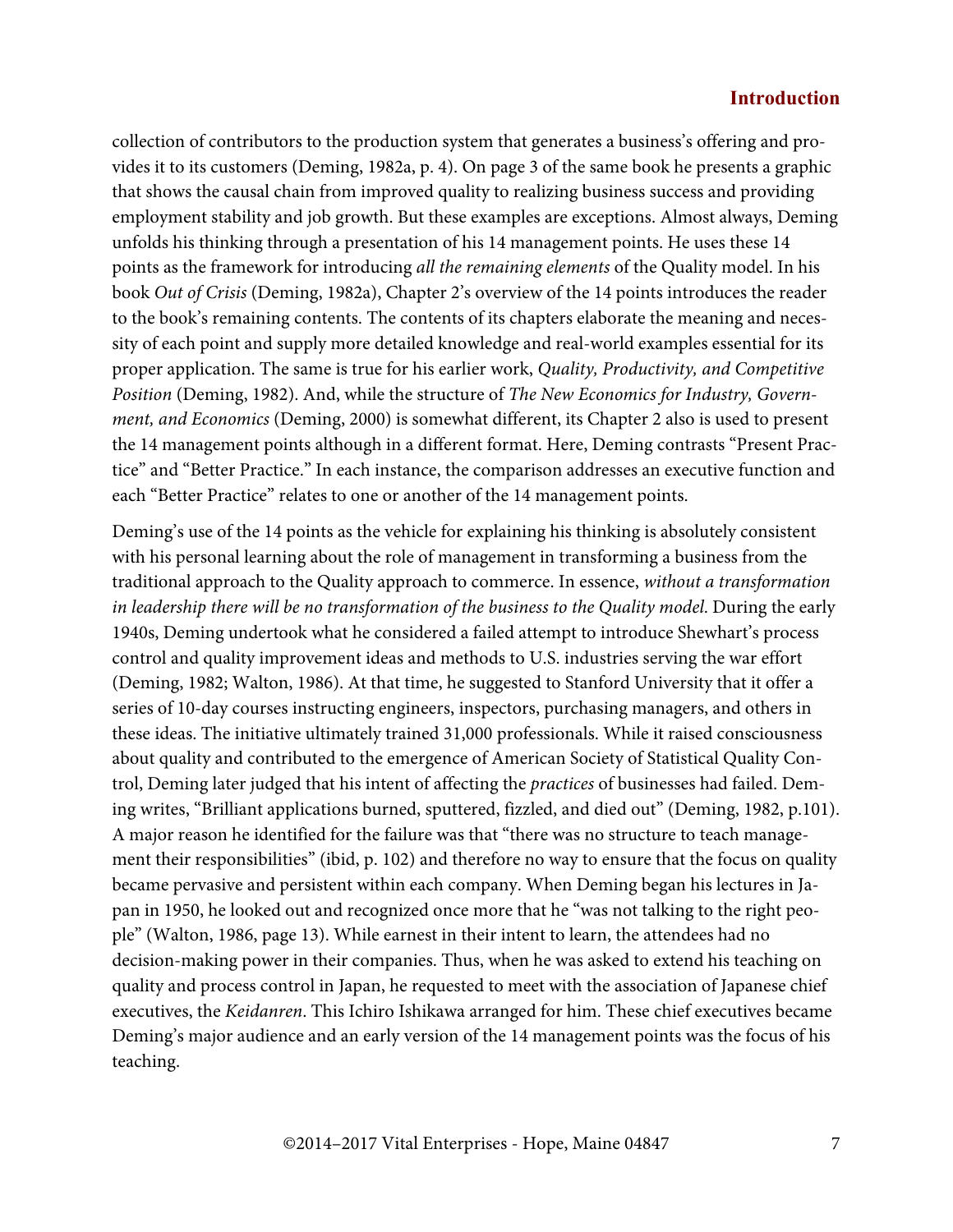collection of contributors to the production system that generates a business's offering and provides it to its customers (Deming, 1982a, p. 4). On page 3 of the same book he presents a graphic that shows the causal chain from improved quality to realizing business success and providing employment stability and job growth. But these examples are exceptions. Almost always, Deming unfolds his thinking through a presentation of his 14 management points. He uses these 14 points as the framework for introducing *all the remaining elements* of the Quality model. In his book *Out of Crisis* (Deming, 1982a), Chapter 2's overview of the 14 points introduces the reader to the book's remaining contents. The contents of its chapters elaborate the meaning and necessity of each point and supply more detailed knowledge and real-world examples essential for its proper application. The same is true for his earlier work, *Quality, Productivity, and Competitive Position* (Deming, 1982). And, while the structure of *The New Economics for Industry, Government, and Economics* (Deming, 2000) is somewhat different, its Chapter 2 also is used to present the 14 management points although in a different format. Here, Deming contrasts "Present Practice" and "Better Practice." In each instance, the comparison addresses an executive function and each "Better Practice" relates to one or another of the 14 management points.

Deming's use of the 14 points as the vehicle for explaining his thinking is absolutely consistent with his personal learning about the role of management in transforming a business from the traditional approach to the Quality approach to commerce. In essence, *without a transformation in leadership there will be no transformation of the business to the Quality model*. During the early 1940s, Deming undertook what he considered a failed attempt to introduce Shewhart's process control and quality improvement ideas and methods to U.S. industries serving the war effort (Deming, 1982; Walton, 1986). At that time, he suggested to Stanford University that it offer a series of 10-day courses instructing engineers, inspectors, purchasing managers, and others in these ideas. The initiative ultimately trained 31,000 professionals. While it raised consciousness about quality and contributed to the emergence of American Society of Statistical Quality Control, Deming later judged that his intent of affecting the *practices* of businesses had failed. Deming writes, "Brilliant applications burned, sputtered, fizzled, and died out" (Deming, 1982, p.101). A major reason he identified for the failure was that "there was no structure to teach management their responsibilities" (ibid, p. 102) and therefore no way to ensure that the focus on quality became pervasive and persistent within each company. When Deming began his lectures in Japan in 1950, he looked out and recognized once more that he "was not talking to the right people" (Walton, 1986, page 13). While earnest in their intent to learn, the attendees had no decision-making power in their companies. Thus, when he was asked to extend his teaching on quality and process control in Japan, he requested to meet with the association of Japanese chief executives, the *Keidanren*. This Ichiro Ishikawa arranged for him. These chief executives became Deming's major audience and an early version of the 14 management points was the focus of his teaching.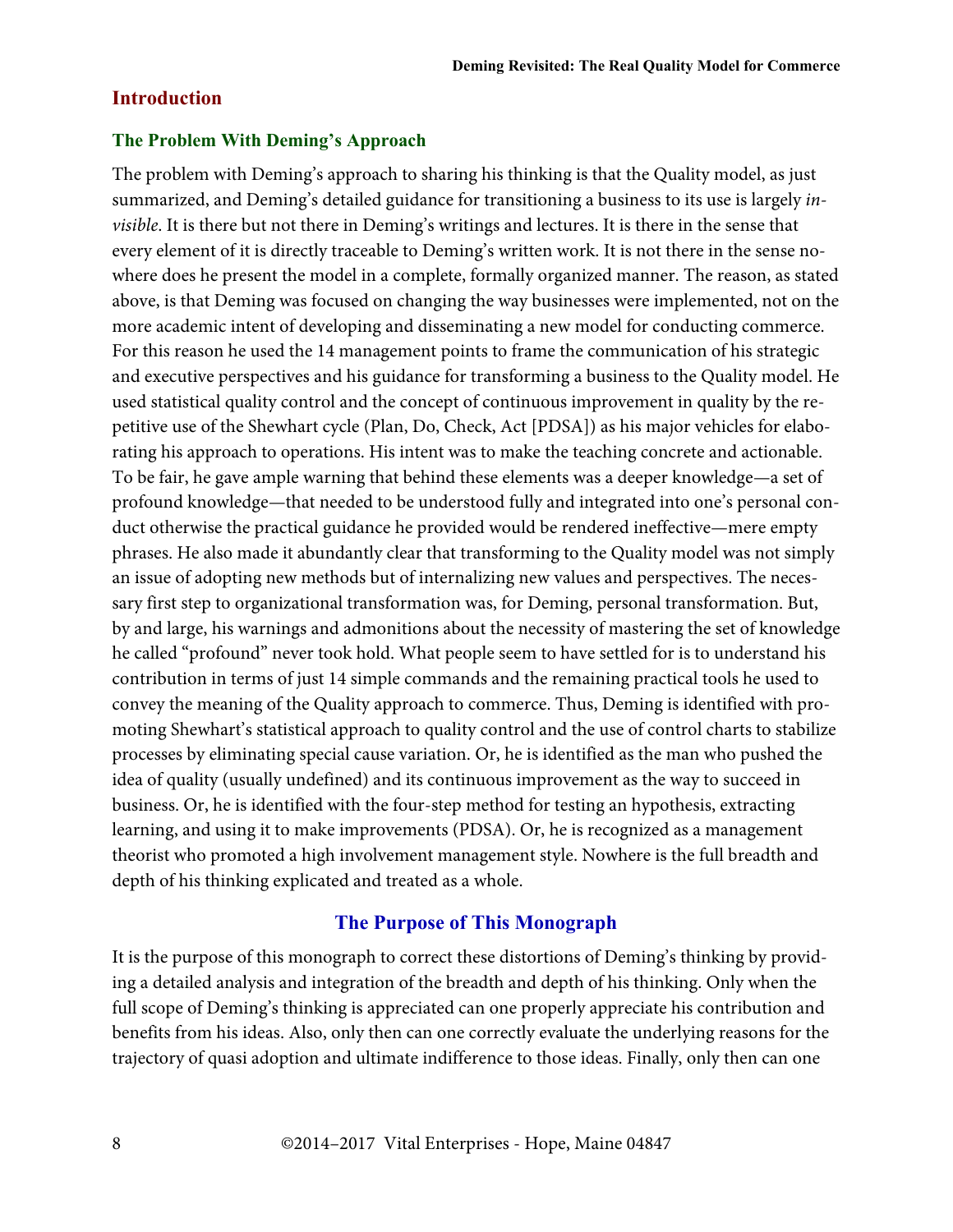#### **The Problem With Deming's Approach**

The problem with Deming's approach to sharing his thinking is that the Quality model, as just summarized, and Deming's detailed guidance for transitioning a business to its use is largely *invisible*. It is there but not there in Deming's writings and lectures. It is there in the sense that every element of it is directly traceable to Deming's written work. It is not there in the sense nowhere does he present the model in a complete, formally organized manner. The reason, as stated above, is that Deming was focused on changing the way businesses were implemented, not on the more academic intent of developing and disseminating a new model for conducting commerce. For this reason he used the 14 management points to frame the communication of his strategic and executive perspectives and his guidance for transforming a business to the Quality model. He used statistical quality control and the concept of continuous improvement in quality by the repetitive use of the Shewhart cycle (Plan, Do, Check, Act [PDSA]) as his major vehicles for elaborating his approach to operations. His intent was to make the teaching concrete and actionable. To be fair, he gave ample warning that behind these elements was a deeper knowledge—a set of profound knowledge—that needed to be understood fully and integrated into one's personal conduct otherwise the practical guidance he provided would be rendered ineffective—mere empty phrases. He also made it abundantly clear that transforming to the Quality model was not simply an issue of adopting new methods but of internalizing new values and perspectives. The necessary first step to organizational transformation was, for Deming, personal transformation. But, by and large, his warnings and admonitions about the necessity of mastering the set of knowledge he called "profound" never took hold. What people seem to have settled for is to understand his contribution in terms of just 14 simple commands and the remaining practical tools he used to convey the meaning of the Quality approach to commerce. Thus, Deming is identified with promoting Shewhart's statistical approach to quality control and the use of control charts to stabilize processes by eliminating special cause variation. Or, he is identified as the man who pushed the idea of quality (usually undefined) and its continuous improvement as the way to succeed in business. Or, he is identified with the four-step method for testing an hypothesis, extracting learning, and using it to make improvements (PDSA). Or, he is recognized as a management theorist who promoted a high involvement management style. Nowhere is the full breadth and depth of his thinking explicated and treated as a whole.

#### **The Purpose of This Monograph**

It is the purpose of this monograph to correct these distortions of Deming's thinking by providing a detailed analysis and integration of the breadth and depth of his thinking. Only when the full scope of Deming's thinking is appreciated can one properly appreciate his contribution and benefits from his ideas. Also, only then can one correctly evaluate the underlying reasons for the trajectory of quasi adoption and ultimate indifference to those ideas. Finally, only then can one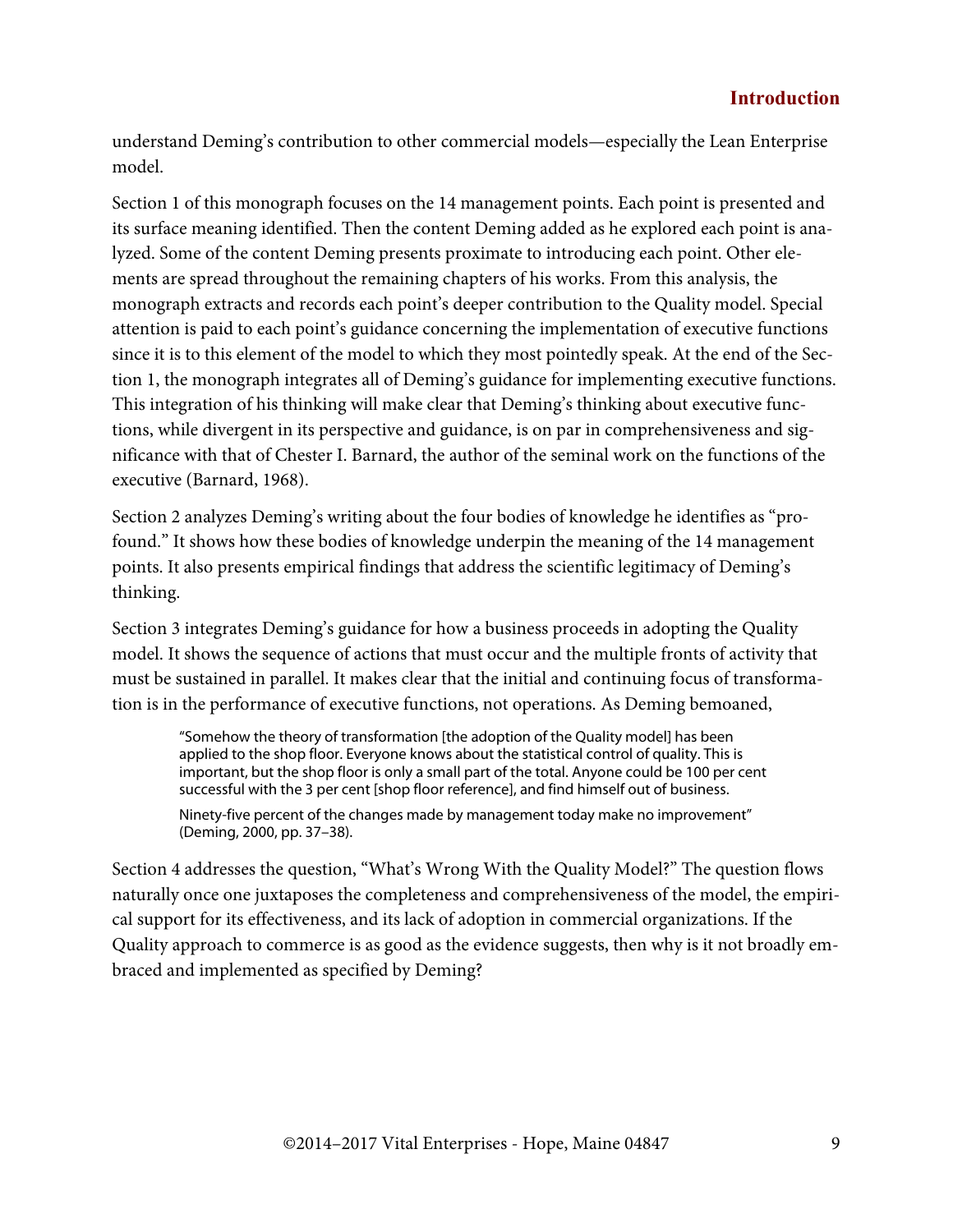understand Deming's contribution to other commercial models—especially the Lean Enterprise model.

Section 1 of this monograph focuses on the 14 management points. Each point is presented and its surface meaning identified. Then the content Deming added as he explored each point is analyzed. Some of the content Deming presents proximate to introducing each point. Other elements are spread throughout the remaining chapters of his works. From this analysis, the monograph extracts and records each point's deeper contribution to the Quality model. Special attention is paid to each point's guidance concerning the implementation of executive functions since it is to this element of the model to which they most pointedly speak. At the end of the Section 1, the monograph integrates all of Deming's guidance for implementing executive functions. This integration of his thinking will make clear that Deming's thinking about executive functions, while divergent in its perspective and guidance, is on par in comprehensiveness and significance with that of Chester I. Barnard, the author of the seminal work on the functions of the executive (Barnard, 1968).

Section 2 analyzes Deming's writing about the four bodies of knowledge he identifies as "profound." It shows how these bodies of knowledge underpin the meaning of the 14 management points. It also presents empirical findings that address the scientific legitimacy of Deming's thinking.

Section 3 integrates Deming's guidance for how a business proceeds in adopting the Quality model. It shows the sequence of actions that must occur and the multiple fronts of activity that must be sustained in parallel. It makes clear that the initial and continuing focus of transformation is in the performance of executive functions, not operations. As Deming bemoaned,

"Somehow the theory of transformation [the adoption of the Quality model] has been applied to the shop floor. Everyone knows about the statistical control of quality. This is important, but the shop floor is only a small part of the total. Anyone could be 100 per cent successful with the 3 per cent [shop floor reference], and find himself out of business.

Ninety-five percent of the changes made by management today make no improvement" (Deming, 2000, pp. 37–38).

Section 4 addresses the question, "What's Wrong With the Quality Model?" The question flows naturally once one juxtaposes the completeness and comprehensiveness of the model, the empirical support for its effectiveness, and its lack of adoption in commercial organizations. If the Quality approach to commerce is as good as the evidence suggests, then why is it not broadly embraced and implemented as specified by Deming?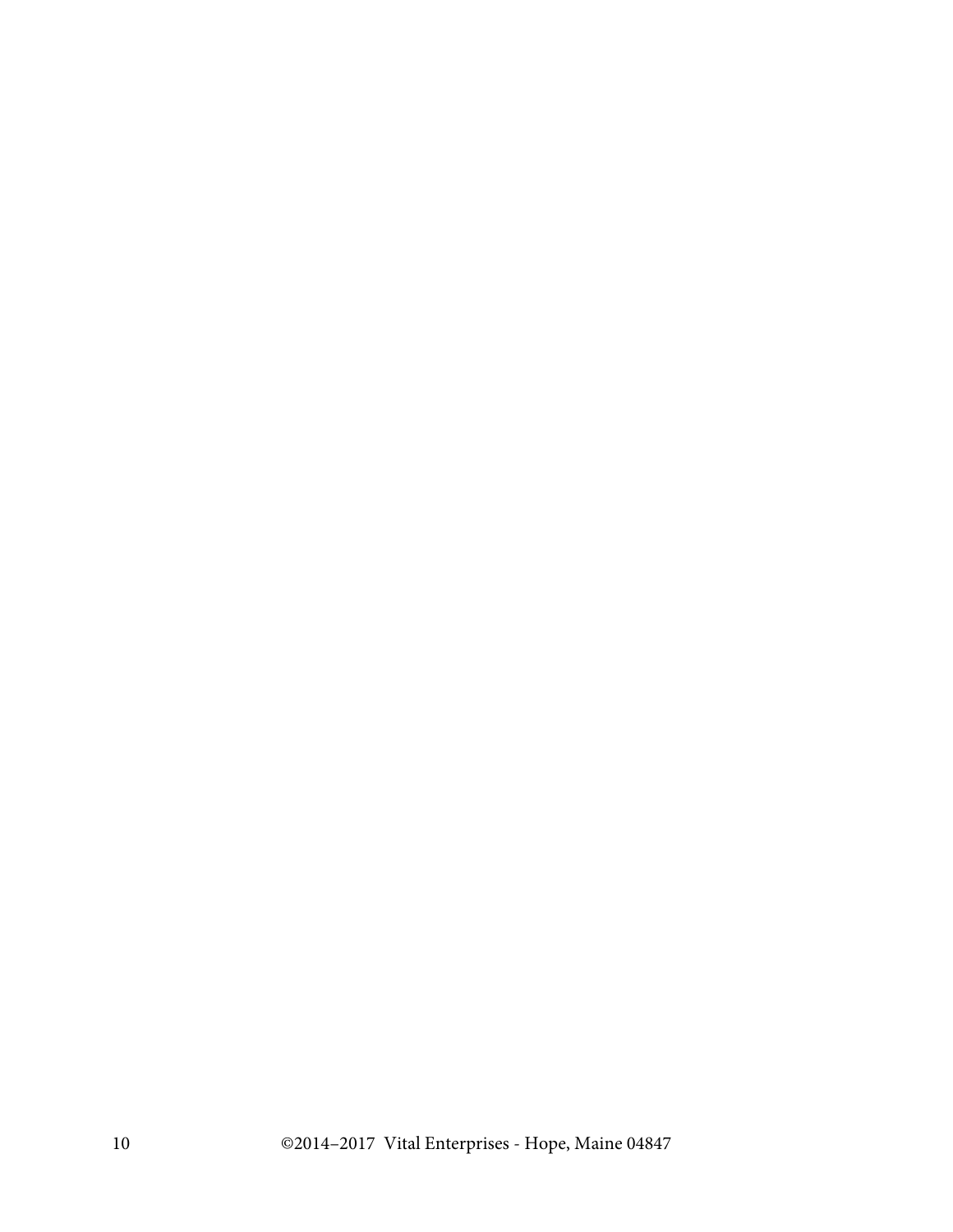©2014–2017 Vital Enterprises - Hope, Maine 04847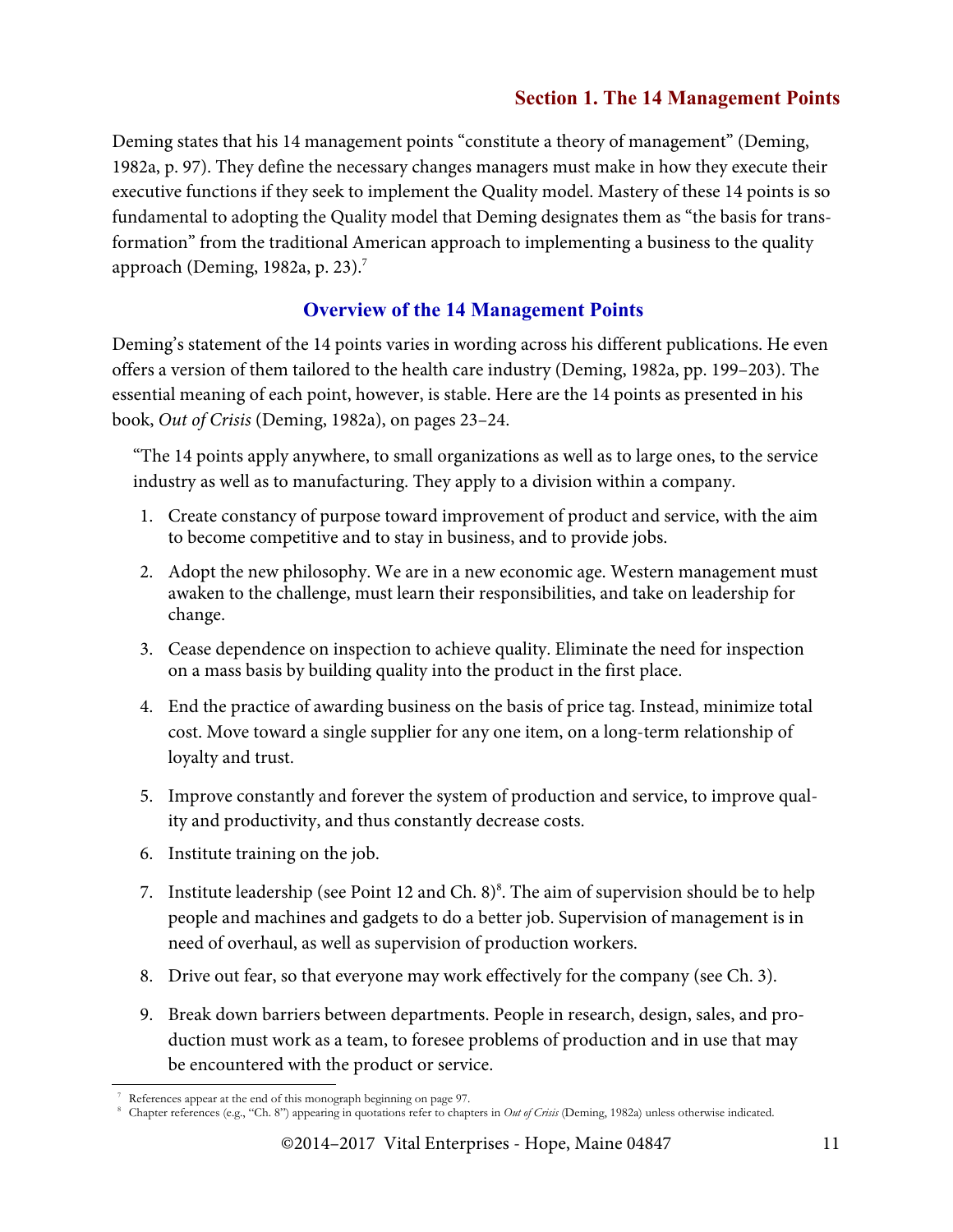Deming states that his 14 management points "constitute a theory of management" (Deming, 1982a, p. 97). They define the necessary changes managers must make in how they execute their executive functions if they seek to implement the Quality model. Mastery of these 14 points is so fundamental to adopting the Quality model that Deming designates them as "the basis for transformation" from the traditional American approach to implementing a business to the quality approach (Deming, 1982a, p. 23).<sup>7</sup>

## **Overview of the 14 Management Points**

Deming's statement of the 14 points varies in wording across his different publications. He even offers a version of them tailored to the health care industry (Deming, 1982a, pp. 199–203). The essential meaning of each point, however, is stable. Here are the 14 points as presented in his book, *Out of Crisis* (Deming, 1982a), on pages 23–24.

"The 14 points apply anywhere, to small organizations as well as to large ones, to the service industry as well as to manufacturing. They apply to a division within a company.

- 1. Create constancy of purpose toward improvement of product and service, with the aim to become competitive and to stay in business, and to provide jobs.
- 2. Adopt the new philosophy. We are in a new economic age. Western management must awaken to the challenge, must learn their responsibilities, and take on leadership for change.
- 3. Cease dependence on inspection to achieve quality. Eliminate the need for inspection on a mass basis by building quality into the product in the first place.
- 4. End the practice of awarding business on the basis of price tag. Instead, minimize total cost. Move toward a single supplier for any one item, on a long-term relationship of loyalty and trust.
- 5. Improve constantly and forever the system of production and service, to improve quality and productivity, and thus constantly decrease costs.
- 6. Institute training on the job.
- 7. Institute leadership (see Point 12 and Ch.  $8)^8$ . The aim of supervision should be to help people and machines and gadgets to do a better job. Supervision of management is in need of overhaul, as well as supervision of production workers.
- 8. Drive out fear, so that everyone may work effectively for the company (see Ch. 3).
- 9. Break down barriers between departments. People in research, design, sales, and production must work as a team, to foresee problems of production and in use that may be encountered with the product or service.

<sup>7</sup> References appear at the end of this monograph beginning on page 97.

<sup>8</sup> Chapter references (e.g., "Ch. 8") appearing in quotations refer to chapters in *Out of Crisis* (Deming, 1982a) unless otherwise indicated.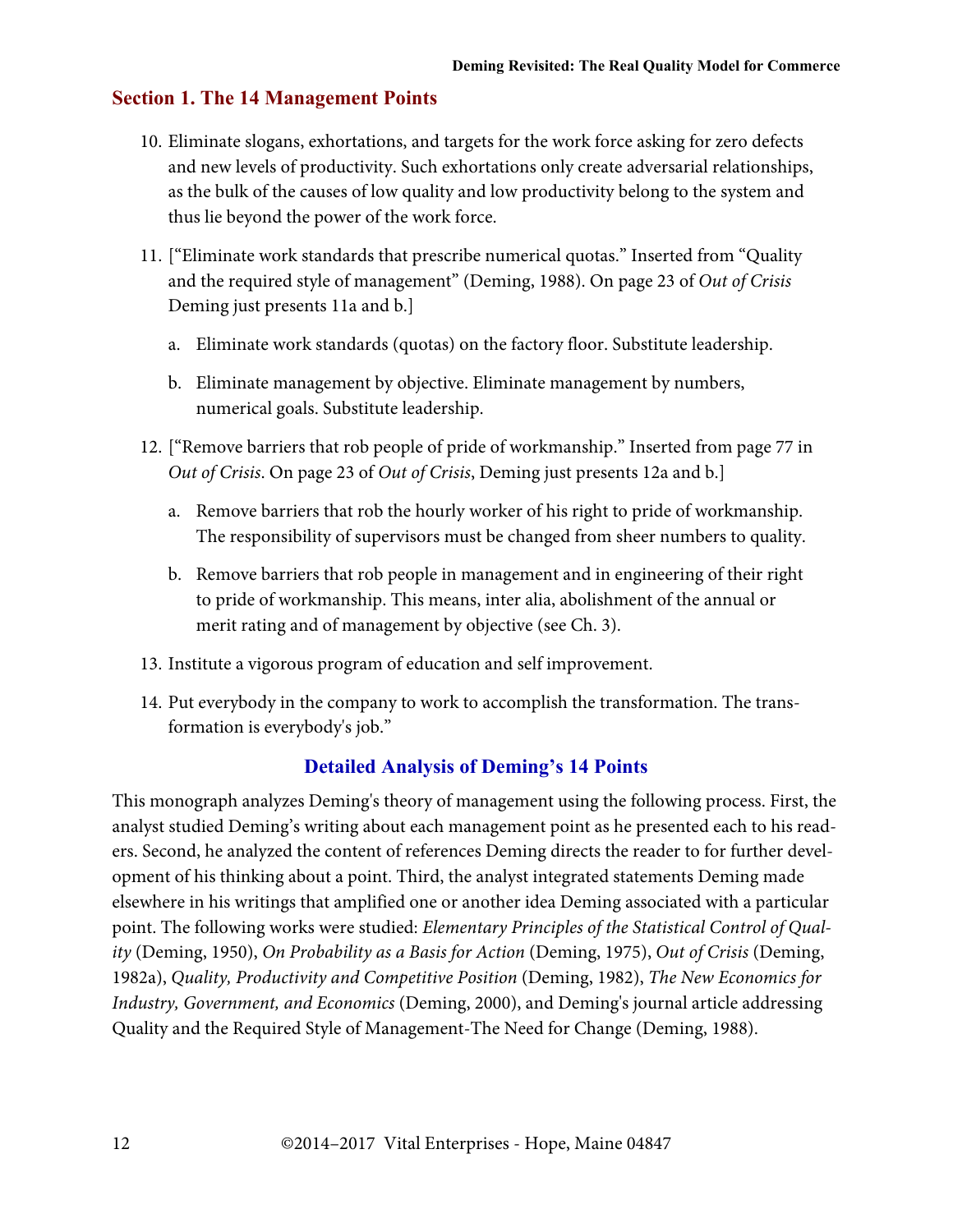- 10. Eliminate slogans, exhortations, and targets for the work force asking for zero defects and new levels of productivity. Such exhortations only create adversarial relationships, as the bulk of the causes of low quality and low productivity belong to the system and thus lie beyond the power of the work force.
- 11. ["Eliminate work standards that prescribe numerical quotas." Inserted from "Quality and the required style of management" (Deming, 1988). On page 23 of *Out of Crisis* Deming just presents 11a and b.]
	- a. Eliminate work standards (quotas) on the factory floor. Substitute leadership.
	- b. Eliminate management by objective. Eliminate management by numbers, numerical goals. Substitute leadership.
- 12. ["Remove barriers that rob people of pride of workmanship." Inserted from page 77 in *Out of Crisis*. On page 23 of *Out of Crisis*, Deming just presents 12a and b.]
	- a. Remove barriers that rob the hourly worker of his right to pride of workmanship. The responsibility of supervisors must be changed from sheer numbers to quality.
	- b. Remove barriers that rob people in management and in engineering of their right to pride of workmanship. This means, inter alia, abolishment of the annual or merit rating and of management by objective (see Ch. 3).
- 13. Institute a vigorous program of education and self improvement.
- 14. Put everybody in the company to work to accomplish the transformation. The transformation is everybody's job."

## **Detailed Analysis of Deming's 14 Points**

This monograph analyzes Deming's theory of management using the following process. First, the analyst studied Deming's writing about each management point as he presented each to his readers. Second, he analyzed the content of references Deming directs the reader to for further development of his thinking about a point. Third, the analyst integrated statements Deming made elsewhere in his writings that amplified one or another idea Deming associated with a particular point. The following works were studied: *Elementary Principles of the Statistical Control of Quality* (Deming, 1950), *On Probability as a Basis for Action* (Deming, 1975), *Out of Crisis* (Deming, 1982a), *Quality, Productivity and Competitive Position* (Deming, 1982), *The New Economics for Industry, Government, and Economics* (Deming, 2000), and Deming's journal article addressing Quality and the Required Style of Management-The Need for Change (Deming, 1988).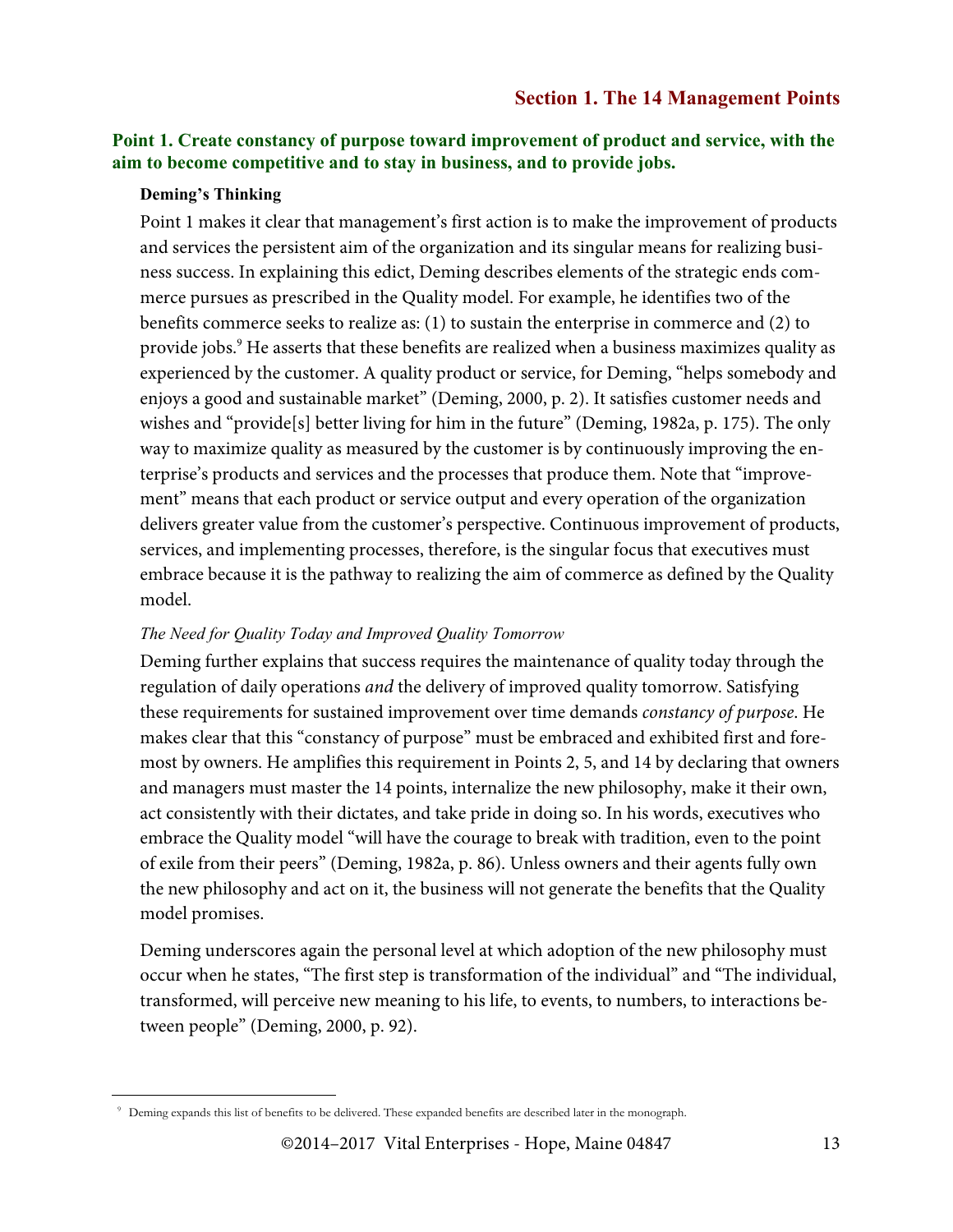## **Point 1. Create constancy of purpose toward improvement of product and service, with the aim to become competitive and to stay in business, and to provide jobs.**

#### **Deming's Thinking**

Point 1 makes it clear that management's first action is to make the improvement of products and services the persistent aim of the organization and its singular means for realizing business success. In explaining this edict, Deming describes elements of the strategic ends commerce pursues as prescribed in the Quality model. For example, he identifies two of the benefits commerce seeks to realize as: (1) to sustain the enterprise in commerce and (2) to provide jobs.<sup>9</sup> He asserts that these benefits are realized when a business maximizes quality as experienced by the customer. A quality product or service, for Deming, "helps somebody and enjoys a good and sustainable market" (Deming, 2000, p. 2). It satisfies customer needs and wishes and "provide[s] better living for him in the future" (Deming, 1982a, p. 175). The only way to maximize quality as measured by the customer is by continuously improving the enterprise's products and services and the processes that produce them. Note that "improvement" means that each product or service output and every operation of the organization delivers greater value from the customer's perspective. Continuous improvement of products, services, and implementing processes, therefore, is the singular focus that executives must embrace because it is the pathway to realizing the aim of commerce as defined by the Quality model.

## *The Need for Quality Today and Improved Quality Tomorrow*

Deming further explains that success requires the maintenance of quality today through the regulation of daily operations *and* the delivery of improved quality tomorrow. Satisfying these requirements for sustained improvement over time demands *constancy of purpose*. He makes clear that this "constancy of purpose" must be embraced and exhibited first and foremost by owners. He amplifies this requirement in Points 2, 5, and 14 by declaring that owners and managers must master the 14 points, internalize the new philosophy, make it their own, act consistently with their dictates, and take pride in doing so. In his words, executives who embrace the Quality model "will have the courage to break with tradition, even to the point of exile from their peers" (Deming, 1982a, p. 86). Unless owners and their agents fully own the new philosophy and act on it, the business will not generate the benefits that the Quality model promises.

Deming underscores again the personal level at which adoption of the new philosophy must occur when he states, "The first step is transformation of the individual" and "The individual, transformed, will perceive new meaning to his life, to events, to numbers, to interactions between people" (Deming, 2000, p. 92).

Deming expands this list of benefits to be delivered. These expanded benefits are described later in the monograph.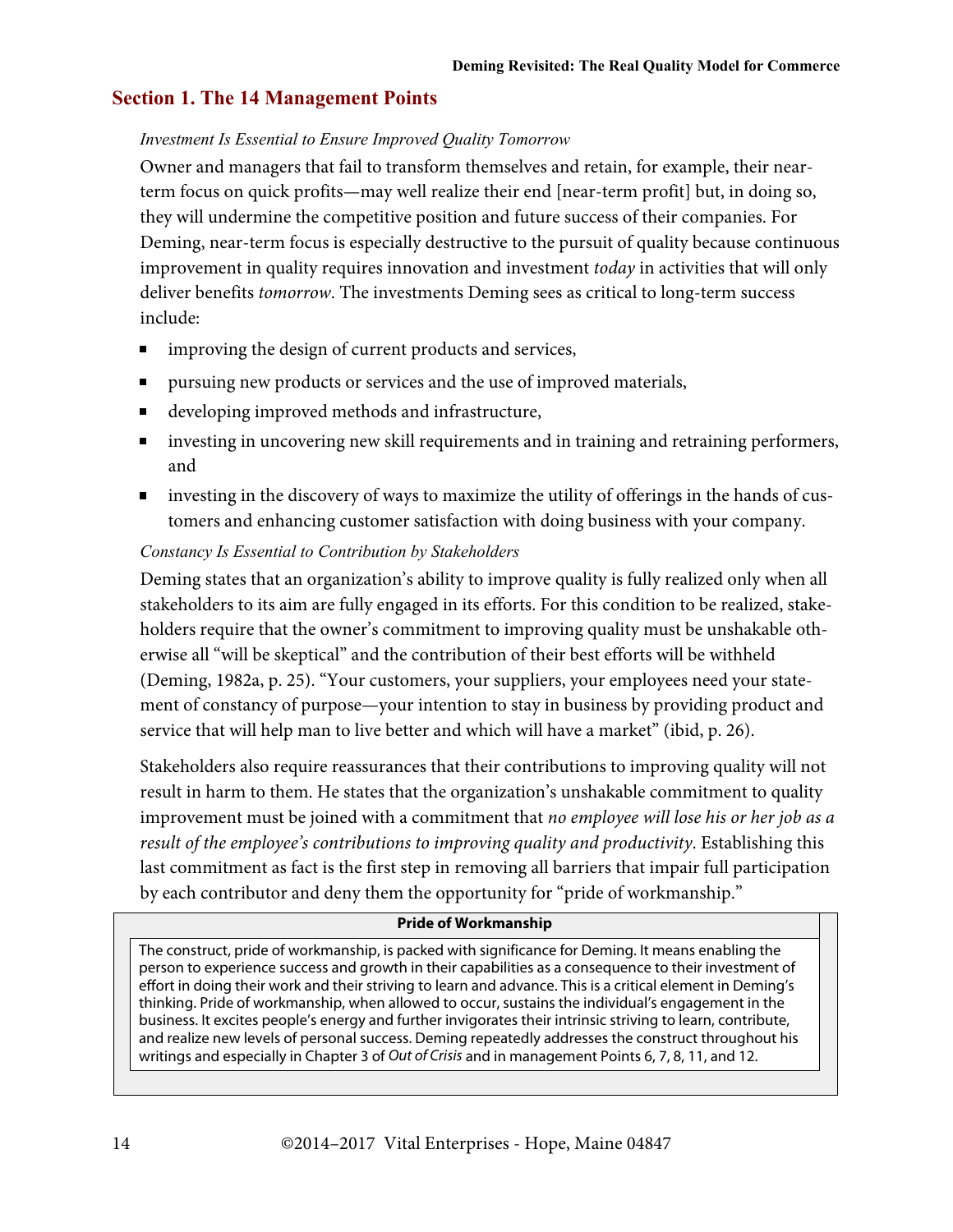#### *Investment Is Essential to Ensure Improved Quality Tomorrow*

Owner and managers that fail to transform themselves and retain, for example, their nearterm focus on quick profits—may well realize their end [near-term profit] but, in doing so, they will undermine the competitive position and future success of their companies. For Deming, near-term focus is especially destructive to the pursuit of quality because continuous improvement in quality requires innovation and investment *today* in activities that will only deliver benefits *tomorrow*. The investments Deming sees as critical to long-term success include:

- improving the design of current products and services,
- pursuing new products or services and the use of improved materials,
- developing improved methods and infrastructure,
- investing in uncovering new skill requirements and in training and retraining performers, and
- investing in the discovery of ways to maximize the utility of offerings in the hands of customers and enhancing customer satisfaction with doing business with your company.

## *Constancy Is Essential to Contribution by Stakeholders*

Deming states that an organization's ability to improve quality is fully realized only when all stakeholders to its aim are fully engaged in its efforts. For this condition to be realized, stakeholders require that the owner's commitment to improving quality must be unshakable otherwise all "will be skeptical" and the contribution of their best efforts will be withheld (Deming, 1982a, p. 25). "Your customers, your suppliers, your employees need your statement of constancy of purpose—your intention to stay in business by providing product and service that will help man to live better and which will have a market" (ibid, p. 26).

Stakeholders also require reassurances that their contributions to improving quality will not result in harm to them. He states that the organization's unshakable commitment to quality improvement must be joined with a commitment that *no employee will lose his or her job as a result of the employee's contributions to improving quality and productivity*. Establishing this last commitment as fact is the first step in removing all barriers that impair full participation by each contributor and deny them the opportunity for "pride of workmanship."

#### **Pride of Workmanship**

The construct, pride of workmanship, is packed with significance for Deming. It means enabling the person to experience success and growth in their capabilities as a consequence to their investment of effort in doing their work and their striving to learn and advance. This is a critical element in Deming's thinking. Pride of workmanship, when allowed to occur, sustains the individual's engagement in the business. It excites people's energy and further invigorates their intrinsic striving to learn, contribute, and realize new levels of personal success. Deming repeatedly addresses the construct throughout his writings and especially in Chapter 3 of Out of Crisis and in management Points 6, 7, 8, 11, and 12.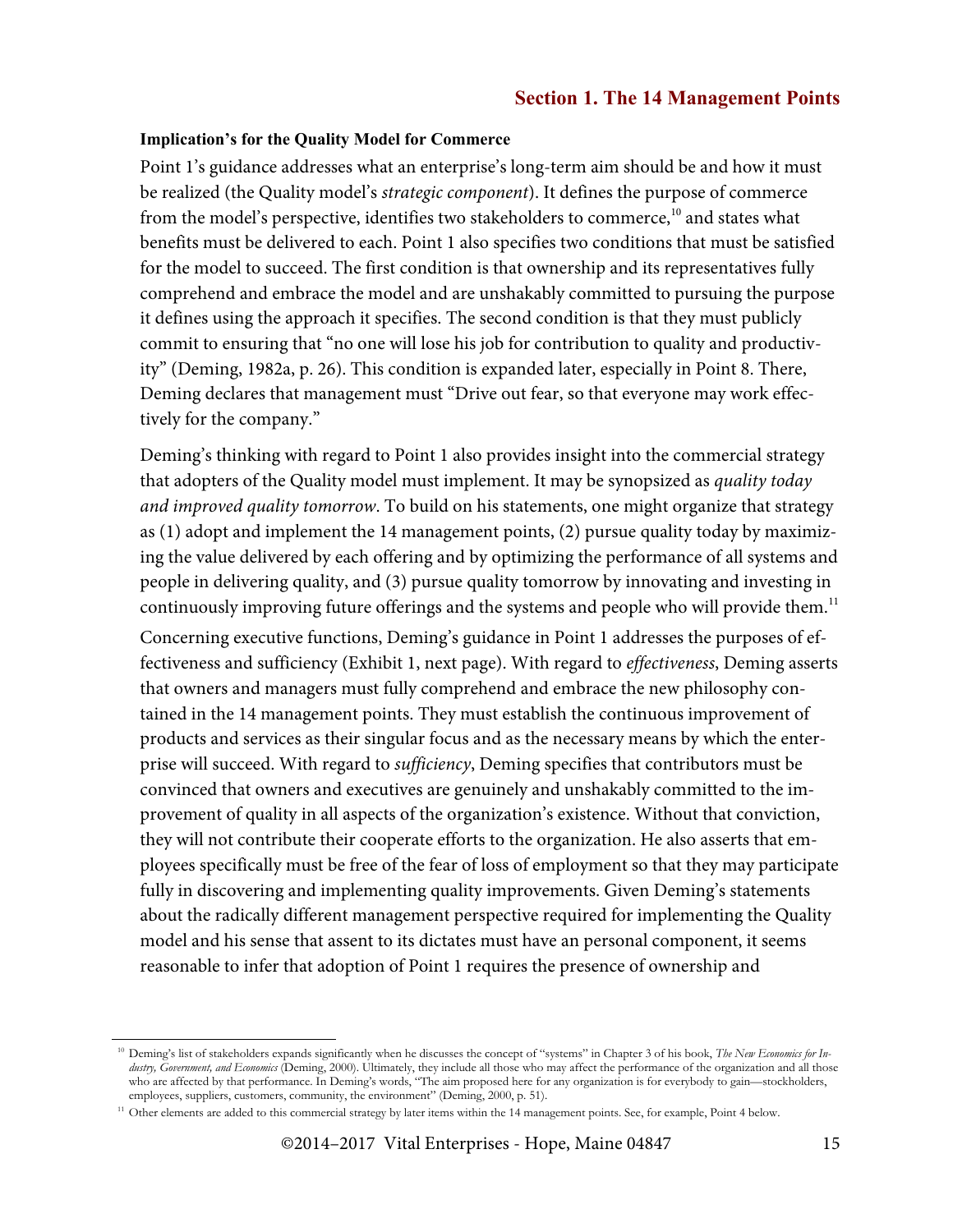#### **Implication's for the Quality Model for Commerce**

Point 1's guidance addresses what an enterprise's long-term aim should be and how it must be realized (the Quality model's *strategic component*). It defines the purpose of commerce from the model's perspective, identifies two stakeholders to commerce,<sup>10</sup> and states what benefits must be delivered to each. Point 1 also specifies two conditions that must be satisfied for the model to succeed. The first condition is that ownership and its representatives fully comprehend and embrace the model and are unshakably committed to pursuing the purpose it defines using the approach it specifies. The second condition is that they must publicly commit to ensuring that "no one will lose his job for contribution to quality and productivity" (Deming, 1982a, p. 26). This condition is expanded later, especially in Point 8. There, Deming declares that management must "Drive out fear, so that everyone may work effectively for the company."

Deming's thinking with regard to Point 1 also provides insight into the commercial strategy that adopters of the Quality model must implement. It may be synopsized as *quality today and improved quality tomorrow*. To build on his statements, one might organize that strategy as (1) adopt and implement the 14 management points, (2) pursue quality today by maximizing the value delivered by each offering and by optimizing the performance of all systems and people in delivering quality, and (3) pursue quality tomorrow by innovating and investing in continuously improving future offerings and the systems and people who will provide them.<sup>11</sup>

Concerning executive functions, Deming's guidance in Point 1 addresses the purposes of effectiveness and sufficiency (Exhibit 1, next page). With regard to *effectiveness*, Deming asserts that owners and managers must fully comprehend and embrace the new philosophy contained in the 14 management points. They must establish the continuous improvement of products and services as their singular focus and as the necessary means by which the enterprise will succeed. With regard to *sufficiency*, Deming specifies that contributors must be convinced that owners and executives are genuinely and unshakably committed to the improvement of quality in all aspects of the organization's existence. Without that conviction, they will not contribute their cooperate efforts to the organization. He also asserts that employees specifically must be free of the fear of loss of employment so that they may participate fully in discovering and implementing quality improvements. Given Deming's statements about the radically different management perspective required for implementing the Quality model and his sense that assent to its dictates must have an personal component, it seems reasonable to infer that adoption of Point 1 requires the presence of ownership and

<sup>&</sup>lt;sup>0</sup> Deming's list of stakeholders expands significantly when he discusses the concept of "systems" in Chapter 3 of his book, *The New Economics for In*dustry, Government, and Economics (Deming, 2000). Ultimately, they include all those who may affect the performance of the organization and all those who are affected by that performance. In Deming's words, "The aim proposed here for any organization is for everybody to gain—stockholders, employees, suppliers, customers, community, the environment" (Deming, 2000, p. 51).

<sup>&</sup>lt;sup>11</sup> Other elements are added to this commercial strategy by later items within the 14 management points. See, for example, Point 4 below.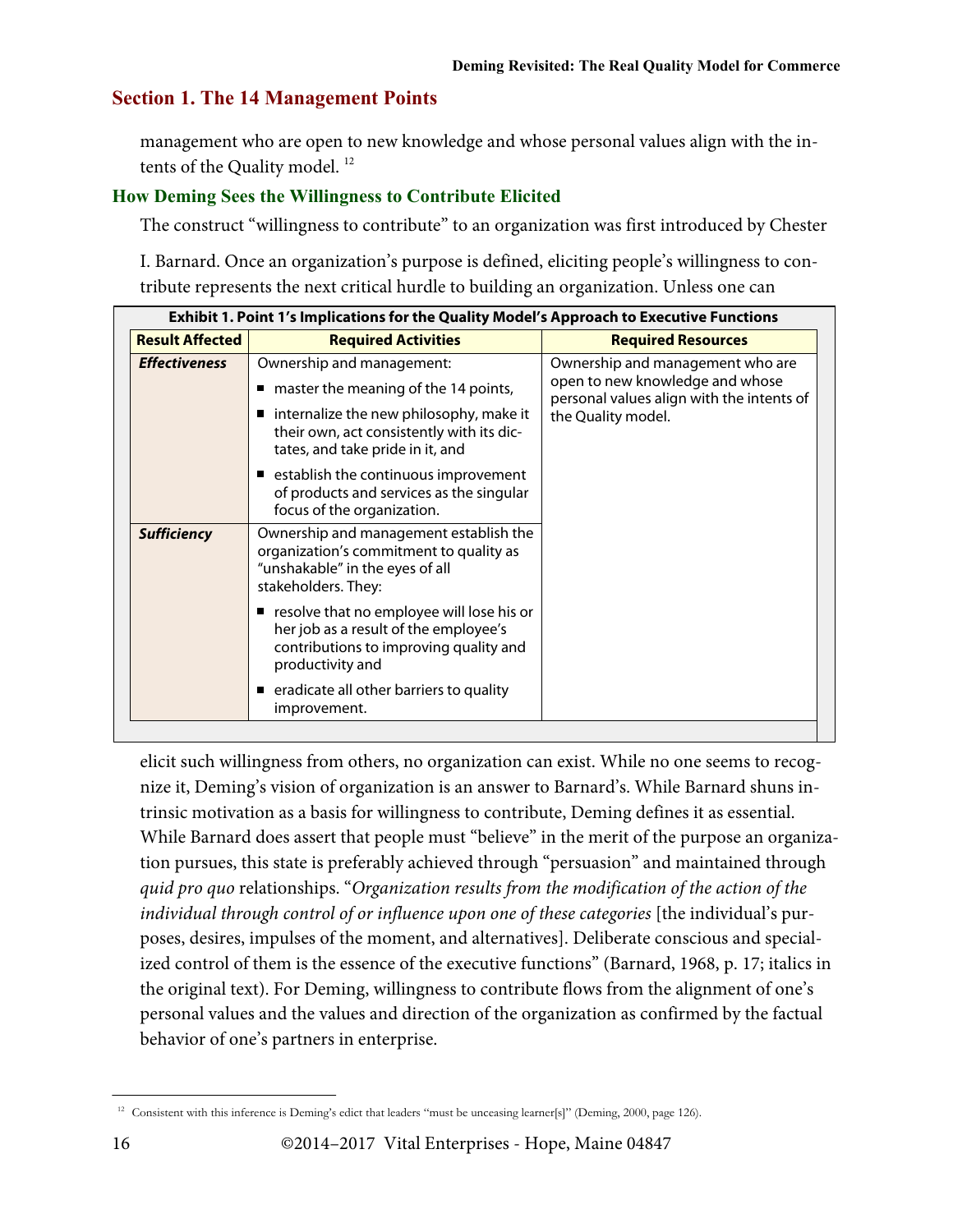management who are open to new knowledge and whose personal values align with the intents of the Quality model.<sup>12</sup>

#### **How Deming Sees the Willingness to Contribute Elicited**

The construct "willingness to contribute" to an organization was first introduced by Chester

I. Barnard. Once an organization's purpose is defined, eliciting people's willingness to contribute represents the next critical hurdle to building an organization. Unless one can

| Exhibit 1. Point 1's Implications for the Quality Model's Approach to Executive Functions |                                                                                                                                                                                                              |                                                                                                                                        |
|-------------------------------------------------------------------------------------------|--------------------------------------------------------------------------------------------------------------------------------------------------------------------------------------------------------------|----------------------------------------------------------------------------------------------------------------------------------------|
| <b>Result Affected</b>                                                                    | <b>Required Activities</b>                                                                                                                                                                                   | <b>Required Resources</b>                                                                                                              |
| <b>Effectiveness</b>                                                                      | Ownership and management:<br>$\blacksquare$ master the meaning of the 14 points,<br>internalize the new philosophy, make it<br>their own, act consistently with its dic-<br>tates, and take pride in it, and | Ownership and management who are<br>open to new knowledge and whose<br>personal values align with the intents of<br>the Quality model. |
|                                                                                           | ■ establish the continuous improvement<br>of products and services as the singular<br>focus of the organization.                                                                                             |                                                                                                                                        |
| <b>Sufficiency</b>                                                                        | Ownership and management establish the<br>organization's commitment to quality as<br>"unshakable" in the eyes of all<br>stakeholders. They:                                                                  |                                                                                                                                        |
|                                                                                           | resolve that no employee will lose his or<br>her job as a result of the employee's<br>contributions to improving quality and<br>productivity and                                                             |                                                                                                                                        |
|                                                                                           | eradicate all other barriers to quality<br>improvement.                                                                                                                                                      |                                                                                                                                        |

elicit such willingness from others, no organization can exist. While no one seems to recognize it, Deming's vision of organization is an answer to Barnard's. While Barnard shuns intrinsic motivation as a basis for willingness to contribute, Deming defines it as essential. While Barnard does assert that people must "believe" in the merit of the purpose an organization pursues, this state is preferably achieved through "persuasion" and maintained through *quid pro quo* relationships. "*Organization results from the modification of the action of the individual through control of or influence upon one of these categories* [the individual's purposes, desires, impulses of the moment, and alternatives]. Deliberate conscious and specialized control of them is the essence of the executive functions" (Barnard, 1968, p. 17; italics in the original text). For Deming, willingness to contribute flows from the alignment of one's personal values and the values and direction of the organization as confirmed by the factual behavior of one's partners in enterprise.

<sup>&</sup>lt;sup>12</sup> Consistent with this inference is Deming's edict that leaders "must be unceasing learner[s]" (Deming, 2000, page 126).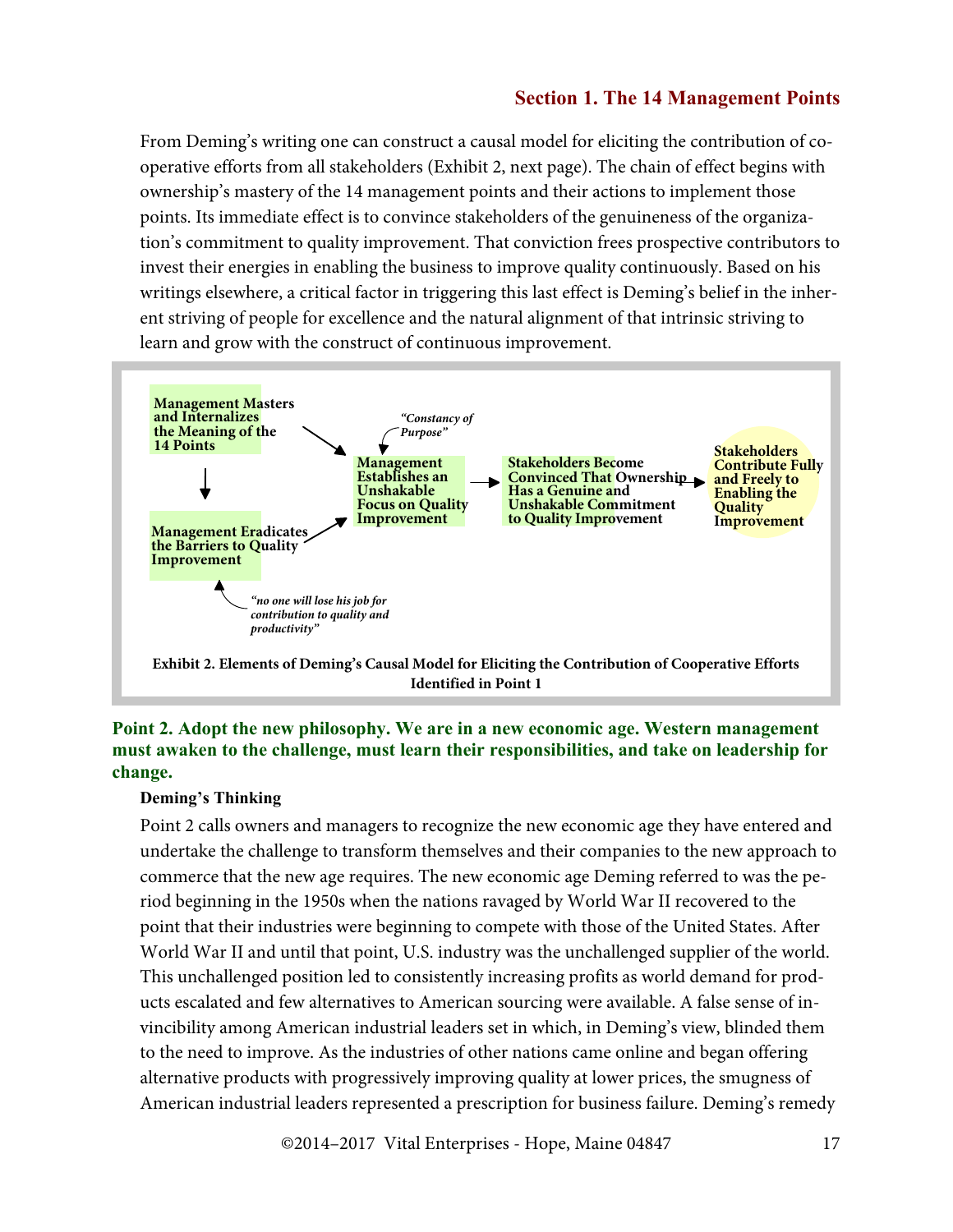From Deming's writing one can construct a causal model for eliciting the contribution of cooperative efforts from all stakeholders (Exhibit 2, next page). The chain of effect begins with ownership's mastery of the 14 management points and their actions to implement those points. Its immediate effect is to convince stakeholders of the genuineness of the organization's commitment to quality improvement. That conviction frees prospective contributors to invest their energies in enabling the business to improve quality continuously. Based on his writings elsewhere, a critical factor in triggering this last effect is Deming's belief in the inherent striving of people for excellence and the natural alignment of that intrinsic striving to learn and grow with the construct of continuous improvement.



## **Point 2. Adopt the new philosophy. We are in a new economic age. Western management must awaken to the challenge, must learn their responsibilities, and take on leadership for change.**

#### **Deming's Thinking**

Point 2 calls owners and managers to recognize the new economic age they have entered and undertake the challenge to transform themselves and their companies to the new approach to commerce that the new age requires. The new economic age Deming referred to was the period beginning in the 1950s when the nations ravaged by World War II recovered to the point that their industries were beginning to compete with those of the United States. After World War II and until that point, U.S. industry was the unchallenged supplier of the world. This unchallenged position led to consistently increasing profits as world demand for products escalated and few alternatives to American sourcing were available. A false sense of invincibility among American industrial leaders set in which, in Deming's view, blinded them to the need to improve. As the industries of other nations came online and began offering alternative products with progressively improving quality at lower prices, the smugness of American industrial leaders represented a prescription for business failure. Deming's remedy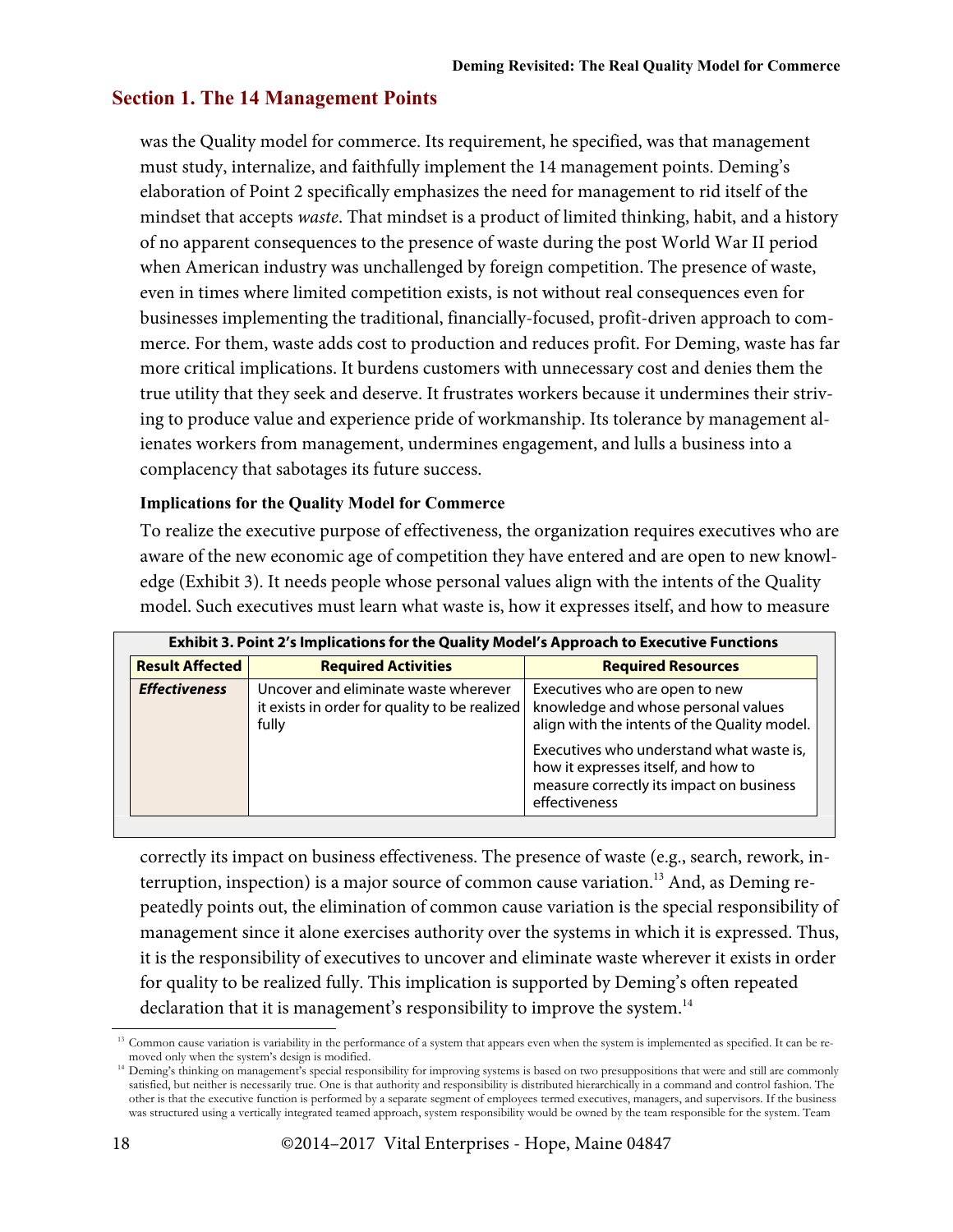was the Quality model for commerce. Its requirement, he specified, was that management must study, internalize, and faithfully implement the 14 management points. Deming's elaboration of Point 2 specifically emphasizes the need for management to rid itself of the mindset that accepts *waste*. That mindset is a product of limited thinking, habit, and a history of no apparent consequences to the presence of waste during the post World War II period when American industry was unchallenged by foreign competition. The presence of waste, even in times where limited competition exists, is not without real consequences even for businesses implementing the traditional, financially-focused, profit-driven approach to commerce. For them, waste adds cost to production and reduces profit. For Deming, waste has far more critical implications. It burdens customers with unnecessary cost and denies them the true utility that they seek and deserve. It frustrates workers because it undermines their striving to produce value and experience pride of workmanship. Its tolerance by management alienates workers from management, undermines engagement, and lulls a business into a complacency that sabotages its future success.

#### **Implications for the Quality Model for Commerce**

To realize the executive purpose of effectiveness, the organization requires executives who are aware of the new economic age of competition they have entered and are open to new knowledge (Exhibit 3). It needs people whose personal values align with the intents of the Quality model. Such executives must learn what waste is, how it expresses itself, and how to measure

| Exhibit 3. Point 2's Implications for the Quality Model's Approach to Executive Functions |                                                                                                |                                                                                                                                              |
|-------------------------------------------------------------------------------------------|------------------------------------------------------------------------------------------------|----------------------------------------------------------------------------------------------------------------------------------------------|
| <b>Result Affected</b>                                                                    | <b>Required Activities</b>                                                                     | <b>Required Resources</b>                                                                                                                    |
| <b>Effectiveness</b>                                                                      | Uncover and eliminate waste wherever<br>it exists in order for quality to be realized<br>fully | Executives who are open to new<br>knowledge and whose personal values<br>align with the intents of the Quality model.                        |
|                                                                                           |                                                                                                | Executives who understand what waste is,<br>how it expresses itself, and how to<br>measure correctly its impact on business<br>effectiveness |

correctly its impact on business effectiveness. The presence of waste (e.g., search, rework, interruption, inspection) is a major source of common cause variation.<sup>13</sup> And, as Deming repeatedly points out, the elimination of common cause variation is the special responsibility of management since it alone exercises authority over the systems in which it is expressed. Thus, it is the responsibility of executives to uncover and eliminate waste wherever it exists in order for quality to be realized fully. This implication is supported by Deming's often repeated declaration that it is management's responsibility to improve the system.<sup>14</sup>

<sup>&</sup>lt;sup>13</sup> Common cause variation is variability in the performance of a system that appears even when the system is implemented as specified. It can be removed only when the system's design is modified.

<sup>&</sup>lt;sup>14</sup> Deming's thinking on management's special responsibility for improving systems is based on two presuppositions that were and still are commonly satisfied, but neither is necessarily true. One is that authority and responsibility is distributed hierarchically in a command and control fashion. The other is that the executive function is performed by a separate segment of employees termed executives, managers, and supervisors. If the business was structured using a vertically integrated teamed approach, system responsibility would be owned by the team responsible for the system. Team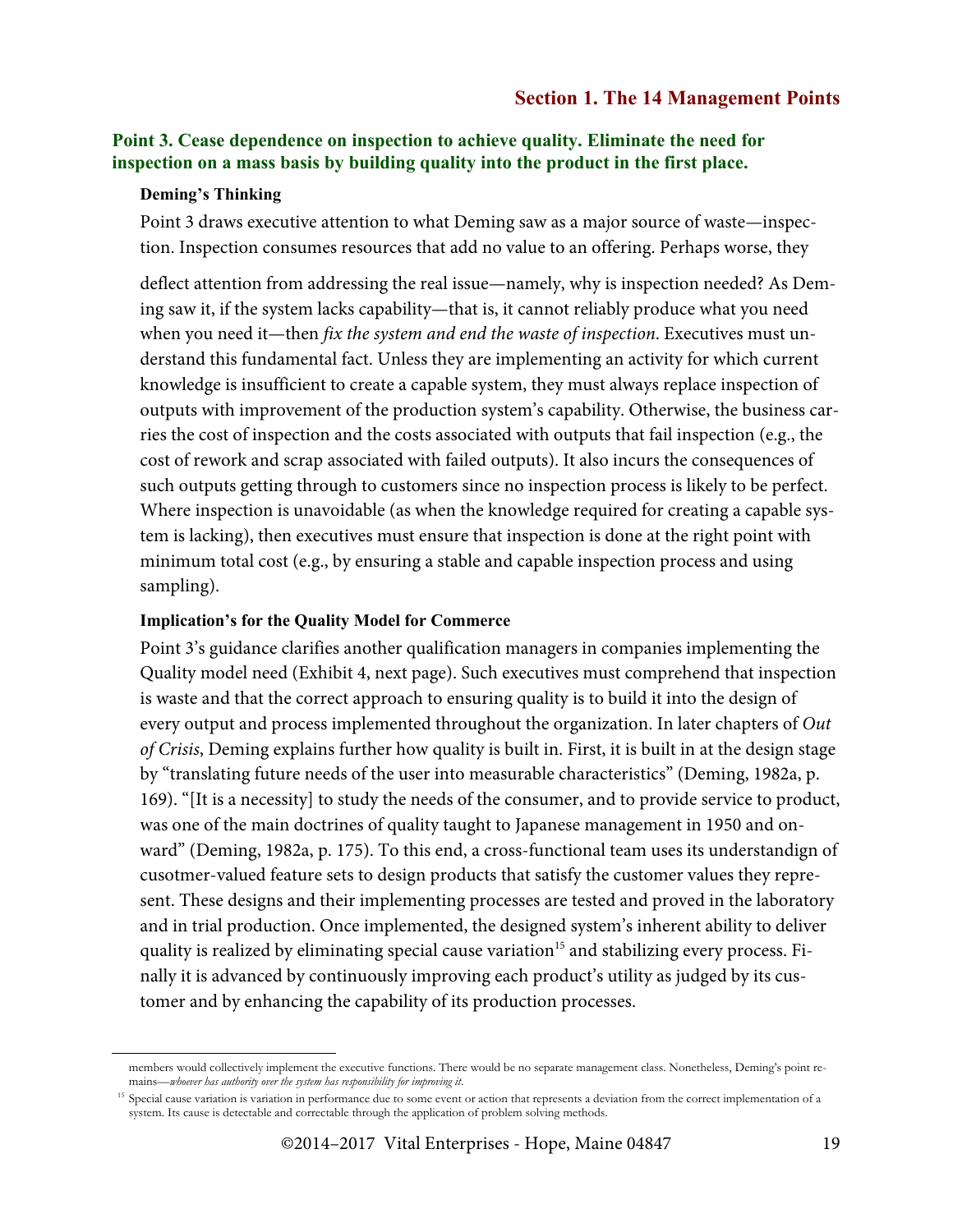#### **Point 3. Cease dependence on inspection to achieve quality. Eliminate the need for inspection on a mass basis by building quality into the product in the first place.**

#### **Deming's Thinking**

Point 3 draws executive attention to what Deming saw as a major source of waste—inspection. Inspection consumes resources that add no value to an offering. Perhaps worse, they

deflect attention from addressing the real issue—namely, why is inspection needed? As Deming saw it, if the system lacks capability—that is, it cannot reliably produce what you need when you need it—then *fix the system and end the waste of inspection*. Executives must understand this fundamental fact. Unless they are implementing an activity for which current knowledge is insufficient to create a capable system, they must always replace inspection of outputs with improvement of the production system's capability. Otherwise, the business carries the cost of inspection and the costs associated with outputs that fail inspection (e.g., the cost of rework and scrap associated with failed outputs). It also incurs the consequences of such outputs getting through to customers since no inspection process is likely to be perfect. Where inspection is unavoidable (as when the knowledge required for creating a capable system is lacking), then executives must ensure that inspection is done at the right point with minimum total cost (e.g., by ensuring a stable and capable inspection process and using sampling).

#### **Implication's for the Quality Model for Commerce**

Point 3's guidance clarifies another qualification managers in companies implementing the Quality model need (Exhibit 4, next page). Such executives must comprehend that inspection is waste and that the correct approach to ensuring quality is to build it into the design of every output and process implemented throughout the organization. In later chapters of *Out of Crisis*, Deming explains further how quality is built in. First, it is built in at the design stage by "translating future needs of the user into measurable characteristics" (Deming, 1982a, p. 169). "[It is a necessity] to study the needs of the consumer, and to provide service to product, was one of the main doctrines of quality taught to Japanese management in 1950 and onward" (Deming, 1982a, p. 175). To this end, a cross-functional team uses its understandign of cusotmer-valued feature sets to design products that satisfy the customer values they represent. These designs and their implementing processes are tested and proved in the laboratory and in trial production. Once implemented, the designed system's inherent ability to deliver quality is realized by eliminating special cause variation<sup>15</sup> and stabilizing every process. Finally it is advanced by continuously improving each product's utility as judged by its customer and by enhancing the capability of its production processes.

members would collectively implement the executive functions. There would be no separate management class. Nonetheless, Deming's point remains—*whoever has authority over the system has responsibility for improving it*.

<sup>&</sup>lt;sup>15</sup> Special cause variation is variation in performance due to some event or action that represents a deviation from the correct implementation of a system. Its cause is detectable and correctable through the application of problem solving methods.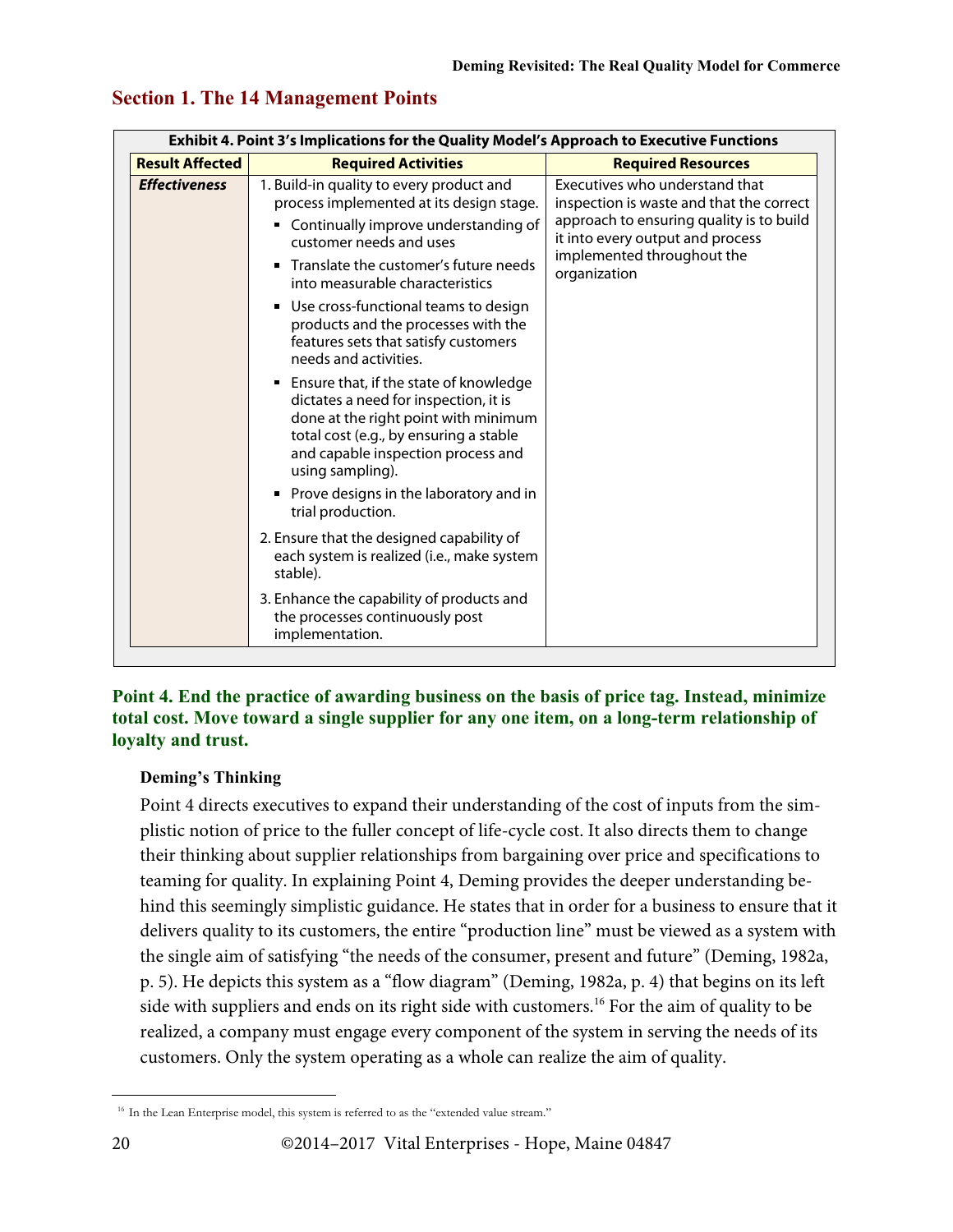| Exhibit 4. Point 3's Implications for the Quality Model's Approach to Executive Functions |                                                                                                                                                                                                                                                       |                                                                                                                                                                                                          |
|-------------------------------------------------------------------------------------------|-------------------------------------------------------------------------------------------------------------------------------------------------------------------------------------------------------------------------------------------------------|----------------------------------------------------------------------------------------------------------------------------------------------------------------------------------------------------------|
| <b>Result Affected</b>                                                                    | <b>Required Activities</b>                                                                                                                                                                                                                            | <b>Required Resources</b>                                                                                                                                                                                |
| <b>Effectiveness</b>                                                                      | 1. Build-in quality to every product and<br>process implemented at its design stage.<br>Continually improve understanding of<br>customer needs and uses<br>Translate the customer's future needs<br>$\blacksquare$<br>into measurable characteristics | Executives who understand that<br>inspection is waste and that the correct<br>approach to ensuring quality is to build<br>it into every output and process<br>implemented throughout the<br>organization |
|                                                                                           | Use cross-functional teams to design<br>٠<br>products and the processes with the<br>features sets that satisfy customers<br>needs and activities.                                                                                                     |                                                                                                                                                                                                          |
|                                                                                           | Ensure that, if the state of knowledge<br>п<br>dictates a need for inspection, it is<br>done at the right point with minimum<br>total cost (e.g., by ensuring a stable<br>and capable inspection process and<br>using sampling).                      |                                                                                                                                                                                                          |
|                                                                                           | Prove designs in the laboratory and in<br>٠<br>trial production.                                                                                                                                                                                      |                                                                                                                                                                                                          |
|                                                                                           | 2. Ensure that the designed capability of<br>each system is realized (i.e., make system<br>stable).                                                                                                                                                   |                                                                                                                                                                                                          |
|                                                                                           | 3. Enhance the capability of products and<br>the processes continuously post<br>implementation.                                                                                                                                                       |                                                                                                                                                                                                          |

## **Point 4. End the practice of awarding business on the basis of price tag. Instead, minimize total cost. Move toward a single supplier for any one item, on a long-term relationship of loyalty and trust.**

#### **Deming's Thinking**

Point 4 directs executives to expand their understanding of the cost of inputs from the simplistic notion of price to the fuller concept of life-cycle cost. It also directs them to change their thinking about supplier relationships from bargaining over price and specifications to teaming for quality. In explaining Point 4, Deming provides the deeper understanding behind this seemingly simplistic guidance. He states that in order for a business to ensure that it delivers quality to its customers, the entire "production line" must be viewed as a system with the single aim of satisfying "the needs of the consumer, present and future" (Deming, 1982a, p. 5). He depicts this system as a "flow diagram" (Deming, 1982a, p. 4) that begins on its left side with suppliers and ends on its right side with customers.<sup>16</sup> For the aim of quality to be realized, a company must engage every component of the system in serving the needs of its customers. Only the system operating as a whole can realize the aim of quality.

<sup>&</sup>lt;sup>16</sup> In the Lean Enterprise model, this system is referred to as the "extended value stream."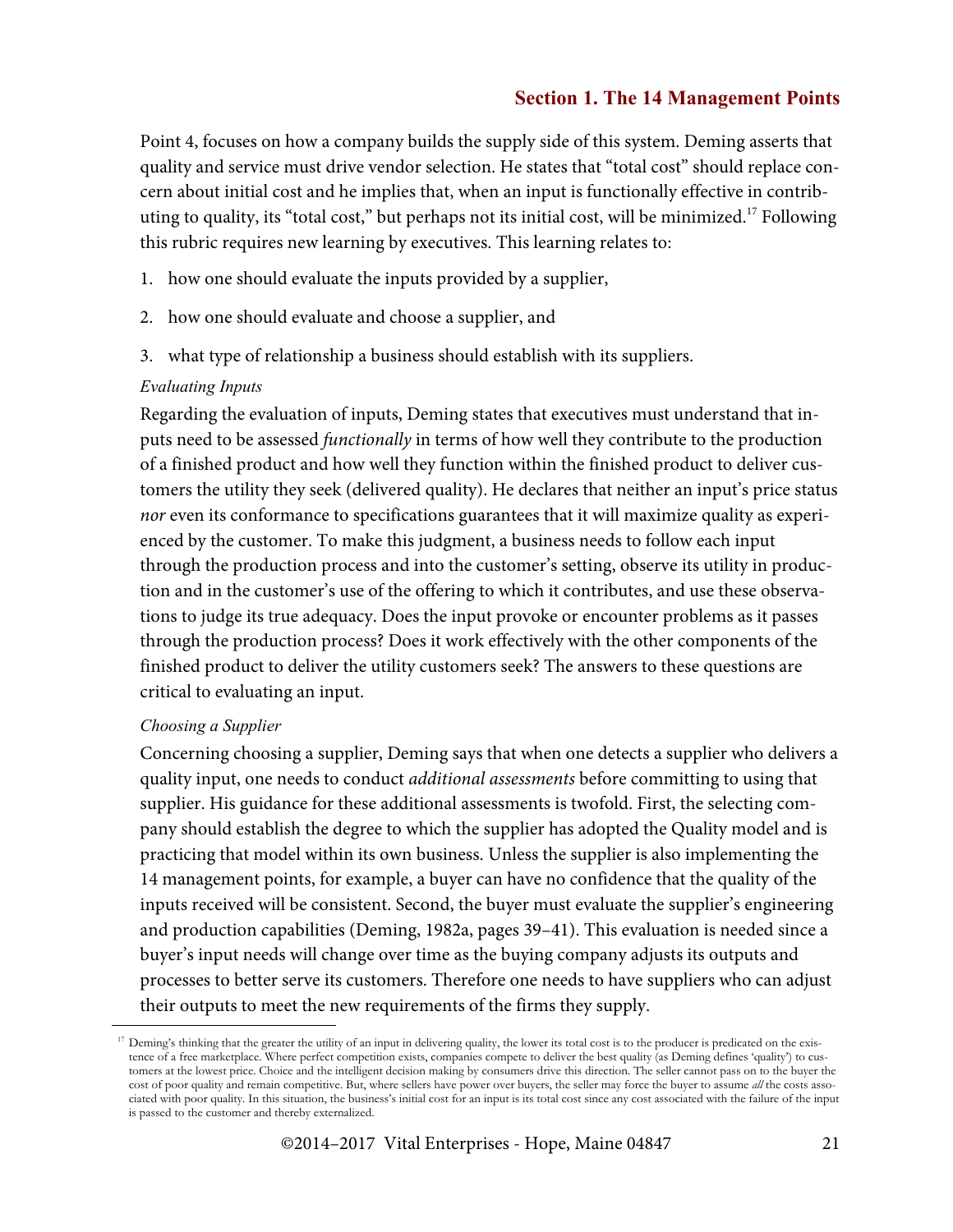Point 4, focuses on how a company builds the supply side of this system. Deming asserts that quality and service must drive vendor selection. He states that "total cost" should replace concern about initial cost and he implies that, when an input is functionally effective in contributing to quality, its "total cost," but perhaps not its initial cost, will be minimized.<sup>17</sup> Following this rubric requires new learning by executives. This learning relates to:

- 1. how one should evaluate the inputs provided by a supplier,
- 2. how one should evaluate and choose a supplier, and
- 3. what type of relationship a business should establish with its suppliers.

#### *Evaluating Inputs*

Regarding the evaluation of inputs, Deming states that executives must understand that inputs need to be assessed *functionally* in terms of how well they contribute to the production of a finished product and how well they function within the finished product to deliver customers the utility they seek (delivered quality). He declares that neither an input's price status *nor* even its conformance to specifications guarantees that it will maximize quality as experienced by the customer. To make this judgment, a business needs to follow each input through the production process and into the customer's setting, observe its utility in production and in the customer's use of the offering to which it contributes, and use these observations to judge its true adequacy. Does the input provoke or encounter problems as it passes through the production process? Does it work effectively with the other components of the finished product to deliver the utility customers seek? The answers to these questions are critical to evaluating an input.

#### *Choosing a Supplier*

Concerning choosing a supplier, Deming says that when one detects a supplier who delivers a quality input, one needs to conduct *additional assessments* before committing to using that supplier. His guidance for these additional assessments is twofold. First, the selecting company should establish the degree to which the supplier has adopted the Quality model and is practicing that model within its own business. Unless the supplier is also implementing the 14 management points, for example, a buyer can have no confidence that the quality of the inputs received will be consistent. Second, the buyer must evaluate the supplier's engineering and production capabilities (Deming, 1982a, pages 39–41). This evaluation is needed since a buyer's input needs will change over time as the buying company adjusts its outputs and processes to better serve its customers. Therefore one needs to have suppliers who can adjust their outputs to meet the new requirements of the firms they supply.

<sup>&</sup>lt;sup>17</sup> Deming's thinking that the greater the utility of an input in delivering quality, the lower its total cost is to the producer is predicated on the existence of a free marketplace. Where perfect competition exists, companies compete to deliver the best quality (as Deming defines 'quality') to customers at the lowest price. Choice and the intelligent decision making by consumers drive this direction. The seller cannot pass on to the buyer the cost of poor quality and remain competitive. But, where sellers have power over buyers, the seller may force the buyer to assume *all* the costs associated with poor quality. In this situation, the business's initial cost for an input is its total cost since any cost associated with the failure of the input is passed to the customer and thereby externalized.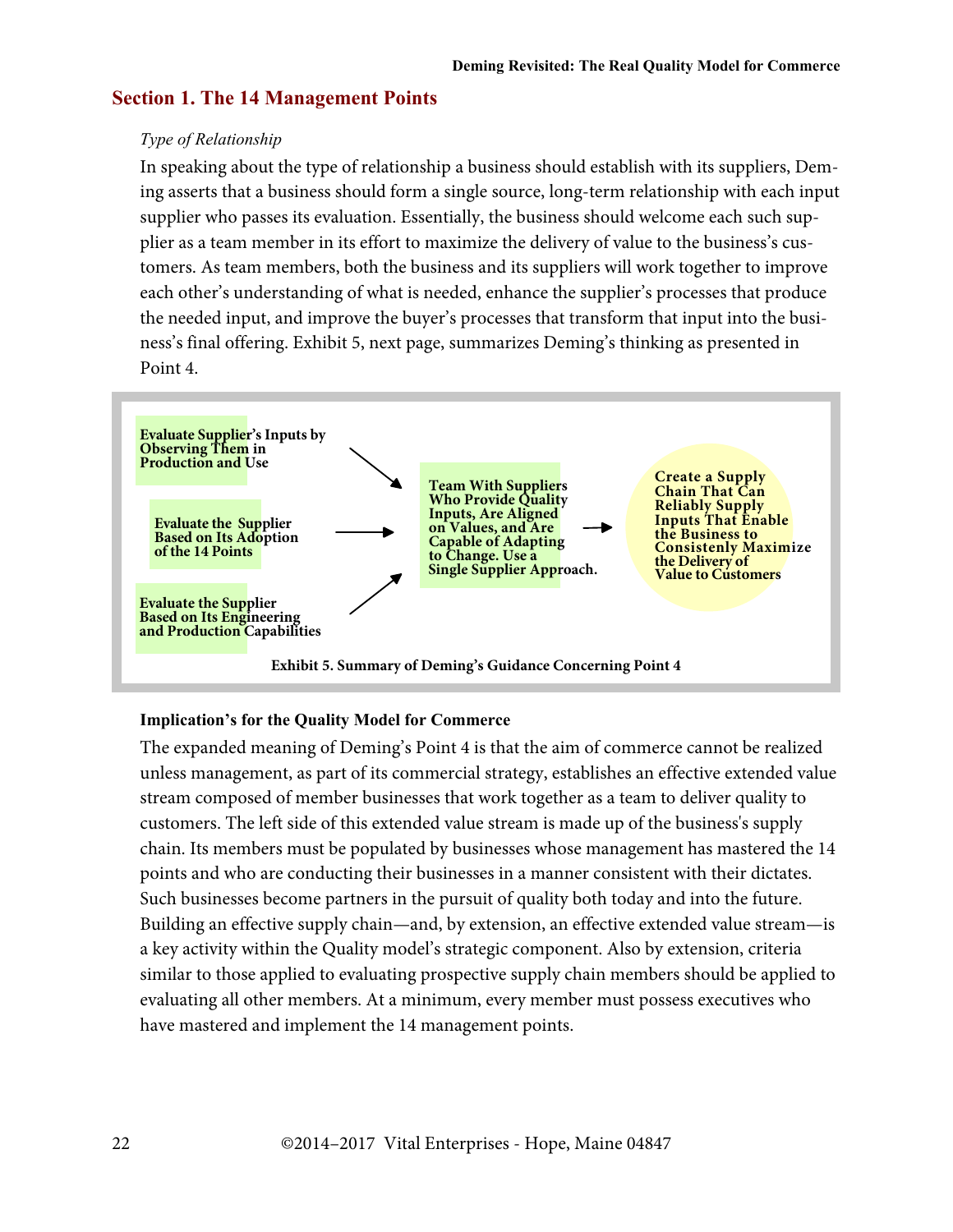#### *Type of Relationship*

In speaking about the type of relationship a business should establish with its suppliers, Deming asserts that a business should form a single source, long-term relationship with each input supplier who passes its evaluation. Essentially, the business should welcome each such supplier as a team member in its effort to maximize the delivery of value to the business's customers. As team members, both the business and its suppliers will work together to improve each other's understanding of what is needed, enhance the supplier's processes that produce the needed input, and improve the buyer's processes that transform that input into the business's final offering. Exhibit 5, next page, summarizes Deming's thinking as presented in Point 4.



#### **Implication's for the Quality Model for Commerce**

The expanded meaning of Deming's Point 4 is that the aim of commerce cannot be realized unless management, as part of its commercial strategy, establishes an effective extended value stream composed of member businesses that work together as a team to deliver quality to customers. The left side of this extended value stream is made up of the business's supply chain. Its members must be populated by businesses whose management has mastered the 14 points and who are conducting their businesses in a manner consistent with their dictates. Such businesses become partners in the pursuit of quality both today and into the future. Building an effective supply chain—and, by extension, an effective extended value stream—is a key activity within the Quality model's strategic component. Also by extension, criteria similar to those applied to evaluating prospective supply chain members should be applied to evaluating all other members. At a minimum, every member must possess executives who have mastered and implement the 14 management points.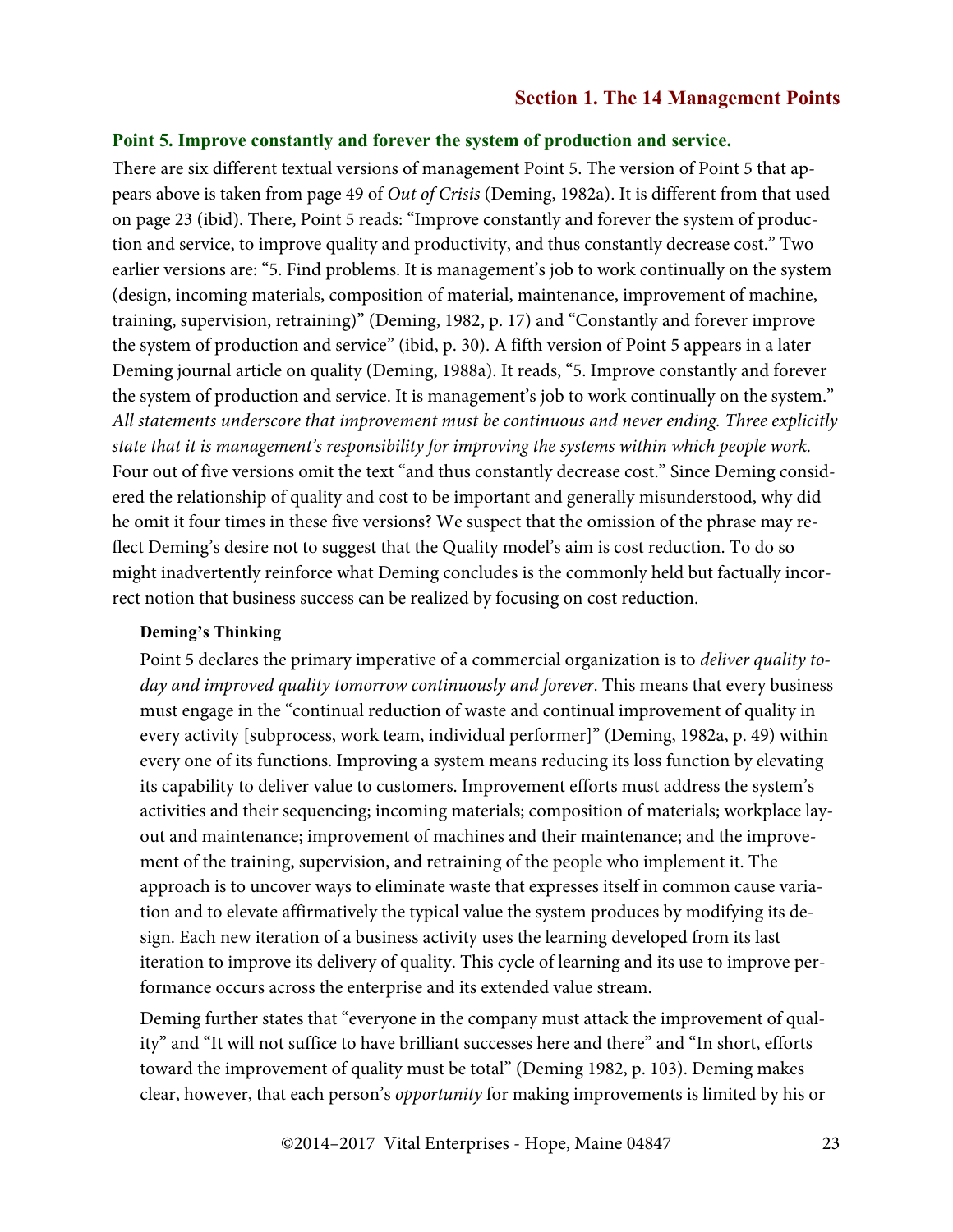#### **Point 5. Improve constantly and forever the system of production and service.**

There are six different textual versions of management Point 5. The version of Point 5 that appears above is taken from page 49 of *Out of Crisis* (Deming, 1982a). It is different from that used on page 23 (ibid). There, Point 5 reads: "Improve constantly and forever the system of production and service, to improve quality and productivity, and thus constantly decrease cost." Two earlier versions are: "5. Find problems. It is management's job to work continually on the system (design, incoming materials, composition of material, maintenance, improvement of machine, training, supervision, retraining)" (Deming, 1982, p. 17) and "Constantly and forever improve the system of production and service" (ibid, p. 30). A fifth version of Point 5 appears in a later Deming journal article on quality (Deming, 1988a). It reads, "5. Improve constantly and forever the system of production and service. It is management's job to work continually on the system." *All statements underscore that improvement must be continuous and never ending. Three explicitly state that it is management's responsibility for improving the systems within which people work.* Four out of five versions omit the text "and thus constantly decrease cost." Since Deming considered the relationship of quality and cost to be important and generally misunderstood, why did he omit it four times in these five versions? We suspect that the omission of the phrase may reflect Deming's desire not to suggest that the Quality model's aim is cost reduction. To do so might inadvertently reinforce what Deming concludes is the commonly held but factually incorrect notion that business success can be realized by focusing on cost reduction.

#### **Deming's Thinking**

Point 5 declares the primary imperative of a commercial organization is to *deliver quality today and improved quality tomorrow continuously and forever*. This means that every business must engage in the "continual reduction of waste and continual improvement of quality in every activity [subprocess, work team, individual performer]" (Deming, 1982a, p. 49) within every one of its functions. Improving a system means reducing its loss function by elevating its capability to deliver value to customers. Improvement efforts must address the system's activities and their sequencing; incoming materials; composition of materials; workplace layout and maintenance; improvement of machines and their maintenance; and the improvement of the training, supervision, and retraining of the people who implement it. The approach is to uncover ways to eliminate waste that expresses itself in common cause variation and to elevate affirmatively the typical value the system produces by modifying its design. Each new iteration of a business activity uses the learning developed from its last iteration to improve its delivery of quality. This cycle of learning and its use to improve performance occurs across the enterprise and its extended value stream.

Deming further states that "everyone in the company must attack the improvement of quality" and "It will not suffice to have brilliant successes here and there" and "In short, efforts toward the improvement of quality must be total" (Deming 1982, p. 103). Deming makes clear, however, that each person's *opportunity* for making improvements is limited by his or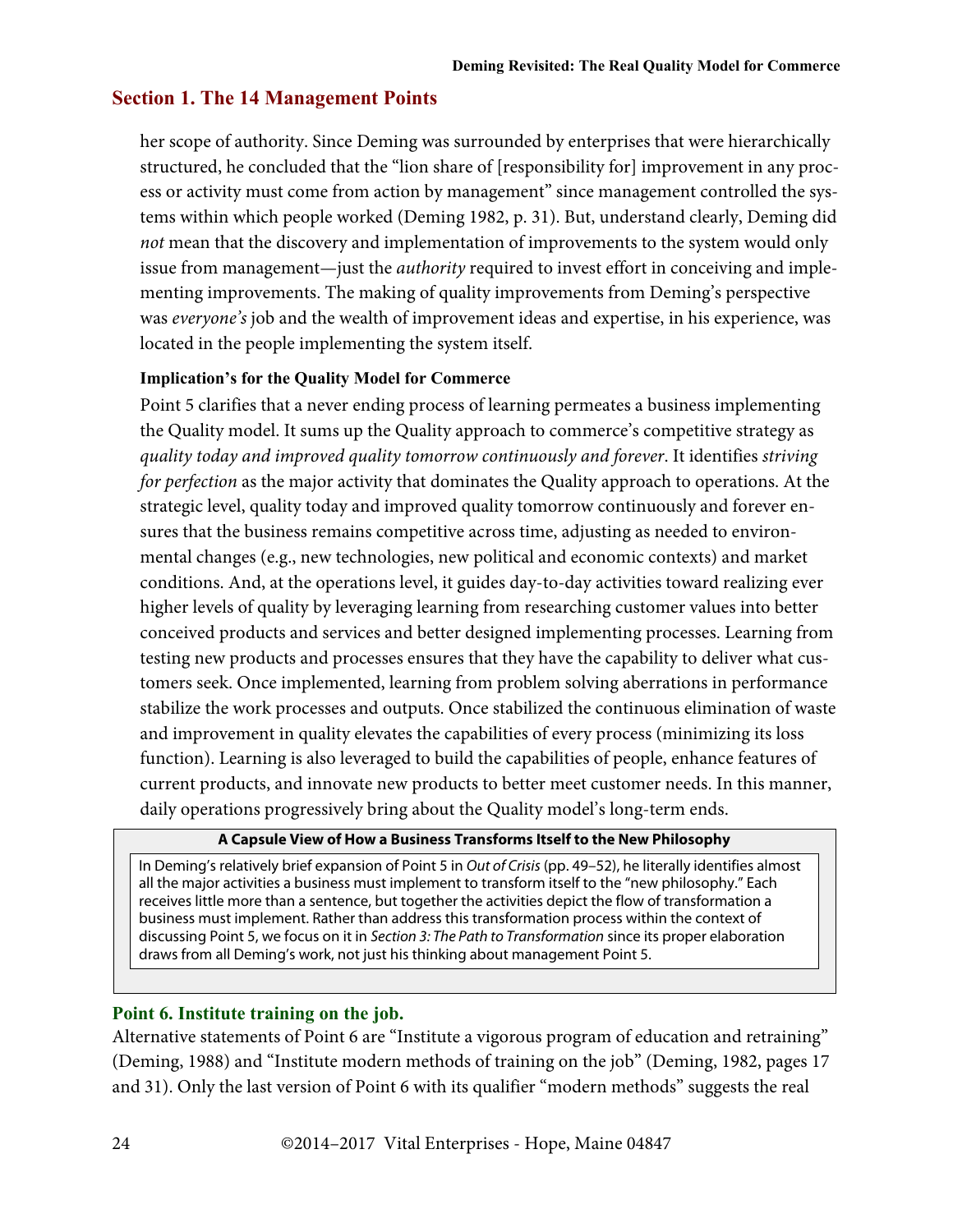her scope of authority. Since Deming was surrounded by enterprises that were hierarchically structured, he concluded that the "lion share of [responsibility for] improvement in any process or activity must come from action by management" since management controlled the systems within which people worked (Deming 1982, p. 31). But, understand clearly, Deming did *not* mean that the discovery and implementation of improvements to the system would only issue from management—just the *authority* required to invest effort in conceiving and implementing improvements. The making of quality improvements from Deming's perspective was *everyone's* job and the wealth of improvement ideas and expertise, in his experience, was located in the people implementing the system itself.

#### **Implication's for the Quality Model for Commerce**

Point 5 clarifies that a never ending process of learning permeates a business implementing the Quality model. It sums up the Quality approach to commerce's competitive strategy as *quality today and improved quality tomorrow continuously and forever*. It identifies *striving for perfection* as the major activity that dominates the Quality approach to operations. At the strategic level, quality today and improved quality tomorrow continuously and forever ensures that the business remains competitive across time, adjusting as needed to environmental changes (e.g., new technologies, new political and economic contexts) and market conditions. And, at the operations level, it guides day-to-day activities toward realizing ever higher levels of quality by leveraging learning from researching customer values into better conceived products and services and better designed implementing processes. Learning from testing new products and processes ensures that they have the capability to deliver what customers seek. Once implemented, learning from problem solving aberrations in performance stabilize the work processes and outputs. Once stabilized the continuous elimination of waste and improvement in quality elevates the capabilities of every process (minimizing its loss function). Learning is also leveraged to build the capabilities of people, enhance features of current products, and innovate new products to better meet customer needs. In this manner, daily operations progressively bring about the Quality model's long-term ends.

#### **A Capsule View of How a Business Transforms Itself to the New Philosophy**

In Deming's relatively brief expansion of Point 5 in Out of Crisis (pp. 49–52), he literally identifies almost all the major activities a business must implement to transform itself to the "new philosophy." Each receives little more than a sentence, but together the activities depict the flow of transformation a business must implement. Rather than address this transformation process within the context of discussing Point 5, we focus on it in Section 3: The Path to Transformation since its proper elaboration draws from all Deming's work, not just his thinking about management Point 5.

#### **Point 6. Institute training on the job.**

Alternative statements of Point 6 are "Institute a vigorous program of education and retraining" (Deming, 1988) and "Institute modern methods of training on the job" (Deming, 1982, pages 17 and 31). Only the last version of Point 6 with its qualifier "modern methods" suggests the real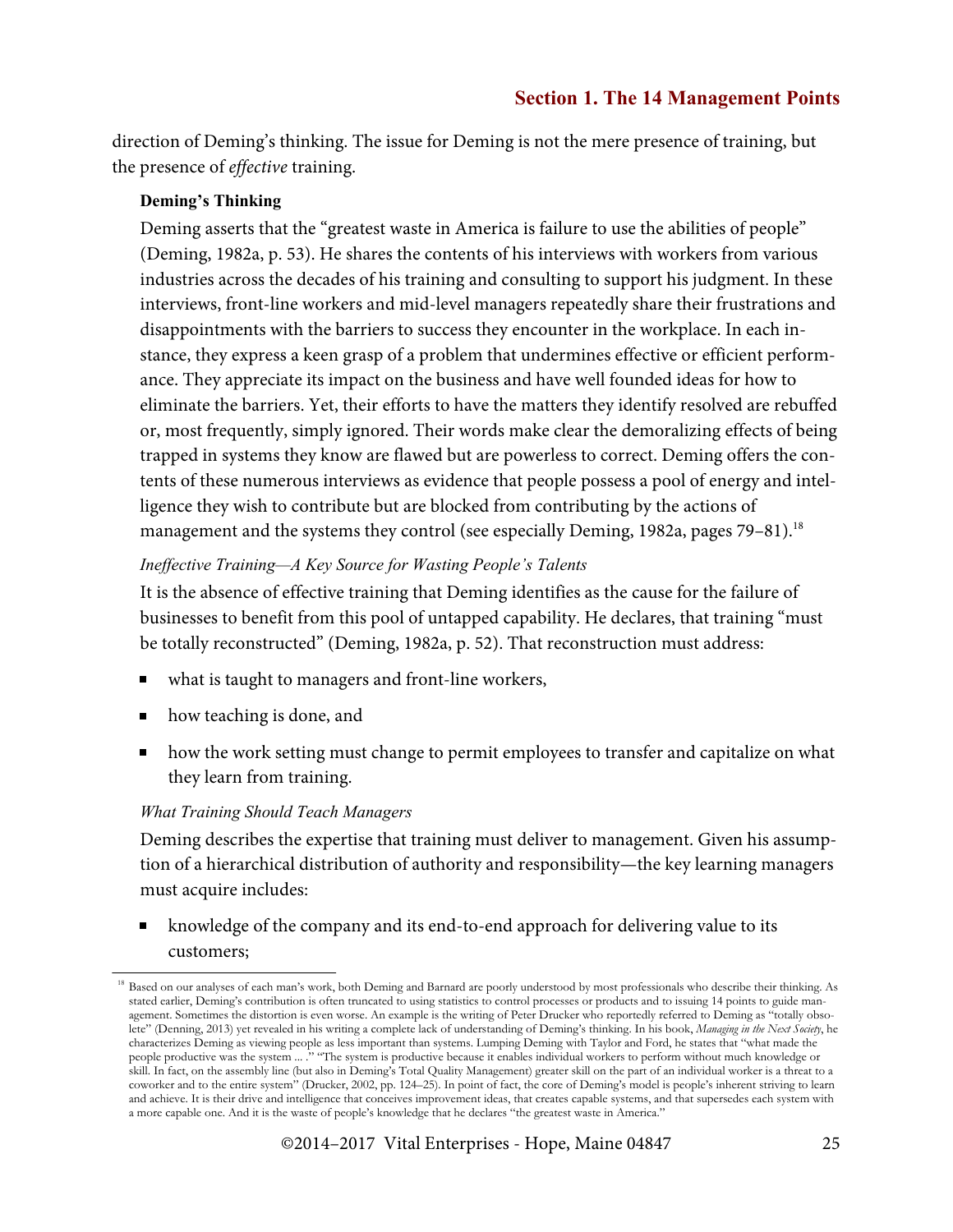direction of Deming's thinking. The issue for Deming is not the mere presence of training, but the presence of *effective* training.

#### **Deming's Thinking**

Deming asserts that the "greatest waste in America is failure to use the abilities of people" (Deming, 1982a, p. 53). He shares the contents of his interviews with workers from various industries across the decades of his training and consulting to support his judgment. In these interviews, front-line workers and mid-level managers repeatedly share their frustrations and disappointments with the barriers to success they encounter in the workplace. In each instance, they express a keen grasp of a problem that undermines effective or efficient performance. They appreciate its impact on the business and have well founded ideas for how to eliminate the barriers. Yet, their efforts to have the matters they identify resolved are rebuffed or, most frequently, simply ignored. Their words make clear the demoralizing effects of being trapped in systems they know are flawed but are powerless to correct. Deming offers the contents of these numerous interviews as evidence that people possess a pool of energy and intelligence they wish to contribute but are blocked from contributing by the actions of management and the systems they control (see especially Deming, 1982a, pages  $79-81$ ).<sup>18</sup>

## *Ineffective Training—A Key Source for Wasting People's Talents*

It is the absence of effective training that Deming identifies as the cause for the failure of businesses to benefit from this pool of untapped capability. He declares, that training "must be totally reconstructed" (Deming, 1982a, p. 52). That reconstruction must address:

- what is taught to managers and front-line workers,
- how teaching is done, and
- how the work setting must change to permit employees to transfer and capitalize on what they learn from training.

## *What Training Should Teach Managers*

Deming describes the expertise that training must deliver to management. Given his assumption of a hierarchical distribution of authority and responsibility—the key learning managers must acquire includes:

knowledge of the company and its end-to-end approach for delivering value to its customers;

<sup>&</sup>lt;sup>18</sup> Based on our analyses of each man's work, both Deming and Barnard are poorly understood by most professionals who describe their thinking. As stated earlier, Deming's contribution is often truncated to using statistics to control processes or products and to issuing 14 points to guide management. Sometimes the distortion is even worse. An example is the writing of Peter Drucker who reportedly referred to Deming as "totally obsolete" (Denning, 2013) yet revealed in his writing a complete lack of understanding of Deming's thinking. In his book, *Managing in the Next Society*, he characterizes Deming as viewing people as less important than systems. Lumping Deming with Taylor and Ford, he states that "what made the people productive was the system ... ." "The system is productive because it enables individual workers to perform without much knowledge or skill. In fact, on the assembly line (but also in Deming's Total Quality Management) greater skill on the part of an individual worker is a threat to a coworker and to the entire system" (Drucker, 2002, pp. 124–25). In point of fact, the core of Deming's model is people's inherent striving to learn and achieve. It is their drive and intelligence that conceives improvement ideas, that creates capable systems, and that supersedes each system with a more capable one. And it is the waste of people's knowledge that he declares "the greatest waste in America."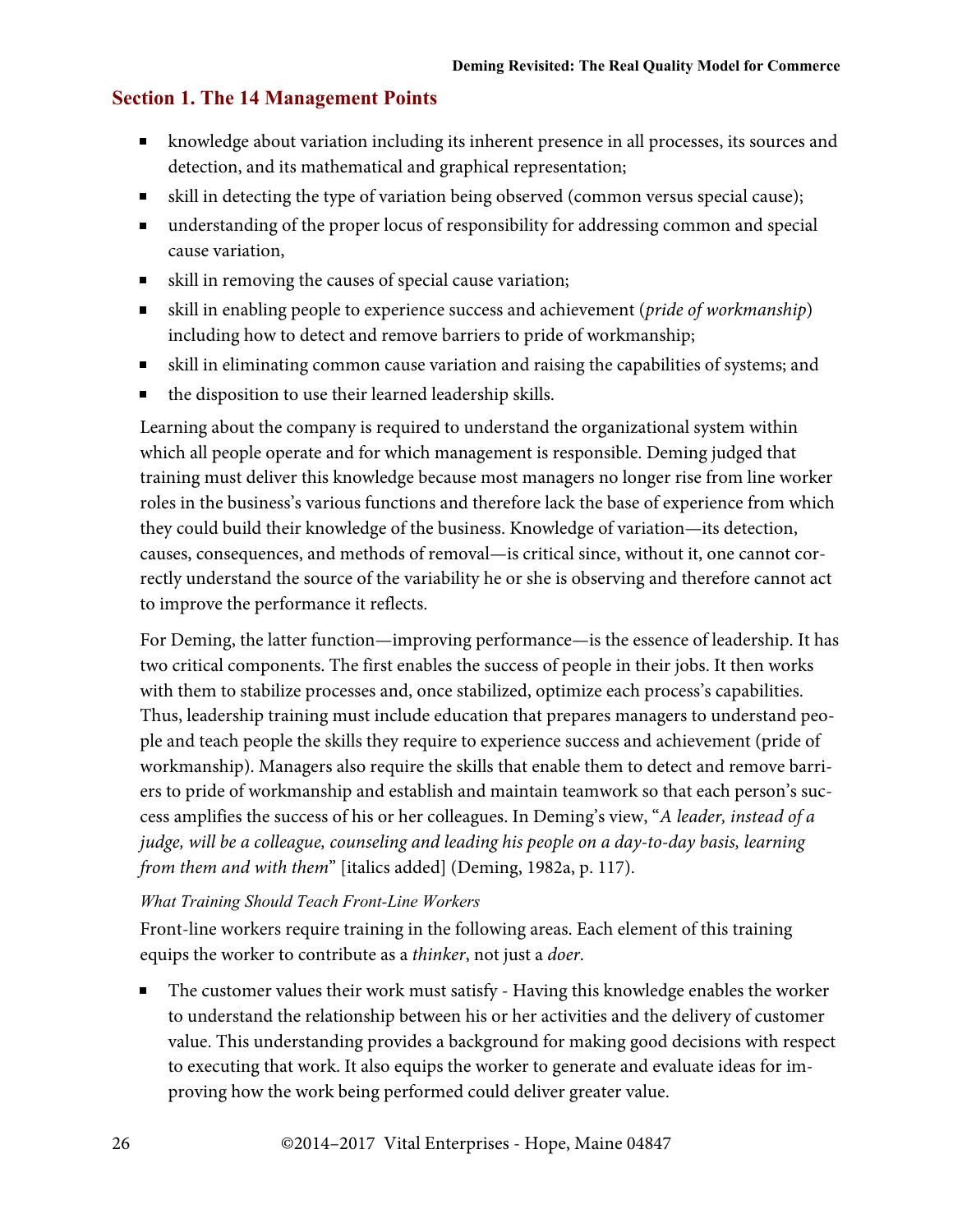- knowledge about variation including its inherent presence in all processes, its sources and  $\blacksquare$ detection, and its mathematical and graphical representation;
- skill in detecting the type of variation being observed (common versus special cause);
- understanding of the proper locus of responsibility for addressing common and special cause variation,
- $\blacksquare$ skill in removing the causes of special cause variation;
- skill in enabling people to experience success and achievement (*pride of workmanship*) including how to detect and remove barriers to pride of workmanship;
- skill in eliminating common cause variation and raising the capabilities of systems; and  $\blacksquare$
- the disposition to use their learned leadership skills.

Learning about the company is required to understand the organizational system within which all people operate and for which management is responsible. Deming judged that training must deliver this knowledge because most managers no longer rise from line worker roles in the business's various functions and therefore lack the base of experience from which they could build their knowledge of the business. Knowledge of variation—its detection, causes, consequences, and methods of removal—is critical since, without it, one cannot correctly understand the source of the variability he or she is observing and therefore cannot act to improve the performance it reflects.

For Deming, the latter function—improving performance—is the essence of leadership. It has two critical components. The first enables the success of people in their jobs. It then works with them to stabilize processes and, once stabilized, optimize each process's capabilities. Thus, leadership training must include education that prepares managers to understand people and teach people the skills they require to experience success and achievement (pride of workmanship). Managers also require the skills that enable them to detect and remove barriers to pride of workmanship and establish and maintain teamwork so that each person's success amplifies the success of his or her colleagues. In Deming's view, "*A leader, instead of a judge, will be a colleague, counseling and leading his people on a day-to-day basis, learning from them and with them*" [italics added] (Deming, 1982a, p. 117).

#### *What Training Should Teach Front-Line Workers*

Front-line workers require training in the following areas. Each element of this training equips the worker to contribute as a *thinker*, not just a *doer*.

The customer values their work must satisfy - Having this knowledge enables the worker to understand the relationship between his or her activities and the delivery of customer value. This understanding provides a background for making good decisions with respect to executing that work. It also equips the worker to generate and evaluate ideas for improving how the work being performed could deliver greater value.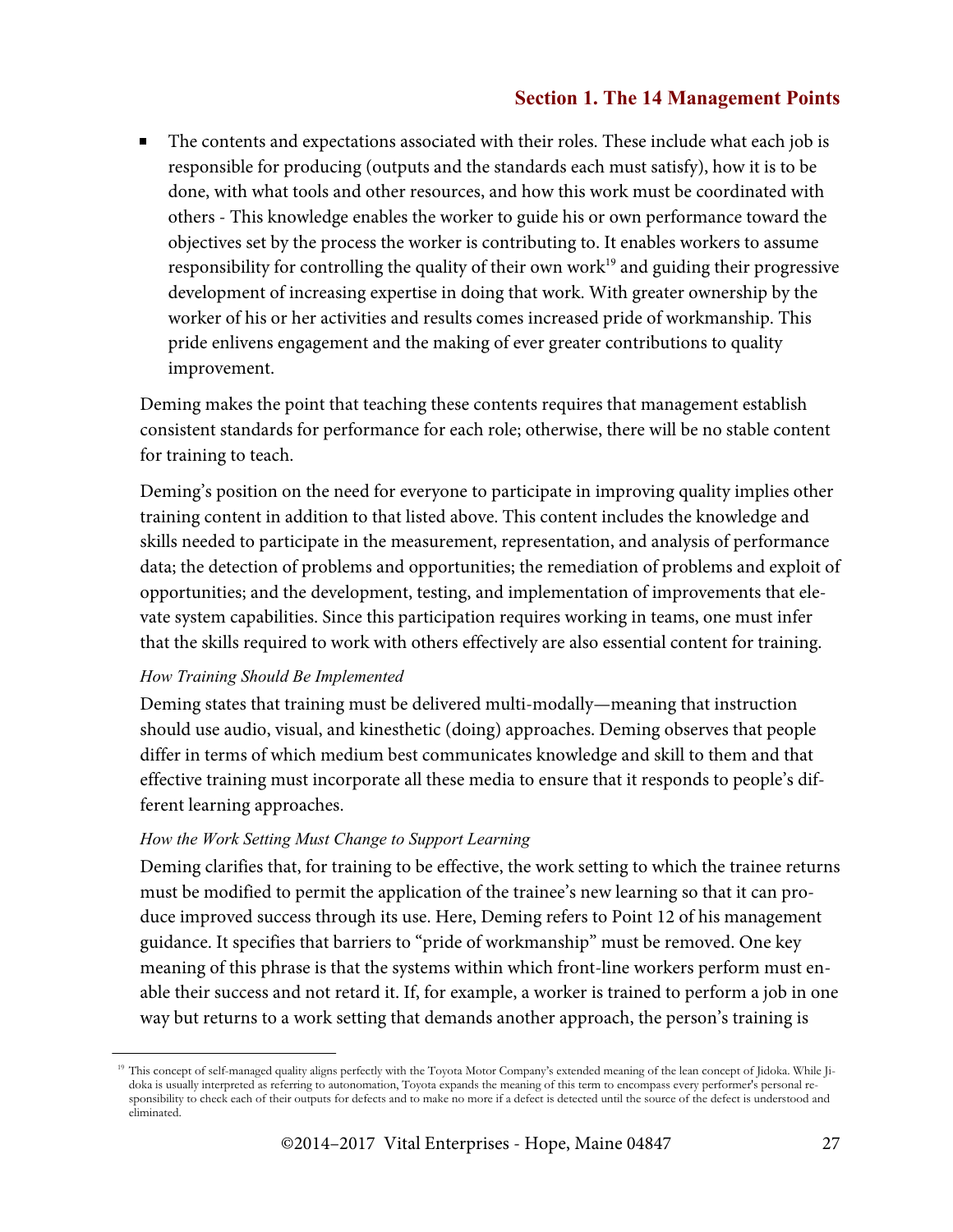The contents and expectations associated with their roles. These include what each job is responsible for producing (outputs and the standards each must satisfy), how it is to be done, with what tools and other resources, and how this work must be coordinated with others - This knowledge enables the worker to guide his or own performance toward the objectives set by the process the worker is contributing to. It enables workers to assume responsibility for controlling the quality of their own work<sup>19</sup> and guiding their progressive development of increasing expertise in doing that work. With greater ownership by the worker of his or her activities and results comes increased pride of workmanship. This pride enlivens engagement and the making of ever greater contributions to quality improvement.

Deming makes the point that teaching these contents requires that management establish consistent standards for performance for each role; otherwise, there will be no stable content for training to teach.

Deming's position on the need for everyone to participate in improving quality implies other training content in addition to that listed above. This content includes the knowledge and skills needed to participate in the measurement, representation, and analysis of performance data; the detection of problems and opportunities; the remediation of problems and exploit of opportunities; and the development, testing, and implementation of improvements that elevate system capabilities. Since this participation requires working in teams, one must infer that the skills required to work with others effectively are also essential content for training.

#### *How Training Should Be Implemented*

Deming states that training must be delivered multi-modally—meaning that instruction should use audio, visual, and kinesthetic (doing) approaches. Deming observes that people differ in terms of which medium best communicates knowledge and skill to them and that effective training must incorporate all these media to ensure that it responds to people's different learning approaches.

#### *How the Work Setting Must Change to Support Learning*

Deming clarifies that, for training to be effective, the work setting to which the trainee returns must be modified to permit the application of the trainee's new learning so that it can produce improved success through its use. Here, Deming refers to Point 12 of his management guidance. It specifies that barriers to "pride of workmanship" must be removed. One key meaning of this phrase is that the systems within which front-line workers perform must enable their success and not retard it. If, for example, a worker is trained to perform a job in one way but returns to a work setting that demands another approach, the person's training is

<sup>&</sup>lt;sup>19</sup> This concept of self-managed quality aligns perfectly with the Toyota Motor Company's extended meaning of the lean concept of Jidoka. While Jidoka is usually interpreted as referring to autonomation, Toyota expands the meaning of this term to encompass every performer's personal responsibility to check each of their outputs for defects and to make no more if a defect is detected until the source of the defect is understood and eliminated.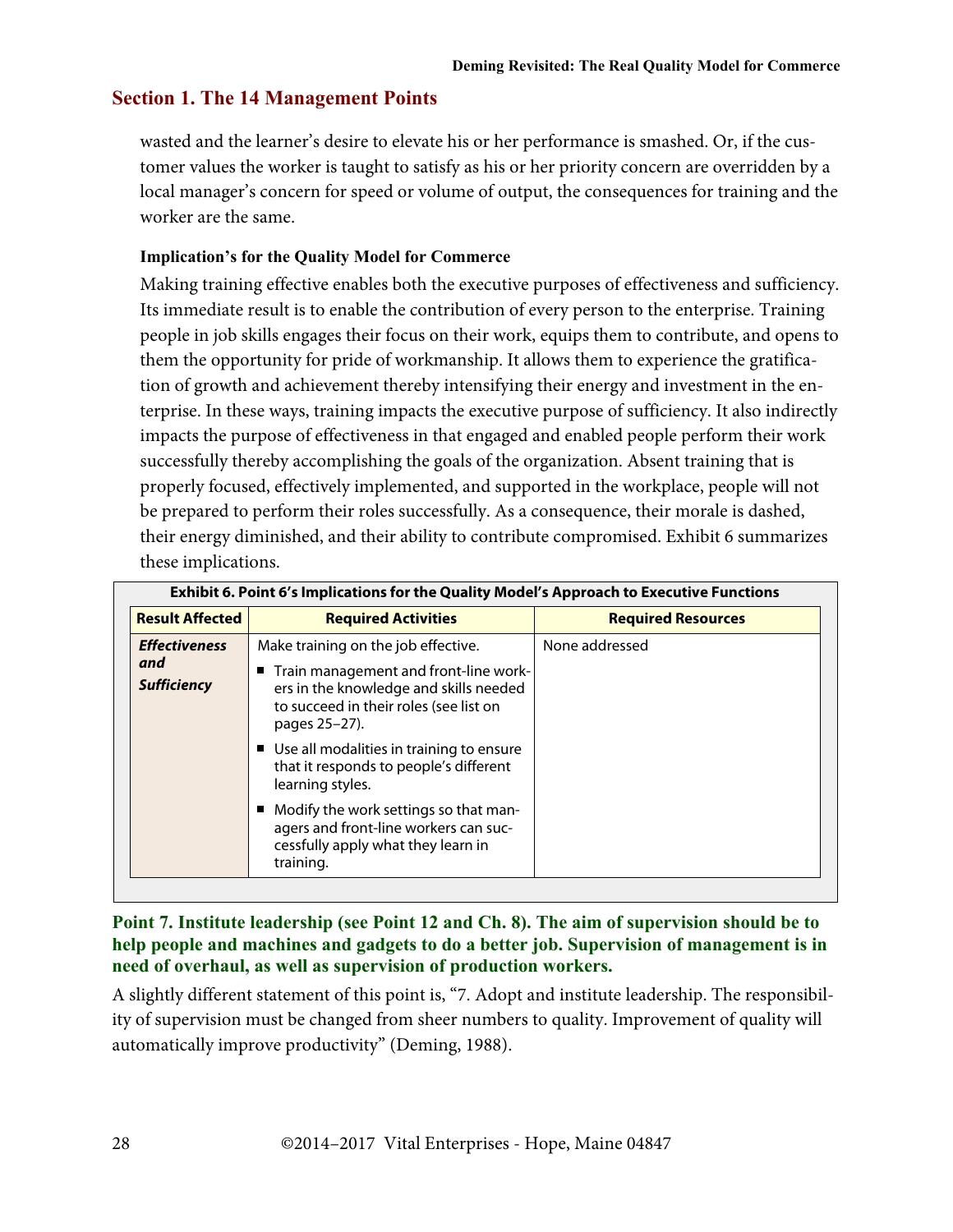wasted and the learner's desire to elevate his or her performance is smashed. Or, if the customer values the worker is taught to satisfy as his or her priority concern are overridden by a local manager's concern for speed or volume of output, the consequences for training and the worker are the same.

### **Implication's for the Quality Model for Commerce**

Making training effective enables both the executive purposes of effectiveness and sufficiency. Its immediate result is to enable the contribution of every person to the enterprise. Training people in job skills engages their focus on their work, equips them to contribute, and opens to them the opportunity for pride of workmanship. It allows them to experience the gratification of growth and achievement thereby intensifying their energy and investment in the enterprise. In these ways, training impacts the executive purpose of sufficiency. It also indirectly impacts the purpose of effectiveness in that engaged and enabled people perform their work successfully thereby accomplishing the goals of the organization. Absent training that is properly focused, effectively implemented, and supported in the workplace, people will not be prepared to perform their roles successfully. As a consequence, their morale is dashed, their energy diminished, and their ability to contribute compromised. Exhibit 6 summarizes these implications.

| Exhibit 6. Point 6's Implications for the Quality Model's Approach to Executive Functions |                                                                                                                                                                                                                                                                                                                                                                                                                                       |                           |  |
|-------------------------------------------------------------------------------------------|---------------------------------------------------------------------------------------------------------------------------------------------------------------------------------------------------------------------------------------------------------------------------------------------------------------------------------------------------------------------------------------------------------------------------------------|---------------------------|--|
| <b>Result Affected</b>                                                                    | <b>Required Activities</b>                                                                                                                                                                                                                                                                                                                                                                                                            | <b>Required Resources</b> |  |
| <b>Effectiveness</b><br>and<br><b>Sufficiency</b>                                         | Make training on the job effective.<br>Train management and front-line work-<br>ш<br>ers in the knowledge and skills needed<br>to succeed in their roles (see list on<br>pages 25-27).<br>Use all modalities in training to ensure<br>that it responds to people's different<br>learning styles.<br>Modify the work settings so that man-<br>agers and front-line workers can suc-<br>cessfully apply what they learn in<br>training. | None addressed            |  |

### **Point 7. Institute leadership (see Point 12 and Ch. 8). The aim of supervision should be to help people and machines and gadgets to do a better job. Supervision of management is in need of overhaul, as well as supervision of production workers.**

A slightly different statement of this point is, "7. Adopt and institute leadership. The responsibility of supervision must be changed from sheer numbers to quality. Improvement of quality will automatically improve productivity" (Deming, 1988).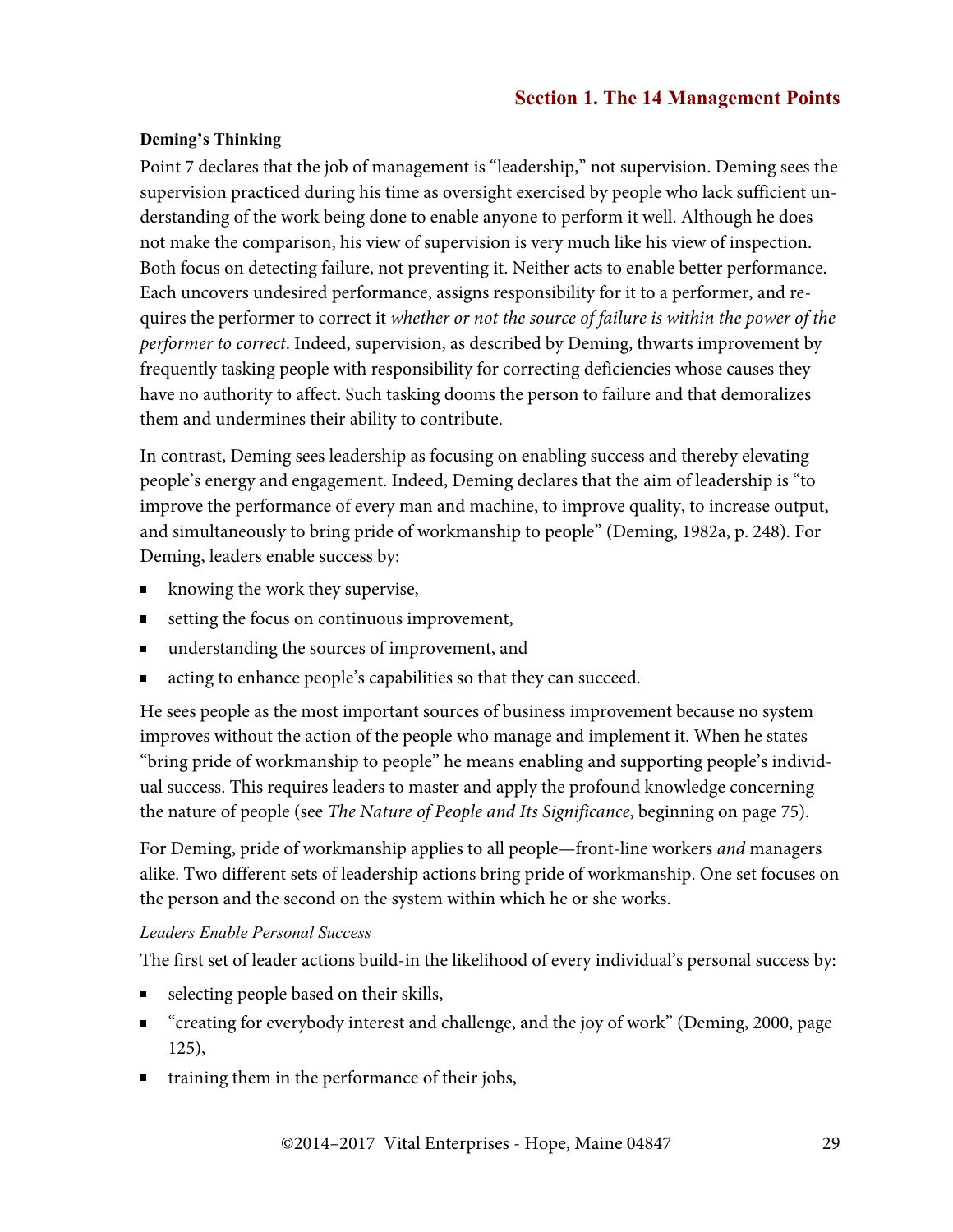#### **Deming's Thinking**

Point 7 declares that the job of management is "leadership," not supervision. Deming sees the supervision practiced during his time as oversight exercised by people who lack sufficient understanding of the work being done to enable anyone to perform it well. Although he does not make the comparison, his view of supervision is very much like his view of inspection. Both focus on detecting failure, not preventing it. Neither acts to enable better performance. Each uncovers undesired performance, assigns responsibility for it to a performer, and requires the performer to correct it *whether or not the source of failure is within the power of the performer to correct*. Indeed, supervision, as described by Deming, thwarts improvement by frequently tasking people with responsibility for correcting deficiencies whose causes they have no authority to affect. Such tasking dooms the person to failure and that demoralizes them and undermines their ability to contribute.

In contrast, Deming sees leadership as focusing on enabling success and thereby elevating people's energy and engagement. Indeed, Deming declares that the aim of leadership is "to improve the performance of every man and machine, to improve quality, to increase output, and simultaneously to bring pride of workmanship to people" (Deming, 1982a, p. 248). For Deming, leaders enable success by:

- knowing the work they supervise,
- setting the focus on continuous improvement,
- understanding the sources of improvement, and
- acting to enhance people's capabilities so that they can succeed.

He sees people as the most important sources of business improvement because no system improves without the action of the people who manage and implement it. When he states "bring pride of workmanship to people" he means enabling and supporting people's individual success. This requires leaders to master and apply the profound knowledge concerning the nature of people (see *The Nature of People and Its Significance*, beginning on page 75).

For Deming, pride of workmanship applies to all people—front-line workers *and* managers alike. Two different sets of leadership actions bring pride of workmanship. One set focuses on the person and the second on the system within which he or she works.

#### *Leaders Enable Personal Success*

The first set of leader actions build-in the likelihood of every individual's personal success by:

- selecting people based on their skills,
- "creating for everybody interest and challenge, and the joy of work" (Deming, 2000, page 125),
- training them in the performance of their jobs,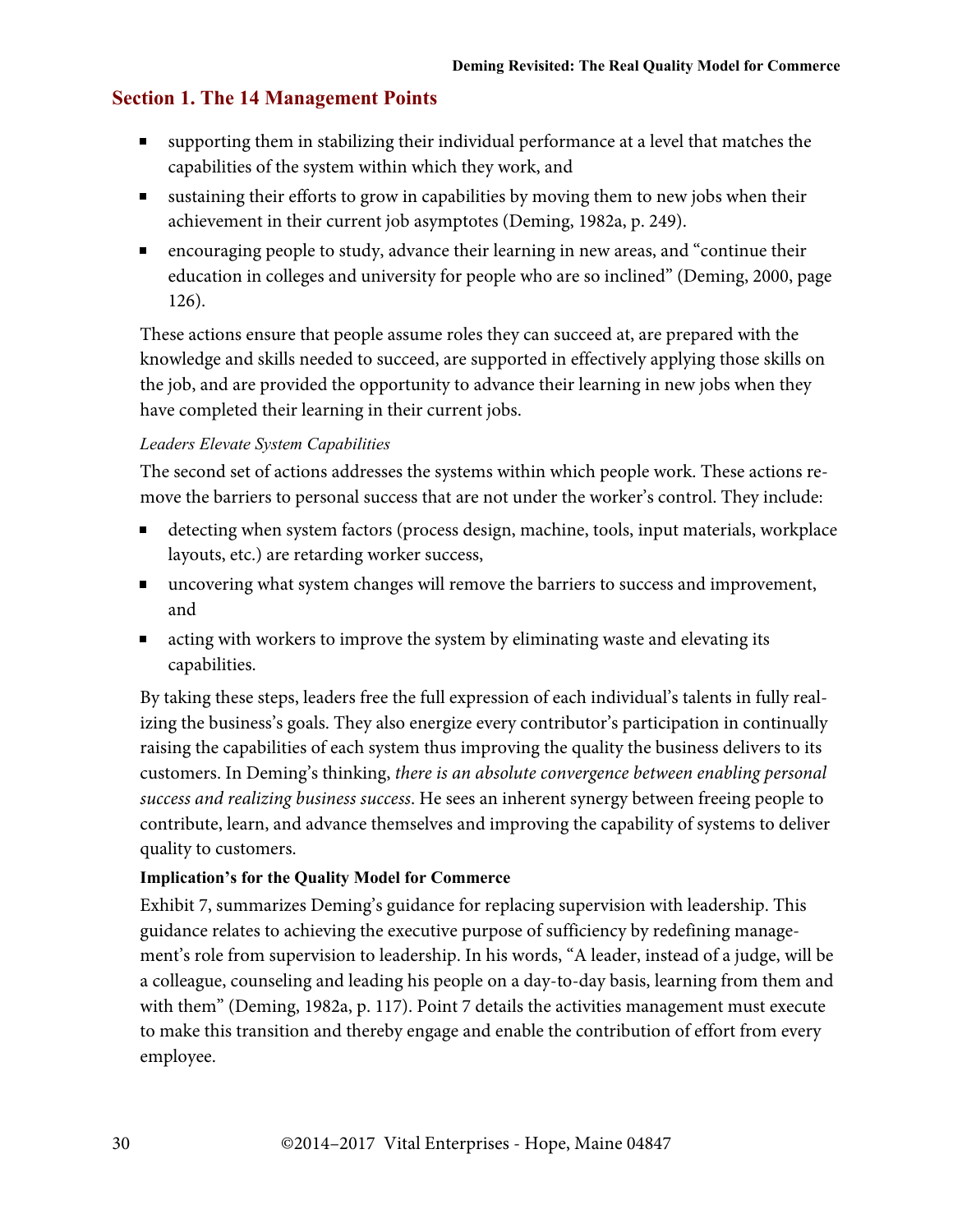- supporting them in stabilizing their individual performance at a level that matches the capabilities of the system within which they work, and
- sustaining their efforts to grow in capabilities by moving them to new jobs when their achievement in their current job asymptotes (Deming, 1982a, p. 249).
- encouraging people to study, advance their learning in new areas, and "continue their education in colleges and university for people who are so inclined" (Deming, 2000, page 126).

These actions ensure that people assume roles they can succeed at, are prepared with the knowledge and skills needed to succeed, are supported in effectively applying those skills on the job, and are provided the opportunity to advance their learning in new jobs when they have completed their learning in their current jobs.

#### *Leaders Elevate System Capabilities*

The second set of actions addresses the systems within which people work. These actions remove the barriers to personal success that are not under the worker's control. They include:

- detecting when system factors (process design, machine, tools, input materials, workplace layouts, etc.) are retarding worker success,
- uncovering what system changes will remove the barriers to success and improvement,  $\blacksquare$ and
- **EXECUTE:** acting with workers to improve the system by eliminating waste and elevating its capabilities.

By taking these steps, leaders free the full expression of each individual's talents in fully realizing the business's goals. They also energize every contributor's participation in continually raising the capabilities of each system thus improving the quality the business delivers to its customers. In Deming's thinking, *there is an absolute convergence between enabling personal success and realizing business success*. He sees an inherent synergy between freeing people to contribute, learn, and advance themselves and improving the capability of systems to deliver quality to customers.

### **Implication's for the Quality Model for Commerce**

Exhibit 7, summarizes Deming's guidance for replacing supervision with leadership. This guidance relates to achieving the executive purpose of sufficiency by redefining management's role from supervision to leadership. In his words, "A leader, instead of a judge, will be a colleague, counseling and leading his people on a day-to-day basis, learning from them and with them" (Deming, 1982a, p. 117). Point 7 details the activities management must execute to make this transition and thereby engage and enable the contribution of effort from every employee.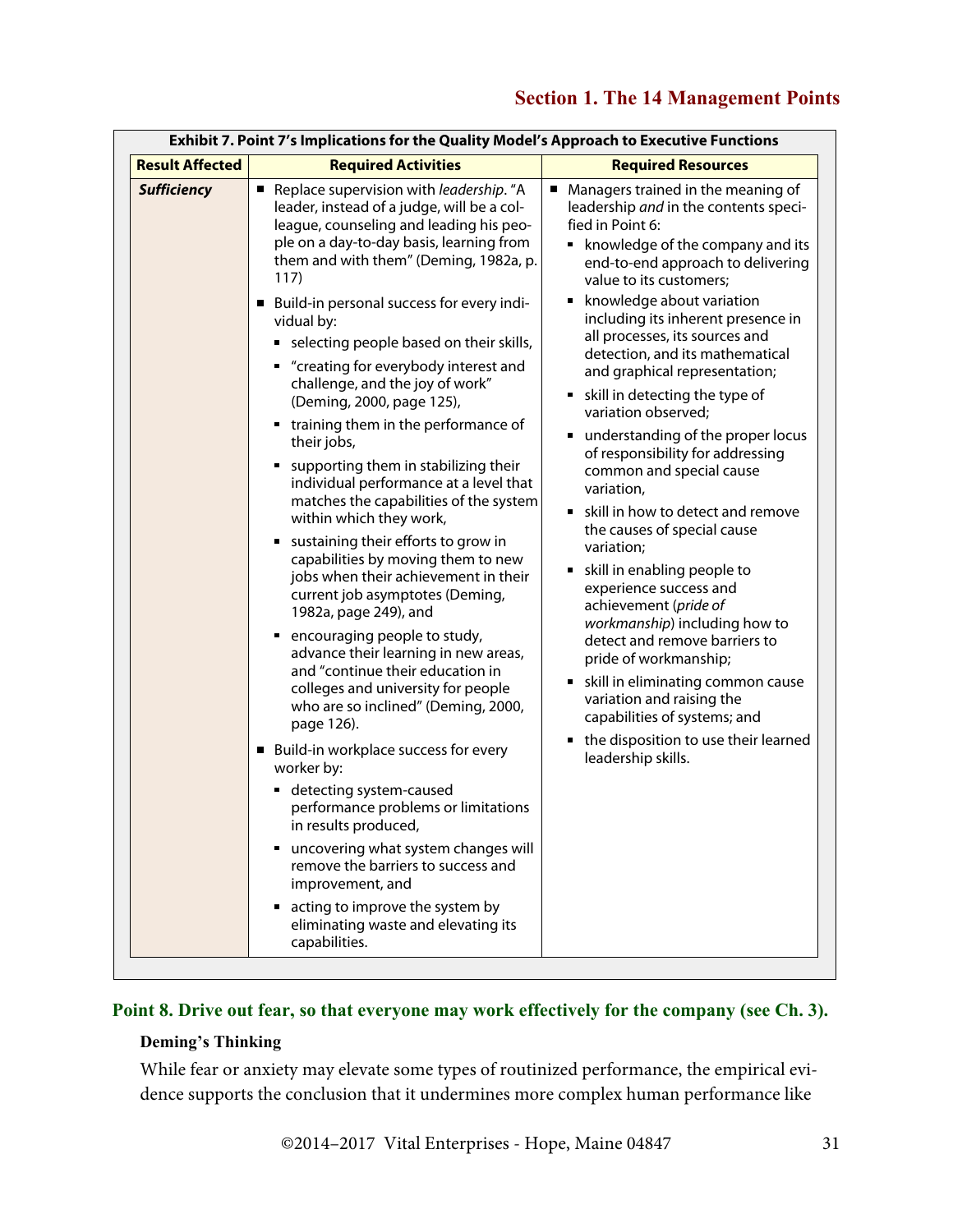| Exhibit 7. Point 7's Implications for the Quality Model's Approach to Executive Functions |                                                                                                                                                                                                                                                                                                                                                                                                                                                                                                                                                                                                                                                                                                                                                                                                                                                                                                                                                                                                                                                                                                                                                                                                                                                                                                                                                                                                                                 |                                                                                                                                                                                                                                                                                                                                                                                                                                                                                                                                                                                                                                                                                                                                                                                                                                                                                                                                                                                                                                            |  |  |
|-------------------------------------------------------------------------------------------|---------------------------------------------------------------------------------------------------------------------------------------------------------------------------------------------------------------------------------------------------------------------------------------------------------------------------------------------------------------------------------------------------------------------------------------------------------------------------------------------------------------------------------------------------------------------------------------------------------------------------------------------------------------------------------------------------------------------------------------------------------------------------------------------------------------------------------------------------------------------------------------------------------------------------------------------------------------------------------------------------------------------------------------------------------------------------------------------------------------------------------------------------------------------------------------------------------------------------------------------------------------------------------------------------------------------------------------------------------------------------------------------------------------------------------|--------------------------------------------------------------------------------------------------------------------------------------------------------------------------------------------------------------------------------------------------------------------------------------------------------------------------------------------------------------------------------------------------------------------------------------------------------------------------------------------------------------------------------------------------------------------------------------------------------------------------------------------------------------------------------------------------------------------------------------------------------------------------------------------------------------------------------------------------------------------------------------------------------------------------------------------------------------------------------------------------------------------------------------------|--|--|
| <b>Result Affected</b>                                                                    | <b>Required Activities</b>                                                                                                                                                                                                                                                                                                                                                                                                                                                                                                                                                                                                                                                                                                                                                                                                                                                                                                                                                                                                                                                                                                                                                                                                                                                                                                                                                                                                      | <b>Required Resources</b>                                                                                                                                                                                                                                                                                                                                                                                                                                                                                                                                                                                                                                                                                                                                                                                                                                                                                                                                                                                                                  |  |  |
| <b>Sufficiency</b>                                                                        | Replace supervision with leadership. "A<br>$\blacksquare$<br>leader, instead of a judge, will be a col-<br>league, counseling and leading his peo-<br>ple on a day-to-day basis, learning from<br>them and with them" (Deming, 1982a, p.<br>117)<br>■ Build-in personal success for every indi-<br>vidual by:<br>selecting people based on their skills,<br>"creating for everybody interest and<br>challenge, and the joy of work"<br>(Deming, 2000, page 125),<br>training them in the performance of<br>٠<br>their jobs,<br>supporting them in stabilizing their<br>individual performance at a level that<br>matches the capabilities of the system<br>within which they work,<br>sustaining their efforts to grow in<br>capabilities by moving them to new<br>jobs when their achievement in their<br>current job asymptotes (Deming,<br>1982a, page 249), and<br>■ encouraging people to study,<br>advance their learning in new areas,<br>and "continue their education in<br>colleges and university for people<br>who are so inclined" (Deming, 2000,<br>page 126).<br>■ Build-in workplace success for every<br>worker by:<br>detecting system-caused<br>٠<br>performance problems or limitations<br>in results produced.<br>uncovering what system changes will<br>remove the barriers to success and<br>improvement, and<br>acting to improve the system by<br>eliminating waste and elevating its<br>capabilities. | Managers trained in the meaning of<br>$\blacksquare$<br>leadership and in the contents speci-<br>fied in Point 6:<br>knowledge of the company and its<br>end-to-end approach to delivering<br>value to its customers;<br>knowledge about variation<br>п<br>including its inherent presence in<br>all processes, its sources and<br>detection, and its mathematical<br>and graphical representation;<br>skill in detecting the type of<br>٠<br>variation observed;<br>understanding of the proper locus<br>٠<br>of responsibility for addressing<br>common and special cause<br>variation,<br>skill in how to detect and remove<br>$\blacksquare$<br>the causes of special cause<br>variation;<br>skill in enabling people to<br>experience success and<br>achievement (pride of<br>workmanship) including how to<br>detect and remove barriers to<br>pride of workmanship;<br>skill in eliminating common cause<br>variation and raising the<br>capabilities of systems; and<br>the disposition to use their learned<br>leadership skills. |  |  |

### **Point 8. Drive out fear, so that everyone may work effectively for the company (see Ch. 3).**

### **Deming's Thinking**

While fear or anxiety may elevate some types of routinized performance, the empirical evidence supports the conclusion that it undermines more complex human performance like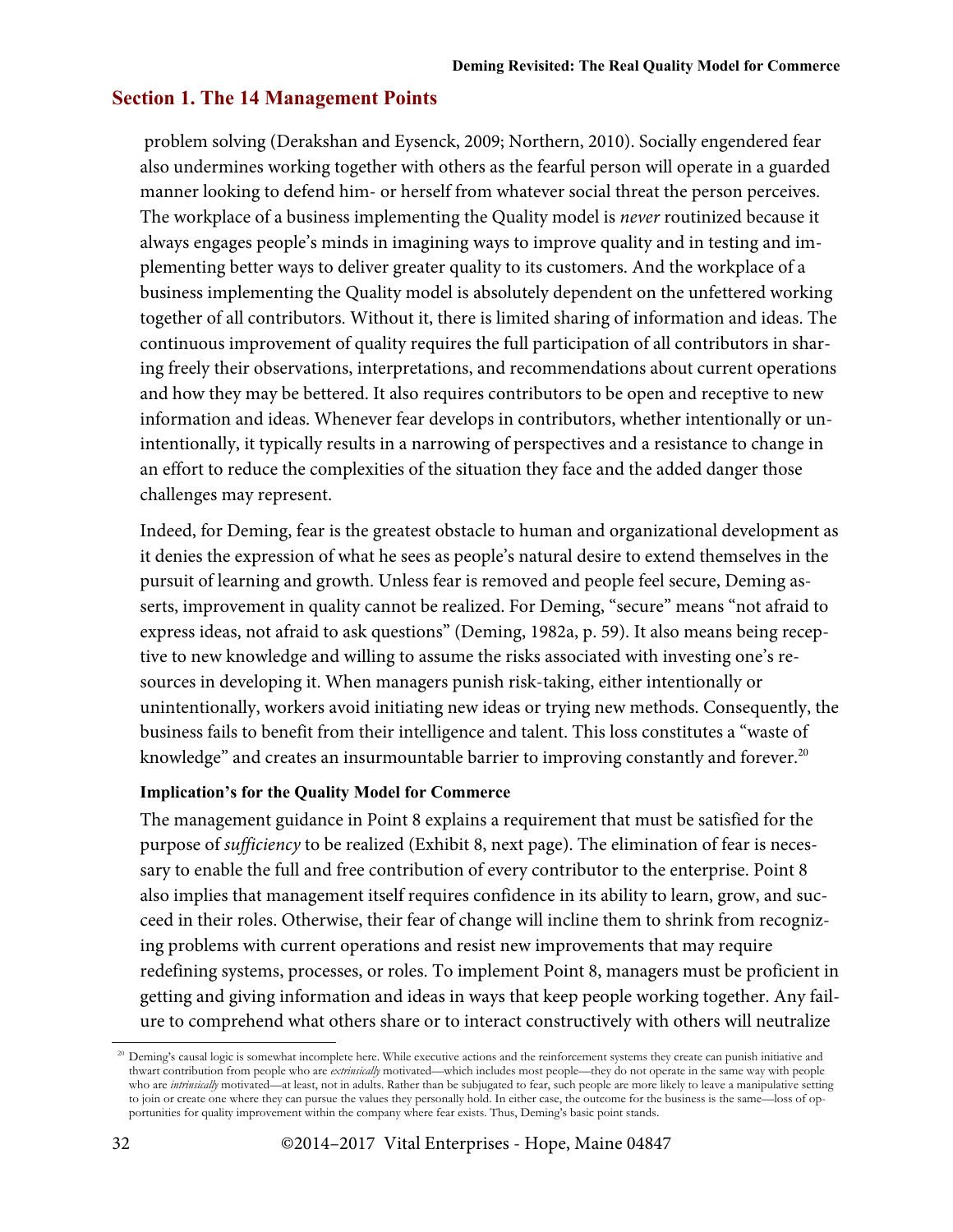problem solving (Derakshan and Eysenck, 2009; Northern, 2010). Socially engendered fear also undermines working together with others as the fearful person will operate in a guarded manner looking to defend him- or herself from whatever social threat the person perceives. The workplace of a business implementing the Quality model is *never* routinized because it always engages people's minds in imagining ways to improve quality and in testing and implementing better ways to deliver greater quality to its customers. And the workplace of a business implementing the Quality model is absolutely dependent on the unfettered working together of all contributors. Without it, there is limited sharing of information and ideas. The continuous improvement of quality requires the full participation of all contributors in sharing freely their observations, interpretations, and recommendations about current operations and how they may be bettered. It also requires contributors to be open and receptive to new information and ideas. Whenever fear develops in contributors, whether intentionally or unintentionally, it typically results in a narrowing of perspectives and a resistance to change in an effort to reduce the complexities of the situation they face and the added danger those challenges may represent.

Indeed, for Deming, fear is the greatest obstacle to human and organizational development as it denies the expression of what he sees as people's natural desire to extend themselves in the pursuit of learning and growth. Unless fear is removed and people feel secure, Deming asserts, improvement in quality cannot be realized. For Deming, "secure" means "not afraid to express ideas, not afraid to ask questions" (Deming, 1982a, p. 59). It also means being receptive to new knowledge and willing to assume the risks associated with investing one's resources in developing it. When managers punish risk-taking, either intentionally or unintentionally, workers avoid initiating new ideas or trying new methods. Consequently, the business fails to benefit from their intelligence and talent. This loss constitutes a "waste of knowledge" and creates an insurmountable barrier to improving constantly and forever.<sup>20</sup>

#### **Implication's for the Quality Model for Commerce**

The management guidance in Point 8 explains a requirement that must be satisfied for the purpose of *sufficiency* to be realized (Exhibit 8, next page). The elimination of fear is necessary to enable the full and free contribution of every contributor to the enterprise. Point 8 also implies that management itself requires confidence in its ability to learn, grow, and succeed in their roles. Otherwise, their fear of change will incline them to shrink from recognizing problems with current operations and resist new improvements that may require redefining systems, processes, or roles. To implement Point 8, managers must be proficient in getting and giving information and ideas in ways that keep people working together. Any failure to comprehend what others share or to interact constructively with others will neutralize

<sup>&</sup>lt;sup>20</sup> Deming's causal logic is somewhat incomplete here. While executive actions and the reinforcement systems they create can punish initiative and thwart contribution from people who are *extrinsically* motivated—which includes most people—they do not operate in the same way with people who are *intrinsically* motivated—at least, not in adults. Rather than be subjugated to fear, such people are more likely to leave a manipulative setting to join or create one where they can pursue the values they personally hold. In either case, the outcome for the business is the same—loss of opportunities for quality improvement within the company where fear exists. Thus, Deming's basic point stands.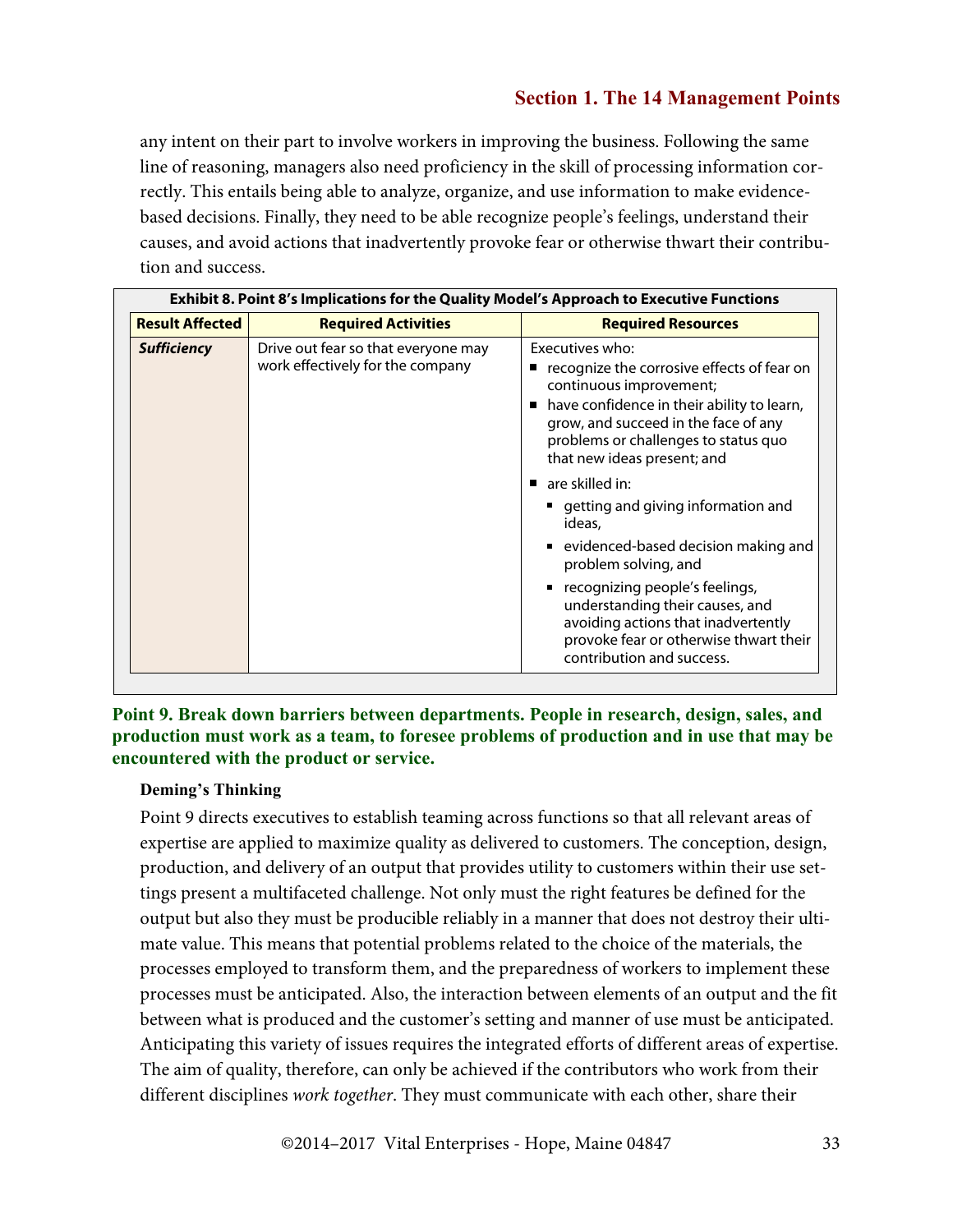any intent on their part to involve workers in improving the business. Following the same line of reasoning, managers also need proficiency in the skill of processing information correctly. This entails being able to analyze, organize, and use information to make evidencebased decisions. Finally, they need to be able recognize people's feelings, understand their causes, and avoid actions that inadvertently provoke fear or otherwise thwart their contribution and success.

| Exhibit 8. Point 8's Implications for the Quality Model's Approach to Executive Functions |                                                                         |                                                                                                                                                                                                                                                                                                                                                                                                                                                                                                                                                                              |  |
|-------------------------------------------------------------------------------------------|-------------------------------------------------------------------------|------------------------------------------------------------------------------------------------------------------------------------------------------------------------------------------------------------------------------------------------------------------------------------------------------------------------------------------------------------------------------------------------------------------------------------------------------------------------------------------------------------------------------------------------------------------------------|--|
| <b>Result Affected</b>                                                                    | <b>Required Activities</b>                                              | <b>Required Resources</b>                                                                                                                                                                                                                                                                                                                                                                                                                                                                                                                                                    |  |
| <b>Sufficiency</b>                                                                        | Drive out fear so that everyone may<br>work effectively for the company | Executives who:<br>■ recognize the corrosive effects of fear on<br>continuous improvement;<br>have confidence in their ability to learn,<br>grow, and succeed in the face of any<br>problems or challenges to status quo<br>that new ideas present; and<br>are skilled in:<br>getting and giving information and<br>ideas,<br>evidenced-based decision making and<br>problem solving, and<br>recognizing people's feelings,<br>understanding their causes, and<br>avoiding actions that inadvertently<br>provoke fear or otherwise thwart their<br>contribution and success. |  |

### **Point 9. Break down barriers between departments. People in research, design, sales, and production must work as a team, to foresee problems of production and in use that may be encountered with the product or service.**

#### **Deming's Thinking**

Point 9 directs executives to establish teaming across functions so that all relevant areas of expertise are applied to maximize quality as delivered to customers. The conception, design, production, and delivery of an output that provides utility to customers within their use settings present a multifaceted challenge. Not only must the right features be defined for the output but also they must be producible reliably in a manner that does not destroy their ultimate value. This means that potential problems related to the choice of the materials, the processes employed to transform them, and the preparedness of workers to implement these processes must be anticipated. Also, the interaction between elements of an output and the fit between what is produced and the customer's setting and manner of use must be anticipated. Anticipating this variety of issues requires the integrated efforts of different areas of expertise. The aim of quality, therefore, can only be achieved if the contributors who work from their different disciplines *work together*. They must communicate with each other, share their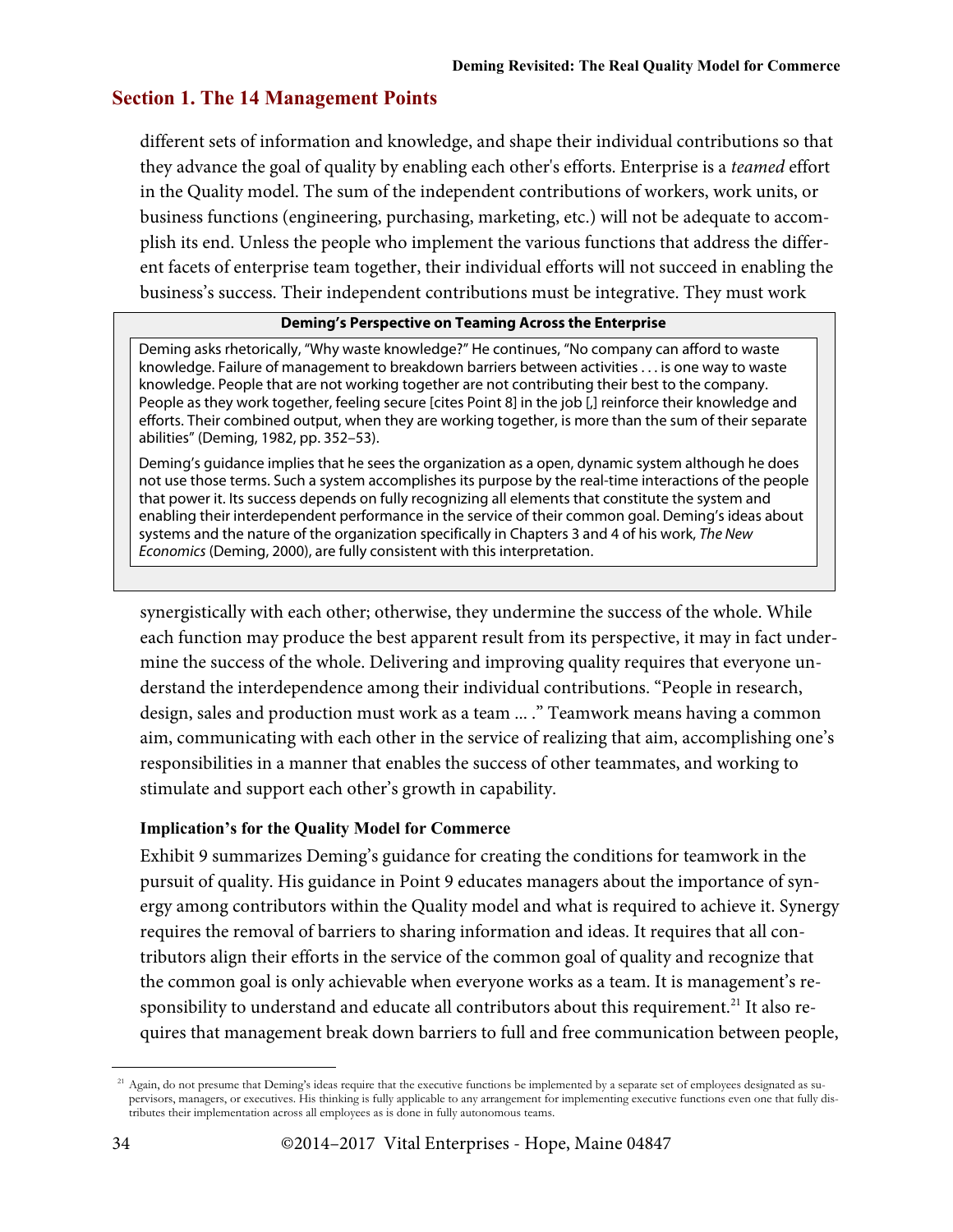different sets of information and knowledge, and shape their individual contributions so that they advance the goal of quality by enabling each other's efforts. Enterprise is a *teamed* effort in the Quality model. The sum of the independent contributions of workers, work units, or business functions (engineering, purchasing, marketing, etc.) will not be adequate to accomplish its end. Unless the people who implement the various functions that address the different facets of enterprise team together, their individual efforts will not succeed in enabling the business's success. Their independent contributions must be integrative. They must work

#### **Deming's Perspective on Teaming Across the Enterprise**

Deming asks rhetorically, "Why waste knowledge?" He continues, "No company can afford to waste knowledge. Failure of management to breakdown barriers between activities . . . is one way to waste knowledge. People that are not working together are not contributing their best to the company. People as they work together, feeling secure [cites Point 8] in the job [,] reinforce their knowledge and efforts. Their combined output, when they are working together, is more than the sum of their separate abilities" (Deming, 1982, pp. 352–53).

Deming's guidance implies that he sees the organization as a open, dynamic system although he does not use those terms. Such a system accomplishes its purpose by the real-time interactions of the people that power it. Its success depends on fully recognizing all elements that constitute the system and enabling their interdependent performance in the service of their common goal. Deming's ideas about systems and the nature of the organization specifically in Chapters 3 and 4 of his work, The New Economics (Deming, 2000), are fully consistent with this interpretation.

synergistically with each other; otherwise, they undermine the success of the whole. While each function may produce the best apparent result from its perspective, it may in fact undermine the success of the whole. Delivering and improving quality requires that everyone understand the interdependence among their individual contributions. "People in research, design, sales and production must work as a team ... ." Teamwork means having a common aim, communicating with each other in the service of realizing that aim, accomplishing one's responsibilities in a manner that enables the success of other teammates, and working to stimulate and support each other's growth in capability.

#### **Implication's for the Quality Model for Commerce**

Exhibit 9 summarizes Deming's guidance for creating the conditions for teamwork in the pursuit of quality. His guidance in Point 9 educates managers about the importance of synergy among contributors within the Quality model and what is required to achieve it. Synergy requires the removal of barriers to sharing information and ideas. It requires that all contributors align their efforts in the service of the common goal of quality and recognize that the common goal is only achievable when everyone works as a team. It is management's responsibility to understand and educate all contributors about this requirement.<sup>21</sup> It also requires that management break down barriers to full and free communication between people,

<sup>&</sup>lt;sup>21</sup> Again, do not presume that Deming's ideas require that the executive functions be implemented by a separate set of employees designated as supervisors, managers, or executives. His thinking is fully applicable to any arrangement for implementing executive functions even one that fully distributes their implementation across all employees as is done in fully autonomous teams.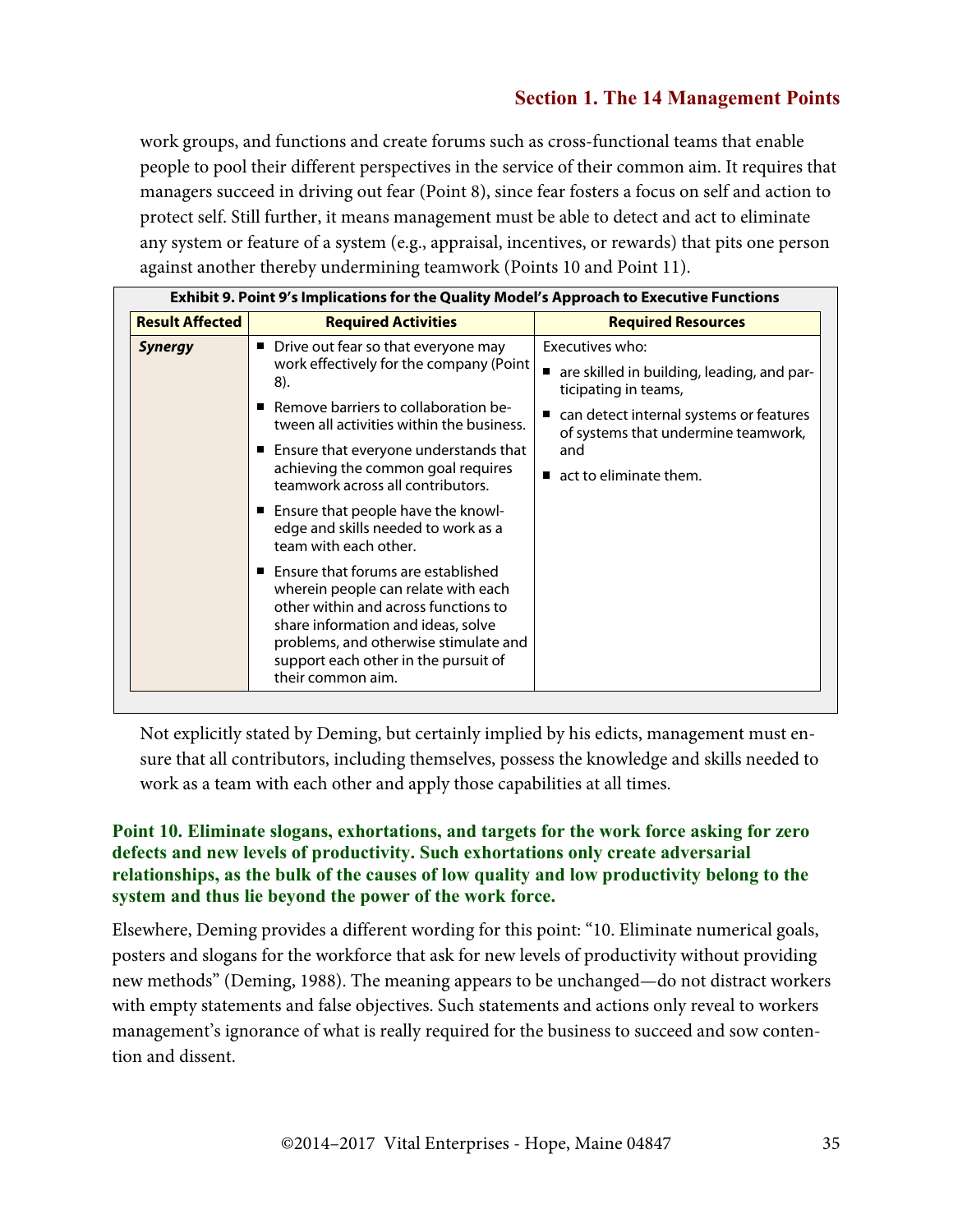work groups, and functions and create forums such as cross-functional teams that enable people to pool their different perspectives in the service of their common aim. It requires that managers succeed in driving out fear (Point 8), since fear fosters a focus on self and action to protect self. Still further, it means management must be able to detect and act to eliminate any system or feature of a system (e.g., appraisal, incentives, or rewards) that pits one person against another thereby undermining teamwork (Points 10 and Point 11).

| Exhibit 9. Point 9's Implications for the Quality Model's Approach to Executive Functions |                                                                                                                                                                                                                                                                                                                                                                                                                                                                                                                                                                                               |                                                                                                                                                                                                                              |  |  |
|-------------------------------------------------------------------------------------------|-----------------------------------------------------------------------------------------------------------------------------------------------------------------------------------------------------------------------------------------------------------------------------------------------------------------------------------------------------------------------------------------------------------------------------------------------------------------------------------------------------------------------------------------------------------------------------------------------|------------------------------------------------------------------------------------------------------------------------------------------------------------------------------------------------------------------------------|--|--|
| <b>Result Affected</b>                                                                    | <b>Required Activities</b>                                                                                                                                                                                                                                                                                                                                                                                                                                                                                                                                                                    | <b>Required Resources</b>                                                                                                                                                                                                    |  |  |
| <b>Synergy</b>                                                                            | Drive out fear so that everyone may<br>work effectively for the company (Point<br>8).<br>Remove barriers to collaboration be-<br>tween all activities within the business.<br>$\blacksquare$ Ensure that everyone understands that<br>achieving the common goal requires<br>teamwork across all contributors.<br>$\blacksquare$ Ensure that people have the knowl-<br>edge and skills needed to work as a<br>team with each other.<br>Ensure that forums are established<br>wherein people can relate with each<br>other within and across functions to<br>share information and ideas, solve | Executives who:<br>$\blacksquare$ are skilled in building, leading, and par-<br>ticipating in teams,<br>can detect internal systems or features<br>of systems that undermine teamwork,<br>and<br>act to eliminate them.<br>п |  |  |
|                                                                                           | problems, and otherwise stimulate and<br>support each other in the pursuit of<br>their common aim.                                                                                                                                                                                                                                                                                                                                                                                                                                                                                            |                                                                                                                                                                                                                              |  |  |

Not explicitly stated by Deming, but certainly implied by his edicts, management must ensure that all contributors, including themselves, possess the knowledge and skills needed to work as a team with each other and apply those capabilities at all times.

### **Point 10. Eliminate slogans, exhortations, and targets for the work force asking for zero defects and new levels of productivity. Such exhortations only create adversarial relationships, as the bulk of the causes of low quality and low productivity belong to the system and thus lie beyond the power of the work force.**

Elsewhere, Deming provides a different wording for this point: "10. Eliminate numerical goals, posters and slogans for the workforce that ask for new levels of productivity without providing new methods" (Deming, 1988). The meaning appears to be unchanged—do not distract workers with empty statements and false objectives. Such statements and actions only reveal to workers management's ignorance of what is really required for the business to succeed and sow contention and dissent.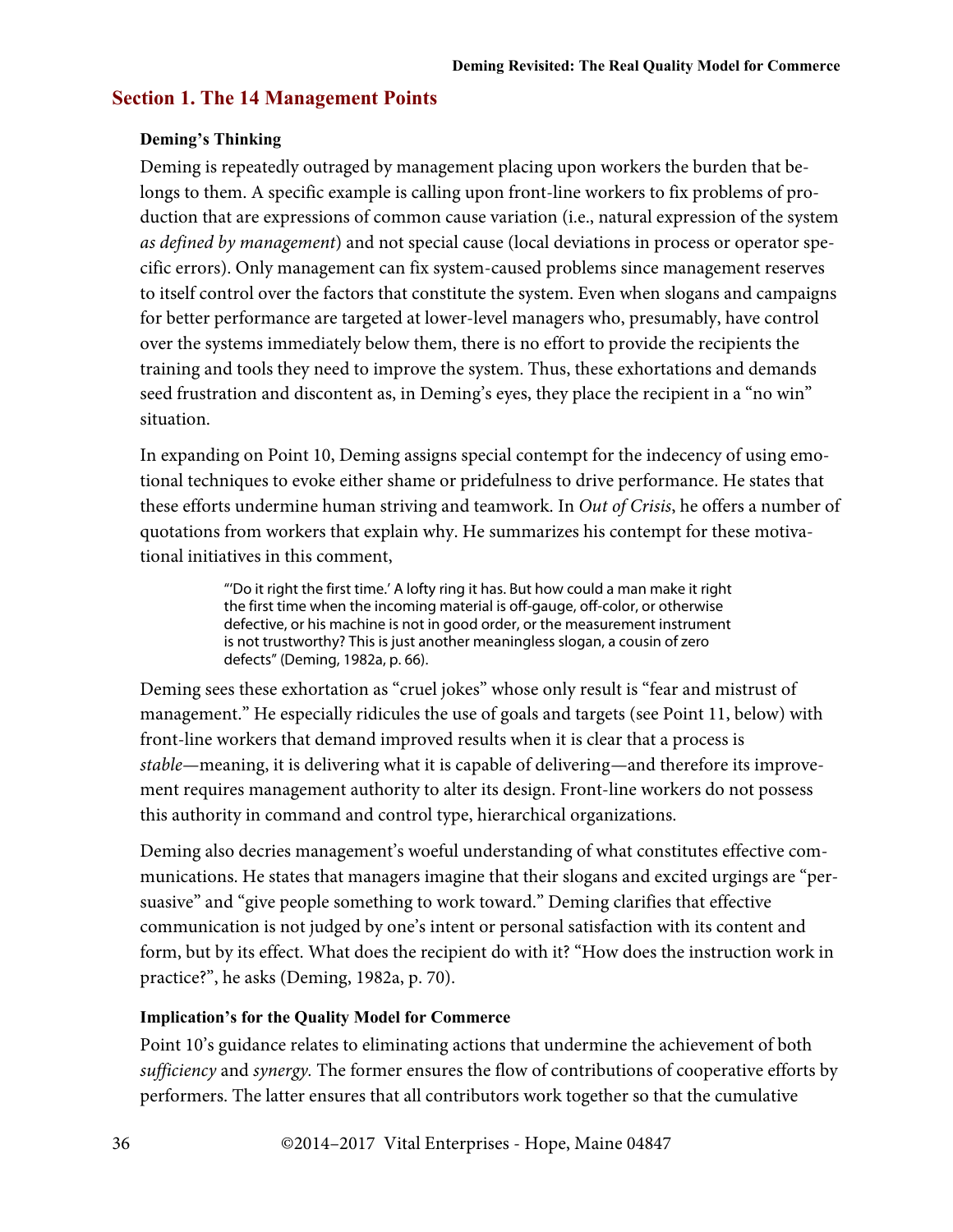#### **Deming's Thinking**

Deming is repeatedly outraged by management placing upon workers the burden that belongs to them. A specific example is calling upon front-line workers to fix problems of production that are expressions of common cause variation (i.e., natural expression of the system *as defined by management*) and not special cause (local deviations in process or operator specific errors). Only management can fix system-caused problems since management reserves to itself control over the factors that constitute the system. Even when slogans and campaigns for better performance are targeted at lower-level managers who, presumably, have control over the systems immediately below them, there is no effort to provide the recipients the training and tools they need to improve the system. Thus, these exhortations and demands seed frustration and discontent as, in Deming's eyes, they place the recipient in a "no win" situation.

In expanding on Point 10, Deming assigns special contempt for the indecency of using emotional techniques to evoke either shame or pridefulness to drive performance. He states that these efforts undermine human striving and teamwork. In *Out of Crisis*, he offers a number of quotations from workers that explain why. He summarizes his contempt for these motivational initiatives in this comment,

> "'Do it right the first time.' A lofty ring it has. But how could a man make it right the first time when the incoming material is off-gauge, off-color, or otherwise defective, or his machine is not in good order, or the measurement instrument is not trustworthy? This is just another meaningless slogan, a cousin of zero defects" (Deming, 1982a, p. 66).

Deming sees these exhortation as "cruel jokes" whose only result is "fear and mistrust of management." He especially ridicules the use of goals and targets (see Point 11, below) with front-line workers that demand improved results when it is clear that a process is *stable—*meaning, it is delivering what it is capable of delivering*—*and therefore its improvement requires management authority to alter its design. Front-line workers do not possess this authority in command and control type, hierarchical organizations.

Deming also decries management's woeful understanding of what constitutes effective communications. He states that managers imagine that their slogans and excited urgings are "persuasive" and "give people something to work toward." Deming clarifies that effective communication is not judged by one's intent or personal satisfaction with its content and form, but by its effect. What does the recipient do with it? "How does the instruction work in practice?", he asks (Deming, 1982a, p. 70).

#### **Implication's for the Quality Model for Commerce**

Point 10's guidance relates to eliminating actions that undermine the achievement of both *sufficiency* and *synergy.* The former ensures the flow of contributions of cooperative efforts by performers. The latter ensures that all contributors work together so that the cumulative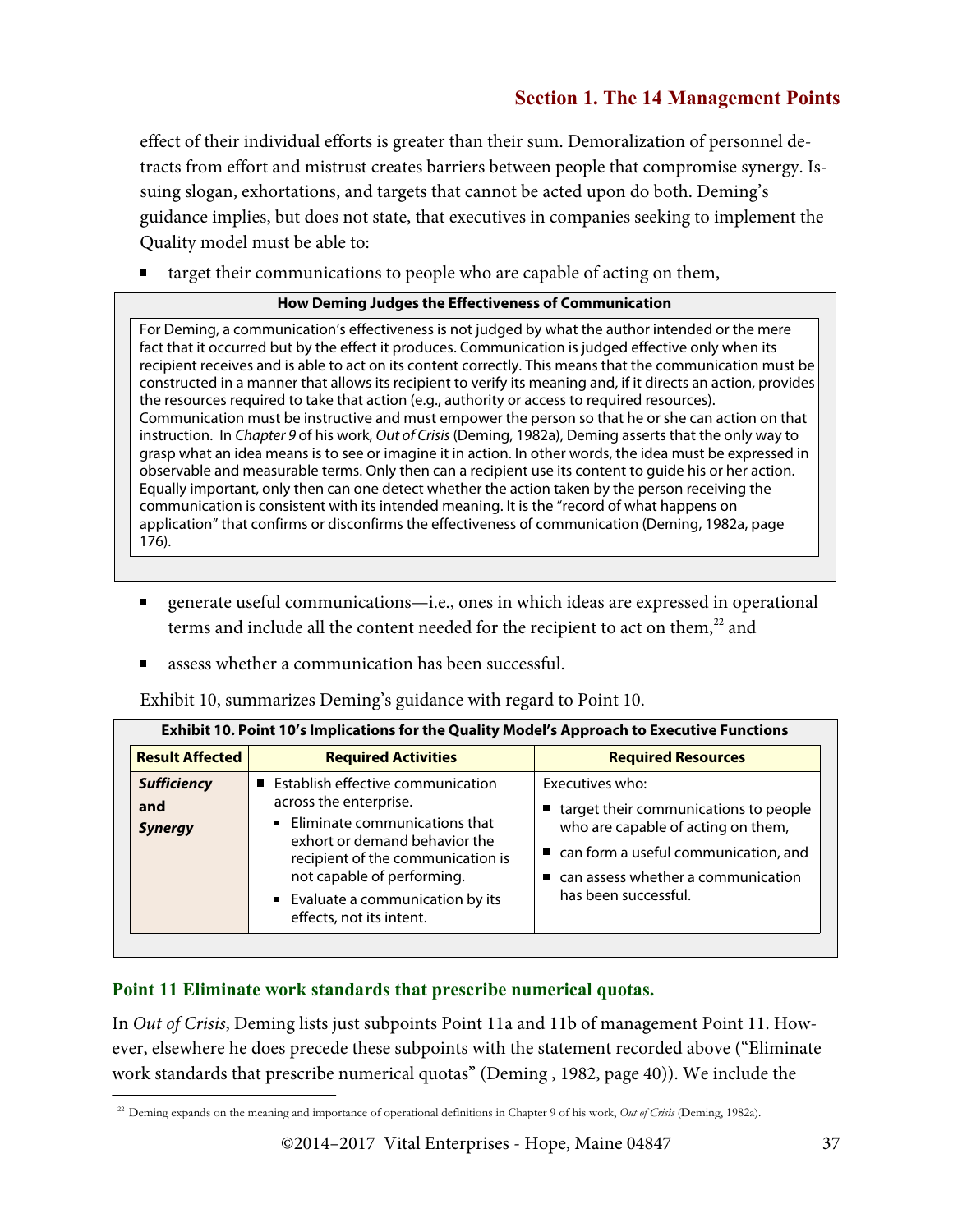effect of their individual efforts is greater than their sum. Demoralization of personnel detracts from effort and mistrust creates barriers between people that compromise synergy. Issuing slogan, exhortations, and targets that cannot be acted upon do both. Deming's guidance implies, but does not state, that executives in companies seeking to implement the Quality model must be able to:

target their communications to people who are capable of acting on them,

#### **How Deming Judges the Effectiveness of Communication**

For Deming, a communication's effectiveness is not judged by what the author intended or the mere fact that it occurred but by the effect it produces. Communication is judged effective only when its recipient receives and is able to act on its content correctly. This means that the communication must be constructed in a manner that allows its recipient to verify its meaning and, if it directs an action, provides the resources required to take that action (e.g., authority or access to required resources). Communication must be instructive and must empower the person so that he or she can action on that instruction. In Chapter 9 of his work, Out of Crisis (Deming, 1982a), Deming asserts that the only way to grasp what an idea means is to see or imagine it in action. In other words, the idea must be expressed in observable and measurable terms. Only then can a recipient use its content to guide his or her action. Equally important, only then can one detect whether the action taken by the person receiving the communication is consistent with its intended meaning. It is the "record of what happens on application" that confirms or disconfirms the effectiveness of communication (Deming, 1982a, page 176).

- generate useful communications—i.e., ones in which ideas are expressed in operational  $\blacksquare$ terms and include all the content needed for the recipient to act on them, $^{22}$  and
- assess whether a communication has been successful.

Exhibit 10, summarizes Deming's guidance with regard to Point 10.

| <b>Result Affected</b>                      | <b>Required Activities</b>                                                                                                                                                                                                                                                               | <b>Required Resources</b>                                                                                                                                                                              |
|---------------------------------------------|------------------------------------------------------------------------------------------------------------------------------------------------------------------------------------------------------------------------------------------------------------------------------------------|--------------------------------------------------------------------------------------------------------------------------------------------------------------------------------------------------------|
| <b>Sufficiency</b><br>and<br><b>Synergy</b> | Establish effective communication<br>$\blacksquare$<br>across the enterprise.<br><b>Eliminate communications that</b><br>exhort or demand behavior the<br>recipient of the communication is<br>not capable of performing.<br>Evaluate a communication by its<br>effects, not its intent. | Executives who:<br>target their communications to people<br>who are capable of acting on them,<br>■ can form a useful communication, and<br>can assess whether a communication<br>has been successful. |

### **Point 11 Eliminate work standards that prescribe numerical quotas.**

In *Out of Crisis*, Deming lists just subpoints Point 11a and 11b of management Point 11. However, elsewhere he does precede these subpoints with the statement recorded above ("Eliminate work standards that prescribe numerical quotas" (Deming , 1982, page 40)). We include the

<sup>22</sup> Deming expands on the meaning and importance of operational definitions in Chapter 9 of his work, *Out of Crisis* (Deming, 1982a).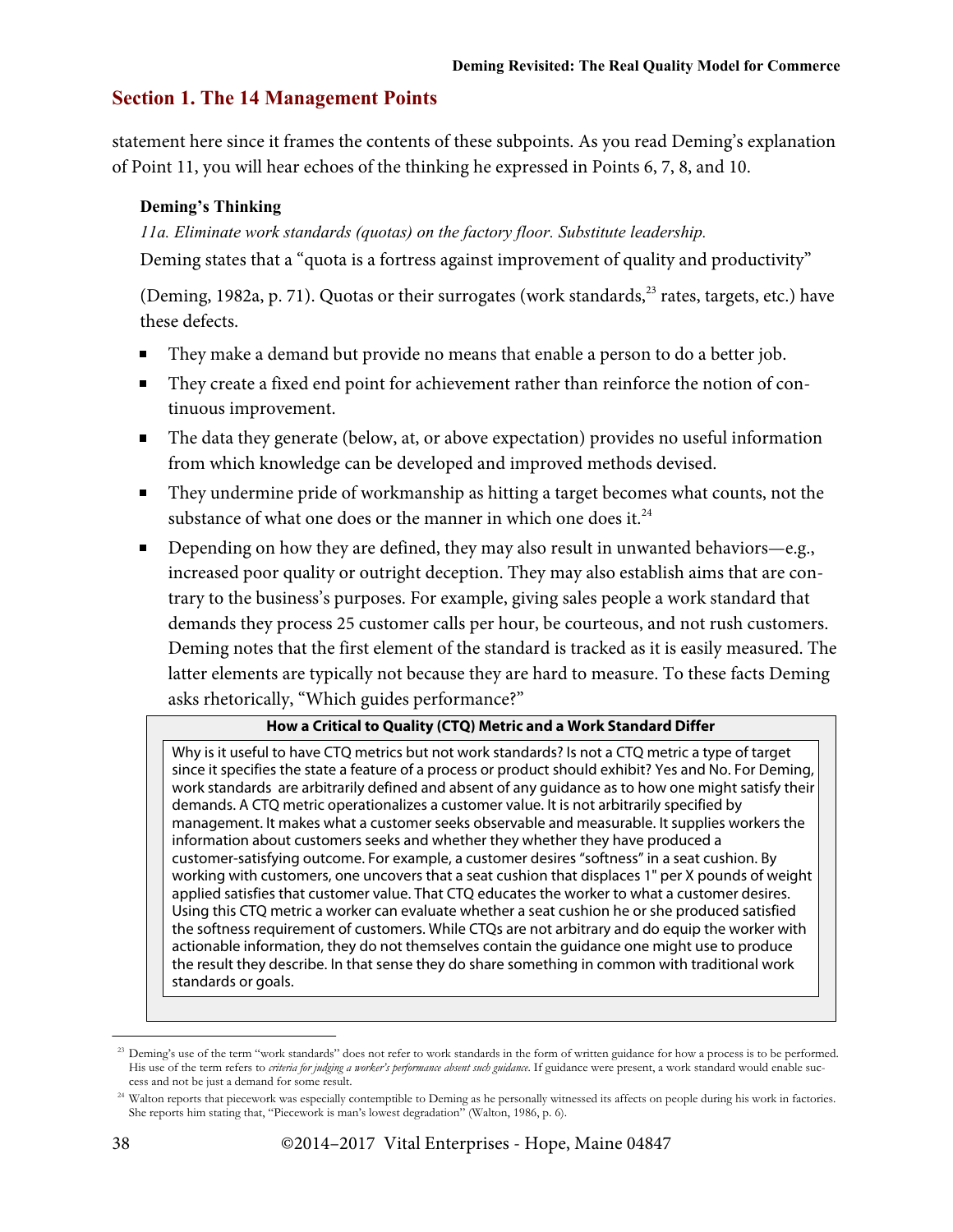statement here since it frames the contents of these subpoints. As you read Deming's explanation of Point 11, you will hear echoes of the thinking he expressed in Points 6, 7, 8, and 10.

#### **Deming's Thinking**

*11a. Eliminate work standards (quotas) on the factory floor. Substitute leadership.*  Deming states that a "quota is a fortress against improvement of quality and productivity"

(Deming, 1982a, p. 71). Quotas or their surrogates (work standards,<sup>23</sup> rates, targets, etc.) have these defects.

- They make a demand but provide no means that enable a person to do a better job.
- They create a fixed end point for achievement rather than reinforce the notion of continuous improvement.
- The data they generate (below, at, or above expectation) provides no useful information from which knowledge can be developed and improved methods devised.
- They undermine pride of workmanship as hitting a target becomes what counts, not the substance of what one does or the manner in which one does it. $^{24}$
- Depending on how they are defined, they may also result in unwanted behaviors—e.g., increased poor quality or outright deception. They may also establish aims that are contrary to the business's purposes. For example, giving sales people a work standard that demands they process 25 customer calls per hour, be courteous, and not rush customers. Deming notes that the first element of the standard is tracked as it is easily measured. The latter elements are typically not because they are hard to measure. To these facts Deming asks rhetorically, "Which guides performance?"

### **How a Critical to Quality (CTQ) Metric and a Work Standard Differ**

Why is it useful to have CTQ metrics but not work standards? Is not a CTQ metric a type of target since it specifies the state a feature of a process or product should exhibit? Yes and No. For Deming, work standards are arbitrarily defined and absent of any guidance as to how one might satisfy their demands. A CTQ metric operationalizes a customer value. It is not arbitrarily specified by management. It makes what a customer seeks observable and measurable. It supplies workers the information about customers seeks and whether they whether they have produced a customer-satisfying outcome. For example, a customer desires "softness" in a seat cushion. By working with customers, one uncovers that a seat cushion that displaces 1" per X pounds of weight applied satisfies that customer value. That CTQ educates the worker to what a customer desires. Using this CTQ metric a worker can evaluate whether a seat cushion he or she produced satisfied the softness requirement of customers. While CTQs are not arbitrary and do equip the worker with actionable information, they do not themselves contain the guidance one might use to produce the result they describe. In that sense they do share something in common with traditional work standards or goals.

<sup>&</sup>lt;sup>23</sup> Deming's use of the term "work standards" does not refer to work standards in the form of written guidance for how a process is to be performed. His use of the term refers to *criteria for judging a worker's performance absent such guidance*. If guidance were present, a work standard would enable success and not be just a demand for some result.

<sup>&</sup>lt;sup>24</sup> Walton reports that piecework was especially contemptible to Deming as he personally witnessed its affects on people during his work in factories. She reports him stating that, "Piecework is man's lowest degradation" (Walton, 1986, p. 6).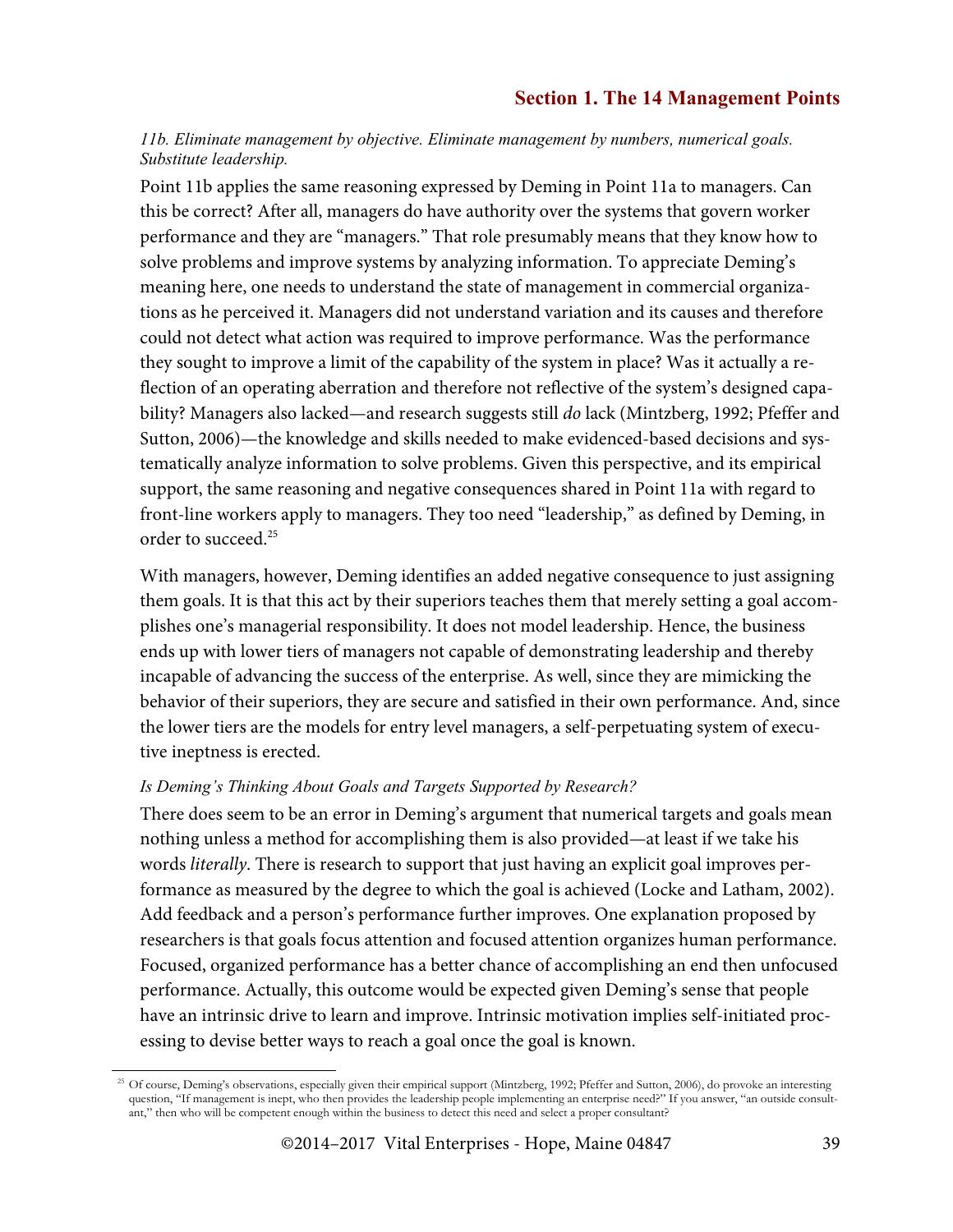#### *11b. Eliminate management by objective. Eliminate management by numbers, numerical goals. Substitute leadership.*

Point 11b applies the same reasoning expressed by Deming in Point 11a to managers. Can this be correct? After all, managers do have authority over the systems that govern worker performance and they are "managers." That role presumably means that they know how to solve problems and improve systems by analyzing information. To appreciate Deming's meaning here, one needs to understand the state of management in commercial organizations as he perceived it. Managers did not understand variation and its causes and therefore could not detect what action was required to improve performance. Was the performance they sought to improve a limit of the capability of the system in place? Was it actually a reflection of an operating aberration and therefore not reflective of the system's designed capability? Managers also lacked—and research suggests still do lack (Mintzberg, 1992; Pfeffer and Sutton, 2006)—the knowledge and skills needed to make evidenced-based decisions and systematically analyze information to solve problems. Given this perspective, and its empirical support, the same reasoning and negative consequences shared in Point 11a with regard to front-line workers apply to managers. They too need "leadership," as defined by Deming, in order to succeed.<sup>25</sup>

With managers, however, Deming identifies an added negative consequence to just assigning them goals. It is that this act by their superiors teaches them that merely setting a goal accomplishes one's managerial responsibility. It does not model leadership. Hence, the business ends up with lower tiers of managers not capable of demonstrating leadership and thereby incapable of advancing the success of the enterprise. As well, since they are mimicking the behavior of their superiors, they are secure and satisfied in their own performance. And, since the lower tiers are the models for entry level managers, a self-perpetuating system of executive ineptness is erected.

#### *Is Deming's Thinking About Goals and Targets Supported by Research?*

There does seem to be an error in Deming's argument that numerical targets and goals mean nothing unless a method for accomplishing them is also provided—at least if we take his words literally. There is research to support that just having an explicit goal improves performance as measured by the degree to which the goal is achieved (Locke and Latham, 2002). Add feedback and a person's performance further improves. One explanation proposed by researchers is that goals focus attention and focused attention organizes human performance. Focused, organized performance has a better chance of accomplishing an end then unfocused performance. Actually, this outcome would be expected given Deming's sense that people have an intrinsic drive to learn and improve. Intrinsic motivation implies self-initiated processing to devise better ways to reach a goal once the goal is known.

<sup>&</sup>lt;sup>25</sup> Of course, Deming's observations, especially given their empirical support (Mintzberg, 1992; Pfeffer and Sutton, 2006), do provoke an interesting question, "If management is inept, who then provides the leadership people implementing an enterprise need?" If you answer, "an outside consultant," then who will be competent enough within the business to detect this need and select a proper consultant?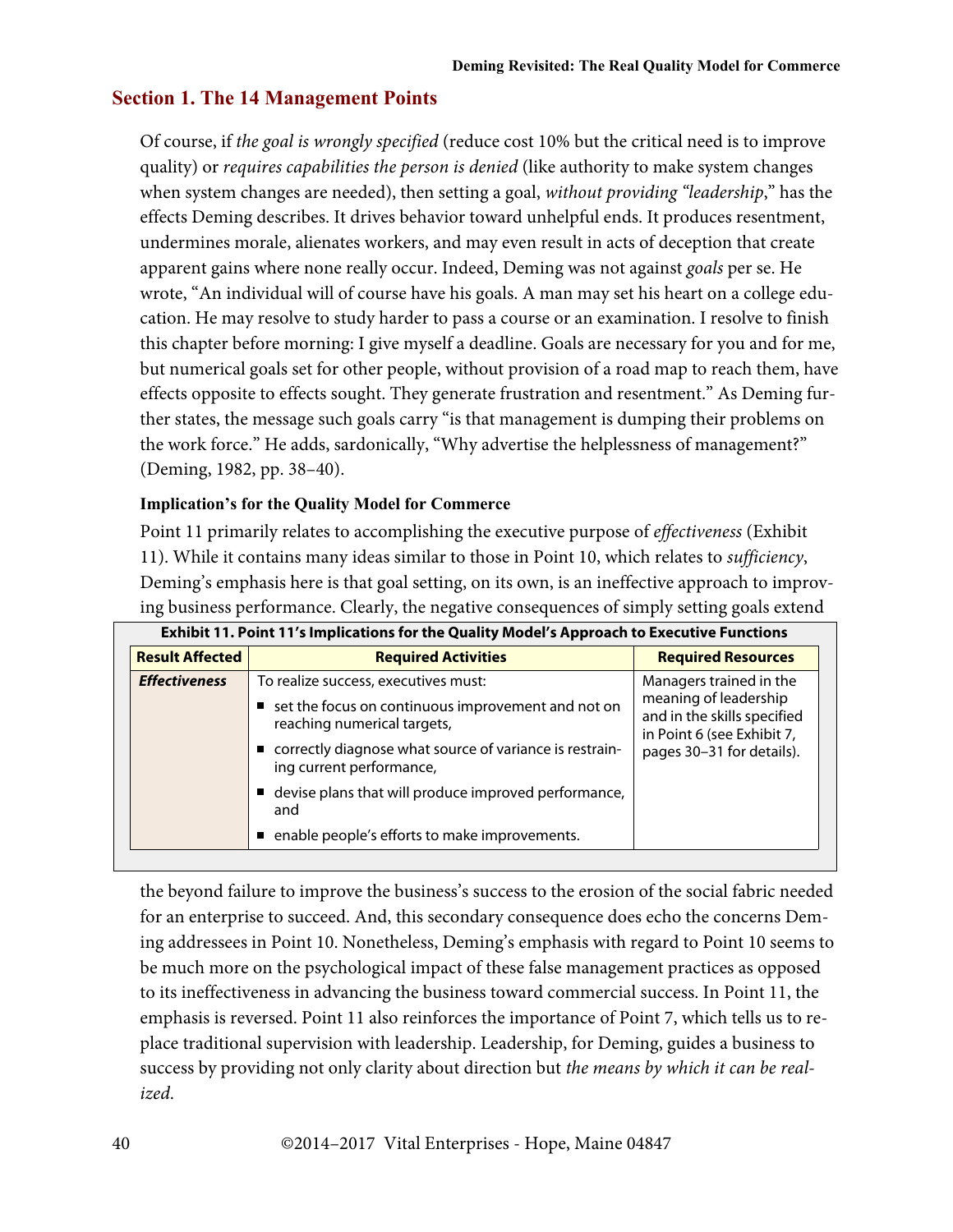Of course, if the goal is wrongly specified (reduce cost 10% but the critical need is to improve quality) or *requires capabilities the person is denied* (like authority to make system changes when system changes are needed), then setting a goal, without providing "leadership," has the effects Deming describes. It drives behavior toward unhelpful ends. It produces resentment, undermines morale, alienates workers, and may even result in acts of deception that create apparent gains where none really occur. Indeed, Deming was not against goals per se. He wrote, "An individual will of course have his goals. A man may set his heart on a college education. He may resolve to study harder to pass a course or an examination. I resolve to finish this chapter before morning: I give myself a deadline. Goals are necessary for you and for me, but numerical goals set for other people, without provision of a road map to reach them, have effects opposite to effects sought. They generate frustration and resentment." As Deming further states, the message such goals carry "is that management is dumping their problems on the work force." He adds, sardonically, "Why advertise the helplessness of management?" (Deming, 1982, pp. 38–40).

### **Implication's for the Quality Model for Commerce**

Point 11 primarily relates to accomplishing the executive purpose of effectiveness (Exhibit 11). While it contains many ideas similar to those in Point 10, which relates to sufficiency, Deming's emphasis here is that goal setting, on its own, is an ineffective approach to improving business performance. Clearly, the negative consequences of simply setting goals extend

| Exhibit 11. Point 11's Implications for the Quality Model's Approach to Executive Functions |                                                                                                                                                                                                                    |                           |
|---------------------------------------------------------------------------------------------|--------------------------------------------------------------------------------------------------------------------------------------------------------------------------------------------------------------------|---------------------------|
| <b>Result Affected</b>                                                                      | <b>Required Activities</b>                                                                                                                                                                                         | <b>Required Resources</b> |
| <b>Effectiveness</b>                                                                        | To realize success, executives must:<br>■ set the focus on continuous improvement and not on<br>reaching numerical targets,<br>correctly diagnose what source of variance is restrain-<br>ing current performance, |                           |
|                                                                                             | ■ devise plans that will produce improved performance,<br>and<br>enable people's efforts to make improvements.<br>п                                                                                                |                           |

the beyond failure to improve the business's success to the erosion of the social fabric needed for an enterprise to succeed. And, this secondary consequence does echo the concerns Deming addressees in Point 10. Nonetheless, Deming's emphasis with regard to Point 10 seems to be much more on the psychological impact of these false management practices as opposed to its ineffectiveness in advancing the business toward commercial success. In Point 11, the emphasis is reversed. Point 11 also reinforces the importance of Point 7, which tells us to replace traditional supervision with leadership. Leadership, for Deming, guides a business to success by providing not only clarity about direction but the means by which it can be realized.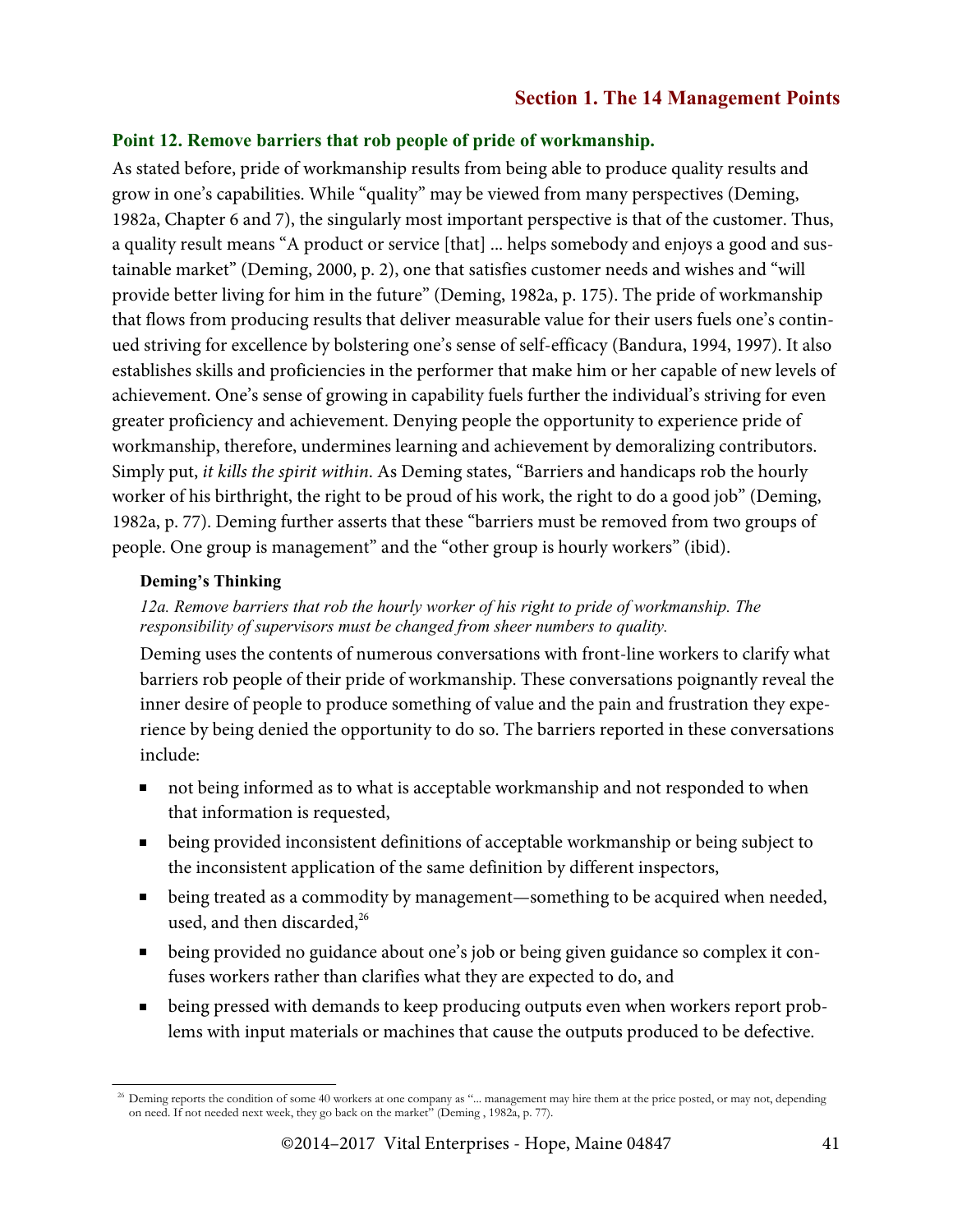### **Point 12. Remove barriers that rob people of pride of workmanship.**

As stated before, pride of workmanship results from being able to produce quality results and grow in one's capabilities. While "quality" may be viewed from many perspectives (Deming, 1982a, Chapter 6 and 7), the singularly most important perspective is that of the customer. Thus, a quality result means "A product or service [that] ... helps somebody and enjoys a good and sustainable market" (Deming, 2000, p. 2), one that satisfies customer needs and wishes and "will provide better living for him in the future" (Deming, 1982a, p. 175). The pride of workmanship that flows from producing results that deliver measurable value for their users fuels one's continued striving for excellence by bolstering one's sense of self-efficacy (Bandura, 1994, 1997). It also establishes skills and proficiencies in the performer that make him or her capable of new levels of achievement. One's sense of growing in capability fuels further the individual's striving for even greater proficiency and achievement. Denying people the opportunity to experience pride of workmanship, therefore, undermines learning and achievement by demoralizing contributors. Simply put, *it kills the spirit within*. As Deming states, "Barriers and handicaps rob the hourly worker of his birthright, the right to be proud of his work, the right to do a good job" (Deming, 1982a, p. 77). Deming further asserts that these "barriers must be removed from two groups of people. One group is management" and the "other group is hourly workers" (ibid).

#### **Deming's Thinking**

#### *12a. Remove barriers that rob the hourly worker of his right to pride of workmanship. The responsibility of supervisors must be changed from sheer numbers to quality.*

Deming uses the contents of numerous conversations with front-line workers to clarify what barriers rob people of their pride of workmanship. These conversations poignantly reveal the inner desire of people to produce something of value and the pain and frustration they experience by being denied the opportunity to do so. The barriers reported in these conversations include:

- not being informed as to what is acceptable workmanship and not responded to when that information is requested,
- being provided inconsistent definitions of acceptable workmanship or being subject to the inconsistent application of the same definition by different inspectors,
- being treated as a commodity by management—something to be acquired when needed, used, and then discarded,<sup>26</sup>
- being provided no guidance about one's job or being given guidance so complex it confuses workers rather than clarifies what they are expected to do, and
- being pressed with demands to keep producing outputs even when workers report problems with input materials or machines that cause the outputs produced to be defective.

<sup>&</sup>lt;sup>26</sup> Deming reports the condition of some 40 workers at one company as "... management may hire them at the price posted, or may not, depending on need. If not needed next week, they go back on the market" (Deming , 1982a, p. 77).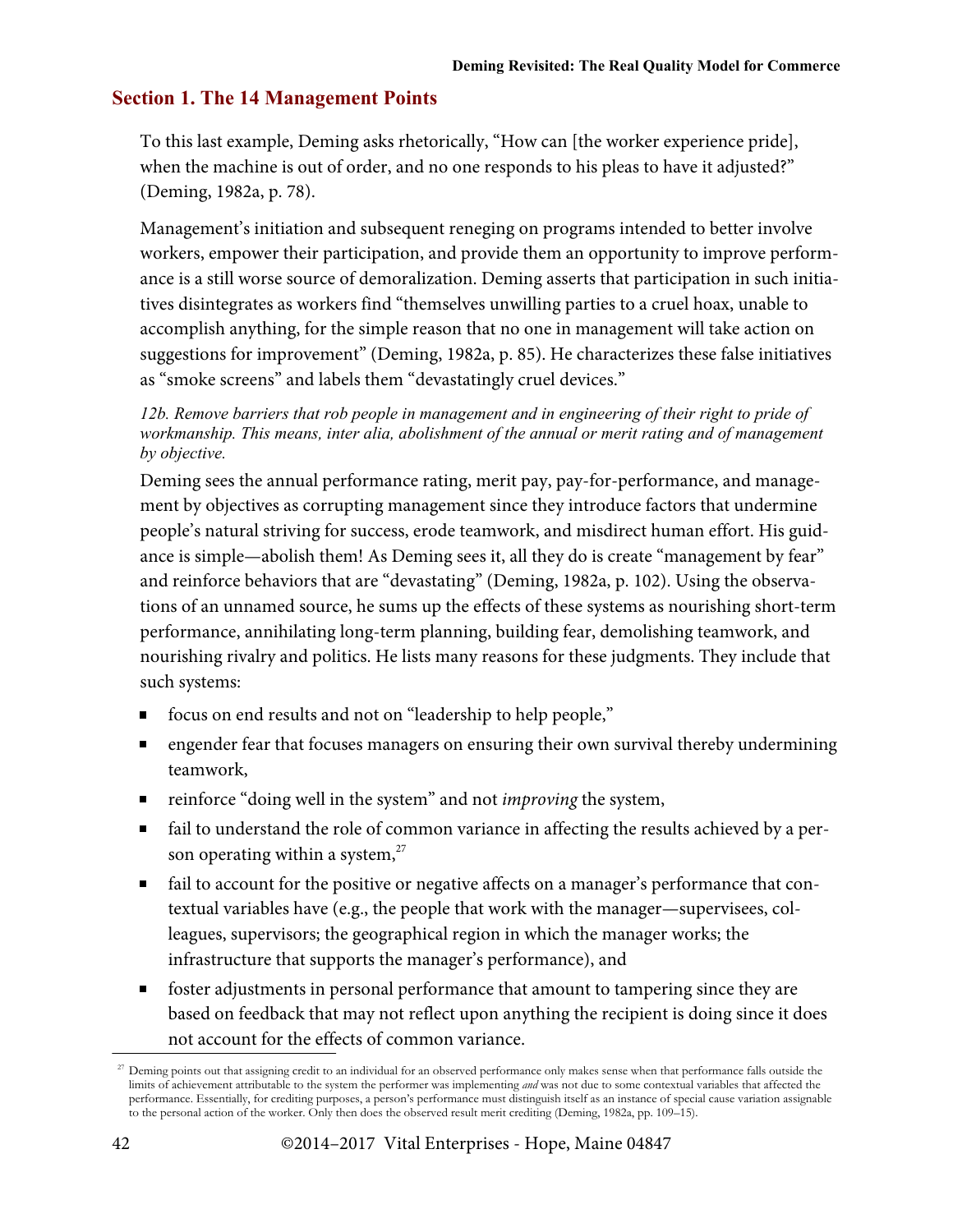To this last example, Deming asks rhetorically, "How can [the worker experience pride], when the machine is out of order, and no one responds to his pleas to have it adjusted?" (Deming, 1982a, p. 78).

Management's initiation and subsequent reneging on programs intended to better involve workers, empower their participation, and provide them an opportunity to improve performance is a still worse source of demoralization. Deming asserts that participation in such initiatives disintegrates as workers find "themselves unwilling parties to a cruel hoax, unable to accomplish anything, for the simple reason that no one in management will take action on suggestions for improvement" (Deming, 1982a, p. 85). He characterizes these false initiatives as "smoke screens" and labels them "devastatingly cruel devices."

#### *12b. Remove barriers that rob people in management and in engineering of their right to pride of workmanship. This means, inter alia, abolishment of the annual or merit rating and of management by objective.*

Deming sees the annual performance rating, merit pay, pay-for-performance, and management by objectives as corrupting management since they introduce factors that undermine people's natural striving for success, erode teamwork, and misdirect human effort. His guidance is simple—abolish them! As Deming sees it, all they do is create "management by fear" and reinforce behaviors that are "devastating" (Deming, 1982a, p. 102). Using the observations of an unnamed source, he sums up the effects of these systems as nourishing short-term performance, annihilating long-term planning, building fear, demolishing teamwork, and nourishing rivalry and politics. He lists many reasons for these judgments. They include that such systems:

- focus on end results and not on "leadership to help people,"
- engender fear that focuses managers on ensuring their own survival thereby undermining  $\blacksquare$ teamwork,
- reinforce "doing well in the system" and not *improving* the system,
- fail to understand the role of common variance in affecting the results achieved by a person operating within a system, $27$
- fail to account for the positive or negative affects on a manager's performance that con- $\blacksquare$ textual variables have (e.g., the people that work with the manager—supervisees, colleagues, supervisors; the geographical region in which the manager works; the infrastructure that supports the manager's performance), and
- foster adjustments in personal performance that amount to tampering since they are based on feedback that may not reflect upon anything the recipient is doing since it does not account for the effects of common variance.

<sup>&</sup>lt;sup>27</sup> Deming points out that assigning credit to an individual for an observed performance only makes sense when that performance falls outside the limits of achievement attributable to the system the performer was implementing *and* was not due to some contextual variables that affected the performance. Essentially, for crediting purposes, a person's performance must distinguish itself as an instance of special cause variation assignable to the personal action of the worker. Only then does the observed result merit crediting (Deming, 1982a, pp. 109–15).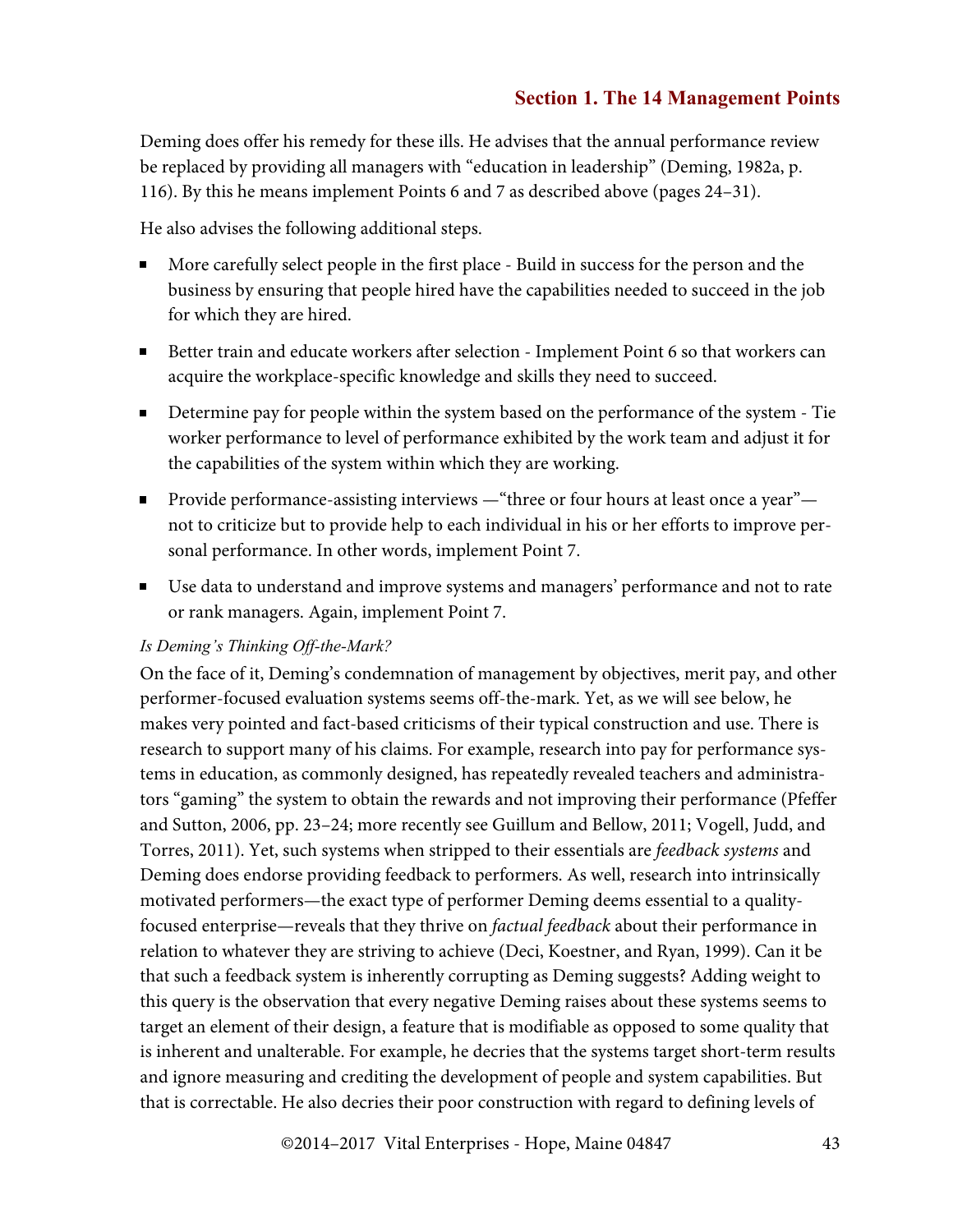Deming does offer his remedy for these ills. He advises that the annual performance review be replaced by providing all managers with "education in leadership" (Deming, 1982a, p. 116). By this he means implement Points 6 and 7 as described above (pages 24–31).

He also advises the following additional steps.

- More carefully select people in the first place Build in success for the person and the business by ensuring that people hired have the capabilities needed to succeed in the job for which they are hired.
- Better train and educate workers after selection Implement Point 6 so that workers can acquire the workplace-specific knowledge and skills they need to succeed.
- Determine pay for people within the system based on the performance of the system Tie worker performance to level of performance exhibited by the work team and adjust it for the capabilities of the system within which they are working.
- Provide performance-assisting interviews "three or four hours at least once a year" not to criticize but to provide help to each individual in his or her efforts to improve personal performance. In other words, implement Point 7.
- Use data to understand and improve systems and managers' performance and not to rate or rank managers. Again, implement Point 7.

#### *Is Deming's Thinking Off-the-Mark?*

On the face of it, Deming's condemnation of management by objectives, merit pay, and other performer-focused evaluation systems seems off-the-mark. Yet, as we will see below, he makes very pointed and fact-based criticisms of their typical construction and use. There is research to support many of his claims. For example, research into pay for performance systems in education, as commonly designed, has repeatedly revealed teachers and administrators "gaming" the system to obtain the rewards and not improving their performance (Pfeffer and Sutton, 2006, pp. 23–24; more recently see Guillum and Bellow, 2011; Vogell, Judd, and Torres, 2011). Yet, such systems when stripped to their essentials are *feedback systems* and Deming does endorse providing feedback to performers. As well, research into intrinsically motivated performers—the exact type of performer Deming deems essential to a qualityfocused enterprise—reveals that they thrive on *factual feedback* about their performance in relation to whatever they are striving to achieve (Deci, Koestner, and Ryan, 1999). Can it be that such a feedback system is inherently corrupting as Deming suggests? Adding weight to this query is the observation that every negative Deming raises about these systems seems to target an element of their design, a feature that is modifiable as opposed to some quality that is inherent and unalterable. For example, he decries that the systems target short-term results and ignore measuring and crediting the development of people and system capabilities. But that is correctable. He also decries their poor construction with regard to defining levels of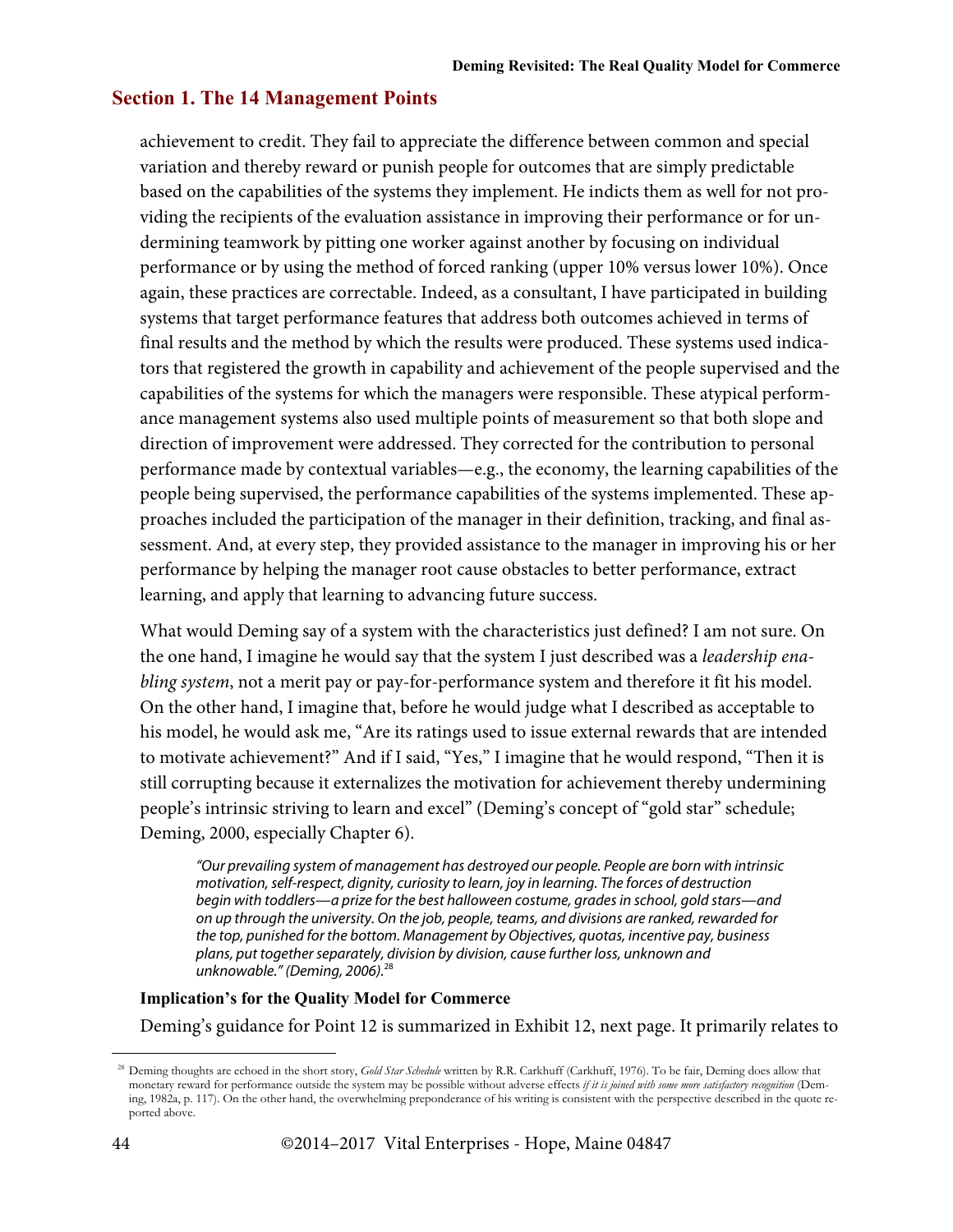achievement to credit. They fail to appreciate the difference between common and special variation and thereby reward or punish people for outcomes that are simply predictable based on the capabilities of the systems they implement. He indicts them as well for not providing the recipients of the evaluation assistance in improving their performance or for undermining teamwork by pitting one worker against another by focusing on individual performance or by using the method of forced ranking (upper 10% versus lower 10%). Once again, these practices are correctable. Indeed, as a consultant, I have participated in building systems that target performance features that address both outcomes achieved in terms of final results and the method by which the results were produced. These systems used indicators that registered the growth in capability and achievement of the people supervised and the capabilities of the systems for which the managers were responsible. These atypical performance management systems also used multiple points of measurement so that both slope and direction of improvement were addressed. They corrected for the contribution to personal performance made by contextual variables—e.g., the economy, the learning capabilities of the people being supervised, the performance capabilities of the systems implemented. These approaches included the participation of the manager in their definition, tracking, and final assessment. And, at every step, they provided assistance to the manager in improving his or her performance by helping the manager root cause obstacles to better performance, extract learning, and apply that learning to advancing future success.

What would Deming say of a system with the characteristics just defined? I am not sure. On the one hand, I imagine he would say that the system I just described was a *leadership enabling system*, not a merit pay or pay-for-performance system and therefore it fit his model. On the other hand, I imagine that, before he would judge what I described as acceptable to his model, he would ask me, "Are its ratings used to issue external rewards that are intended to motivate achievement?" And if I said, "Yes," I imagine that he would respond, "Then it is still corrupting because it externalizes the motivation for achievement thereby undermining people's intrinsic striving to learn and excel" (Deming's concept of "gold star" schedule; Deming, 2000, especially Chapter 6).

"Our prevailing system of management has destroyed our people. People are born with intrinsic motivation, self-respect, dignity, curiosity to learn, joy in learning. The forces of destruction begin with toddlers—a prize for the best halloween costume, grades in school, gold stars—and on up through the university. On the job, people, teams, and divisions are ranked, rewarded for the top, punished for the bottom. Management by Objectives, quotas, incentive pay, business plans, put together separately, division by division, cause further loss, unknown and unknowable." (Deming, 2006).<sup>28</sup>

#### **Implication's for the Quality Model for Commerce**

Deming's guidance for Point 12 is summarized in Exhibit 12, next page. It primarily relates to

<sup>&</sup>lt;sup>28</sup> Deming thoughts are echoed in the short story, *Gold Star Schedule* written by R.R. Carkhuff (Carkhuff, 1976). To be fair, Deming does allow that monetary reward for performance outside the system may be possible without adverse effects *if it is joined with some more satisfactory recognition* (Deming, 1982a, p. 117). On the other hand, the overwhelming preponderance of his writing is consistent with the perspective described in the quote reported above.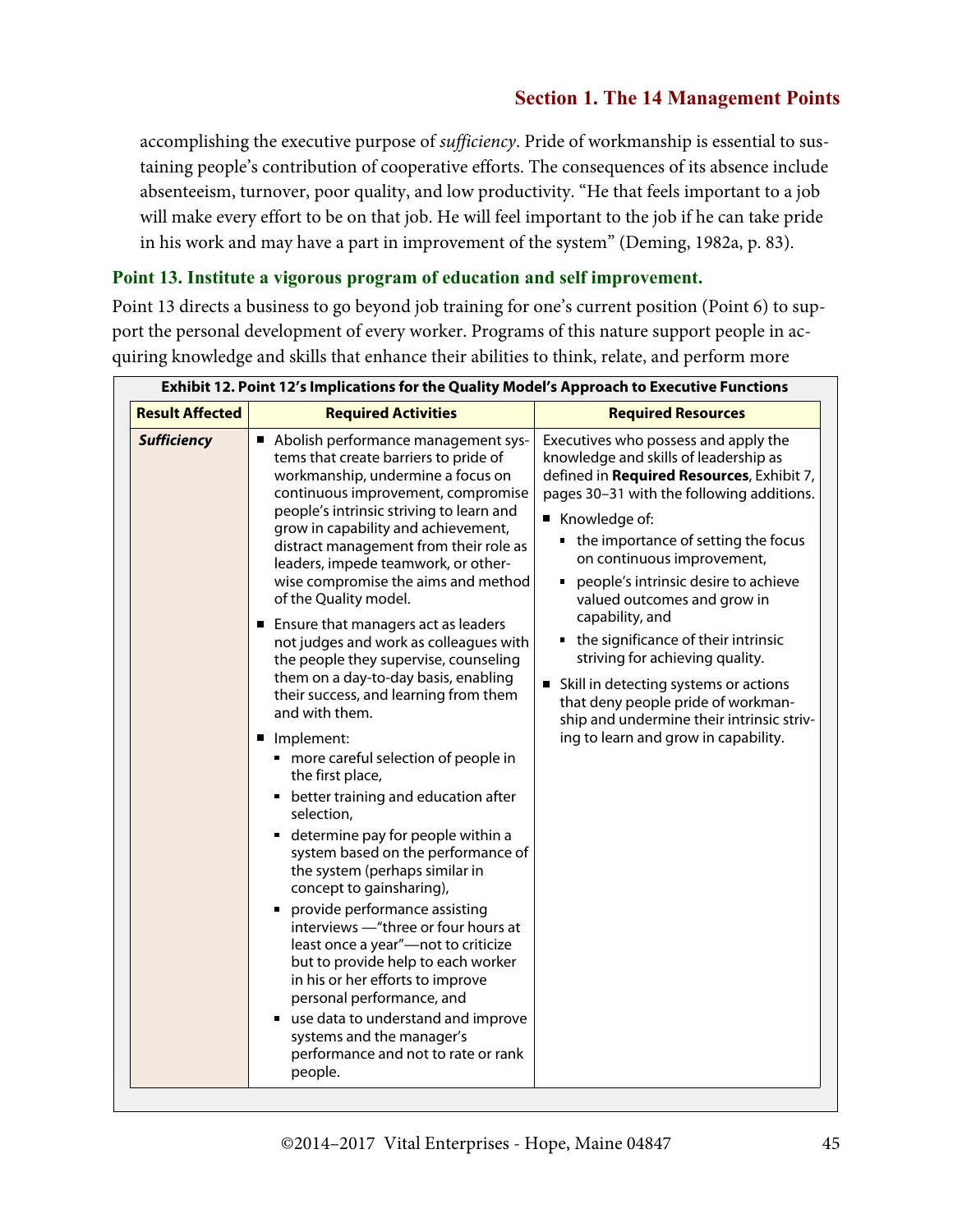accomplishing the executive purpose of *sufficiency*. Pride of workmanship is essential to sustaining people's contribution of cooperative efforts. The consequences of its absence include absenteeism, turnover, poor quality, and low productivity. "He that feels important to a job will make every effort to be on that job. He will feel important to the job if he can take pride in his work and may have a part in improvement of the system" (Deming, 1982a, p. 83).

#### **Point 13. Institute a vigorous program of education and self improvement.**

Point 13 directs a business to go beyond job training for one's current position (Point 6) to support the personal development of every worker. Programs of this nature support people in acquiring knowledge and skills that enhance their abilities to think, relate, and perform more

| Exhibit 12. Point 12's Implications for the Quality Model's Approach to Executive Functions |                                                                                                                                                                                                                                                                                                                                                                                                                                                                                                                                                                                                                                                                                                                                                                                                                                                                                                                                                                                                                                                                                                                                                                                                                                                                   |                                                                                                                                                                                                                                                                                                                                                                                                                                                                                                                                                                                                                           |  |
|---------------------------------------------------------------------------------------------|-------------------------------------------------------------------------------------------------------------------------------------------------------------------------------------------------------------------------------------------------------------------------------------------------------------------------------------------------------------------------------------------------------------------------------------------------------------------------------------------------------------------------------------------------------------------------------------------------------------------------------------------------------------------------------------------------------------------------------------------------------------------------------------------------------------------------------------------------------------------------------------------------------------------------------------------------------------------------------------------------------------------------------------------------------------------------------------------------------------------------------------------------------------------------------------------------------------------------------------------------------------------|---------------------------------------------------------------------------------------------------------------------------------------------------------------------------------------------------------------------------------------------------------------------------------------------------------------------------------------------------------------------------------------------------------------------------------------------------------------------------------------------------------------------------------------------------------------------------------------------------------------------------|--|
| <b>Result Affected</b>                                                                      | <b>Required Activities</b>                                                                                                                                                                                                                                                                                                                                                                                                                                                                                                                                                                                                                                                                                                                                                                                                                                                                                                                                                                                                                                                                                                                                                                                                                                        | <b>Required Resources</b>                                                                                                                                                                                                                                                                                                                                                                                                                                                                                                                                                                                                 |  |
| <b>Sufficiency</b>                                                                          | Abolish performance management sys-<br>tems that create barriers to pride of<br>workmanship, undermine a focus on<br>continuous improvement, compromise<br>people's intrinsic striving to learn and<br>grow in capability and achievement,<br>distract management from their role as<br>leaders, impede teamwork, or other-<br>wise compromise the aims and method<br>of the Quality model.<br>■ Ensure that managers act as leaders<br>not judges and work as colleagues with<br>the people they supervise, counseling<br>them on a day-to-day basis, enabling<br>their success, and learning from them<br>and with them.<br>Implement:<br>п<br>more careful selection of people in<br>п<br>the first place,<br>better training and education after<br>п<br>selection,<br>determine pay for people within a<br>system based on the performance of<br>the system (perhaps similar in<br>concept to gainsharing),<br>provide performance assisting<br>interviews - "three or four hours at<br>least once a year"-not to criticize<br>but to provide help to each worker<br>in his or her efforts to improve<br>personal performance, and<br>use data to understand and improve<br>٠<br>systems and the manager's<br>performance and not to rate or rank<br>people. | Executives who possess and apply the<br>knowledge and skills of leadership as<br>defined in Required Resources, Exhibit 7,<br>pages 30-31 with the following additions.<br>Knowledge of:<br>• the importance of setting the focus<br>on continuous improvement,<br>people's intrinsic desire to achieve<br>valued outcomes and grow in<br>capability, and<br>the significance of their intrinsic<br>$\blacksquare$<br>striving for achieving quality.<br>Skill in detecting systems or actions<br>that deny people pride of workman-<br>ship and undermine their intrinsic striv-<br>ing to learn and grow in capability. |  |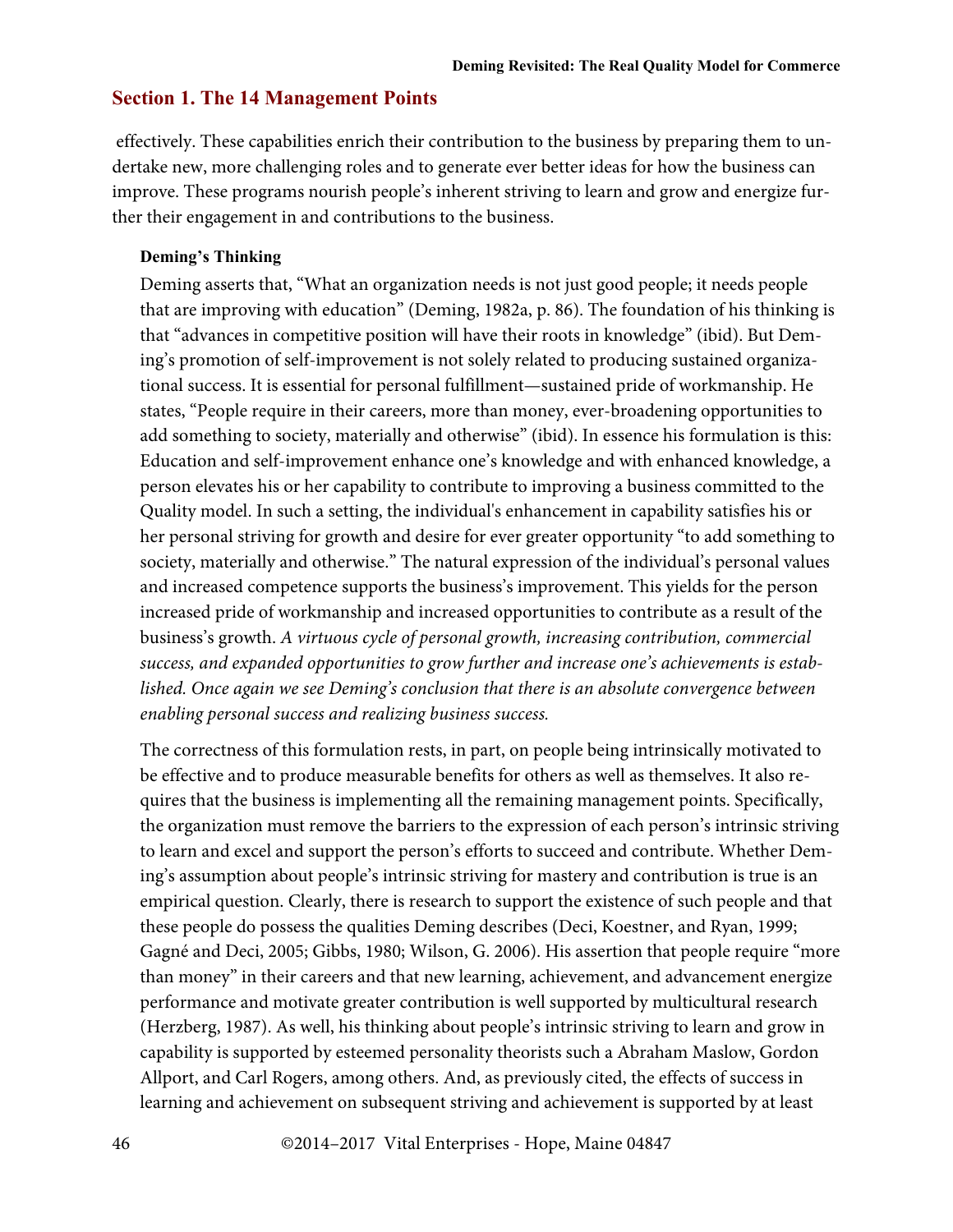effectively. These capabilities enrich their contribution to the business by preparing them to undertake new, more challenging roles and to generate ever better ideas for how the business can improve. These programs nourish people's inherent striving to learn and grow and energize further their engagement in and contributions to the business.

#### **Deming's Thinking**

Deming asserts that, "What an organization needs is not just good people; it needs people that are improving with education" (Deming, 1982a, p. 86). The foundation of his thinking is that "advances in competitive position will have their roots in knowledge" (ibid). But Deming's promotion of self-improvement is not solely related to producing sustained organizational success. It is essential for personal fulfillment—sustained pride of workmanship. He states, "People require in their careers, more than money, ever-broadening opportunities to add something to society, materially and otherwise" (ibid). In essence his formulation is this: Education and self-improvement enhance one's knowledge and with enhanced knowledge, a person elevates his or her capability to contribute to improving a business committed to the Quality model. In such a setting, the individual's enhancement in capability satisfies his or her personal striving for growth and desire for ever greater opportunity "to add something to society, materially and otherwise." The natural expression of the individual's personal values and increased competence supports the business's improvement. This yields for the person increased pride of workmanship and increased opportunities to contribute as a result of the business's growth. *A virtuous cycle of personal growth, increasing contribution, commercial success, and expanded opportunities to grow further and increase one's achievements is established. Once again we see Deming's conclusion that there is an absolute convergence between enabling personal success and realizing business success.* 

The correctness of this formulation rests, in part, on people being intrinsically motivated to be effective and to produce measurable benefits for others as well as themselves. It also requires that the business is implementing all the remaining management points. Specifically, the organization must remove the barriers to the expression of each person's intrinsic striving to learn and excel and support the person's efforts to succeed and contribute. Whether Deming's assumption about people's intrinsic striving for mastery and contribution is true is an empirical question. Clearly, there is research to support the existence of such people and that these people do possess the qualities Deming describes (Deci, Koestner, and Ryan, 1999; Gagné and Deci, 2005; Gibbs, 1980; Wilson, G. 2006). His assertion that people require "more than money" in their careers and that new learning, achievement, and advancement energize performance and motivate greater contribution is well supported by multicultural research (Herzberg, 1987). As well, his thinking about people's intrinsic striving to learn and grow in capability is supported by esteemed personality theorists such a Abraham Maslow, Gordon Allport, and Carl Rogers, among others. And, as previously cited, the effects of success in learning and achievement on subsequent striving and achievement is supported by at least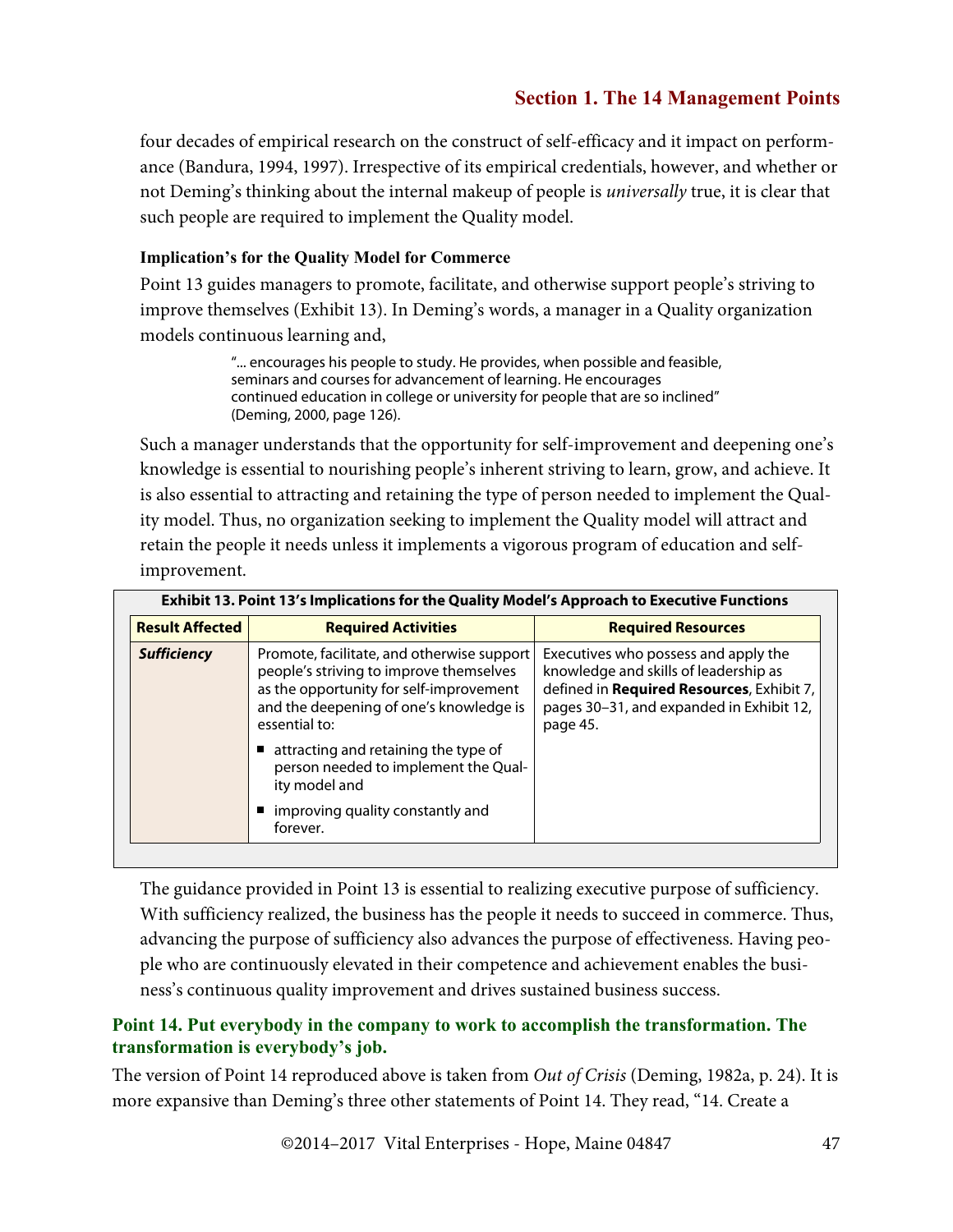four decades of empirical research on the construct of self-efficacy and it impact on performance (Bandura, 1994, 1997). Irrespective of its empirical credentials, however, and whether or not Deming's thinking about the internal makeup of people is *universally* true, it is clear that such people are required to implement the Quality model.

#### **Implication's for the Quality Model for Commerce**

Point 13 guides managers to promote, facilitate, and otherwise support people's striving to improve themselves (Exhibit 13). In Deming's words, a manager in a Quality organization models continuous learning and,

> "... encourages his people to study. He provides, when possible and feasible, seminars and courses for advancement of learning. He encourages continued education in college or university for people that are so inclined" (Deming, 2000, page 126).

Such a manager understands that the opportunity for self-improvement and deepening one's knowledge is essential to nourishing people's inherent striving to learn, grow, and achieve. It is also essential to attracting and retaining the type of person needed to implement the Quality model. Thus, no organization seeking to implement the Quality model will attract and retain the people it needs unless it implements a vigorous program of education and selfimprovement.

|                                              | Exhibit 13. Point 13's Implications for the Quality Model's Approach to Executive Functions |                                                                                                                                                                                              |                                                                                                                                                                                    |  |
|----------------------------------------------|---------------------------------------------------------------------------------------------|----------------------------------------------------------------------------------------------------------------------------------------------------------------------------------------------|------------------------------------------------------------------------------------------------------------------------------------------------------------------------------------|--|
|                                              | <b>Result Affected</b><br><b>Required Activities</b>                                        |                                                                                                                                                                                              | <b>Required Resources</b>                                                                                                                                                          |  |
|                                              | <b>Sufficiency</b>                                                                          | Promote, facilitate, and otherwise support<br>people's striving to improve themselves<br>as the opportunity for self-improvement<br>and the deepening of one's knowledge is<br>essential to: | Executives who possess and apply the<br>knowledge and skills of leadership as<br>defined in Required Resources, Exhibit 7,<br>pages 30-31, and expanded in Exhibit 12,<br>page 45. |  |
|                                              |                                                                                             | attracting and retaining the type of<br>person needed to implement the Qual-<br>ity model and                                                                                                |                                                                                                                                                                                    |  |
| improving quality constantly and<br>forever. |                                                                                             |                                                                                                                                                                                              |                                                                                                                                                                                    |  |

The guidance provided in Point 13 is essential to realizing executive purpose of sufficiency. With sufficiency realized, the business has the people it needs to succeed in commerce. Thus, advancing the purpose of sufficiency also advances the purpose of effectiveness. Having people who are continuously elevated in their competence and achievement enables the business's continuous quality improvement and drives sustained business success.

### **Point 14. Put everybody in the company to work to accomplish the transformation. The transformation is everybody's job.**

The version of Point 14 reproduced above is taken from *Out of Crisis* (Deming, 1982a, p. 24). It is more expansive than Deming's three other statements of Point 14. They read, "14. Create a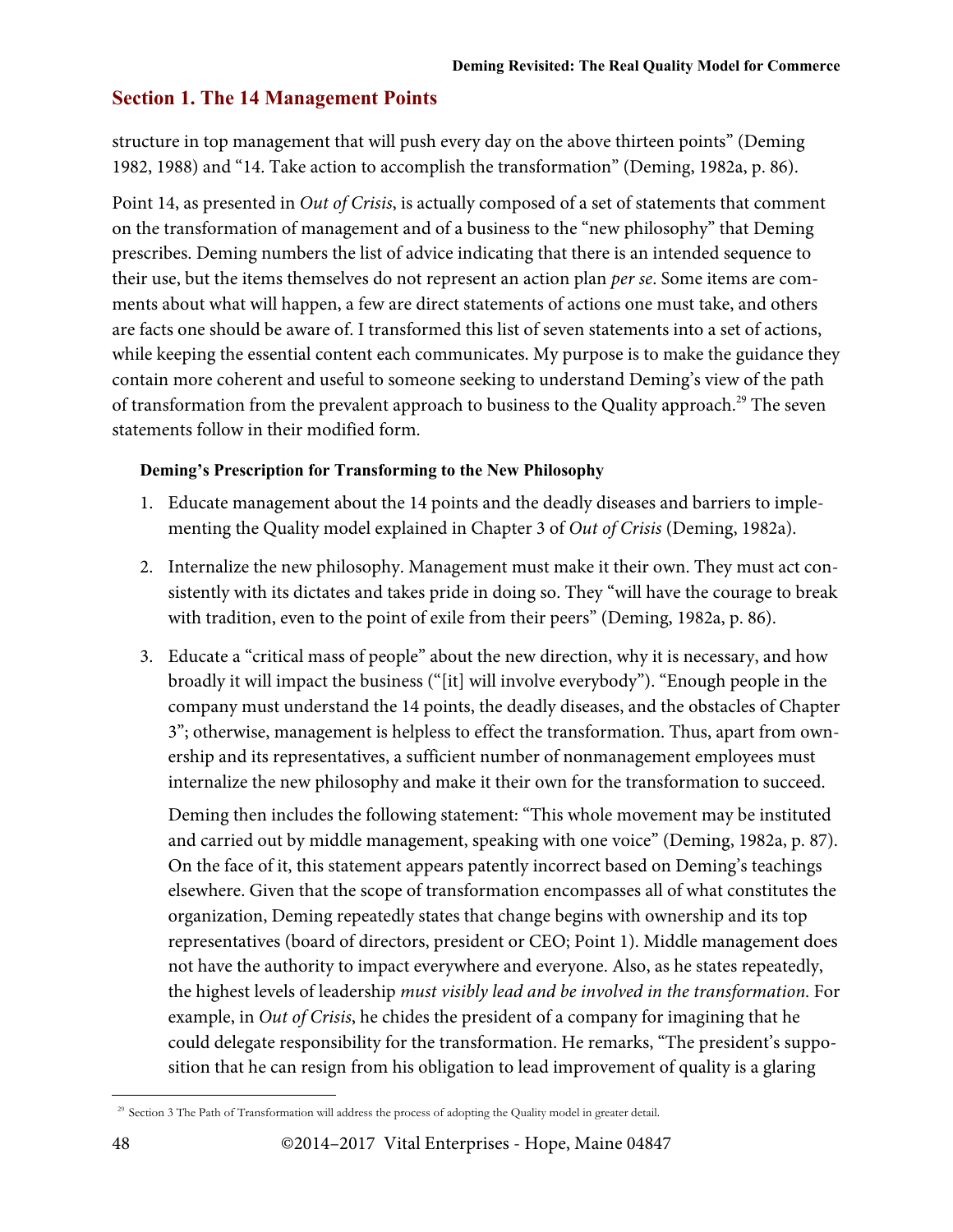structure in top management that will push every day on the above thirteen points" (Deming 1982, 1988) and "14. Take action to accomplish the transformation" (Deming, 1982a, p. 86).

Point 14, as presented in *Out of Crisis*, is actually composed of a set of statements that comment on the transformation of management and of a business to the "new philosophy" that Deming prescribes. Deming numbers the list of advice indicating that there is an intended sequence to their use, but the items themselves do not represent an action plan *per se*. Some items are comments about what will happen, a few are direct statements of actions one must take, and others are facts one should be aware of. I transformed this list of seven statements into a set of actions, while keeping the essential content each communicates. My purpose is to make the guidance they contain more coherent and useful to someone seeking to understand Deming's view of the path of transformation from the prevalent approach to business to the Quality approach.<sup>29</sup> The seven statements follow in their modified form.

### **Deming's Prescription for Transforming to the New Philosophy**

- 1. Educate management about the 14 points and the deadly diseases and barriers to implementing the Quality model explained in Chapter 3 of *Out of Crisis* (Deming, 1982a).
- 2. Internalize the new philosophy. Management must make it their own. They must act consistently with its dictates and takes pride in doing so. They "will have the courage to break with tradition, even to the point of exile from their peers" (Deming, 1982a, p. 86).
- 3. Educate a "critical mass of people" about the new direction, why it is necessary, and how broadly it will impact the business ("[it] will involve everybody"). "Enough people in the company must understand the 14 points, the deadly diseases, and the obstacles of Chapter 3"; otherwise, management is helpless to effect the transformation. Thus, apart from ownership and its representatives, a sufficient number of nonmanagement employees must internalize the new philosophy and make it their own for the transformation to succeed.

Deming then includes the following statement: "This whole movement may be instituted and carried out by middle management, speaking with one voice" (Deming, 1982a, p. 87). On the face of it, this statement appears patently incorrect based on Deming's teachings elsewhere. Given that the scope of transformation encompasses all of what constitutes the organization, Deming repeatedly states that change begins with ownership and its top representatives (board of directors, president or CEO; Point 1). Middle management does not have the authority to impact everywhere and everyone. Also, as he states repeatedly, the highest levels of leadership *must visibly lead and be involved in the transformation*. For example, in *Out of Crisis*, he chides the president of a company for imagining that he could delegate responsibility for the transformation. He remarks, "The president's supposition that he can resign from his obligation to lead improvement of quality is a glaring

<sup>&</sup>lt;sup>29</sup> Section 3 The Path of Transformation will address the process of adopting the Quality model in greater detail.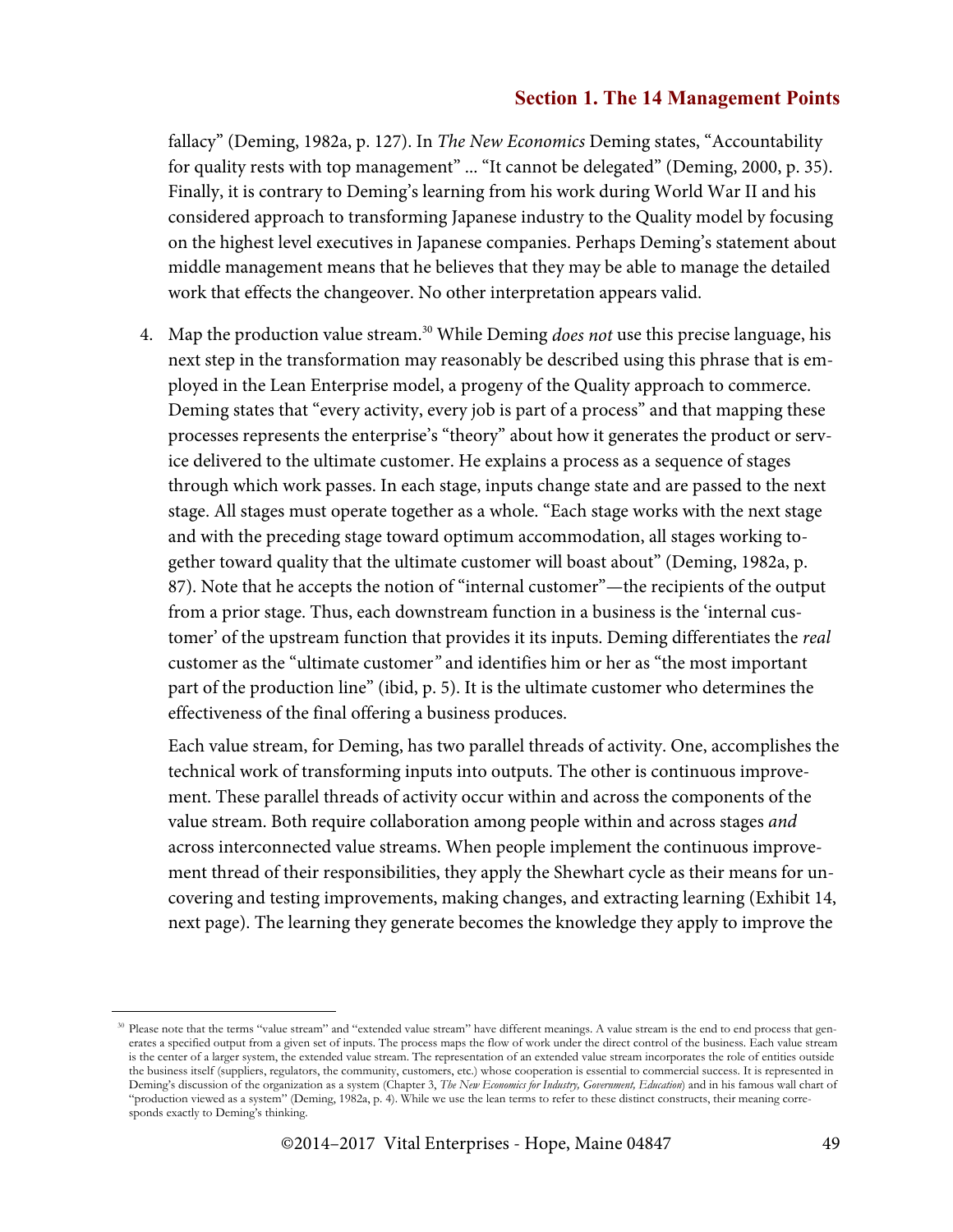fallacy" (Deming, 1982a, p. 127). In *The New Economics* Deming states, "Accountability for quality rests with top management" ... "It cannot be delegated" (Deming, 2000, p. 35). Finally, it is contrary to Deming's learning from his work during World War II and his considered approach to transforming Japanese industry to the Quality model by focusing on the highest level executives in Japanese companies. Perhaps Deming's statement about middle management means that he believes that they may be able to manage the detailed work that effects the changeover. No other interpretation appears valid.

4. Map the production value stream.30 While Deming *does not* use this precise language, his next step in the transformation may reasonably be described using this phrase that is employed in the Lean Enterprise model, a progeny of the Quality approach to commerce. Deming states that "every activity, every job is part of a process" and that mapping these processes represents the enterprise's "theory" about how it generates the product or service delivered to the ultimate customer. He explains a process as a sequence of stages through which work passes. In each stage, inputs change state and are passed to the next stage. All stages must operate together as a whole. "Each stage works with the next stage and with the preceding stage toward optimum accommodation, all stages working together toward quality that the ultimate customer will boast about" (Deming, 1982a, p. 87). Note that he accepts the notion of "internal customer"—the recipients of the output from a prior stage. Thus, each downstream function in a business is the 'internal customer' of the upstream function that provides it its inputs. Deming differentiates the *real* customer as the "ultimate customer*"* and identifies him or her as "the most important part of the production line" (ibid, p. 5). It is the ultimate customer who determines the effectiveness of the final offering a business produces.

Each value stream, for Deming, has two parallel threads of activity. One, accomplishes the technical work of transforming inputs into outputs. The other is continuous improvement. These parallel threads of activity occur within and across the components of the value stream. Both require collaboration among people within and across stages *and* across interconnected value streams. When people implement the continuous improvement thread of their responsibilities, they apply the Shewhart cycle as their means for uncovering and testing improvements, making changes, and extracting learning (Exhibit 14, next page). The learning they generate becomes the knowledge they apply to improve the

<sup>&</sup>lt;sup>30</sup> Please note that the terms "value stream" and "extended value stream" have different meanings. A value stream is the end to end process that generates a specified output from a given set of inputs. The process maps the flow of work under the direct control of the business. Each value stream is the center of a larger system, the extended value stream. The representation of an extended value stream incorporates the role of entities outside the business itself (suppliers, regulators, the community, customers, etc.) whose cooperation is essential to commercial success. It is represented in Deming's discussion of the organization as a system (Chapter 3, *The New Economics for Industry, Government, Education*) and in his famous wall chart of "production viewed as a system" (Deming, 1982a, p. 4). While we use the lean terms to refer to these distinct constructs, their meaning corresponds exactly to Deming's thinking.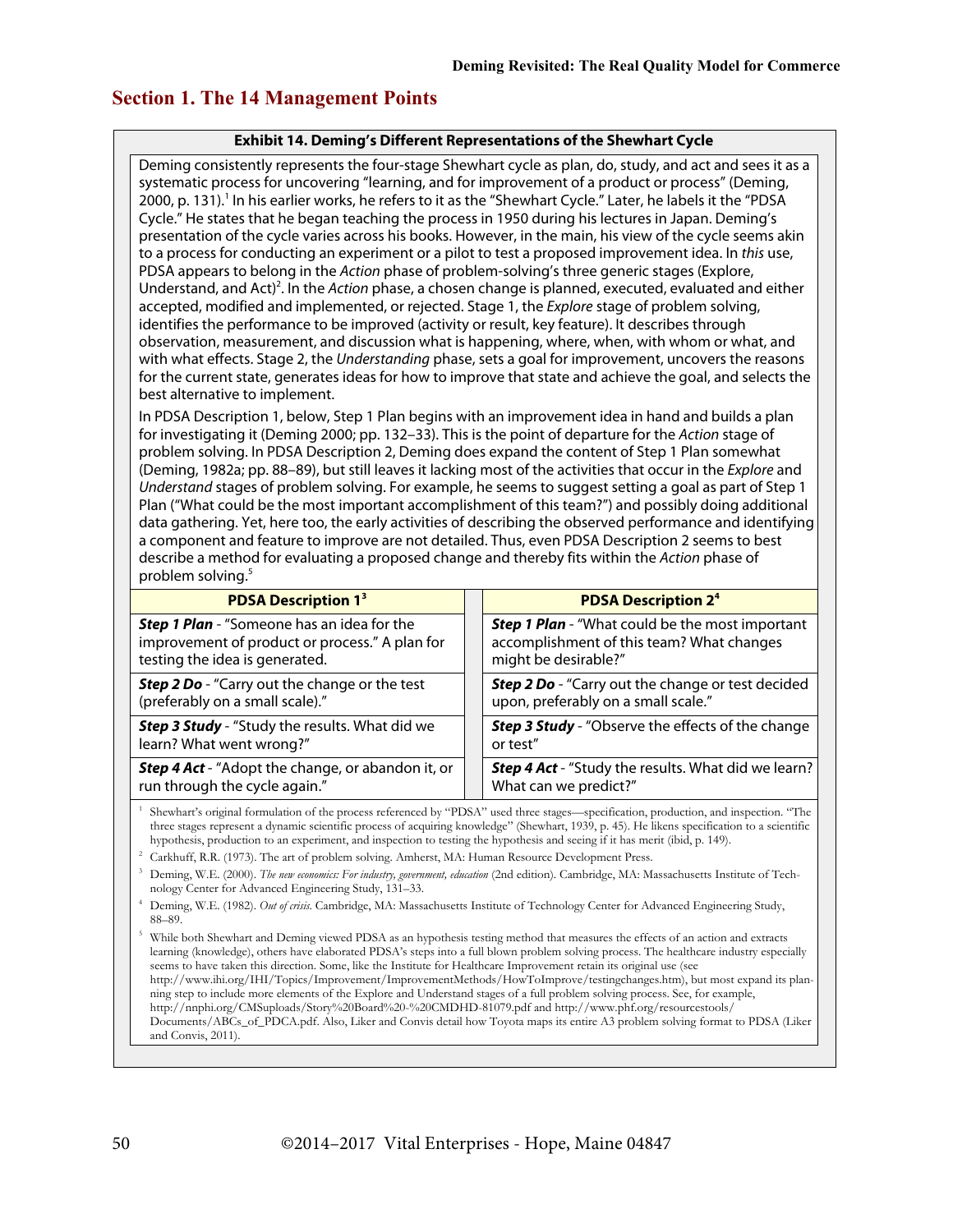#### **Exhibit 14. Deming's Different Representations of the Shewhart Cycle**

Deming consistently represents the four-stage Shewhart cycle as plan, do, study, and act and sees it as a systematic process for uncovering "learning, and for improvement of a product or process" (Deming, 2000, p. 131).<sup>1</sup> In his earlier works, he refers to it as the "Shewhart Cycle." Later, he labels it the "PDSA Cycle." He states that he began teaching the process in 1950 during his lectures in Japan. Deming's presentation of the cycle varies across his books. However, in the main, his view of the cycle seems akin to a process for conducting an experiment or a pilot to test a proposed improvement idea. In this use, PDSA appears to belong in the Action phase of problem-solving's three generic stages (Explore, Understand, and Act)<sup>2</sup>. In the Action phase, a chosen change is planned, executed, evaluated and either accepted, modified and implemented, or rejected. Stage 1, the Explore stage of problem solving, identifies the performance to be improved (activity or result, key feature). It describes through observation, measurement, and discussion what is happening, where, when, with whom or what, and with what effects. Stage 2, the Understanding phase, sets a goal for improvement, uncovers the reasons for the current state, generates ideas for how to improve that state and achieve the goal, and selects the best alternative to implement.

In PDSA Description 1, below, Step 1 Plan begins with an improvement idea in hand and builds a plan for investigating it (Deming 2000; pp. 132–33). This is the point of departure for the Action stage of problem solving. In PDSA Description 2, Deming does expand the content of Step 1 Plan somewhat (Deming, 1982a; pp. 88-89), but still leaves it lacking most of the activities that occur in the Explore and Understand stages of problem solving. For example, he seems to suggest setting a goal as part of Step 1 Plan ("What could be the most important accomplishment of this team?") and possibly doing additional data gathering. Yet, here too, the early activities of describing the observed performance and identifying a component and feature to improve are not detailed. Thus, even PDSA Description 2 seems to best describe a method for evaluating a proposed change and thereby fits within the Action phase of problem solving.<sup>5</sup>

| <b>PDSA Description 13</b>                                                                                                            |  | <b>PDSA Description 2<sup>4</sup></b>                                                                                       |
|---------------------------------------------------------------------------------------------------------------------------------------|--|-----------------------------------------------------------------------------------------------------------------------------|
| <b>Step 1 Plan</b> - "Someone has an idea for the<br>improvement of product or process." A plan for<br>testing the idea is generated. |  | <b>Step 1 Plan</b> - "What could be the most important<br>accomplishment of this team? What changes<br>might be desirable?" |
| <b>Step 2 Do</b> - "Carry out the change or the test<br>(preferably on a small scale)."                                               |  | <b>Step 2 Do</b> - "Carry out the change or test decided<br>upon, preferably on a small scale."                             |
| <b>Step 3 Study</b> - "Study the results. What did we<br>learn? What went wrong?"                                                     |  | <b>Step 3 Study</b> - "Observe the effects of the change<br>or test"                                                        |
| <b>Step 4 Act</b> - "Adopt the change, or abandon it, or<br>run through the cycle again."                                             |  | Step 4 Act - "Study the results. What did we learn?<br>What can we predict?"                                                |
|                                                                                                                                       |  |                                                                                                                             |

<sup>1</sup> Shewhart's original formulation of the process referenced by "PDSA" used three stages—specification, production, and inspection. "The three stages represent a dynamic scientific process of acquiring knowledge" (Shewhart, 1939, p. 45). He likens specification to a scientific hypothesis, production to an experiment, and inspection to testing the hypothesis and seeing if it has merit (ibid, p. 149).

<sup>2</sup> Carkhuff, R.R. (1973). The art of problem solving. Amherst, MA: Human Resource Development Press.

<sup>3</sup> Deming, W.E. (2000). *The new economics: For industry, government, education* (2nd edition). Cambridge, MA: Massachusetts Institute of Technology Center for Advanced Engineering Study, 131–33.

- <sup>4</sup> Deming, W.E. (1982). *Out of crisis.* Cambridge, MA: Massachusetts Institute of Technology Center for Advanced Engineering Study, 88–89.
- <sup>5</sup> While both Shewhart and Deming viewed PDSA as an hypothesis testing method that measures the effects of an action and extracts learning (knowledge), others have elaborated PDSA's steps into a full blown problem solving process. The healthcare industry especially seems to have taken this direction. Some, like the Institute for Healthcare Improvement retain its original use (see http://www.ihi.org/IHI/Topics/Improvement/ImprovementMethods/HowToImprove/testingchanges.htm), but most expand its planning step to include more elements of the Explore and Understand stages of a full problem solving process. See, for example, http://nnphi.org/CMSuploads/Story%20Board%20-%20CMDHD-81079.pdf and http://www.phf.org/resourcestools/ Documents/ABCs\_of\_PDCA.pdf. Also, Liker and Convis detail how Toyota maps its entire A3 problem solving format to PDSA (Liker and Convis, 2011).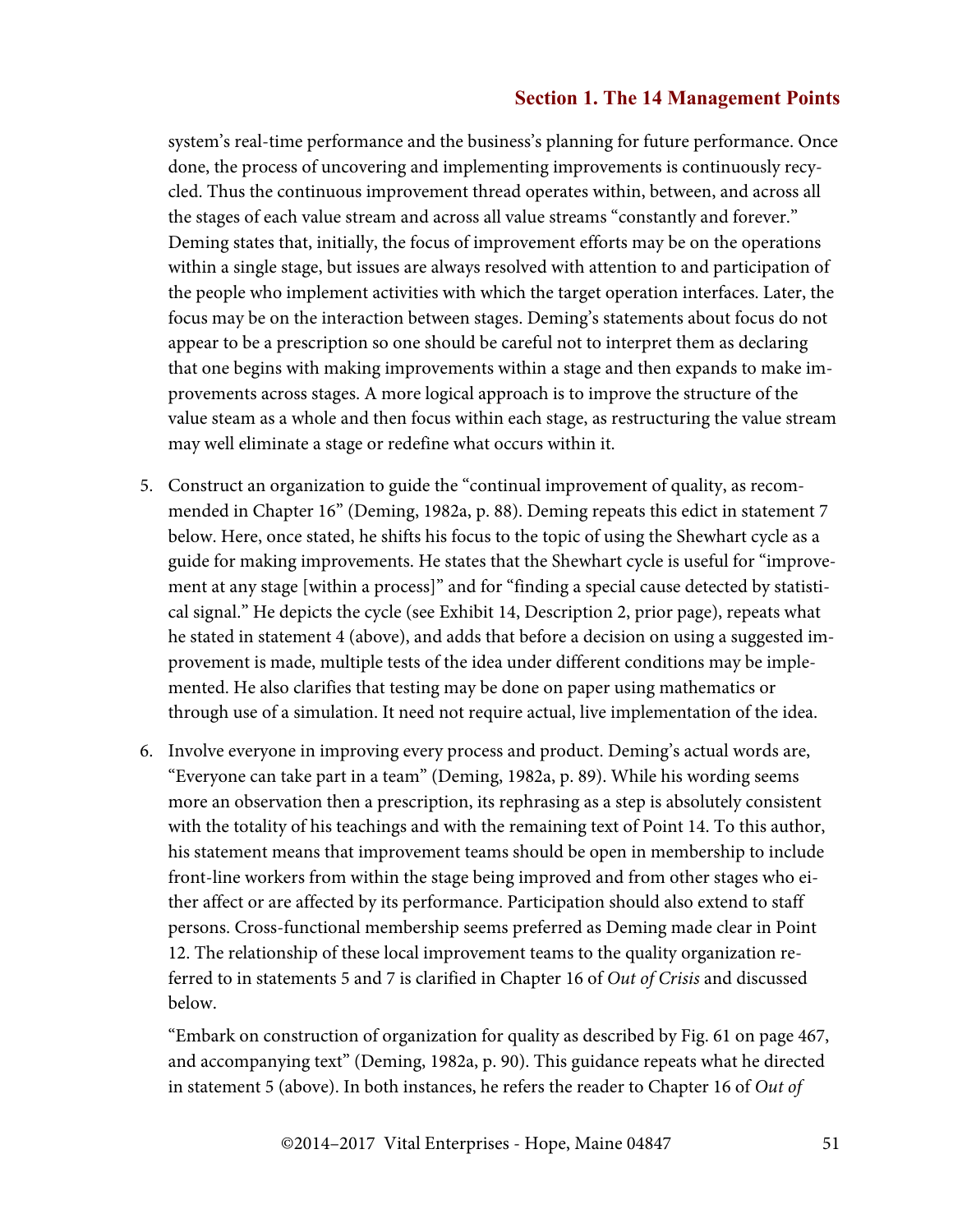system's real-time performance and the business's planning for future performance. Once done, the process of uncovering and implementing improvements is continuously recycled. Thus the continuous improvement thread operates within, between, and across all the stages of each value stream and across all value streams "constantly and forever." Deming states that, initially, the focus of improvement efforts may be on the operations within a single stage, but issues are always resolved with attention to and participation of the people who implement activities with which the target operation interfaces. Later, the focus may be on the interaction between stages. Deming's statements about focus do not appear to be a prescription so one should be careful not to interpret them as declaring that one begins with making improvements within a stage and then expands to make improvements across stages. A more logical approach is to improve the structure of the value steam as a whole and then focus within each stage, as restructuring the value stream may well eliminate a stage or redefine what occurs within it.

- 5. Construct an organization to guide the "continual improvement of quality, as recommended in Chapter 16" (Deming, 1982a, p. 88). Deming repeats this edict in statement 7 below. Here, once stated, he shifts his focus to the topic of using the Shewhart cycle as a guide for making improvements. He states that the Shewhart cycle is useful for "improvement at any stage [within a process]" and for "finding a special cause detected by statistical signal." He depicts the cycle (see Exhibit 14, Description 2, prior page), repeats what he stated in statement 4 (above), and adds that before a decision on using a suggested improvement is made, multiple tests of the idea under different conditions may be implemented. He also clarifies that testing may be done on paper using mathematics or through use of a simulation. It need not require actual, live implementation of the idea.
- 6. Involve everyone in improving every process and product. Deming's actual words are, "Everyone can take part in a team" (Deming, 1982a, p. 89). While his wording seems more an observation then a prescription, its rephrasing as a step is absolutely consistent with the totality of his teachings and with the remaining text of Point 14. To this author, his statement means that improvement teams should be open in membership to include front-line workers from within the stage being improved and from other stages who either affect or are affected by its performance. Participation should also extend to staff persons. Cross-functional membership seems preferred as Deming made clear in Point 12. The relationship of these local improvement teams to the quality organization referred to in statements 5 and 7 is clarified in Chapter 16 of *Out of Crisis* and discussed below.

"Embark on construction of organization for quality as described by Fig. 61 on page 467, and accompanying text" (Deming, 1982a, p. 90). This guidance repeats what he directed in statement 5 (above). In both instances, he refers the reader to Chapter 16 of *Out of*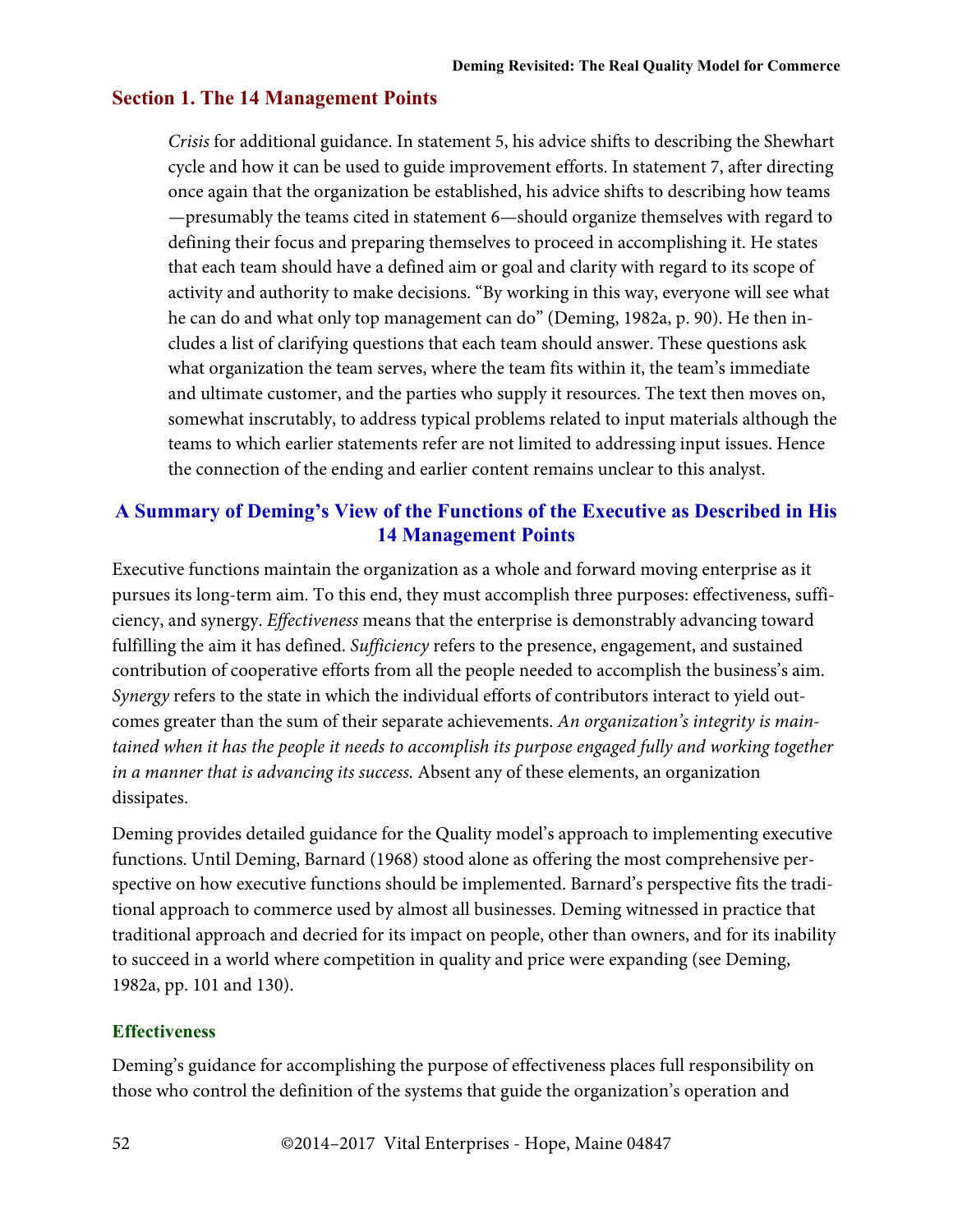*Crisis* for additional guidance. In statement 5, his advice shifts to describing the Shewhart cycle and how it can be used to guide improvement efforts. In statement 7, after directing once again that the organization be established, his advice shifts to describing how teams —presumably the teams cited in statement 6—should organize themselves with regard to defining their focus and preparing themselves to proceed in accomplishing it. He states that each team should have a defined aim or goal and clarity with regard to its scope of activity and authority to make decisions. "By working in this way, everyone will see what he can do and what only top management can do" (Deming, 1982a, p. 90). He then includes a list of clarifying questions that each team should answer. These questions ask what organization the team serves, where the team fits within it, the team's immediate and ultimate customer, and the parties who supply it resources. The text then moves on, somewhat inscrutably, to address typical problems related to input materials although the teams to which earlier statements refer are not limited to addressing input issues. Hence the connection of the ending and earlier content remains unclear to this analyst.

### **A Summary of Deming's View of the Functions of the Executive as Described in His 14 Management Points**

Executive functions maintain the organization as a whole and forward moving enterprise as it pursues its long-term aim. To this end, they must accomplish three purposes: effectiveness, sufficiency, and synergy. *Effectiveness* means that the enterprise is demonstrably advancing toward fulfilling the aim it has defined. *Sufficiency* refers to the presence, engagement, and sustained contribution of cooperative efforts from all the people needed to accomplish the business's aim. *Synergy* refers to the state in which the individual efforts of contributors interact to yield outcomes greater than the sum of their separate achievements. *An organization's integrity is maintained when it has the people it needs to accomplish its purpose engaged fully and working together in a manner that is advancing its success.* Absent any of these elements, an organization dissipates.

Deming provides detailed guidance for the Quality model's approach to implementing executive functions. Until Deming, Barnard (1968) stood alone as offering the most comprehensive perspective on how executive functions should be implemented. Barnard's perspective fits the traditional approach to commerce used by almost all businesses. Deming witnessed in practice that traditional approach and decried for its impact on people, other than owners, and for its inability to succeed in a world where competition in quality and price were expanding (see Deming, 1982a, pp. 101 and 130).

### **Effectiveness**

Deming's guidance for accomplishing the purpose of effectiveness places full responsibility on those who control the definition of the systems that guide the organization's operation and

52 ©2014–2017 Vital Enterprises - Hope, Maine 04847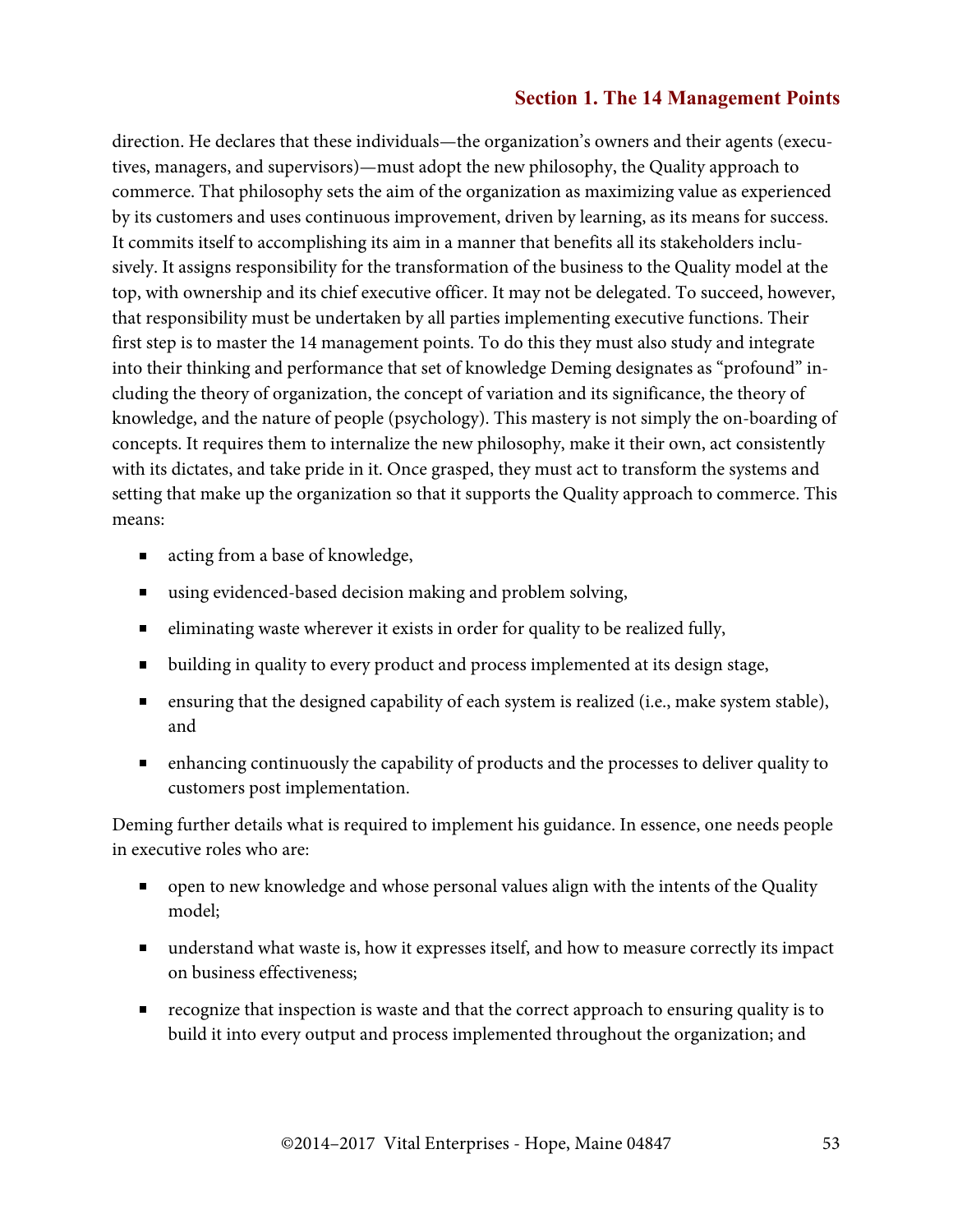direction. He declares that these individuals—the organization's owners and their agents (executives, managers, and supervisors)—must adopt the new philosophy, the Quality approach to commerce. That philosophy sets the aim of the organization as maximizing value as experienced by its customers and uses continuous improvement, driven by learning, as its means for success. It commits itself to accomplishing its aim in a manner that benefits all its stakeholders inclusively. It assigns responsibility for the transformation of the business to the Quality model at the top, with ownership and its chief executive officer. It may not be delegated. To succeed, however, that responsibility must be undertaken by all parties implementing executive functions. Their first step is to master the 14 management points. To do this they must also study and integrate into their thinking and performance that set of knowledge Deming designates as "profound" including the theory of organization, the concept of variation and its significance, the theory of knowledge, and the nature of people (psychology). This mastery is not simply the on-boarding of concepts. It requires them to internalize the new philosophy, make it their own, act consistently with its dictates, and take pride in it. Once grasped, they must act to transform the systems and setting that make up the organization so that it supports the Quality approach to commerce. This means:

- $\blacksquare$ acting from a base of knowledge,
- using evidenced-based decision making and problem solving,  $\blacksquare$
- eliminating waste wherever it exists in order for quality to be realized fully,  $\blacksquare$
- $\blacksquare$ building in quality to every product and process implemented at its design stage,
- ensuring that the designed capability of each system is realized (i.e., make system stable), and
- enhancing continuously the capability of products and the processes to deliver quality to customers post implementation.

Deming further details what is required to implement his guidance. In essence, one needs people in executive roles who are:

- open to new knowledge and whose personal values align with the intents of the Quality  $\blacksquare$ model;
- understand what waste is, how it expresses itself, and how to measure correctly its impact on business effectiveness;
- recognize that inspection is waste and that the correct approach to ensuring quality is to build it into every output and process implemented throughout the organization; and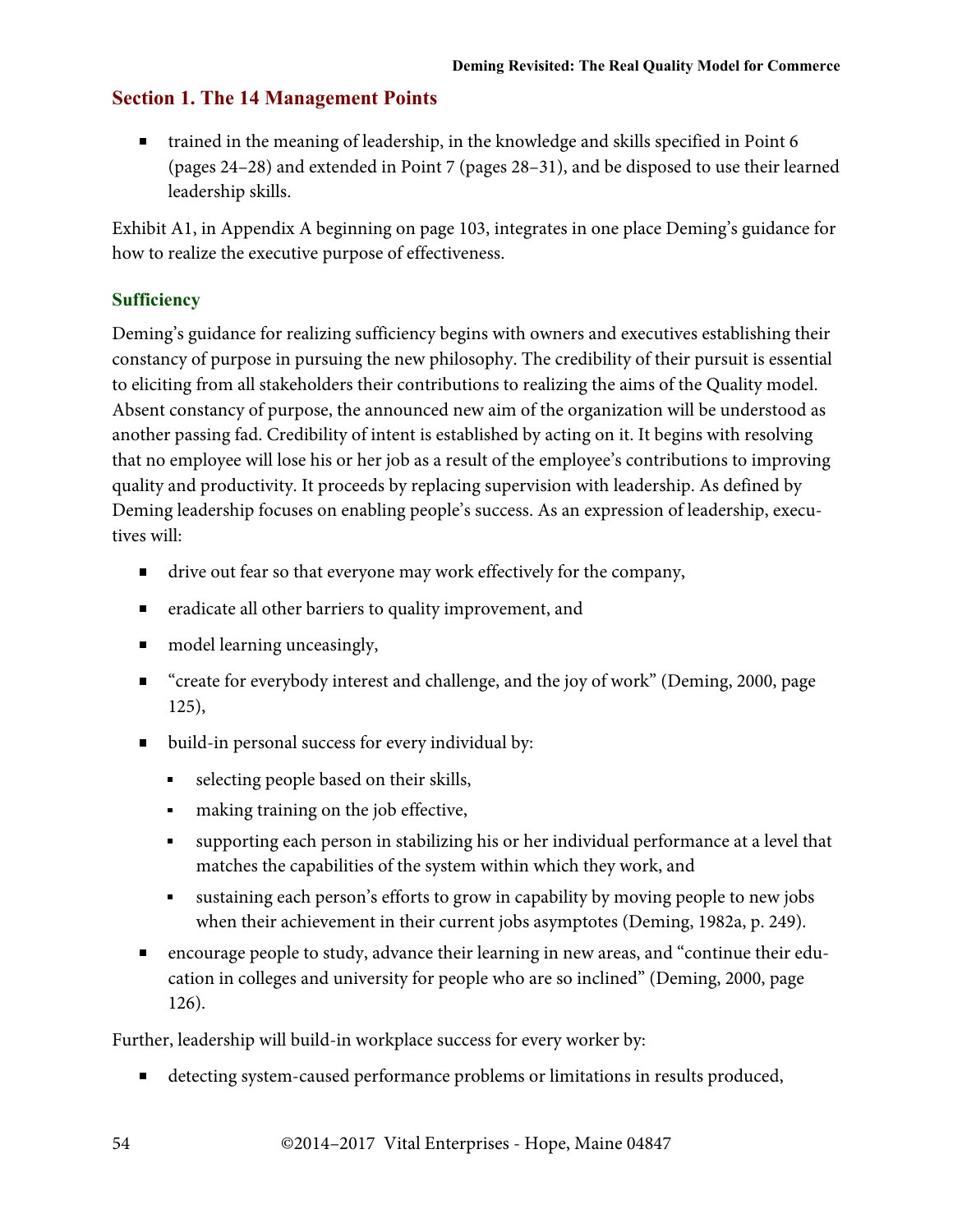trained in the meaning of leadership, in the knowledge and skills specified in Point 6 (pages 24–28) and extended in Point 7 (pages 28–31), and be disposed to use their learned leadership skills.

Exhibit A1, in Appendix A beginning on page 103, integrates in one place Deming's guidance for how to realize the executive purpose of effectiveness.

#### **Sufficiency**

Deming's guidance for realizing sufficiency begins with owners and executives establishing their constancy of purpose in pursuing the new philosophy. The credibility of their pursuit is essential to eliciting from all stakeholders their contributions to realizing the aims of the Quality model. Absent constancy of purpose, the announced new aim of the organization will be understood as another passing fad. Credibility of intent is established by acting on it. It begins with resolving that no employee will lose his or her job as a result of the employee's contributions to improving quality and productivity. It proceeds by replacing supervision with leadership. As defined by Deming leadership focuses on enabling people's success. As an expression of leadership, executives will:

- drive out fear so that everyone may work effectively for the company,  $\blacksquare$
- eradicate all other barriers to quality improvement, and  $\blacksquare$
- model learning unceasingly,
- "create for everybody interest and challenge, and the joy of work" (Deming, 2000, page  $\blacksquare$ 125),
- build-in personal success for every individual by:
	- selecting people based on their skills,
	- making training on the job effective,
	- supporting each person in stabilizing his or her individual performance at a level that matches the capabilities of the system within which they work, and
	- sustaining each person's efforts to grow in capability by moving people to new jobs when their achievement in their current jobs asymptotes (Deming, 1982a, p. 249).
- encourage people to study, advance their learning in new areas, and "continue their education in colleges and university for people who are so inclined" (Deming, 2000, page 126).

Further, leadership will build-in workplace success for every worker by:

detecting system-caused performance problems or limitations in results produced,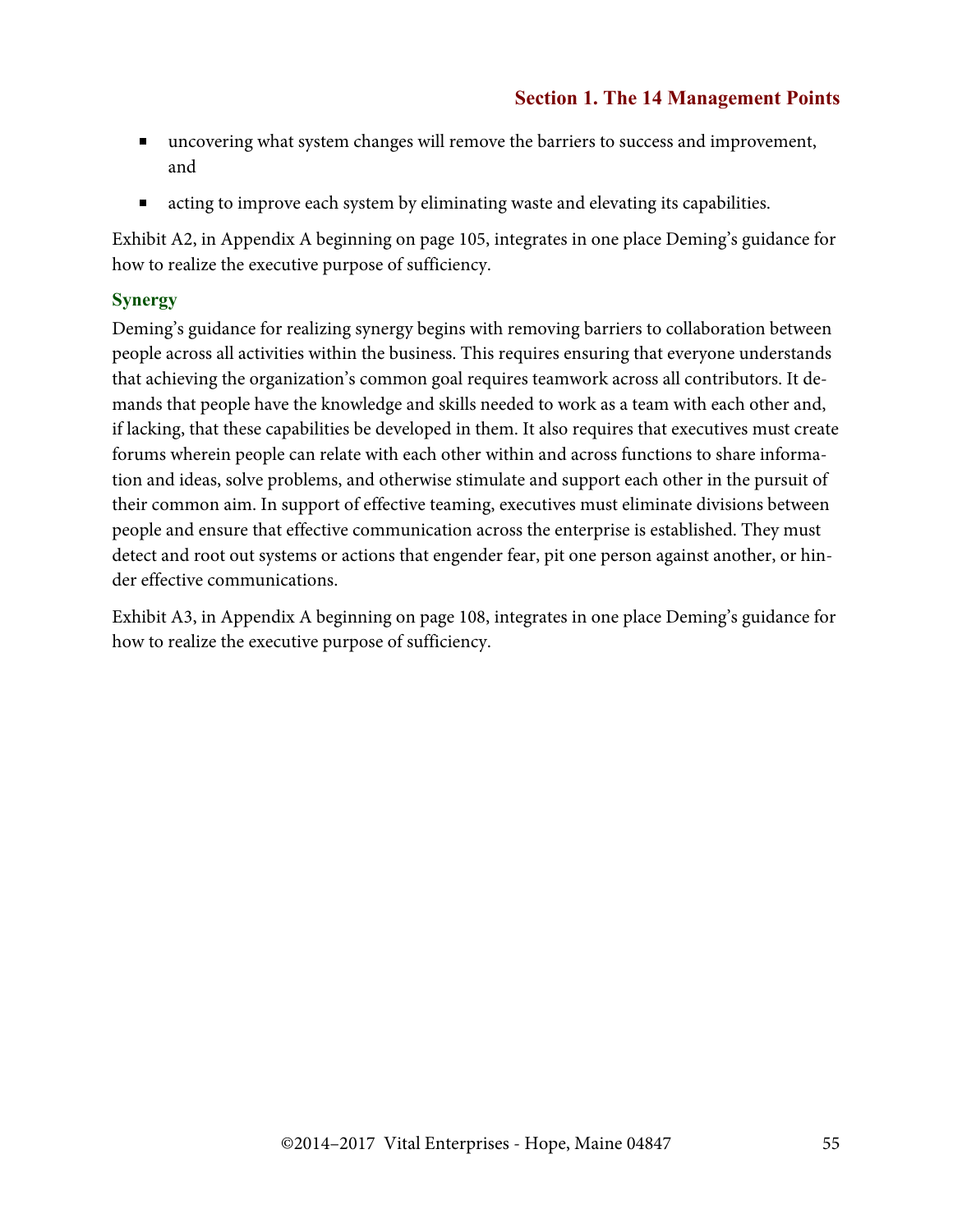- uncovering what system changes will remove the barriers to success and improvement, and
- acting to improve each system by eliminating waste and elevating its capabilities.

Exhibit A2, in Appendix A beginning on page 105, integrates in one place Deming's guidance for how to realize the executive purpose of sufficiency.

### **Synergy**

Deming's guidance for realizing synergy begins with removing barriers to collaboration between people across all activities within the business. This requires ensuring that everyone understands that achieving the organization's common goal requires teamwork across all contributors. It demands that people have the knowledge and skills needed to work as a team with each other and, if lacking, that these capabilities be developed in them. It also requires that executives must create forums wherein people can relate with each other within and across functions to share information and ideas, solve problems, and otherwise stimulate and support each other in the pursuit of their common aim. In support of effective teaming, executives must eliminate divisions between people and ensure that effective communication across the enterprise is established. They must detect and root out systems or actions that engender fear, pit one person against another, or hinder effective communications.

Exhibit A3, in Appendix A beginning on page 108, integrates in one place Deming's guidance for how to realize the executive purpose of sufficiency.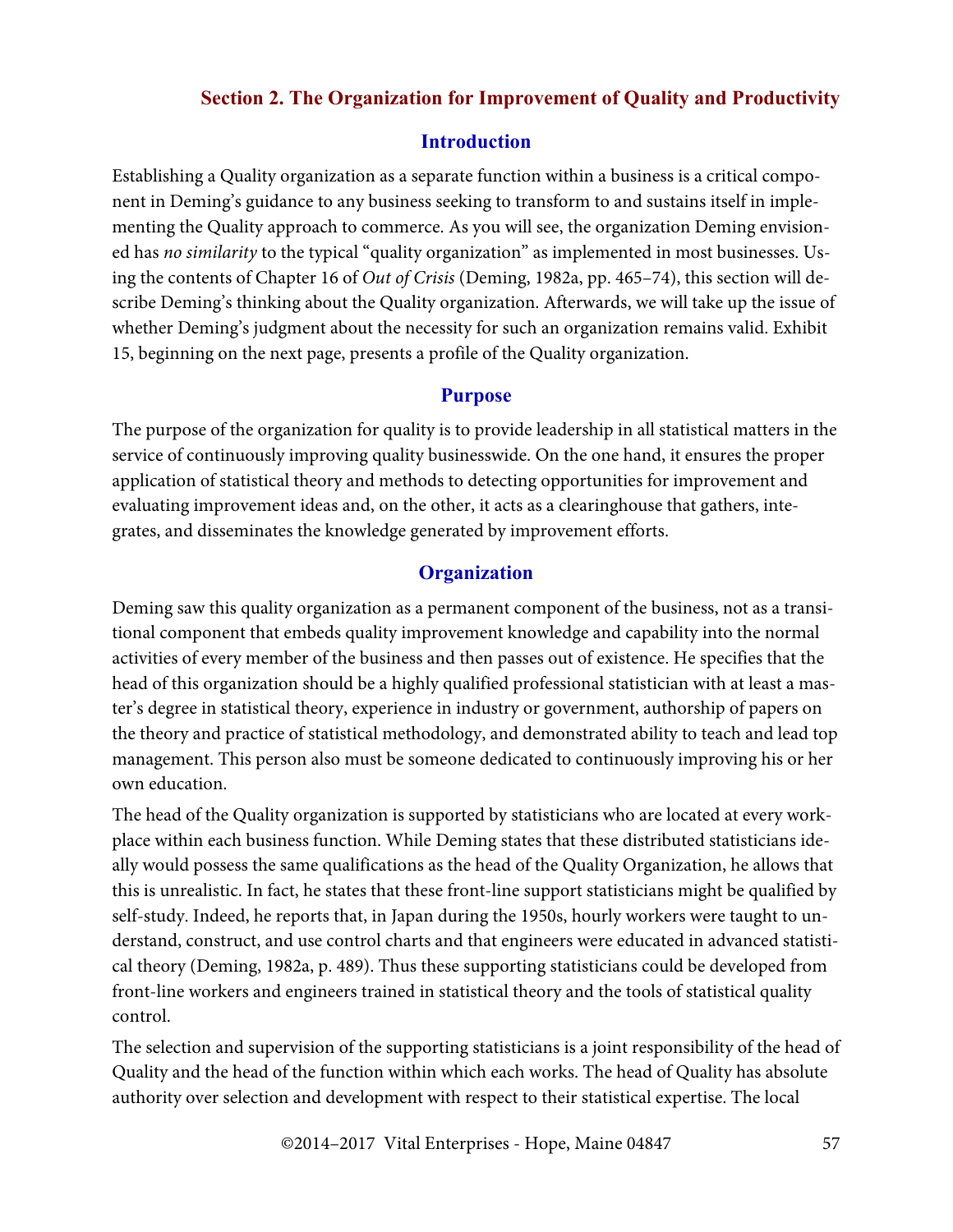### **Introduction**

Establishing a Quality organization as a separate function within a business is a critical component in Deming's guidance to any business seeking to transform to and sustains itself in implementing the Quality approach to commerce. As you will see, the organization Deming envisioned has *no similarity* to the typical "quality organization" as implemented in most businesses. Using the contents of Chapter 16 of *Out of Crisis* (Deming, 1982a, pp. 465–74), this section will describe Deming's thinking about the Quality organization. Afterwards, we will take up the issue of whether Deming's judgment about the necessity for such an organization remains valid. Exhibit 15, beginning on the next page, presents a profile of the Quality organization.

#### **Purpose**

The purpose of the organization for quality is to provide leadership in all statistical matters in the service of continuously improving quality businesswide. On the one hand, it ensures the proper application of statistical theory and methods to detecting opportunities for improvement and evaluating improvement ideas and, on the other, it acts as a clearinghouse that gathers, integrates, and disseminates the knowledge generated by improvement efforts.

### **Organization**

Deming saw this quality organization as a permanent component of the business, not as a transitional component that embeds quality improvement knowledge and capability into the normal activities of every member of the business and then passes out of existence. He specifies that the head of this organization should be a highly qualified professional statistician with at least a master's degree in statistical theory, experience in industry or government, authorship of papers on the theory and practice of statistical methodology, and demonstrated ability to teach and lead top management. This person also must be someone dedicated to continuously improving his or her own education.

The head of the Quality organization is supported by statisticians who are located at every workplace within each business function. While Deming states that these distributed statisticians ideally would possess the same qualifications as the head of the Quality Organization, he allows that this is unrealistic. In fact, he states that these front-line support statisticians might be qualified by self-study. Indeed, he reports that, in Japan during the 1950s, hourly workers were taught to understand, construct, and use control charts and that engineers were educated in advanced statistical theory (Deming, 1982a, p. 489). Thus these supporting statisticians could be developed from front-line workers and engineers trained in statistical theory and the tools of statistical quality control.

The selection and supervision of the supporting statisticians is a joint responsibility of the head of Quality and the head of the function within which each works. The head of Quality has absolute authority over selection and development with respect to their statistical expertise. The local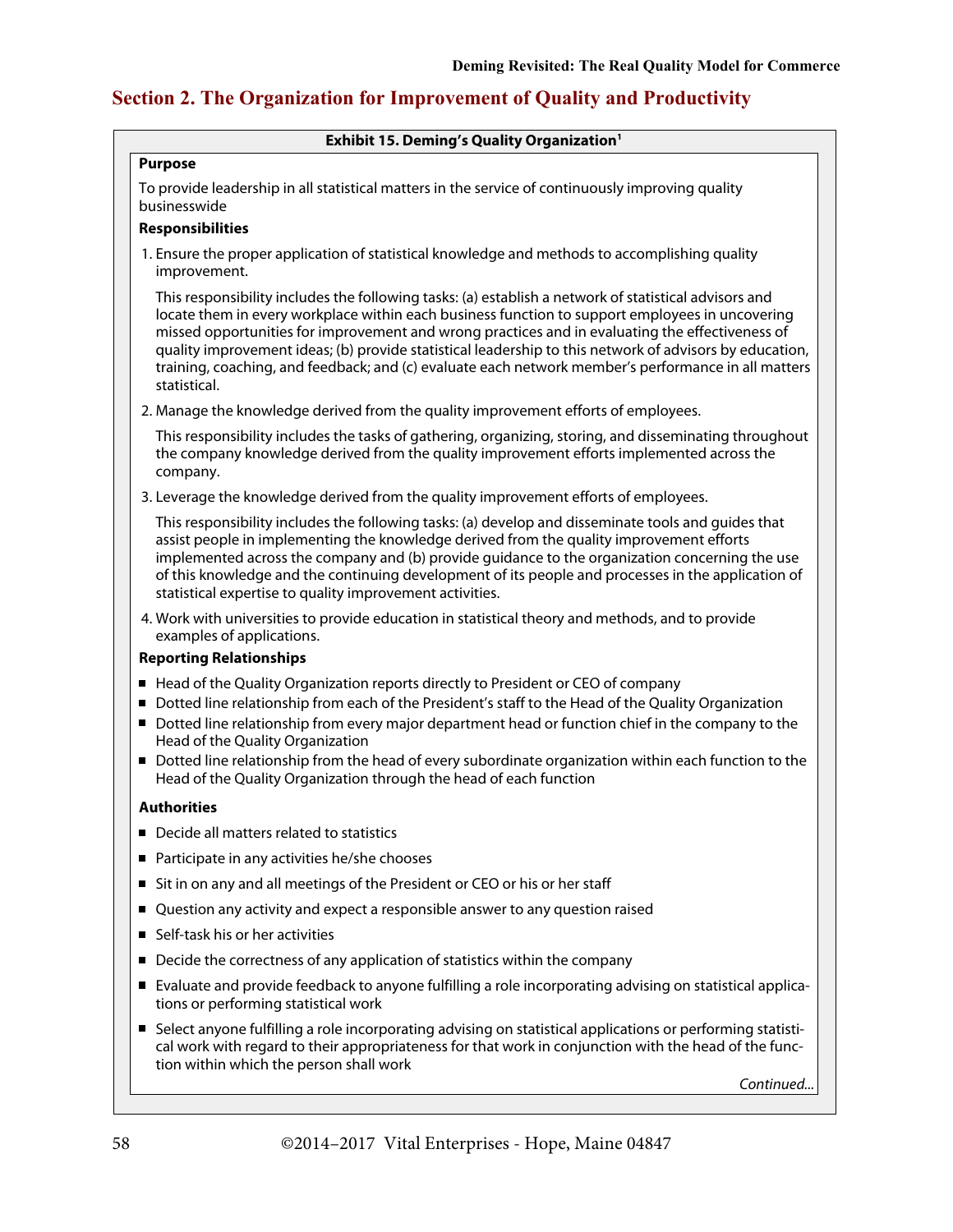#### **Exhibit 15. Deming's Quality Organization**<sup>1</sup>

#### **Purpose**

To provide leadership in all statistical matters in the service of continuously improving quality businesswide

#### **Responsibilities**

1. Ensure the proper application of statistical knowledge and methods to accomplishing quality improvement.

This responsibility includes the following tasks: (a) establish a network of statistical advisors and locate them in every workplace within each business function to support employees in uncovering missed opportunities for improvement and wrong practices and in evaluating the effectiveness of quality improvement ideas; (b) provide statistical leadership to this network of advisors by education, training, coaching, and feedback; and (c) evaluate each network member's performance in all matters statistical.

2. Manage the knowledge derived from the quality improvement efforts of employees.

This responsibility includes the tasks of gathering, organizing, storing, and disseminating throughout the company knowledge derived from the quality improvement efforts implemented across the company.

3. Leverage the knowledge derived from the quality improvement efforts of employees.

This responsibility includes the following tasks: (a) develop and disseminate tools and guides that assist people in implementing the knowledge derived from the quality improvement efforts implemented across the company and (b) provide guidance to the organization concerning the use of this knowledge and the continuing development of its people and processes in the application of statistical expertise to quality improvement activities.

4. Work with universities to provide education in statistical theory and methods, and to provide examples of applications.

#### **Reporting Relationships**

- Head of the Quality Organization reports directly to President or CEO of company
- Dotted line relationship from each of the President's staff to the Head of the Quality Organization
- **Dotted line relationship from every major department head or function chief in the company to the** Head of the Quality Organization
- Dotted line relationship from the head of every subordinate organization within each function to the Head of the Quality Organization through the head of each function

#### **Authorities**

- Decide all matters related to statistics
- Participate in any activities he/she chooses
- Sit in on any and all meetings of the President or CEO or his or her staff
- Question any activity and expect a responsible answer to any question raised
- Self-task his or her activities
- Decide the correctness of any application of statistics within the company
- Evaluate and provide feedback to anyone fulfilling a role incorporating advising on statistical applications or performing statistical work
- Select anyone fulfilling a role incorporating advising on statistical applications or performing statistical work with regard to their appropriateness for that work in conjunction with the head of the function within which the person shall work

Continued...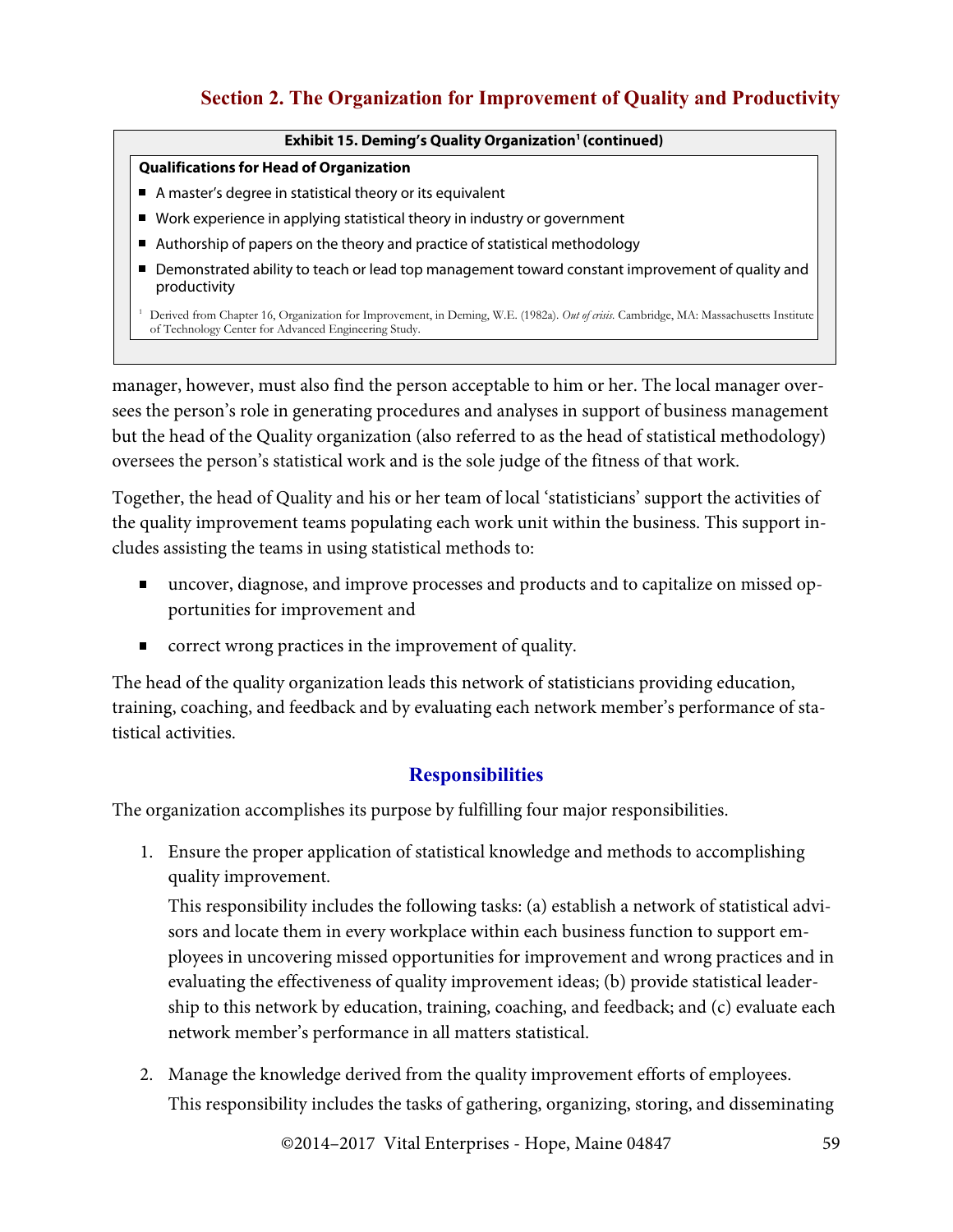#### **Exhibit 15. Deming's Quality Organization<sup>1</sup> (continued)**

#### **Qualifications for Head of Organization**

- A master's degree in statistical theory or its equivalent
- Work experience in applying statistical theory in industry or government
- Authorship of papers on the theory and practice of statistical methodology
- Demonstrated ability to teach or lead top management toward constant improvement of quality and productivity

<sup>1</sup> Derived from Chapter 16, Organization for Improvement, in Deming, W.E. (1982a). *Out of crisis.* Cambridge, MA: Massachusetts Institute of Technology Center for Advanced Engineering Study.

manager, however, must also find the person acceptable to him or her. The local manager oversees the person's role in generating procedures and analyses in support of business management but the head of the Quality organization (also referred to as the head of statistical methodology) oversees the person's statistical work and is the sole judge of the fitness of that work.

Together, the head of Quality and his or her team of local 'statisticians' support the activities of the quality improvement teams populating each work unit within the business. This support includes assisting the teams in using statistical methods to:

- uncover, diagnose, and improve processes and products and to capitalize on missed opportunities for improvement and
- $\blacksquare$ correct wrong practices in the improvement of quality.

The head of the quality organization leads this network of statisticians providing education, training, coaching, and feedback and by evaluating each network member's performance of statistical activities.

### **Responsibilities**

The organization accomplishes its purpose by fulfilling four major responsibilities.

1. Ensure the proper application of statistical knowledge and methods to accomplishing quality improvement.

This responsibility includes the following tasks: (a) establish a network of statistical advisors and locate them in every workplace within each business function to support employees in uncovering missed opportunities for improvement and wrong practices and in evaluating the effectiveness of quality improvement ideas; (b) provide statistical leadership to this network by education, training, coaching, and feedback; and (c) evaluate each network member's performance in all matters statistical.

2. Manage the knowledge derived from the quality improvement efforts of employees. This responsibility includes the tasks of gathering, organizing, storing, and disseminating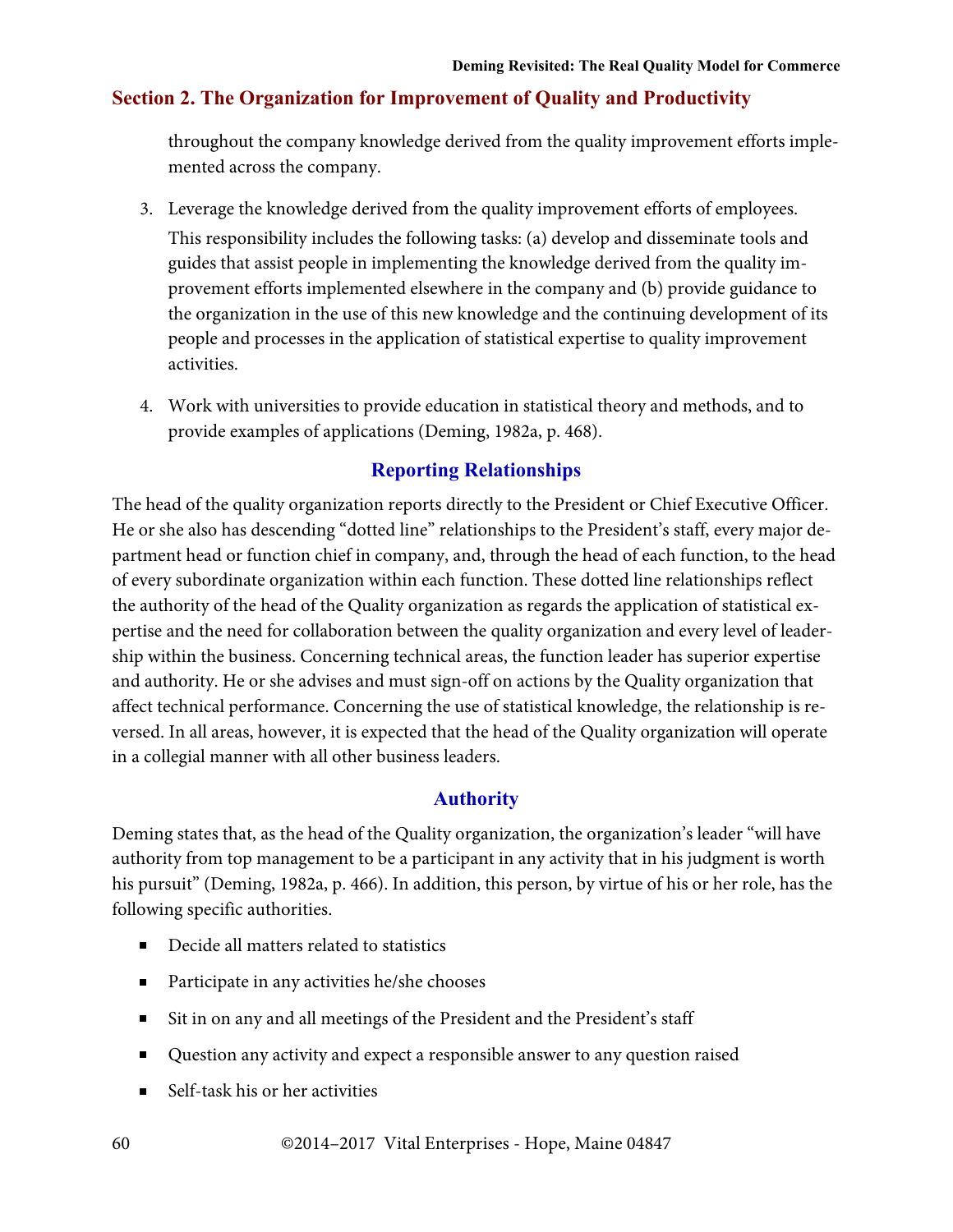throughout the company knowledge derived from the quality improvement efforts implemented across the company.

- 3. Leverage the knowledge derived from the quality improvement efforts of employees. This responsibility includes the following tasks: (a) develop and disseminate tools and guides that assist people in implementing the knowledge derived from the quality improvement efforts implemented elsewhere in the company and (b) provide guidance to the organization in the use of this new knowledge and the continuing development of its people and processes in the application of statistical expertise to quality improvement activities.
- 4. Work with universities to provide education in statistical theory and methods, and to provide examples of applications (Deming, 1982a, p. 468).

### **Reporting Relationships**

The head of the quality organization reports directly to the President or Chief Executive Officer. He or she also has descending "dotted line" relationships to the President's staff, every major department head or function chief in company, and, through the head of each function, to the head of every subordinate organization within each function. These dotted line relationships reflect the authority of the head of the Quality organization as regards the application of statistical expertise and the need for collaboration between the quality organization and every level of leadership within the business. Concerning technical areas, the function leader has superior expertise and authority. He or she advises and must sign-off on actions by the Quality organization that affect technical performance. Concerning the use of statistical knowledge, the relationship is reversed. In all areas, however, it is expected that the head of the Quality organization will operate in a collegial manner with all other business leaders.

### **Authority**

Deming states that, as the head of the Quality organization, the organization's leader "will have authority from top management to be a participant in any activity that in his judgment is worth his pursuit" (Deming, 1982a, p. 466). In addition, this person, by virtue of his or her role, has the following specific authorities.

- Decide all matters related to statistics
- Participate in any activities he/she chooses
- Sit in on any and all meetings of the President and the President's staff  $\mathbf{u}$
- Question any activity and expect a responsible answer to any question raised  $\blacksquare$
- Self-task his or her activities  $\blacksquare$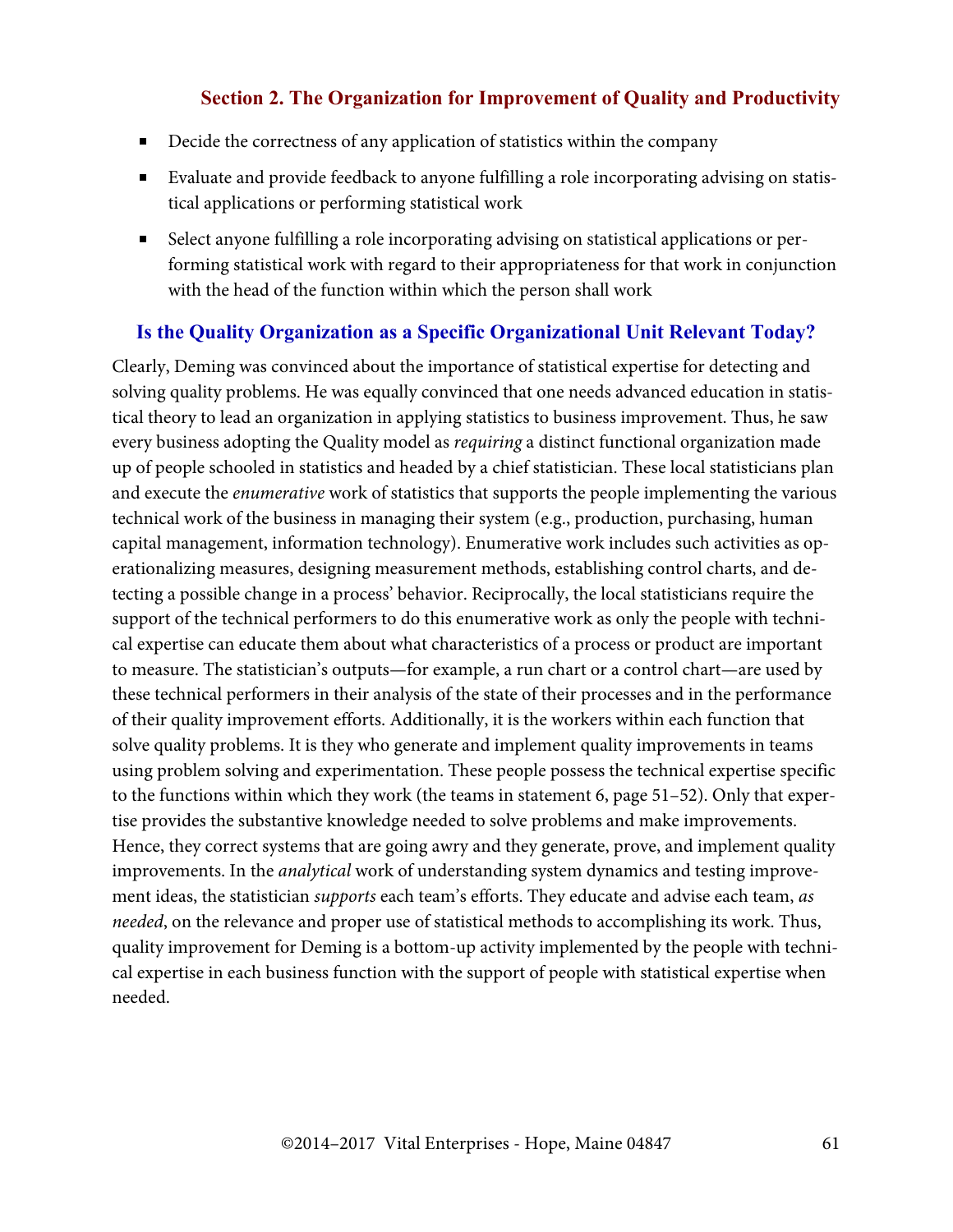- Decide the correctness of any application of statistics within the company  $\blacksquare$
- Evaluate and provide feedback to anyone fulfilling a role incorporating advising on statis- $\blacksquare$ tical applications or performing statistical work
- Select anyone fulfilling a role incorporating advising on statistical applications or performing statistical work with regard to their appropriateness for that work in conjunction with the head of the function within which the person shall work

### **Is the Quality Organization as a Specific Organizational Unit Relevant Today?**

Clearly, Deming was convinced about the importance of statistical expertise for detecting and solving quality problems. He was equally convinced that one needs advanced education in statistical theory to lead an organization in applying statistics to business improvement. Thus, he saw every business adopting the Quality model as *requiring* a distinct functional organization made up of people schooled in statistics and headed by a chief statistician. These local statisticians plan and execute the *enumerative* work of statistics that supports the people implementing the various technical work of the business in managing their system (e.g., production, purchasing, human capital management, information technology). Enumerative work includes such activities as operationalizing measures, designing measurement methods, establishing control charts, and detecting a possible change in a process' behavior. Reciprocally, the local statisticians require the support of the technical performers to do this enumerative work as only the people with technical expertise can educate them about what characteristics of a process or product are important to measure. The statistician's outputs—for example, a run chart or a control chart—are used by these technical performers in their analysis of the state of their processes and in the performance of their quality improvement efforts. Additionally, it is the workers within each function that solve quality problems. It is they who generate and implement quality improvements in teams using problem solving and experimentation. These people possess the technical expertise specific to the functions within which they work (the teams in statement 6, page 51–52). Only that expertise provides the substantive knowledge needed to solve problems and make improvements. Hence, they correct systems that are going awry and they generate, prove, and implement quality improvements. In the *analytical* work of understanding system dynamics and testing improvement ideas, the statistician *supports* each team's efforts. They educate and advise each team, *as needed*, on the relevance and proper use of statistical methods to accomplishing its work. Thus, quality improvement for Deming is a bottom-up activity implemented by the people with technical expertise in each business function with the support of people with statistical expertise when needed.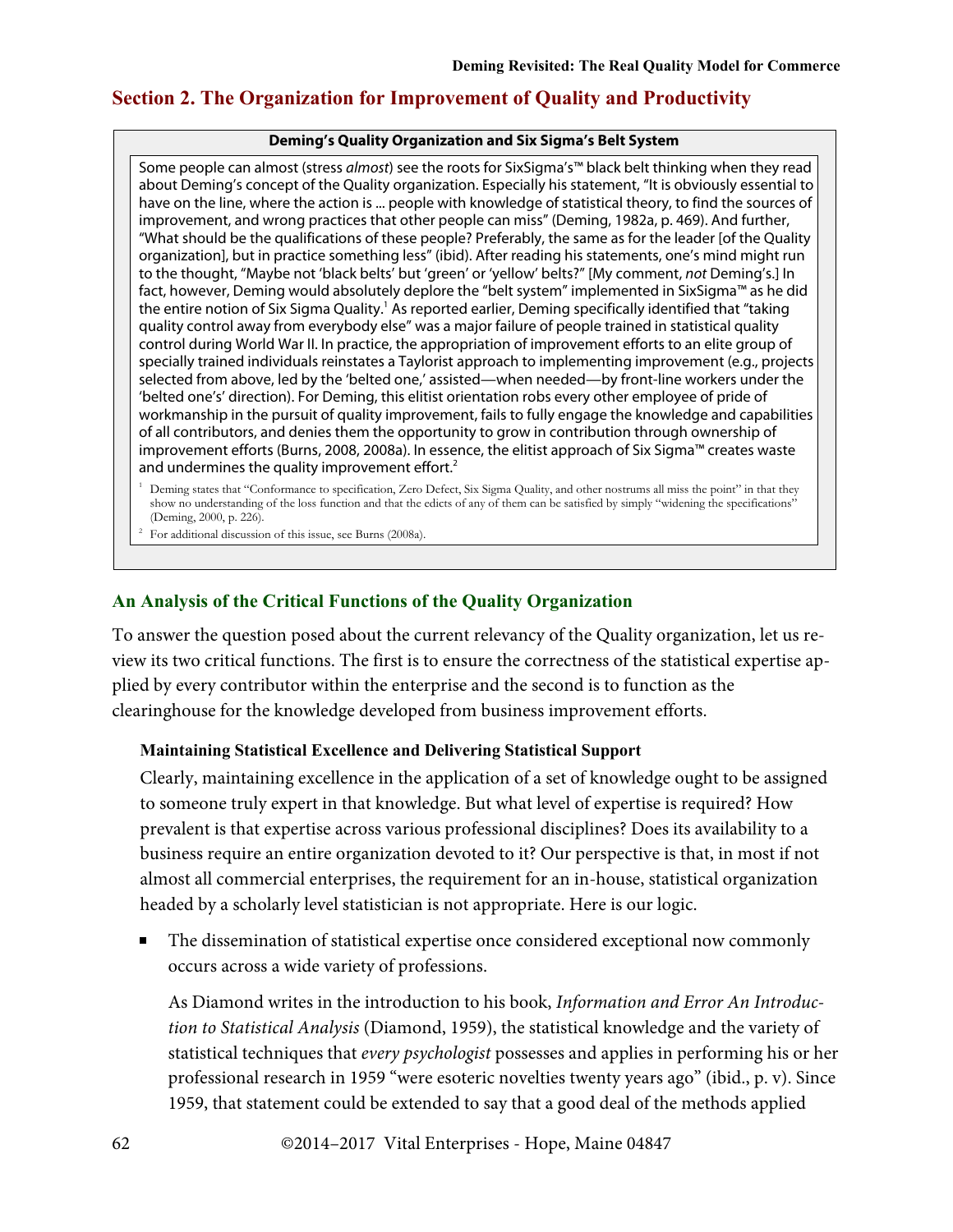#### **Deming's Quality Organization and Six Sigma's Belt System**

Some people can almost (stress almost) see the roots for SixSigma's™ black belt thinking when they read about Deming's concept of the Quality organization. Especially his statement, "It is obviously essential to have on the line, where the action is ... people with knowledge of statistical theory, to find the sources of improvement, and wrong practices that other people can miss" (Deming, 1982a, p. 469). And further, "What should be the qualifications of these people? Preferably, the same as for the leader [of the Quality organization], but in practice something less" (ibid). After reading his statements, one's mind might run to the thought, "Maybe not 'black belts' but 'green' or 'yellow' belts?" [My comment, not Deming's.] In fact, however, Deming would absolutely deplore the "belt system" implemented in SixSigma™ as he did the entire notion of Six Sigma Quality. $^{\rm 1}$  As reported earlier, Deming specifically identified that "taking quality control away from everybody else" was a major failure of people trained in statistical quality control during World War II. In practice, the appropriation of improvement efforts to an elite group of specially trained individuals reinstates a Taylorist approach to implementing improvement (e.g., projects selected from above, led by the 'belted one,' assisted—when needed—by front-line workers under the 'belted one's' direction). For Deming, this elitist orientation robs every other employee of pride of workmanship in the pursuit of quality improvement, fails to fully engage the knowledge and capabilities of all contributors, and denies them the opportunity to grow in contribution through ownership of improvement efforts (Burns, 2008, 2008a). In essence, the elitist approach of Six Sigma™ creates waste and undermines the quality improvement effort.<sup>2</sup>

<sup>1</sup> Deming states that "Conformance to specification, Zero Defect, Six Sigma Quality, and other nostrums all miss the point" in that they show no understanding of the loss function and that the edicts of any of them can be satisfied by simply "widening the specifications" (Deming, 2000, p. 226).

<sup>2</sup> For additional discussion of this issue, see Burns (2008a).

#### **An Analysis of the Critical Functions of the Quality Organization**

To answer the question posed about the current relevancy of the Quality organization, let us review its two critical functions. The first is to ensure the correctness of the statistical expertise applied by every contributor within the enterprise and the second is to function as the clearinghouse for the knowledge developed from business improvement efforts.

#### **Maintaining Statistical Excellence and Delivering Statistical Support**

Clearly, maintaining excellence in the application of a set of knowledge ought to be assigned to someone truly expert in that knowledge. But what level of expertise is required? How prevalent is that expertise across various professional disciplines? Does its availability to a business require an entire organization devoted to it? Our perspective is that, in most if not almost all commercial enterprises, the requirement for an in-house, statistical organization headed by a scholarly level statistician is not appropriate. Here is our logic.

The dissemination of statistical expertise once considered exceptional now commonly occurs across a wide variety of professions.

As Diamond writes in the introduction to his book, *Information and Error An Introduction to Statistical Analysis* (Diamond, 1959), the statistical knowledge and the variety of statistical techniques that *every psychologist* possesses and applies in performing his or her professional research in 1959 "were esoteric novelties twenty years ago" (ibid., p. v). Since 1959, that statement could be extended to say that a good deal of the methods applied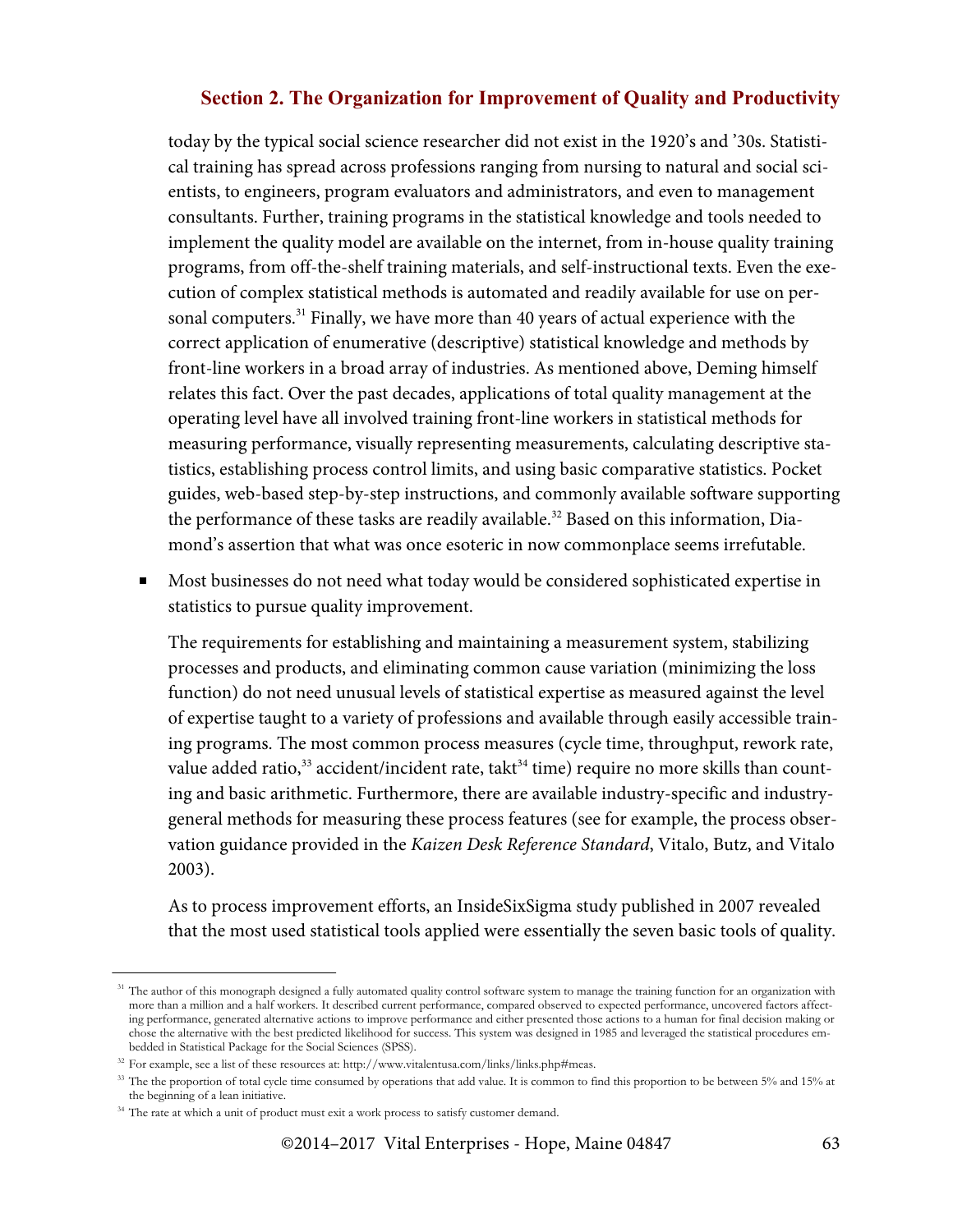today by the typical social science researcher did not exist in the 1920's and '30s. Statistical training has spread across professions ranging from nursing to natural and social scientists, to engineers, program evaluators and administrators, and even to management consultants. Further, training programs in the statistical knowledge and tools needed to implement the quality model are available on the internet, from in-house quality training programs, from off-the-shelf training materials, and self-instructional texts. Even the execution of complex statistical methods is automated and readily available for use on personal computers.<sup>31</sup> Finally, we have more than 40 years of actual experience with the correct application of enumerative (descriptive) statistical knowledge and methods by front-line workers in a broad array of industries. As mentioned above, Deming himself relates this fact. Over the past decades, applications of total quality management at the operating level have all involved training front-line workers in statistical methods for measuring performance, visually representing measurements, calculating descriptive statistics, establishing process control limits, and using basic comparative statistics. Pocket guides, web-based step-by-step instructions, and commonly available software supporting the performance of these tasks are readily available.<sup>32</sup> Based on this information, Diamond's assertion that what was once esoteric in now commonplace seems irrefutable.

Most businesses do not need what today would be considered sophisticated expertise in statistics to pursue quality improvement.

The requirements for establishing and maintaining a measurement system, stabilizing processes and products, and eliminating common cause variation (minimizing the loss function) do not need unusual levels of statistical expertise as measured against the level of expertise taught to a variety of professions and available through easily accessible training programs. The most common process measures (cycle time, throughput, rework rate, value added ratio, $33$  accident/incident rate, takt $34$  time) require no more skills than counting and basic arithmetic. Furthermore, there are available industry-specific and industrygeneral methods for measuring these process features (see for example, the process observation guidance provided in the *Kaizen Desk Reference Standard*, Vitalo, Butz, and Vitalo 2003).

As to process improvement efforts, an InsideSixSigma study published in 2007 revealed that the most used statistical tools applied were essentially the seven basic tools of quality.

<sup>&</sup>lt;sup>31</sup> The author of this monograph designed a fully automated quality control software system to manage the training function for an organization with more than a million and a half workers. It described current performance, compared observed to expected performance, uncovered factors affecting performance, generated alternative actions to improve performance and either presented those actions to a human for final decision making or chose the alternative with the best predicted likelihood for success. This system was designed in 1985 and leveraged the statistical procedures embedded in Statistical Package for the Social Sciences (SPSS).

 $32$  For example, see a list of these resources at: http://www.vitalentusa.com/links/links.php#meas.

<sup>&</sup>lt;sup>33</sup> The the proportion of total cycle time consumed by operations that add value. It is common to find this proportion to be between 5% and 15% at the beginning of a lean initiative.

<sup>&</sup>lt;sup>34</sup> The rate at which a unit of product must exit a work process to satisfy customer demand.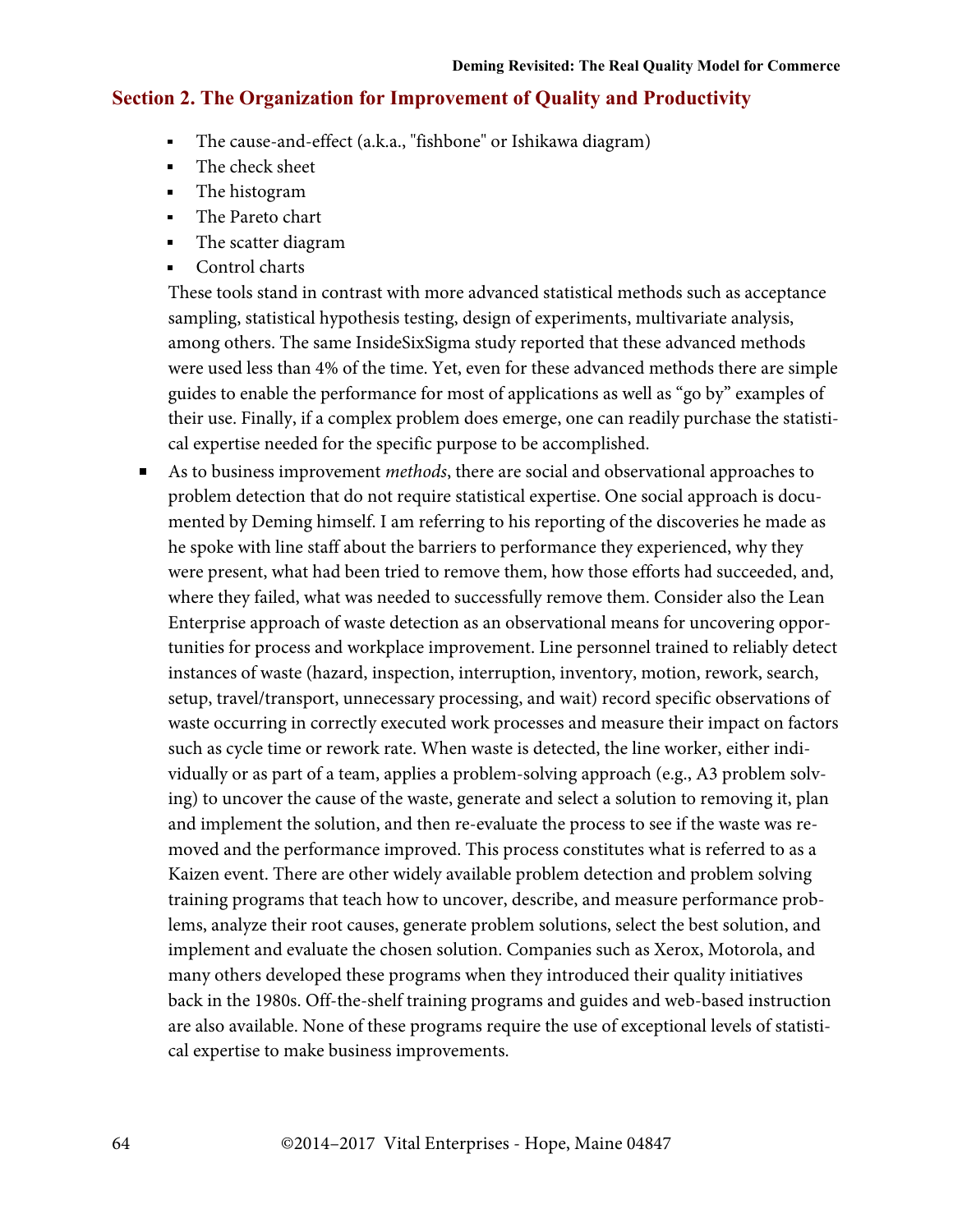- $\blacksquare$ The cause-and-effect (a.k.a., "fishbone" or Ishikawa diagram)
- The check sheet  $\blacksquare$
- The histogram
- The Pareto chart
- The scatter diagram
- Control charts

These tools stand in contrast with more advanced statistical methods such as acceptance sampling, statistical hypothesis testing, design of experiments, multivariate analysis, among others. The same InsideSixSigma study reported that these advanced methods were used less than 4% of the time. Yet, even for these advanced methods there are simple guides to enable the performance for most of applications as well as "go by" examples of their use. Finally, if a complex problem does emerge, one can readily purchase the statistical expertise needed for the specific purpose to be accomplished.

As to business improvement *methods*, there are social and observational approaches to problem detection that do not require statistical expertise. One social approach is documented by Deming himself. I am referring to his reporting of the discoveries he made as he spoke with line staff about the barriers to performance they experienced, why they were present, what had been tried to remove them, how those efforts had succeeded, and, where they failed, what was needed to successfully remove them. Consider also the Lean Enterprise approach of waste detection as an observational means for uncovering opportunities for process and workplace improvement. Line personnel trained to reliably detect instances of waste (hazard, inspection, interruption, inventory, motion, rework, search, setup, travel/transport, unnecessary processing, and wait) record specific observations of waste occurring in correctly executed work processes and measure their impact on factors such as cycle time or rework rate. When waste is detected, the line worker, either individually or as part of a team, applies a problem-solving approach (e.g., A3 problem solving) to uncover the cause of the waste, generate and select a solution to removing it, plan and implement the solution, and then re-evaluate the process to see if the waste was removed and the performance improved. This process constitutes what is referred to as a Kaizen event. There are other widely available problem detection and problem solving training programs that teach how to uncover, describe, and measure performance problems, analyze their root causes, generate problem solutions, select the best solution, and implement and evaluate the chosen solution. Companies such as Xerox, Motorola, and many others developed these programs when they introduced their quality initiatives back in the 1980s. Off-the-shelf training programs and guides and web-based instruction are also available. None of these programs require the use of exceptional levels of statistical expertise to make business improvements.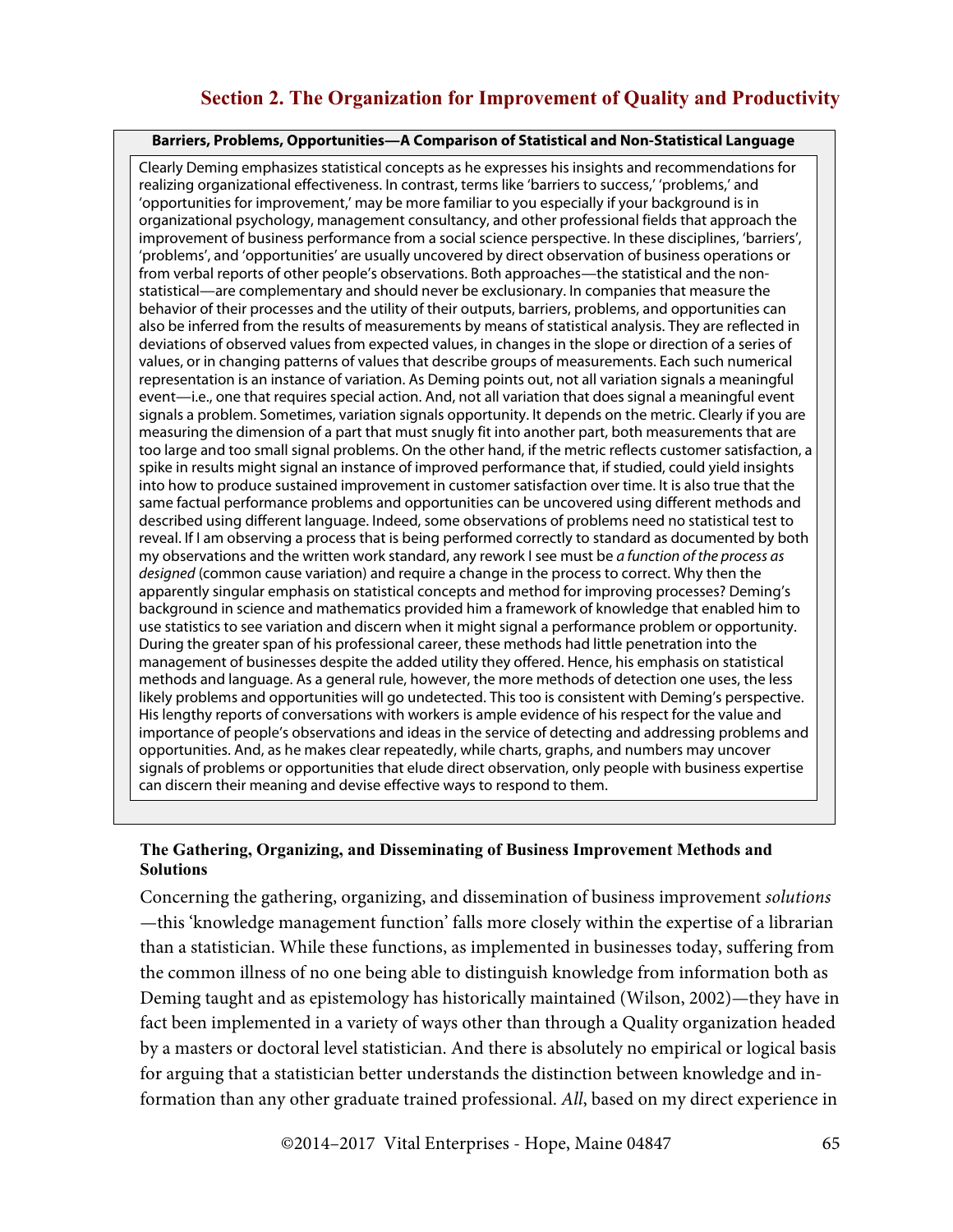#### **Barriers, Problems, Opportunities—A Comparison of Statistical and Non-Statistical Language**

Clearly Deming emphasizes statistical concepts as he expresses his insights and recommendations for realizing organizational effectiveness. In contrast, terms like 'barriers to success,' 'problems,' and 'opportunities for improvement,' may be more familiar to you especially if your background is in organizational psychology, management consultancy, and other professional fields that approach the improvement of business performance from a social science perspective. In these disciplines, 'barriers', 'problems', and 'opportunities' are usually uncovered by direct observation of business operations or from verbal reports of other people's observations. Both approaches—the statistical and the nonstatistical—are complementary and should never be exclusionary. In companies that measure the behavior of their processes and the utility of their outputs, barriers, problems, and opportunities can also be inferred from the results of measurements by means of statistical analysis. They are reflected in deviations of observed values from expected values, in changes in the slope or direction of a series of values, or in changing patterns of values that describe groups of measurements. Each such numerical representation is an instance of variation. As Deming points out, not all variation signals a meaningful event—i.e., one that requires special action. And, not all variation that does signal a meaningful event signals a problem. Sometimes, variation signals opportunity. It depends on the metric. Clearly if you are measuring the dimension of a part that must snugly fit into another part, both measurements that are too large and too small signal problems. On the other hand, if the metric reflects customer satisfaction, a spike in results might signal an instance of improved performance that, if studied, could yield insights into how to produce sustained improvement in customer satisfaction over time. It is also true that the same factual performance problems and opportunities can be uncovered using different methods and described using different language. Indeed, some observations of problems need no statistical test to reveal. If I am observing a process that is being performed correctly to standard as documented by both my observations and the written work standard, any rework I see must be a function of the process as designed (common cause variation) and require a change in the process to correct. Why then the apparently singular emphasis on statistical concepts and method for improving processes? Deming's background in science and mathematics provided him a framework of knowledge that enabled him to use statistics to see variation and discern when it might signal a performance problem or opportunity. During the greater span of his professional career, these methods had little penetration into the management of businesses despite the added utility they offered. Hence, his emphasis on statistical methods and language. As a general rule, however, the more methods of detection one uses, the less likely problems and opportunities will go undetected. This too is consistent with Deming's perspective. His lengthy reports of conversations with workers is ample evidence of his respect for the value and importance of people's observations and ideas in the service of detecting and addressing problems and opportunities. And, as he makes clear repeatedly, while charts, graphs, and numbers may uncover signals of problems or opportunities that elude direct observation, only people with business expertise can discern their meaning and devise effective ways to respond to them.

#### **The Gathering, Organizing, and Disseminating of Business Improvement Methods and Solutions**

Concerning the gathering, organizing, and dissemination of business improvement *solutions* —this 'knowledge management function' falls more closely within the expertise of a librarian than a statistician. While these functions, as implemented in businesses today, suffering from the common illness of no one being able to distinguish knowledge from information both as Deming taught and as epistemology has historically maintained (Wilson, 2002)—they have in fact been implemented in a variety of ways other than through a Quality organization headed by a masters or doctoral level statistician. And there is absolutely no empirical or logical basis for arguing that a statistician better understands the distinction between knowledge and information than any other graduate trained professional. *All*, based on my direct experience in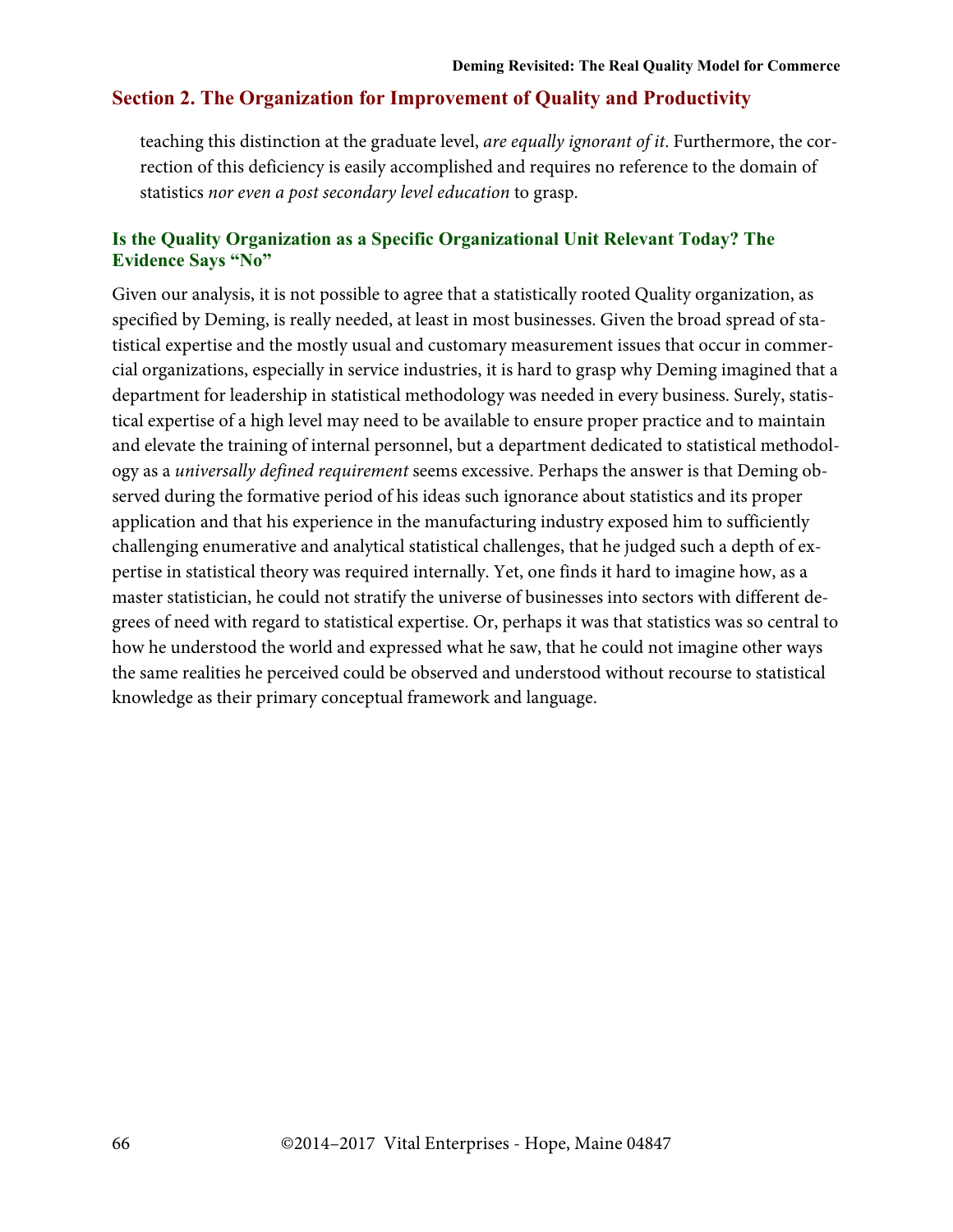teaching this distinction at the graduate level, *are equally ignorant of it*. Furthermore, the correction of this deficiency is easily accomplished and requires no reference to the domain of statistics *nor even a post secondary level education* to grasp.

### **Is the Quality Organization as a Specific Organizational Unit Relevant Today? The Evidence Says "No"**

Given our analysis, it is not possible to agree that a statistically rooted Quality organization, as specified by Deming, is really needed, at least in most businesses. Given the broad spread of statistical expertise and the mostly usual and customary measurement issues that occur in commercial organizations, especially in service industries, it is hard to grasp why Deming imagined that a department for leadership in statistical methodology was needed in every business. Surely, statistical expertise of a high level may need to be available to ensure proper practice and to maintain and elevate the training of internal personnel, but a department dedicated to statistical methodology as a *universally defined requirement* seems excessive. Perhaps the answer is that Deming observed during the formative period of his ideas such ignorance about statistics and its proper application and that his experience in the manufacturing industry exposed him to sufficiently challenging enumerative and analytical statistical challenges, that he judged such a depth of expertise in statistical theory was required internally. Yet, one finds it hard to imagine how, as a master statistician, he could not stratify the universe of businesses into sectors with different degrees of need with regard to statistical expertise. Or, perhaps it was that statistics was so central to how he understood the world and expressed what he saw, that he could not imagine other ways the same realities he perceived could be observed and understood without recourse to statistical knowledge as their primary conceptual framework and language.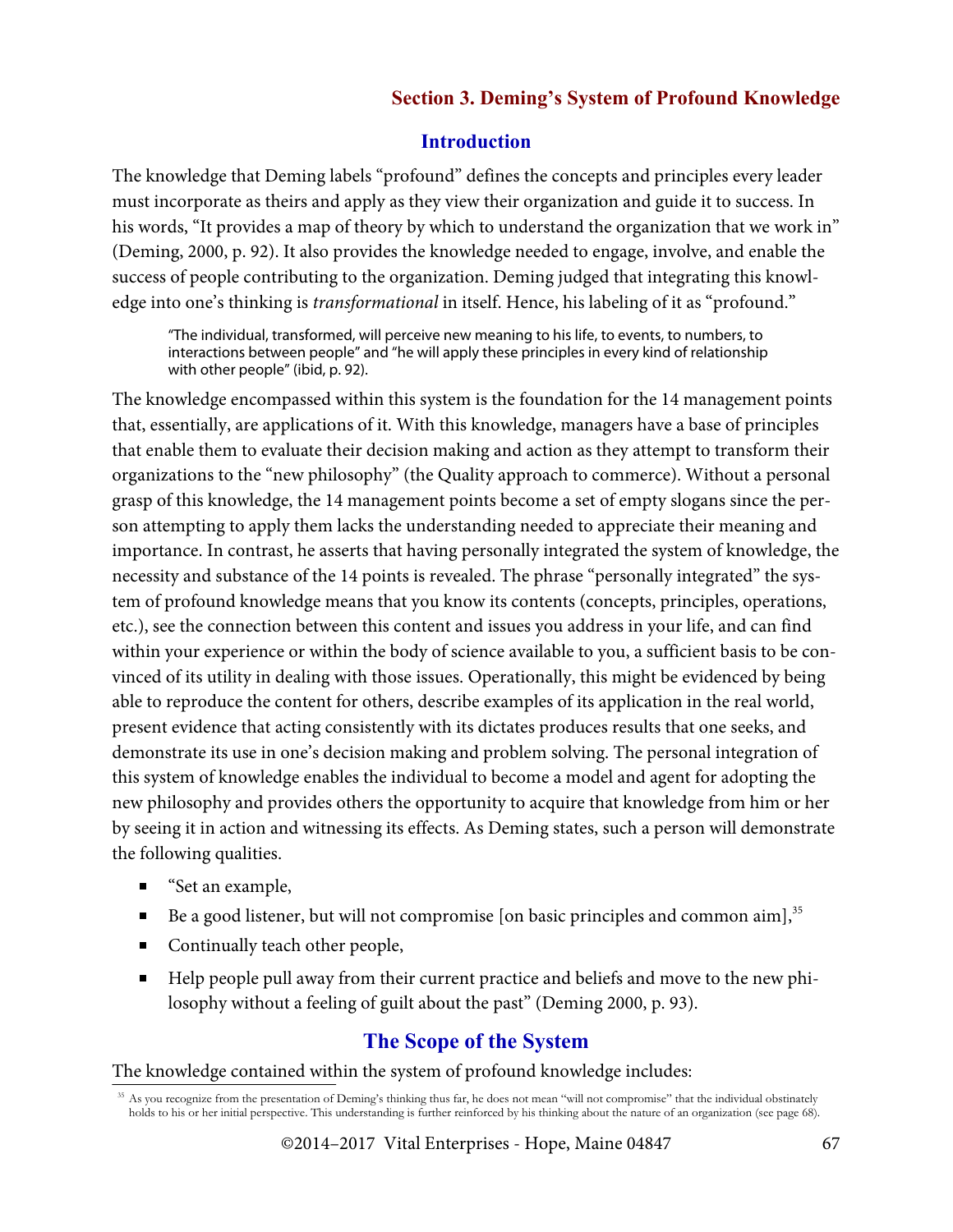### **Introduction**

The knowledge that Deming labels "profound" defines the concepts and principles every leader must incorporate as theirs and apply as they view their organization and guide it to success. In his words, "It provides a map of theory by which to understand the organization that we work in" (Deming, 2000, p. 92). It also provides the knowledge needed to engage, involve, and enable the success of people contributing to the organization. Deming judged that integrating this knowledge into one's thinking is *transformational* in itself. Hence, his labeling of it as "profound."

"The individual, transformed, will perceive new meaning to his life, to events, to numbers, to interactions between people" and "he will apply these principles in every kind of relationship with other people" (ibid, p. 92).

The knowledge encompassed within this system is the foundation for the 14 management points that, essentially, are applications of it. With this knowledge, managers have a base of principles that enable them to evaluate their decision making and action as they attempt to transform their organizations to the "new philosophy" (the Quality approach to commerce). Without a personal grasp of this knowledge, the 14 management points become a set of empty slogans since the person attempting to apply them lacks the understanding needed to appreciate their meaning and importance. In contrast, he asserts that having personally integrated the system of knowledge, the necessity and substance of the 14 points is revealed. The phrase "personally integrated" the system of profound knowledge means that you know its contents (concepts, principles, operations, etc.), see the connection between this content and issues you address in your life, and can find within your experience or within the body of science available to you, a sufficient basis to be convinced of its utility in dealing with those issues. Operationally, this might be evidenced by being able to reproduce the content for others, describe examples of its application in the real world, present evidence that acting consistently with its dictates produces results that one seeks, and demonstrate its use in one's decision making and problem solving. The personal integration of this system of knowledge enables the individual to become a model and agent for adopting the new philosophy and provides others the opportunity to acquire that knowledge from him or her by seeing it in action and witnessing its effects. As Deming states, such a person will demonstrate the following qualities.

- "Set an example,
- Be a good listener, but will not compromise [on basic principles and common aim],  $35$
- Continually teach other people,
- Help people pull away from their current practice and beliefs and move to the new philosophy without a feeling of guilt about the past" (Deming 2000, p. 93).

## **The Scope of the System**

The knowledge contained within the system of profound knowledge includes:

<sup>&</sup>lt;sup>35</sup> As you recognize from the presentation of Deming's thinking thus far, he does not mean "will not compromise" that the individual obstinately holds to his or her initial perspective. This understanding is further reinforced by his thinking about the nature of an organization (see page 68).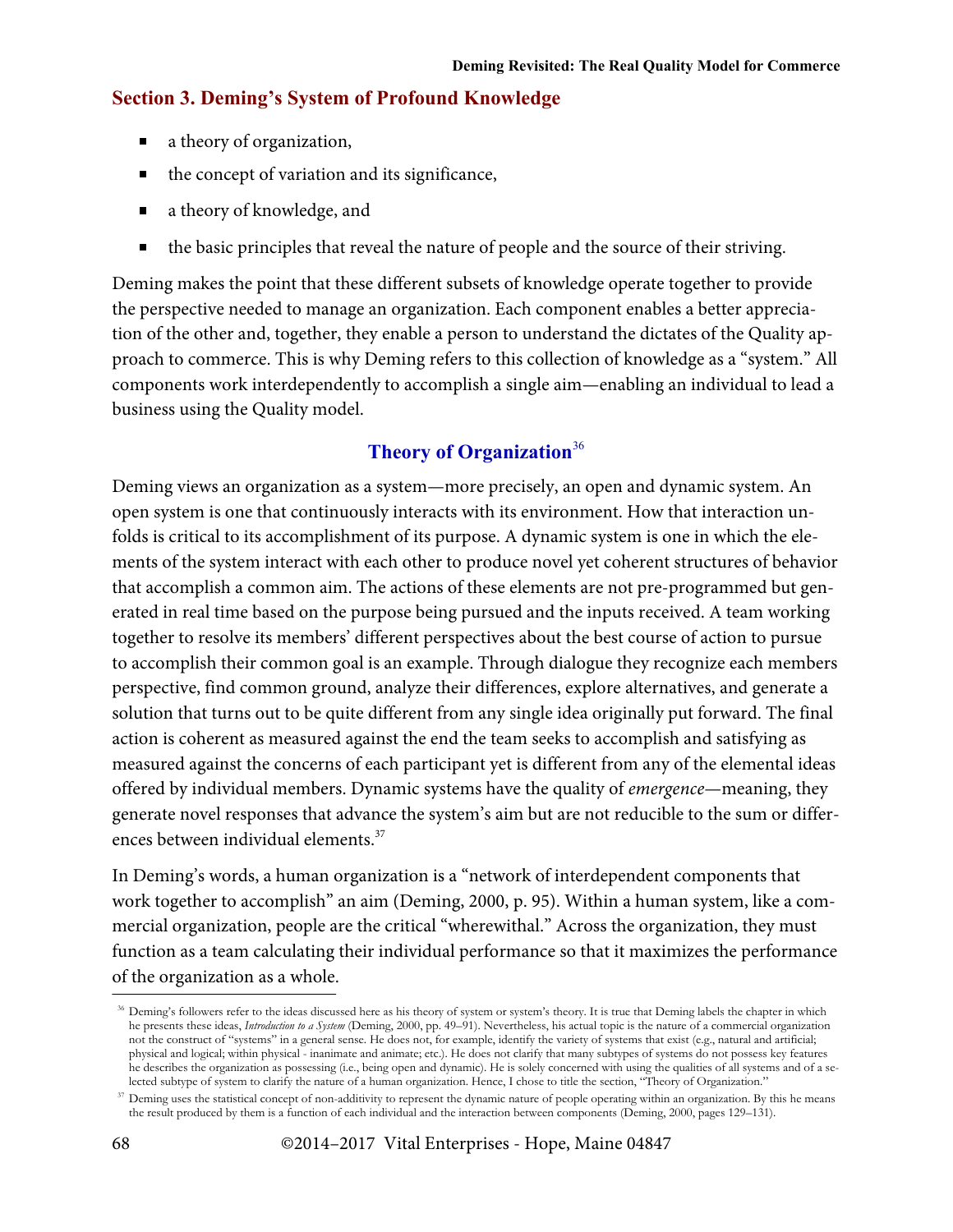- a theory of organization,  $\blacksquare$
- $\blacksquare$ the concept of variation and its significance,
- $\blacksquare$ a theory of knowledge, and
- the basic principles that reveal the nature of people and the source of their striving.  $\blacksquare$

Deming makes the point that these different subsets of knowledge operate together to provide the perspective needed to manage an organization. Each component enables a better appreciation of the other and, together, they enable a person to understand the dictates of the Quality approach to commerce. This is why Deming refers to this collection of knowledge as a "system." All components work interdependently to accomplish a single aim—enabling an individual to lead a business using the Quality model.

# **Theory of Organization**<sup>36</sup>

Deming views an organization as a system—more precisely, an open and dynamic system. An open system is one that continuously interacts with its environment. How that interaction unfolds is critical to its accomplishment of its purpose. A dynamic system is one in which the elements of the system interact with each other to produce novel yet coherent structures of behavior that accomplish a common aim. The actions of these elements are not pre-programmed but generated in real time based on the purpose being pursued and the inputs received. A team working together to resolve its members' different perspectives about the best course of action to pursue to accomplish their common goal is an example. Through dialogue they recognize each members perspective, find common ground, analyze their differences, explore alternatives, and generate a solution that turns out to be quite different from any single idea originally put forward. The final action is coherent as measured against the end the team seeks to accomplish and satisfying as measured against the concerns of each participant yet is different from any of the elemental ideas offered by individual members. Dynamic systems have the quality of *emergence*—meaning, they generate novel responses that advance the system's aim but are not reducible to the sum or differences between individual elements.<sup>37</sup>

In Deming's words, a human organization is a "network of interdependent components that work together to accomplish" an aim (Deming, 2000, p. 95). Within a human system, like a commercial organization, people are the critical "wherewithal." Across the organization, they must function as a team calculating their individual performance so that it maximizes the performance of the organization as a whole.

<sup>&</sup>lt;sup>36</sup> Deming's followers refer to the ideas discussed here as his theory of system or system's theory. It is true that Deming labels the chapter in which he presents these ideas, *Introduction to a System* (Deming, 2000, pp. 49–91). Nevertheless, his actual topic is the nature of a commercial organization not the construct of "systems" in a general sense. He does not, for example, identify the variety of systems that exist (e.g., natural and artificial; physical and logical; within physical - inanimate and animate; etc.). He does not clarify that many subtypes of systems do not possess key features he describes the organization as possessing (i.e., being open and dynamic). He is solely concerned with using the qualities of all systems and of a selected subtype of system to clarify the nature of a human organization. Hence, I chose to title the section, "Theory of Organization."

<sup>&</sup>lt;sup>37</sup> Deming uses the statistical concept of non-additivity to represent the dynamic nature of people operating within an organization. By this he means the result produced by them is a function of each individual and the interaction between components (Deming, 2000, pages 129–131).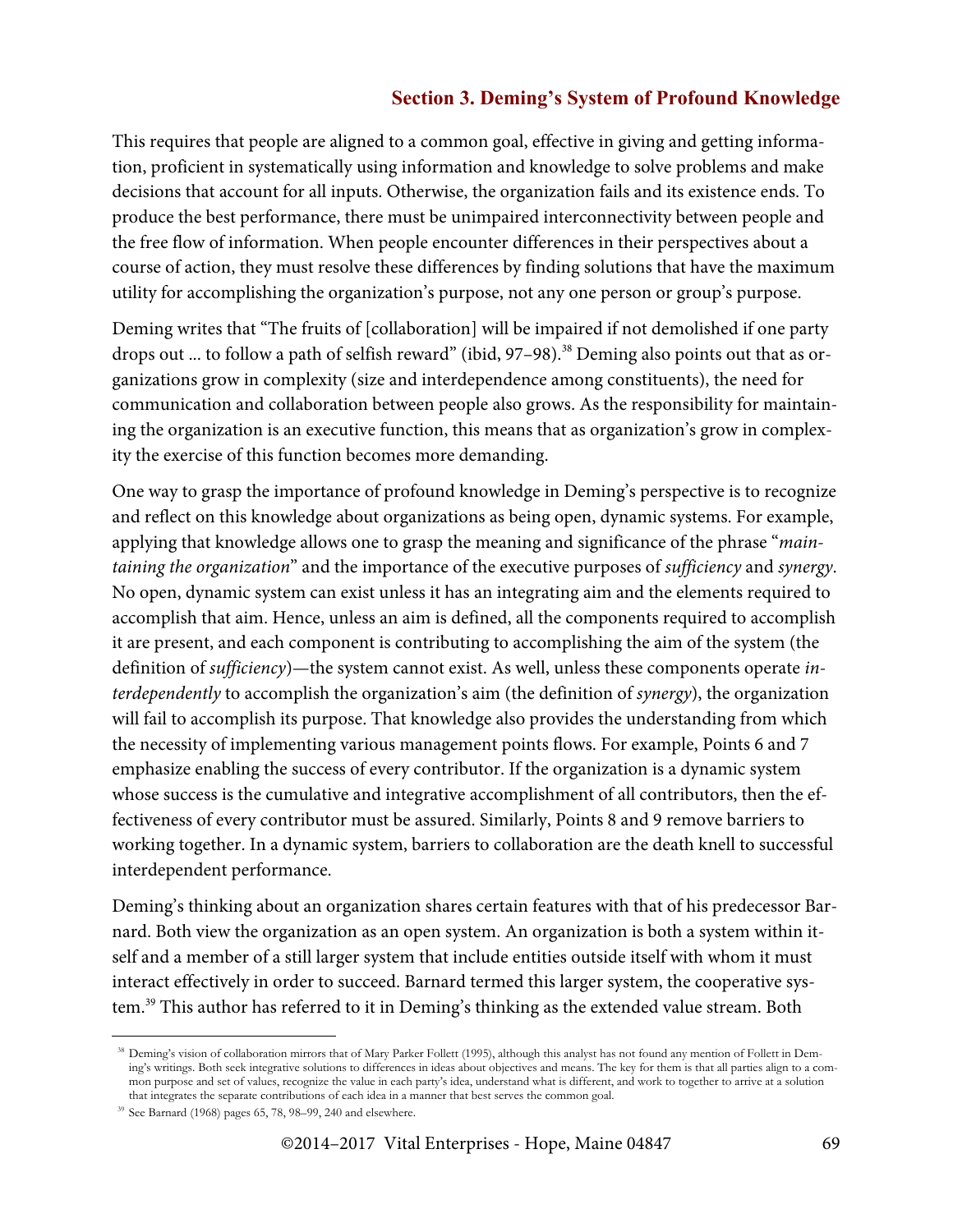This requires that people are aligned to a common goal, effective in giving and getting information, proficient in systematically using information and knowledge to solve problems and make decisions that account for all inputs. Otherwise, the organization fails and its existence ends. To produce the best performance, there must be unimpaired interconnectivity between people and the free flow of information. When people encounter differences in their perspectives about a course of action, they must resolve these differences by finding solutions that have the maximum utility for accomplishing the organization's purpose, not any one person or group's purpose.

Deming writes that "The fruits of [collaboration] will be impaired if not demolished if one party drops out ... to follow a path of selfish reward" (ibid, 97–98).<sup>38</sup> Deming also points out that as organizations grow in complexity (size and interdependence among constituents), the need for communication and collaboration between people also grows. As the responsibility for maintaining the organization is an executive function, this means that as organization's grow in complexity the exercise of this function becomes more demanding.

One way to grasp the importance of profound knowledge in Deming's perspective is to recognize and reflect on this knowledge about organizations as being open, dynamic systems. For example, applying that knowledge allows one to grasp the meaning and significance of the phrase "*maintaining the organization*" and the importance of the executive purposes of *sufficiency* and *synergy*. No open, dynamic system can exist unless it has an integrating aim and the elements required to accomplish that aim. Hence, unless an aim is defined, all the components required to accomplish it are present, and each component is contributing to accomplishing the aim of the system (the definition of *sufficiency*)—the system cannot exist. As well, unless these components operate *interdependently* to accomplish the organization's aim (the definition of *synergy*), the organization will fail to accomplish its purpose. That knowledge also provides the understanding from which the necessity of implementing various management points flows. For example, Points 6 and 7 emphasize enabling the success of every contributor. If the organization is a dynamic system whose success is the cumulative and integrative accomplishment of all contributors, then the effectiveness of every contributor must be assured. Similarly, Points 8 and 9 remove barriers to working together. In a dynamic system, barriers to collaboration are the death knell to successful interdependent performance.

Deming's thinking about an organization shares certain features with that of his predecessor Barnard. Both view the organization as an open system. An organization is both a system within itself and a member of a still larger system that include entities outside itself with whom it must interact effectively in order to succeed. Barnard termed this larger system, the cooperative system.<sup>39</sup> This author has referred to it in Deming's thinking as the extended value stream. Both

<sup>&</sup>lt;sup>38</sup> Deming's vision of collaboration mirrors that of Mary Parker Follett (1995), although this analyst has not found any mention of Follett in Deming's writings. Both seek integrative solutions to differences in ideas about objectives and means. The key for them is that all parties align to a common purpose and set of values, recognize the value in each party's idea, understand what is different, and work to together to arrive at a solution that integrates the separate contributions of each idea in a manner that best serves the common goal.

<sup>39</sup> See Barnard (1968) pages 65, 78, 98–99, 240 and elsewhere.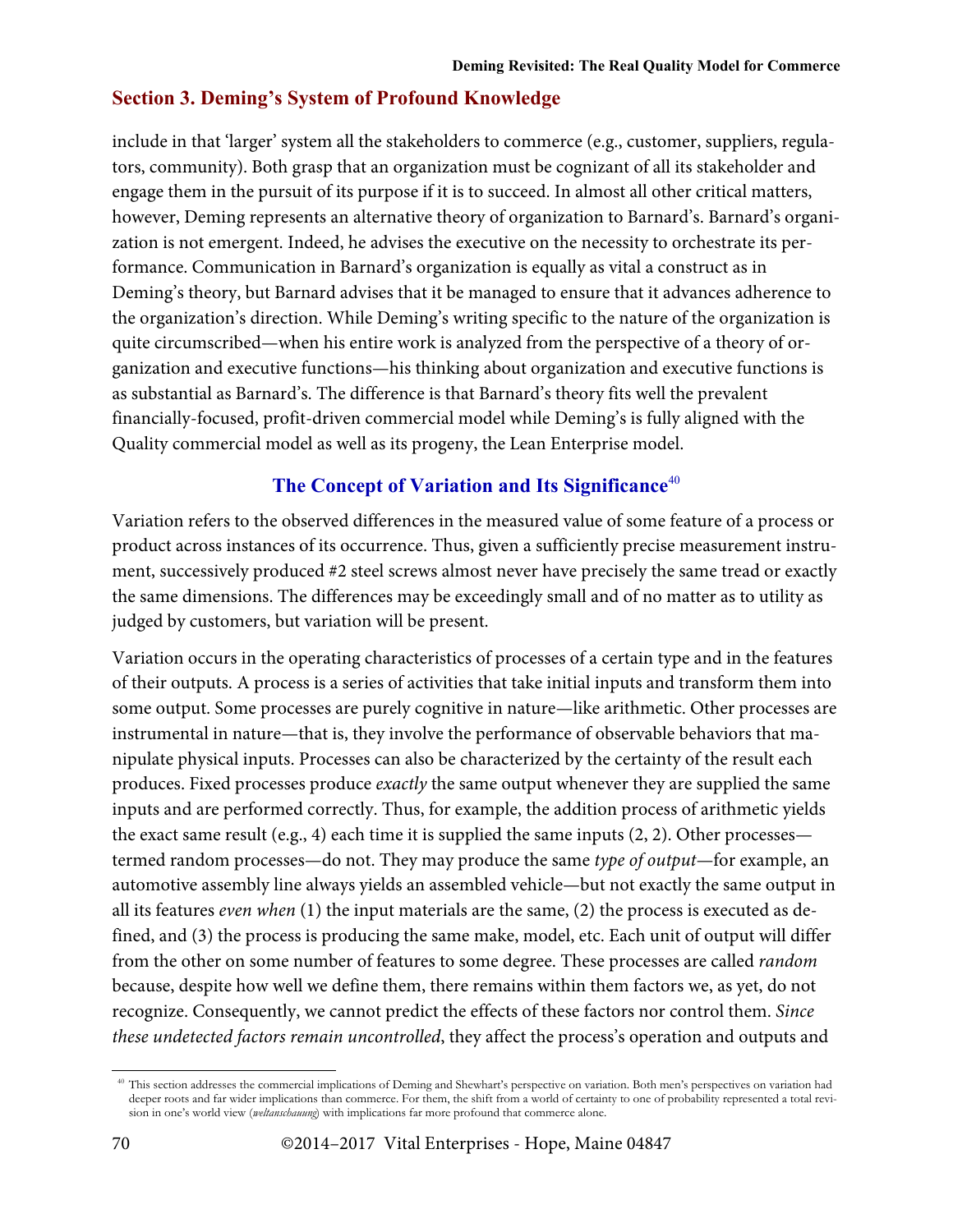include in that 'larger' system all the stakeholders to commerce (e.g., customer, suppliers, regulators, community). Both grasp that an organization must be cognizant of all its stakeholder and engage them in the pursuit of its purpose if it is to succeed. In almost all other critical matters, however, Deming represents an alternative theory of organization to Barnard's. Barnard's organization is not emergent. Indeed, he advises the executive on the necessity to orchestrate its performance. Communication in Barnard's organization is equally as vital a construct as in Deming's theory, but Barnard advises that it be managed to ensure that it advances adherence to the organization's direction. While Deming's writing specific to the nature of the organization is quite circumscribed—when his entire work is analyzed from the perspective of a theory of organization and executive functions—his thinking about organization and executive functions is as substantial as Barnard's. The difference is that Barnard's theory fits well the prevalent financially-focused, profit-driven commercial model while Deming's is fully aligned with the Quality commercial model as well as its progeny, the Lean Enterprise model.

# The Concept of Variation and Its Significance<sup>40</sup>

Variation refers to the observed differences in the measured value of some feature of a process or product across instances of its occurrence. Thus, given a sufficiently precise measurement instrument, successively produced #2 steel screws almost never have precisely the same tread or exactly the same dimensions. The differences may be exceedingly small and of no matter as to utility as judged by customers, but variation will be present.

Variation occurs in the operating characteristics of processes of a certain type and in the features of their outputs. A process is a series of activities that take initial inputs and transform them into some output. Some processes are purely cognitive in nature—like arithmetic. Other processes are instrumental in nature—that is, they involve the performance of observable behaviors that manipulate physical inputs. Processes can also be characterized by the certainty of the result each produces. Fixed processes produce *exactly* the same output whenever they are supplied the same inputs and are performed correctly. Thus, for example, the addition process of arithmetic yields the exact same result (e.g., 4) each time it is supplied the same inputs (2, 2). Other processes termed random processes—do not. They may produce the same *type of output*—for example, an automotive assembly line always yields an assembled vehicle—but not exactly the same output in all its features *even when* (1) the input materials are the same, (2) the process is executed as defined, and (3) the process is producing the same make, model, etc. Each unit of output will differ from the other on some number of features to some degree. These processes are called *random* because, despite how well we define them, there remains within them factors we, as yet, do not recognize. Consequently, we cannot predict the effects of these factors nor control them. *Since these undetected factors remain uncontrolled*, they affect the process's operation and outputs and

<sup>&</sup>lt;sup>0</sup> This section addresses the commercial implications of Deming and Shewhart's perspective on variation. Both men's perspectives on variation had deeper roots and far wider implications than commerce. For them, the shift from a world of certainty to one of probability represented a total revision in one's world view (*weltanschauung*) with implications far more profound that commerce alone.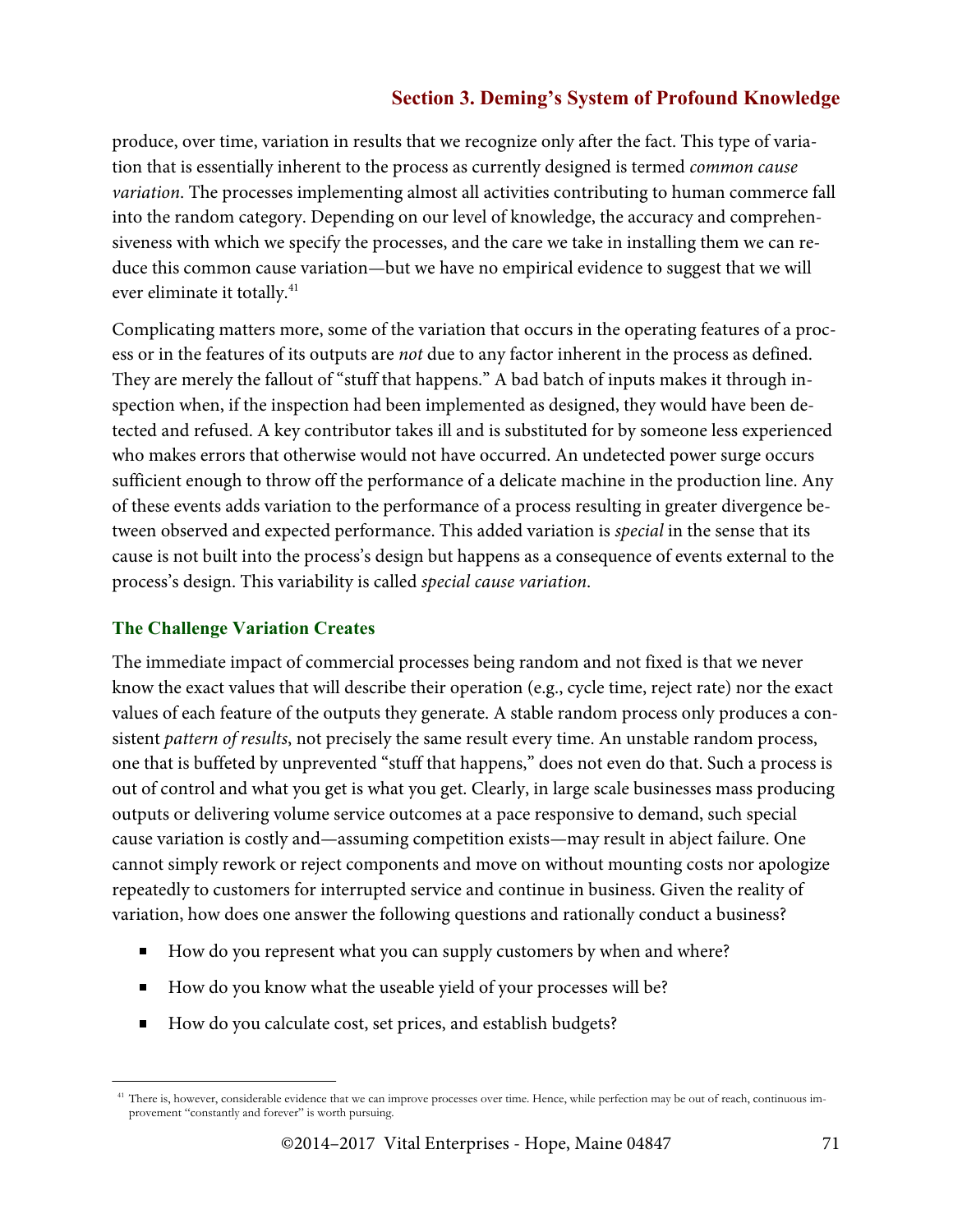produce, over time, variation in results that we recognize only after the fact. This type of variation that is essentially inherent to the process as currently designed is termed *common cause variation*. The processes implementing almost all activities contributing to human commerce fall into the random category. Depending on our level of knowledge, the accuracy and comprehensiveness with which we specify the processes, and the care we take in installing them we can reduce this common cause variation—but we have no empirical evidence to suggest that we will ever eliminate it totally.<sup>41</sup>

Complicating matters more, some of the variation that occurs in the operating features of a process or in the features of its outputs are *not* due to any factor inherent in the process as defined. They are merely the fallout of "stuff that happens." A bad batch of inputs makes it through inspection when, if the inspection had been implemented as designed, they would have been detected and refused. A key contributor takes ill and is substituted for by someone less experienced who makes errors that otherwise would not have occurred. An undetected power surge occurs sufficient enough to throw off the performance of a delicate machine in the production line. Any of these events adds variation to the performance of a process resulting in greater divergence between observed and expected performance. This added variation is *special* in the sense that its cause is not built into the process's design but happens as a consequence of events external to the process's design. This variability is called *special cause variation*.

## **The Challenge Variation Creates**

The immediate impact of commercial processes being random and not fixed is that we never know the exact values that will describe their operation (e.g., cycle time, reject rate) nor the exact values of each feature of the outputs they generate. A stable random process only produces a consistent *pattern of results*, not precisely the same result every time. An unstable random process, one that is buffeted by unprevented "stuff that happens," does not even do that. Such a process is out of control and what you get is what you get. Clearly, in large scale businesses mass producing outputs or delivering volume service outcomes at a pace responsive to demand, such special cause variation is costly and—assuming competition exists—may result in abject failure. One cannot simply rework or reject components and move on without mounting costs nor apologize repeatedly to customers for interrupted service and continue in business. Given the reality of variation, how does one answer the following questions and rationally conduct a business?

- How do you represent what you can supply customers by when and where?
- How do you know what the useable yield of your processes will be?  $\blacksquare$
- $\blacksquare$ How do you calculate cost, set prices, and establish budgets?

<sup>&</sup>lt;sup>41</sup> There is, however, considerable evidence that we can improve processes over time. Hence, while perfection may be out of reach, continuous improvement "constantly and forever" is worth pursuing.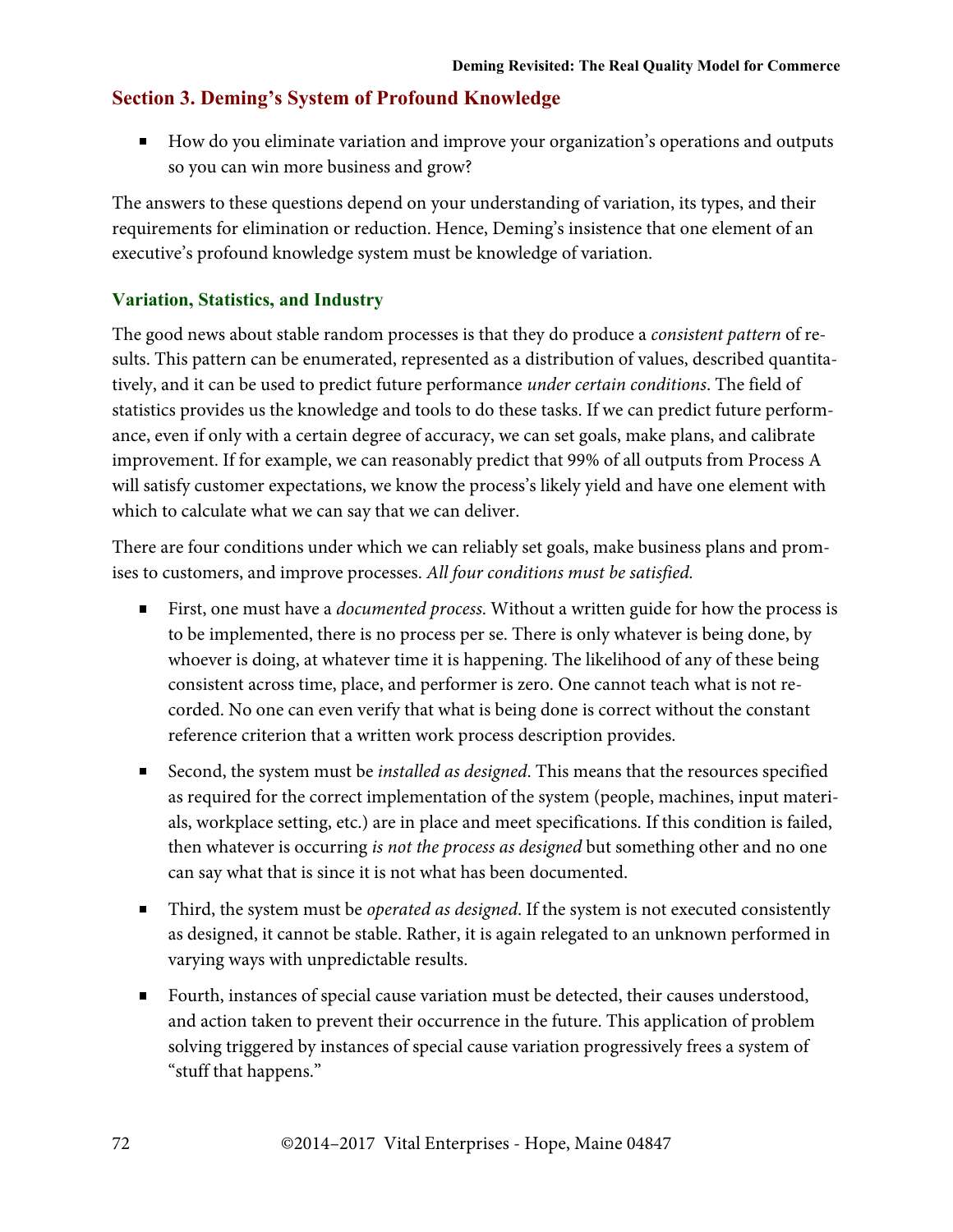How do you eliminate variation and improve your organization's operations and outputs so you can win more business and grow?

The answers to these questions depend on your understanding of variation, its types, and their requirements for elimination or reduction. Hence, Deming's insistence that one element of an executive's profound knowledge system must be knowledge of variation.

### **Variation, Statistics, and Industry**

The good news about stable random processes is that they do produce a *consistent pattern* of results. This pattern can be enumerated, represented as a distribution of values, described quantitatively, and it can be used to predict future performance *under certain conditions*. The field of statistics provides us the knowledge and tools to do these tasks. If we can predict future performance, even if only with a certain degree of accuracy, we can set goals, make plans, and calibrate improvement. If for example, we can reasonably predict that 99% of all outputs from Process A will satisfy customer expectations, we know the process's likely yield and have one element with which to calculate what we can say that we can deliver.

There are four conditions under which we can reliably set goals, make business plans and promises to customers, and improve processes. *All four conditions must be satisfied.*

- First, one must have a *documented process*. Without a written guide for how the process is to be implemented, there is no process per se. There is only whatever is being done, by whoever is doing, at whatever time it is happening. The likelihood of any of these being consistent across time, place, and performer is zero. One cannot teach what is not recorded. No one can even verify that what is being done is correct without the constant reference criterion that a written work process description provides.
- Second, the system must be *installed as designed*. This means that the resources specified as required for the correct implementation of the system (people, machines, input materials, workplace setting, etc.) are in place and meet specifications. If this condition is failed, then whatever is occurring *is not the process as designed* but something other and no one can say what that is since it is not what has been documented.
- Third, the system must be *operated as designed*. If the system is not executed consistently  $\blacksquare$ as designed, it cannot be stable. Rather, it is again relegated to an unknown performed in varying ways with unpredictable results.
- Fourth, instances of special cause variation must be detected, their causes understood, and action taken to prevent their occurrence in the future. This application of problem solving triggered by instances of special cause variation progressively frees a system of "stuff that happens."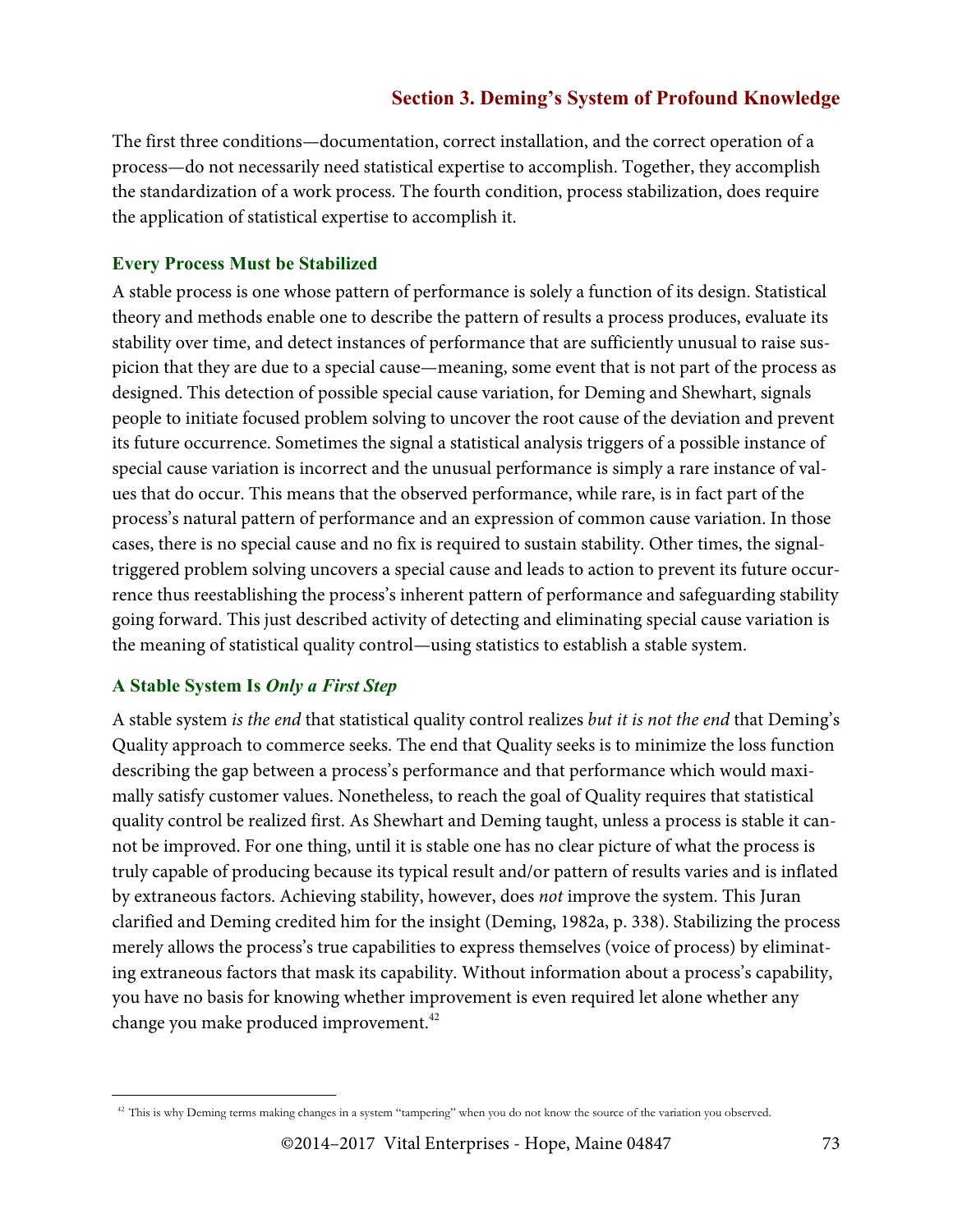The first three conditions—documentation, correct installation, and the correct operation of a process—do not necessarily need statistical expertise to accomplish. Together, they accomplish the standardization of a work process. The fourth condition, process stabilization, does require the application of statistical expertise to accomplish it.

### **Every Process Must be Stabilized**

A stable process is one whose pattern of performance is solely a function of its design. Statistical theory and methods enable one to describe the pattern of results a process produces, evaluate its stability over time, and detect instances of performance that are sufficiently unusual to raise suspicion that they are due to a special cause—meaning, some event that is not part of the process as designed. This detection of possible special cause variation, for Deming and Shewhart, signals people to initiate focused problem solving to uncover the root cause of the deviation and prevent its future occurrence. Sometimes the signal a statistical analysis triggers of a possible instance of special cause variation is incorrect and the unusual performance is simply a rare instance of values that do occur. This means that the observed performance, while rare, is in fact part of the process's natural pattern of performance and an expression of common cause variation. In those cases, there is no special cause and no fix is required to sustain stability. Other times, the signaltriggered problem solving uncovers a special cause and leads to action to prevent its future occurrence thus reestablishing the process's inherent pattern of performance and safeguarding stability going forward. This just described activity of detecting and eliminating special cause variation is the meaning of statistical quality control—using statistics to establish a stable system.

#### **A Stable System Is** *Only a First Step*

A stable system *is the end* that statistical quality control realizes *but it is not the end* that Deming's Quality approach to commerce seeks. The end that Quality seeks is to minimize the loss function describing the gap between a process's performance and that performance which would maximally satisfy customer values. Nonetheless, to reach the goal of Quality requires that statistical quality control be realized first. As Shewhart and Deming taught, unless a process is stable it cannot be improved. For one thing, until it is stable one has no clear picture of what the process is truly capable of producing because its typical result and/or pattern of results varies and is inflated by extraneous factors. Achieving stability, however, does *not* improve the system. This Juran clarified and Deming credited him for the insight (Deming, 1982a, p. 338). Stabilizing the process merely allows the process's true capabilities to express themselves (voice of process) by eliminating extraneous factors that mask its capability. Without information about a process's capability, you have no basis for knowing whether improvement is even required let alone whether any change you make produced improvement.<sup>42</sup>

<sup>&</sup>lt;sup>42</sup> This is why Deming terms making changes in a system "tampering" when you do not know the source of the variation you observed.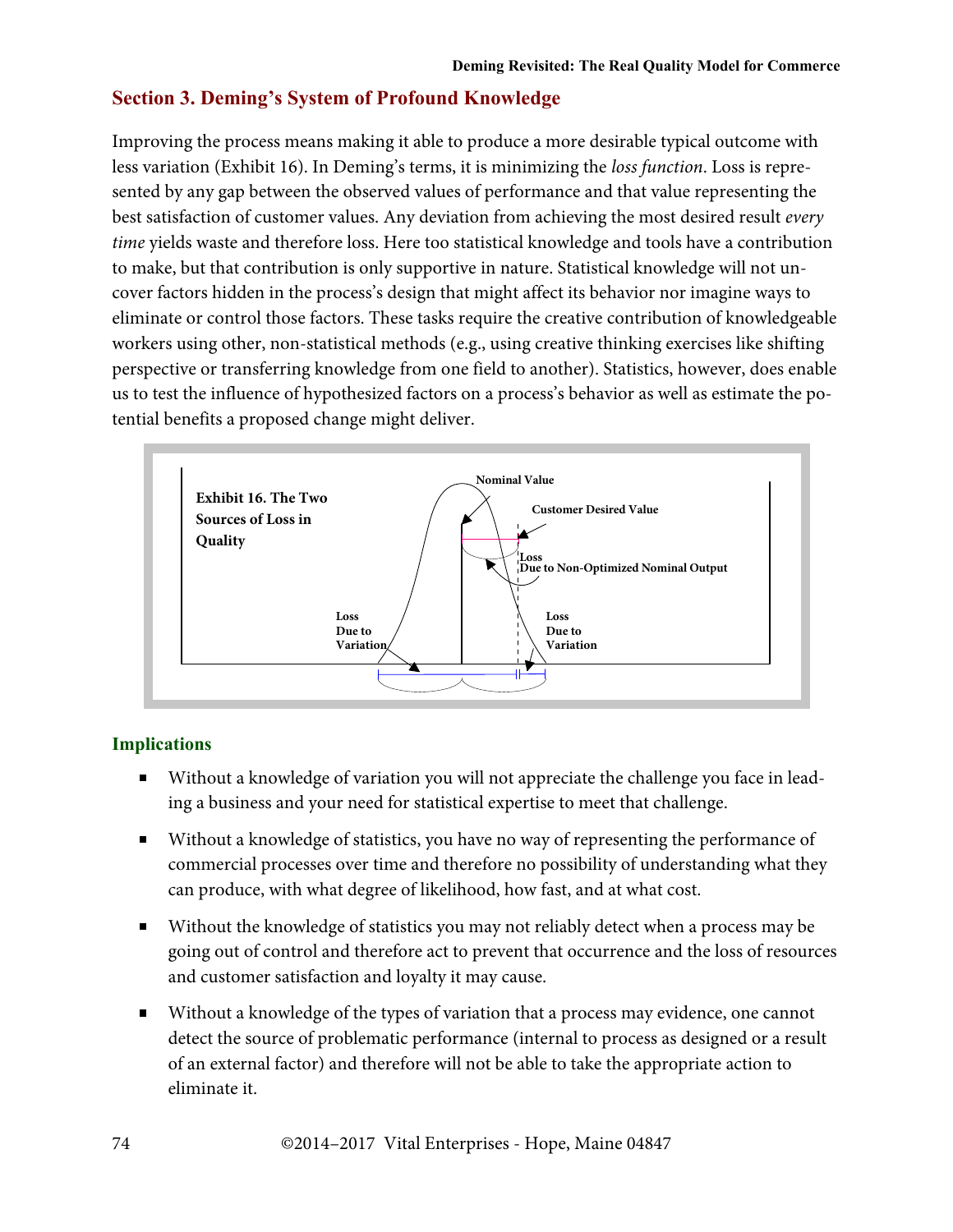Improving the process means making it able to produce a more desirable typical outcome with less variation (Exhibit 16). In Deming's terms, it is minimizing the *loss function*. Loss is represented by any gap between the observed values of performance and that value representing the best satisfaction of customer values. Any deviation from achieving the most desired result *every time* yields waste and therefore loss. Here too statistical knowledge and tools have a contribution to make, but that contribution is only supportive in nature. Statistical knowledge will not uncover factors hidden in the process's design that might affect its behavior nor imagine ways to eliminate or control those factors. These tasks require the creative contribution of knowledgeable workers using other, non-statistical methods (e.g., using creative thinking exercises like shifting perspective or transferring knowledge from one field to another). Statistics, however, does enable us to test the influence of hypothesized factors on a process's behavior as well as estimate the potential benefits a proposed change might deliver.



## **Implications**

- Without a knowledge of variation you will not appreciate the challenge you face in leading a business and your need for statistical expertise to meet that challenge.
- Without a knowledge of statistics, you have no way of representing the performance of commercial processes over time and therefore no possibility of understanding what they can produce, with what degree of likelihood, how fast, and at what cost.
- Without the knowledge of statistics you may not reliably detect when a process may be  $\blacksquare$ going out of control and therefore act to prevent that occurrence and the loss of resources and customer satisfaction and loyalty it may cause.
- Without a knowledge of the types of variation that a process may evidence, one cannot detect the source of problematic performance (internal to process as designed or a result of an external factor) and therefore will not be able to take the appropriate action to eliminate it.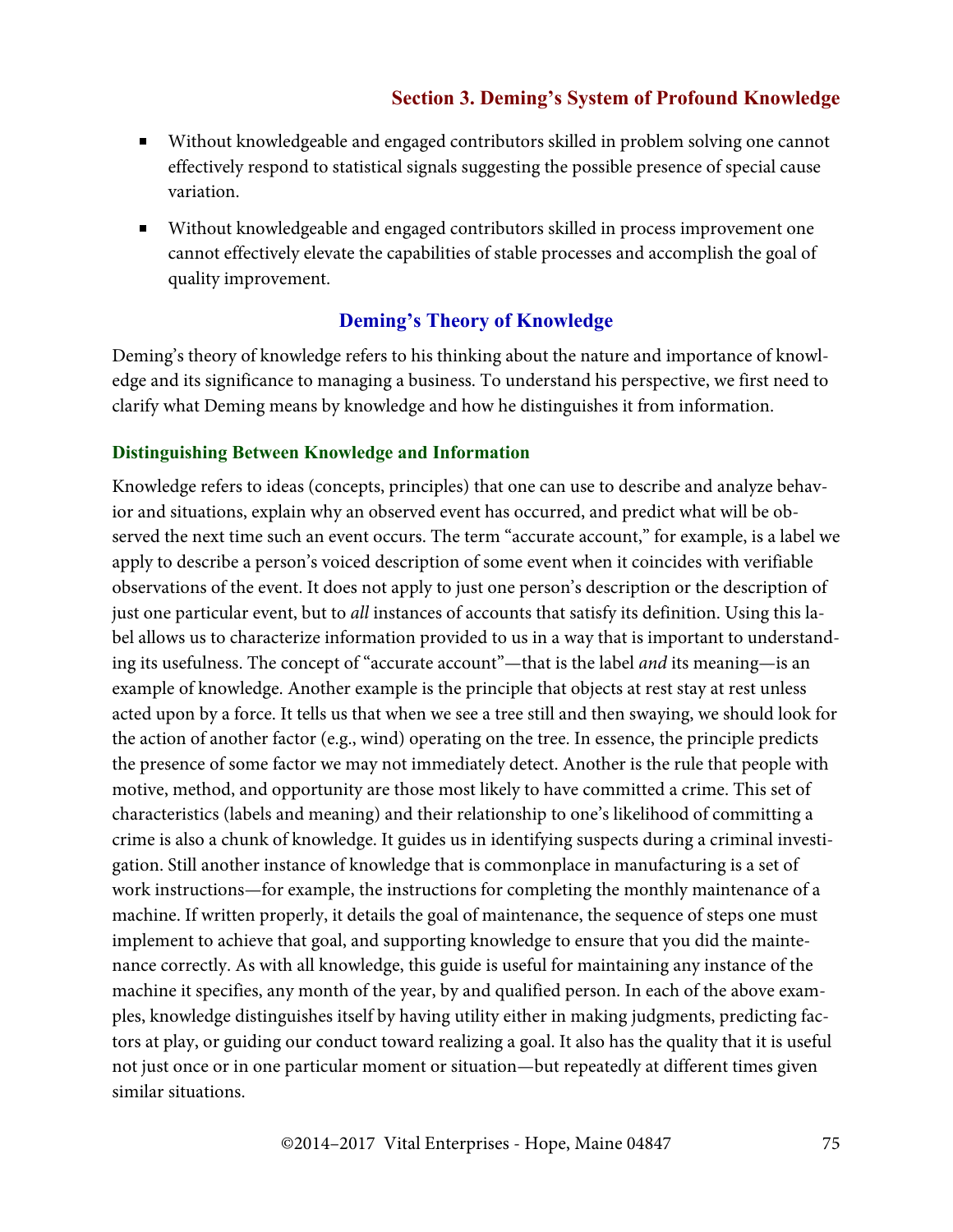- Without knowledgeable and engaged contributors skilled in problem solving one cannot effectively respond to statistical signals suggesting the possible presence of special cause variation.
- Without knowledgeable and engaged contributors skilled in process improvement one cannot effectively elevate the capabilities of stable processes and accomplish the goal of quality improvement.

## **Deming's Theory of Knowledge**

Deming's theory of knowledge refers to his thinking about the nature and importance of knowledge and its significance to managing a business. To understand his perspective, we first need to clarify what Deming means by knowledge and how he distinguishes it from information.

#### **Distinguishing Between Knowledge and Information**

Knowledge refers to ideas (concepts, principles) that one can use to describe and analyze behavior and situations, explain why an observed event has occurred, and predict what will be observed the next time such an event occurs. The term "accurate account," for example, is a label we apply to describe a person's voiced description of some event when it coincides with verifiable observations of the event. It does not apply to just one person's description or the description of just one particular event, but to *all* instances of accounts that satisfy its definition. Using this label allows us to characterize information provided to us in a way that is important to understanding its usefulness. The concept of "accurate account"—that is the label *and* its meaning—is an example of knowledge. Another example is the principle that objects at rest stay at rest unless acted upon by a force. It tells us that when we see a tree still and then swaying, we should look for the action of another factor (e.g., wind) operating on the tree. In essence, the principle predicts the presence of some factor we may not immediately detect. Another is the rule that people with motive, method, and opportunity are those most likely to have committed a crime. This set of characteristics (labels and meaning) and their relationship to one's likelihood of committing a crime is also a chunk of knowledge. It guides us in identifying suspects during a criminal investigation. Still another instance of knowledge that is commonplace in manufacturing is a set of work instructions—for example, the instructions for completing the monthly maintenance of a machine. If written properly, it details the goal of maintenance, the sequence of steps one must implement to achieve that goal, and supporting knowledge to ensure that you did the maintenance correctly. As with all knowledge, this guide is useful for maintaining any instance of the machine it specifies, any month of the year, by and qualified person. In each of the above examples, knowledge distinguishes itself by having utility either in making judgments, predicting factors at play, or guiding our conduct toward realizing a goal. It also has the quality that it is useful not just once or in one particular moment or situation—but repeatedly at different times given similar situations.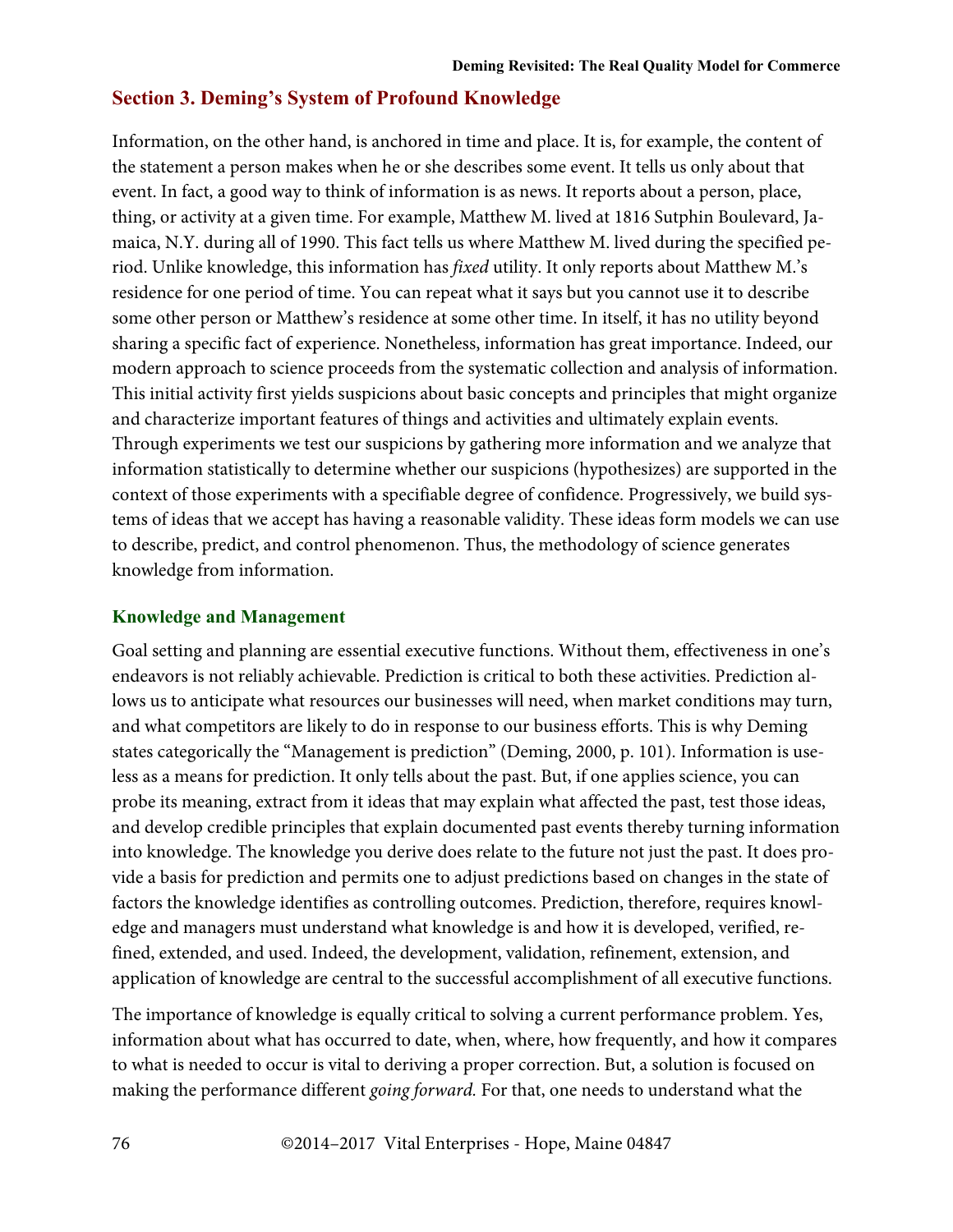Information, on the other hand, is anchored in time and place. It is, for example, the content of the statement a person makes when he or she describes some event. It tells us only about that event. In fact, a good way to think of information is as news. It reports about a person, place, thing, or activity at a given time. For example, Matthew M. lived at 1816 Sutphin Boulevard, Jamaica, N.Y. during all of 1990. This fact tells us where Matthew M. lived during the specified period. Unlike knowledge, this information has *fixed* utility. It only reports about Matthew M.'s residence for one period of time. You can repeat what it says but you cannot use it to describe some other person or Matthew's residence at some other time. In itself, it has no utility beyond sharing a specific fact of experience. Nonetheless, information has great importance. Indeed, our modern approach to science proceeds from the systematic collection and analysis of information. This initial activity first yields suspicions about basic concepts and principles that might organize and characterize important features of things and activities and ultimately explain events. Through experiments we test our suspicions by gathering more information and we analyze that information statistically to determine whether our suspicions (hypothesizes) are supported in the context of those experiments with a specifiable degree of confidence. Progressively, we build systems of ideas that we accept has having a reasonable validity. These ideas form models we can use to describe, predict, and control phenomenon. Thus, the methodology of science generates knowledge from information.

#### **Knowledge and Management**

Goal setting and planning are essential executive functions. Without them, effectiveness in one's endeavors is not reliably achievable. Prediction is critical to both these activities. Prediction allows us to anticipate what resources our businesses will need, when market conditions may turn, and what competitors are likely to do in response to our business efforts. This is why Deming states categorically the "Management is prediction" (Deming, 2000, p. 101). Information is useless as a means for prediction. It only tells about the past. But, if one applies science, you can probe its meaning, extract from it ideas that may explain what affected the past, test those ideas, and develop credible principles that explain documented past events thereby turning information into knowledge. The knowledge you derive does relate to the future not just the past. It does provide a basis for prediction and permits one to adjust predictions based on changes in the state of factors the knowledge identifies as controlling outcomes. Prediction, therefore, requires knowledge and managers must understand what knowledge is and how it is developed, verified, refined, extended, and used. Indeed, the development, validation, refinement, extension, and application of knowledge are central to the successful accomplishment of all executive functions.

The importance of knowledge is equally critical to solving a current performance problem. Yes, information about what has occurred to date, when, where, how frequently, and how it compares to what is needed to occur is vital to deriving a proper correction. But, a solution is focused on making the performance different *going forward.* For that, one needs to understand what the

76 ©2014–2017 Vital Enterprises - Hope, Maine 04847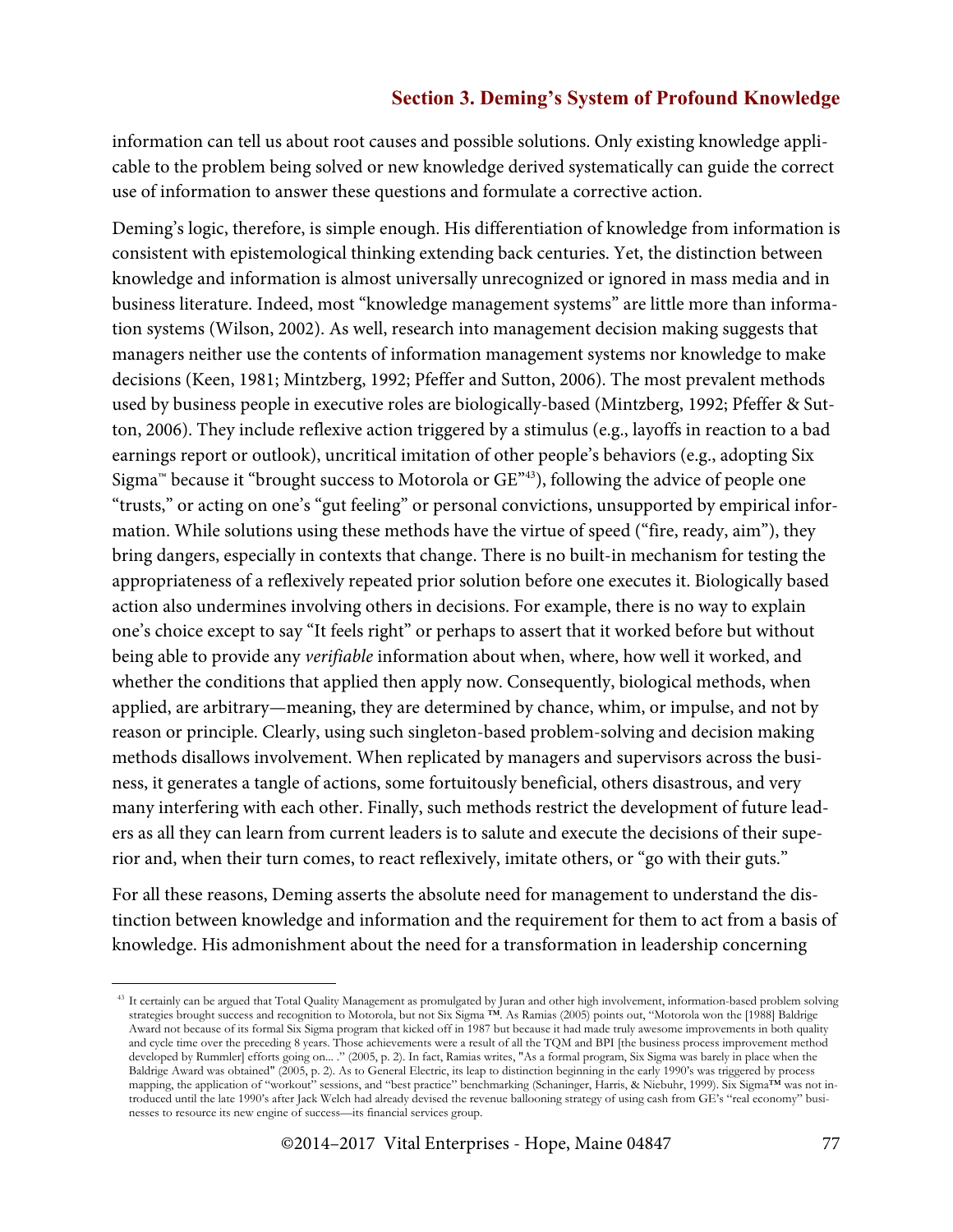information can tell us about root causes and possible solutions. Only existing knowledge applicable to the problem being solved or new knowledge derived systematically can guide the correct use of information to answer these questions and formulate a corrective action.

Deming's logic, therefore, is simple enough. His differentiation of knowledge from information is consistent with epistemological thinking extending back centuries. Yet, the distinction between knowledge and information is almost universally unrecognized or ignored in mass media and in business literature. Indeed, most "knowledge management systems" are little more than information systems (Wilson, 2002). As well, research into management decision making suggests that managers neither use the contents of information management systems nor knowledge to make decisions (Keen, 1981; Mintzberg, 1992; Pfeffer and Sutton, 2006). The most prevalent methods used by business people in executive roles are biologically-based (Mintzberg, 1992; Pfeffer & Sutton, 2006). They include reflexive action triggered by a stimulus (e.g., layoffs in reaction to a bad earnings report or outlook), uncritical imitation of other people's behaviors (e.g., adopting Six Sigma™ because it "brought success to Motorola or GE"43), following the advice of people one "trusts," or acting on one's "gut feeling" or personal convictions, unsupported by empirical information. While solutions using these methods have the virtue of speed ("fire, ready, aim"), they bring dangers, especially in contexts that change. There is no built-in mechanism for testing the appropriateness of a reflexively repeated prior solution before one executes it. Biologically based action also undermines involving others in decisions. For example, there is no way to explain one's choice except to say "It feels right" or perhaps to assert that it worked before but without being able to provide any *verifiable* information about when, where, how well it worked, and whether the conditions that applied then apply now. Consequently, biological methods, when applied, are arbitrary—meaning, they are determined by chance, whim, or impulse, and not by reason or principle. Clearly, using such singleton-based problem-solving and decision making methods disallows involvement. When replicated by managers and supervisors across the business, it generates a tangle of actions, some fortuitously beneficial, others disastrous, and very many interfering with each other. Finally, such methods restrict the development of future leaders as all they can learn from current leaders is to salute and execute the decisions of their superior and, when their turn comes, to react reflexively, imitate others, or "go with their guts."

For all these reasons, Deming asserts the absolute need for management to understand the distinction between knowledge and information and the requirement for them to act from a basis of knowledge. His admonishment about the need for a transformation in leadership concerning

<sup>43</sup> It certainly can be argued that Total Quality Management as promulgated by Juran and other high involvement, information-based problem solving strategies brought success and recognition to Motorola, but not Six Sigma <sup>TM</sup>. As Ramias (2005) points out, "Motorola won the [1988] Baldrige Award not because of its formal Six Sigma program that kicked off in 1987 but because it had made truly awesome improvements in both quality and cycle time over the preceding 8 years. Those achievements were a result of all the TQM and BPI [the business process improvement method developed by Rummler] efforts going on... ." (2005, p. 2). In fact, Ramias writes, "As a formal program, Six Sigma was barely in place when the Baldrige Award was obtained" (2005, p. 2). As to General Electric, its leap to distinction beginning in the early 1990's was triggered by process mapping, the application of "workout" sessions, and "best practice" benchmarking (Schaninger, Harris, & Niebuhr, 1999). Six Sigma<sup>TM</sup> was not introduced until the late 1990's after Jack Welch had already devised the revenue ballooning strategy of using cash from GE's "real economy" businesses to resource its new engine of success—its financial services group.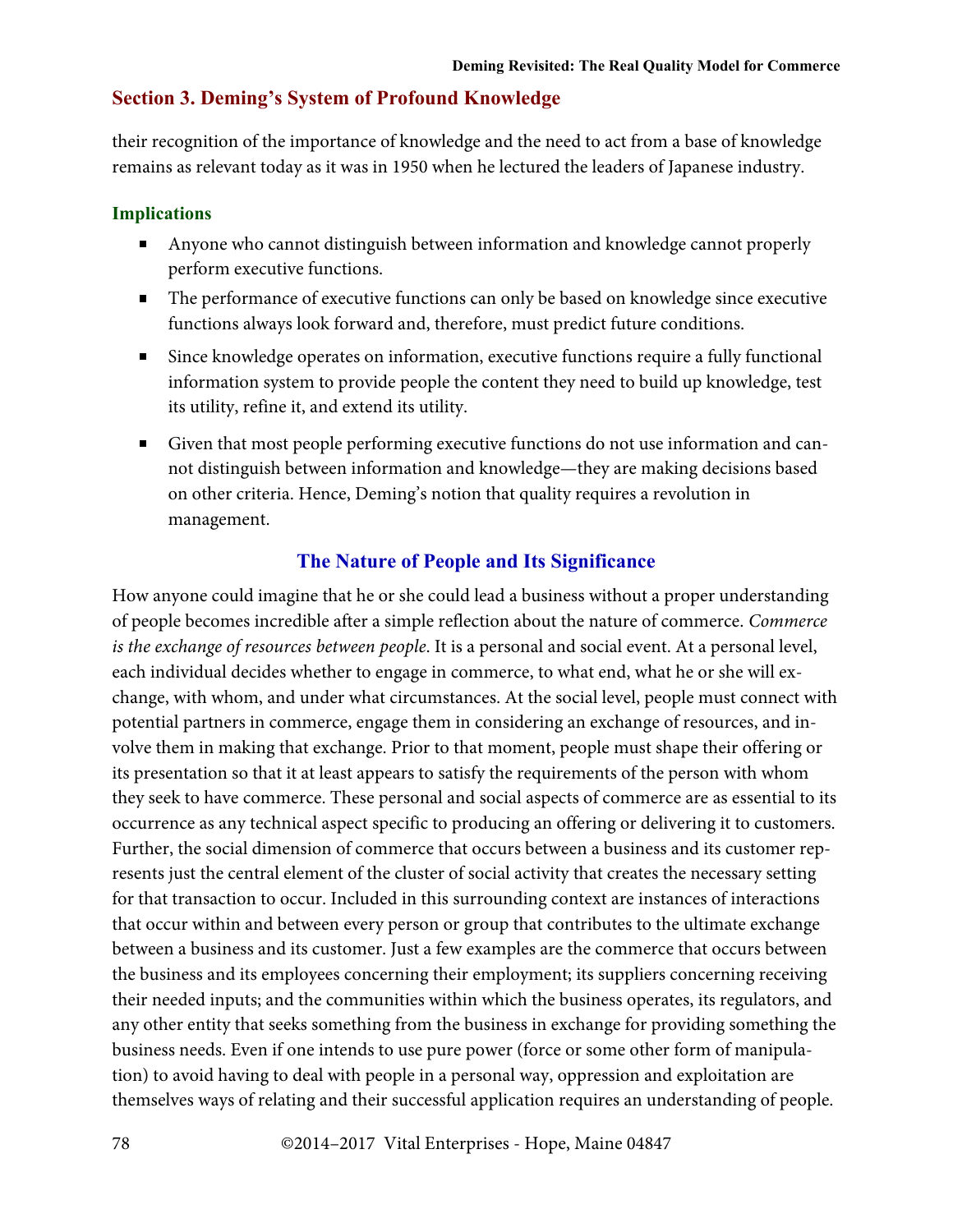their recognition of the importance of knowledge and the need to act from a base of knowledge remains as relevant today as it was in 1950 when he lectured the leaders of Japanese industry.

### **Implications**

- Anyone who cannot distinguish between information and knowledge cannot properly perform executive functions.
- The performance of executive functions can only be based on knowledge since executive functions always look forward and, therefore, must predict future conditions.
- Since knowledge operates on information, executive functions require a fully functional information system to provide people the content they need to build up knowledge, test its utility, refine it, and extend its utility.
- Given that most people performing executive functions do not use information and cannot distinguish between information and knowledge—they are making decisions based on other criteria. Hence, Deming's notion that quality requires a revolution in management.

## **The Nature of People and Its Significance**

How anyone could imagine that he or she could lead a business without a proper understanding of people becomes incredible after a simple reflection about the nature of commerce. *Commerce is the exchange of resources between people*. It is a personal and social event. At a personal level, each individual decides whether to engage in commerce, to what end, what he or she will exchange, with whom, and under what circumstances. At the social level, people must connect with potential partners in commerce, engage them in considering an exchange of resources, and involve them in making that exchange. Prior to that moment, people must shape their offering or its presentation so that it at least appears to satisfy the requirements of the person with whom they seek to have commerce. These personal and social aspects of commerce are as essential to its occurrence as any technical aspect specific to producing an offering or delivering it to customers. Further, the social dimension of commerce that occurs between a business and its customer represents just the central element of the cluster of social activity that creates the necessary setting for that transaction to occur. Included in this surrounding context are instances of interactions that occur within and between every person or group that contributes to the ultimate exchange between a business and its customer. Just a few examples are the commerce that occurs between the business and its employees concerning their employment; its suppliers concerning receiving their needed inputs; and the communities within which the business operates, its regulators, and any other entity that seeks something from the business in exchange for providing something the business needs. Even if one intends to use pure power (force or some other form of manipulation) to avoid having to deal with people in a personal way, oppression and exploitation are themselves ways of relating and their successful application requires an understanding of people.

78 ©2014–2017 Vital Enterprises - Hope, Maine 04847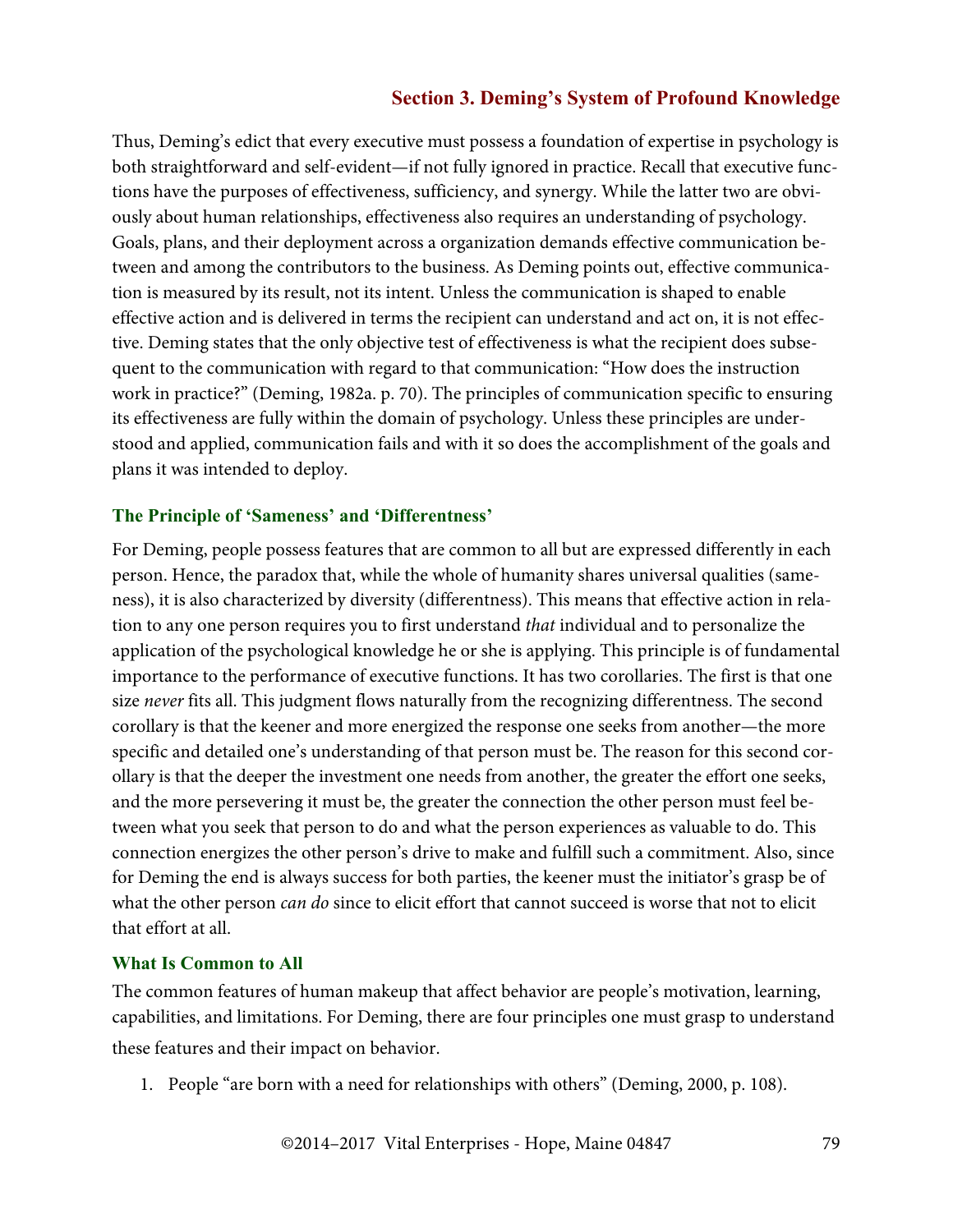Thus, Deming's edict that every executive must possess a foundation of expertise in psychology is both straightforward and self-evident—if not fully ignored in practice. Recall that executive functions have the purposes of effectiveness, sufficiency, and synergy. While the latter two are obviously about human relationships, effectiveness also requires an understanding of psychology. Goals, plans, and their deployment across a organization demands effective communication between and among the contributors to the business. As Deming points out, effective communication is measured by its result, not its intent. Unless the communication is shaped to enable effective action and is delivered in terms the recipient can understand and act on, it is not effective. Deming states that the only objective test of effectiveness is what the recipient does subsequent to the communication with regard to that communication: "How does the instruction work in practice?" (Deming, 1982a. p. 70). The principles of communication specific to ensuring its effectiveness are fully within the domain of psychology. Unless these principles are understood and applied, communication fails and with it so does the accomplishment of the goals and plans it was intended to deploy.

#### **The Principle of 'Sameness' and 'Differentness'**

For Deming, people possess features that are common to all but are expressed differently in each person. Hence, the paradox that, while the whole of humanity shares universal qualities (sameness), it is also characterized by diversity (differentness). This means that effective action in relation to any one person requires you to first understand *that* individual and to personalize the application of the psychological knowledge he or she is applying. This principle is of fundamental importance to the performance of executive functions. It has two corollaries. The first is that one size *never* fits all. This judgment flows naturally from the recognizing differentness. The second corollary is that the keener and more energized the response one seeks from another—the more specific and detailed one's understanding of that person must be. The reason for this second corollary is that the deeper the investment one needs from another, the greater the effort one seeks, and the more persevering it must be, the greater the connection the other person must feel between what you seek that person to do and what the person experiences as valuable to do. This connection energizes the other person's drive to make and fulfill such a commitment. Also, since for Deming the end is always success for both parties, the keener must the initiator's grasp be of what the other person *can do* since to elicit effort that cannot succeed is worse that not to elicit that effort at all.

#### **What Is Common to All**

The common features of human makeup that affect behavior are people's motivation, learning, capabilities, and limitations. For Deming, there are four principles one must grasp to understand these features and their impact on behavior.

1. People "are born with a need for relationships with others" (Deming, 2000, p. 108).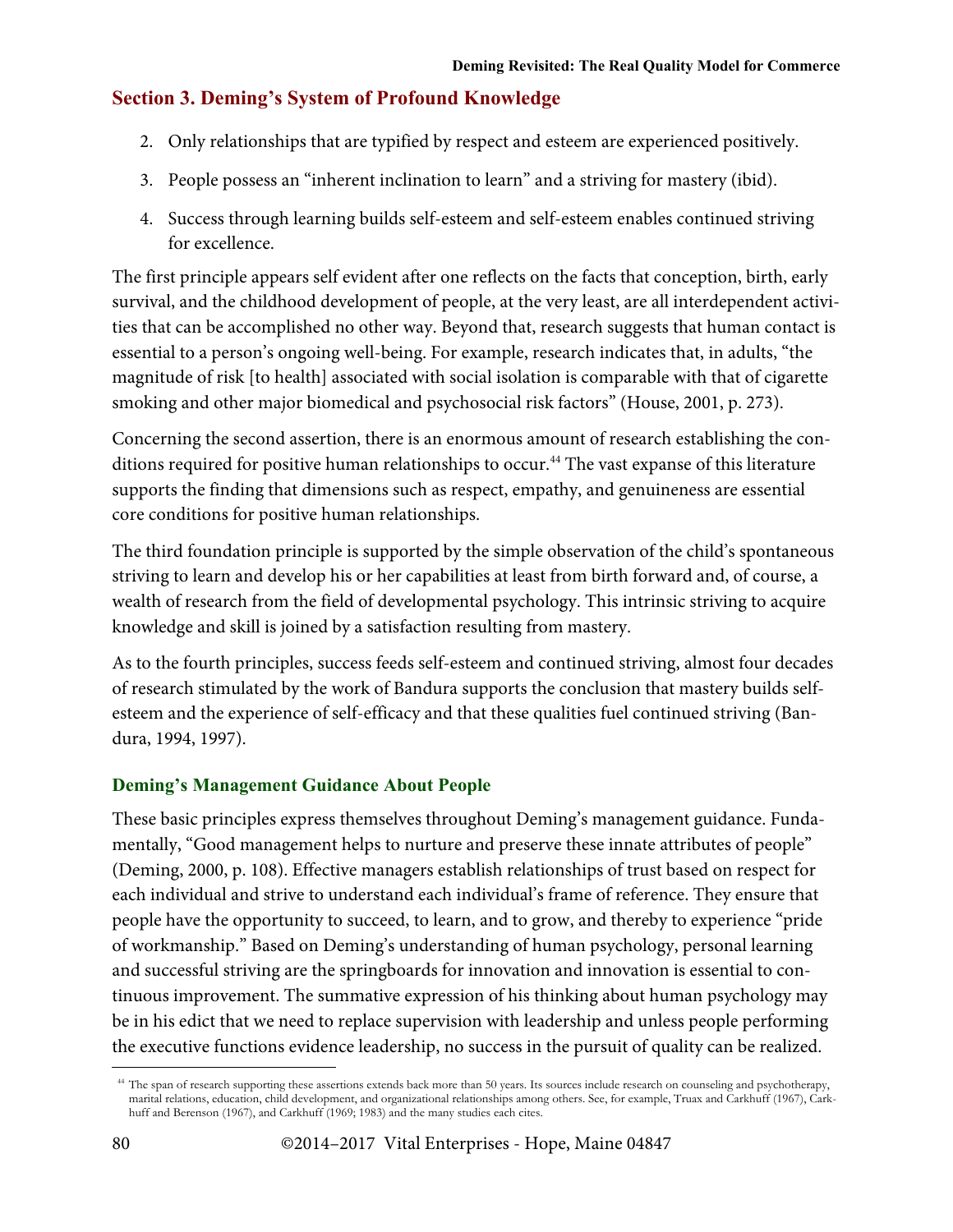- 2. Only relationships that are typified by respect and esteem are experienced positively.
- 3. People possess an "inherent inclination to learn" and a striving for mastery (ibid).
- 4. Success through learning builds self-esteem and self-esteem enables continued striving for excellence.

The first principle appears self evident after one reflects on the facts that conception, birth, early survival, and the childhood development of people, at the very least, are all interdependent activities that can be accomplished no other way. Beyond that, research suggests that human contact is essential to a person's ongoing well-being. For example, research indicates that, in adults, "the magnitude of risk [to health] associated with social isolation is comparable with that of cigarette smoking and other major biomedical and psychosocial risk factors" (House, 2001, p. 273).

Concerning the second assertion, there is an enormous amount of research establishing the conditions required for positive human relationships to occur.<sup>44</sup> The vast expanse of this literature supports the finding that dimensions such as respect, empathy, and genuineness are essential core conditions for positive human relationships.

The third foundation principle is supported by the simple observation of the child's spontaneous striving to learn and develop his or her capabilities at least from birth forward and, of course, a wealth of research from the field of developmental psychology. This intrinsic striving to acquire knowledge and skill is joined by a satisfaction resulting from mastery.

As to the fourth principles, success feeds self-esteem and continued striving, almost four decades of research stimulated by the work of Bandura supports the conclusion that mastery builds selfesteem and the experience of self-efficacy and that these qualities fuel continued striving (Bandura, 1994, 1997).

## **Deming's Management Guidance About People**

These basic principles express themselves throughout Deming's management guidance. Fundamentally, "Good management helps to nurture and preserve these innate attributes of people" (Deming, 2000, p. 108). Effective managers establish relationships of trust based on respect for each individual and strive to understand each individual's frame of reference. They ensure that people have the opportunity to succeed, to learn, and to grow, and thereby to experience "pride of workmanship." Based on Deming's understanding of human psychology, personal learning and successful striving are the springboards for innovation and innovation is essential to continuous improvement. The summative expression of his thinking about human psychology may be in his edict that we need to replace supervision with leadership and unless people performing the executive functions evidence leadership, no success in the pursuit of quality can be realized.

<sup>44</sup> The span of research supporting these assertions extends back more than 50 years. Its sources include research on counseling and psychotherapy, marital relations, education, child development, and organizational relationships among others. See, for example, Truax and Carkhuff (1967), Carkhuff and Berenson (1967), and Carkhuff (1969; 1983) and the many studies each cites.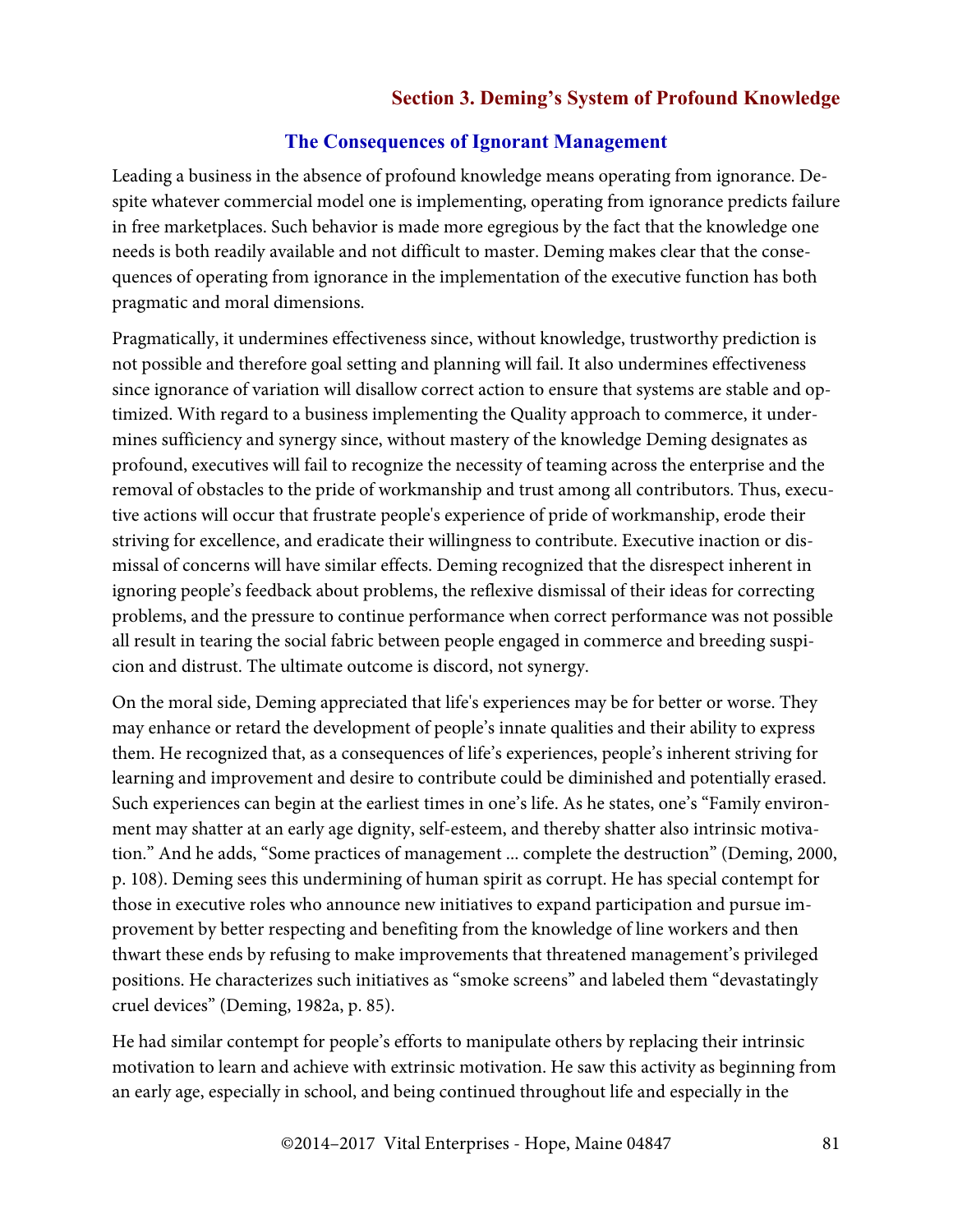### **The Consequences of Ignorant Management**

Leading a business in the absence of profound knowledge means operating from ignorance. Despite whatever commercial model one is implementing, operating from ignorance predicts failure in free marketplaces. Such behavior is made more egregious by the fact that the knowledge one needs is both readily available and not difficult to master. Deming makes clear that the consequences of operating from ignorance in the implementation of the executive function has both pragmatic and moral dimensions.

Pragmatically, it undermines effectiveness since, without knowledge, trustworthy prediction is not possible and therefore goal setting and planning will fail. It also undermines effectiveness since ignorance of variation will disallow correct action to ensure that systems are stable and optimized. With regard to a business implementing the Quality approach to commerce, it undermines sufficiency and synergy since, without mastery of the knowledge Deming designates as profound, executives will fail to recognize the necessity of teaming across the enterprise and the removal of obstacles to the pride of workmanship and trust among all contributors. Thus, executive actions will occur that frustrate people's experience of pride of workmanship, erode their striving for excellence, and eradicate their willingness to contribute. Executive inaction or dismissal of concerns will have similar effects. Deming recognized that the disrespect inherent in ignoring people's feedback about problems, the reflexive dismissal of their ideas for correcting problems, and the pressure to continue performance when correct performance was not possible all result in tearing the social fabric between people engaged in commerce and breeding suspicion and distrust. The ultimate outcome is discord, not synergy.

On the moral side, Deming appreciated that life's experiences may be for better or worse. They may enhance or retard the development of people's innate qualities and their ability to express them. He recognized that, as a consequences of life's experiences, people's inherent striving for learning and improvement and desire to contribute could be diminished and potentially erased. Such experiences can begin at the earliest times in one's life. As he states, one's "Family environment may shatter at an early age dignity, self-esteem, and thereby shatter also intrinsic motivation." And he adds, "Some practices of management ... complete the destruction" (Deming, 2000, p. 108). Deming sees this undermining of human spirit as corrupt. He has special contempt for those in executive roles who announce new initiatives to expand participation and pursue improvement by better respecting and benefiting from the knowledge of line workers and then thwart these ends by refusing to make improvements that threatened management's privileged positions. He characterizes such initiatives as "smoke screens" and labeled them "devastatingly cruel devices" (Deming, 1982a, p. 85).

He had similar contempt for people's efforts to manipulate others by replacing their intrinsic motivation to learn and achieve with extrinsic motivation. He saw this activity as beginning from an early age, especially in school, and being continued throughout life and especially in the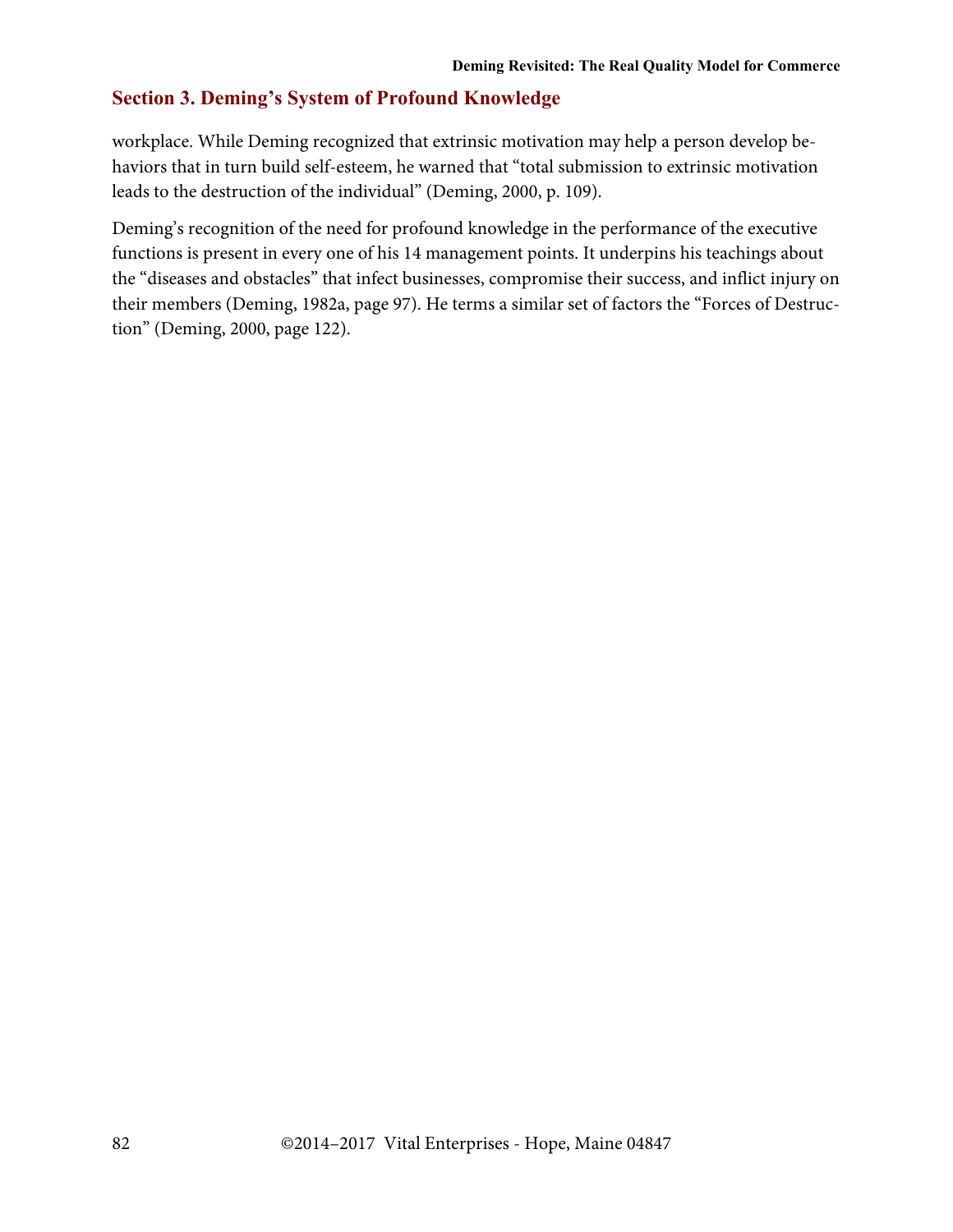workplace. While Deming recognized that extrinsic motivation may help a person develop behaviors that in turn build self-esteem, he warned that "total submission to extrinsic motivation leads to the destruction of the individual" (Deming, 2000, p. 109).

Deming's recognition of the need for profound knowledge in the performance of the executive functions is present in every one of his 14 management points. It underpins his teachings about the "diseases and obstacles" that infect businesses, compromise their success, and inflict injury on their members (Deming, 1982a, page 97). He terms a similar set of factors the "Forces of Destruction" (Deming, 2000, page 122).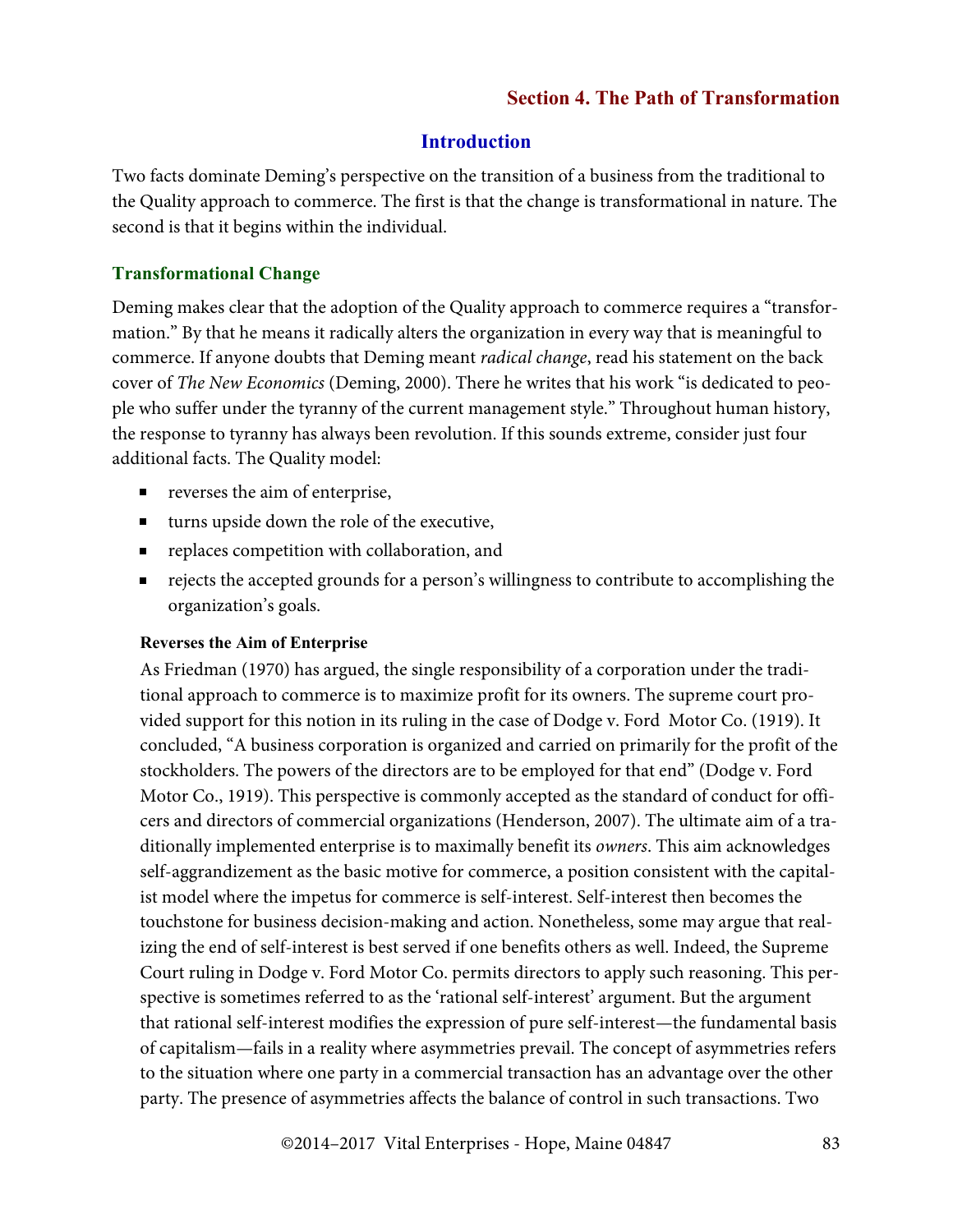## **Section 4. The Path of Transformation**

### **Introduction**

Two facts dominate Deming's perspective on the transition of a business from the traditional to the Quality approach to commerce. The first is that the change is transformational in nature. The second is that it begins within the individual.

### **Transformational Change**

Deming makes clear that the adoption of the Quality approach to commerce requires a "transformation." By that he means it radically alters the organization in every way that is meaningful to commerce. If anyone doubts that Deming meant *radical change*, read his statement on the back cover of *The New Economics* (Deming, 2000). There he writes that his work "is dedicated to people who suffer under the tyranny of the current management style." Throughout human history, the response to tyranny has always been revolution. If this sounds extreme, consider just four additional facts. The Quality model:

- **reverses the aim of enterprise,**
- turns upside down the role of the executive,
- replaces competition with collaboration, and
- rejects the accepted grounds for a person's willingness to contribute to accomplishing the organization's goals.

#### **Reverses the Aim of Enterprise**

As Friedman (1970) has argued, the single responsibility of a corporation under the traditional approach to commerce is to maximize profit for its owners. The supreme court provided support for this notion in its ruling in the case of Dodge v. Ford Motor Co. (1919). It concluded, "A business corporation is organized and carried on primarily for the profit of the stockholders. The powers of the directors are to be employed for that end" (Dodge v. Ford Motor Co., 1919). This perspective is commonly accepted as the standard of conduct for officers and directors of commercial organizations (Henderson, 2007). The ultimate aim of a traditionally implemented enterprise is to maximally benefit its *owners*. This aim acknowledges self-aggrandizement as the basic motive for commerce, a position consistent with the capitalist model where the impetus for commerce is self-interest. Self-interest then becomes the touchstone for business decision-making and action. Nonetheless, some may argue that realizing the end of self-interest is best served if one benefits others as well. Indeed, the Supreme Court ruling in Dodge v. Ford Motor Co. permits directors to apply such reasoning. This perspective is sometimes referred to as the 'rational self-interest' argument. But the argument that rational self-interest modifies the expression of pure self-interest—the fundamental basis of capitalism—fails in a reality where asymmetries prevail. The concept of asymmetries refers to the situation where one party in a commercial transaction has an advantage over the other party. The presence of asymmetries affects the balance of control in such transactions. Two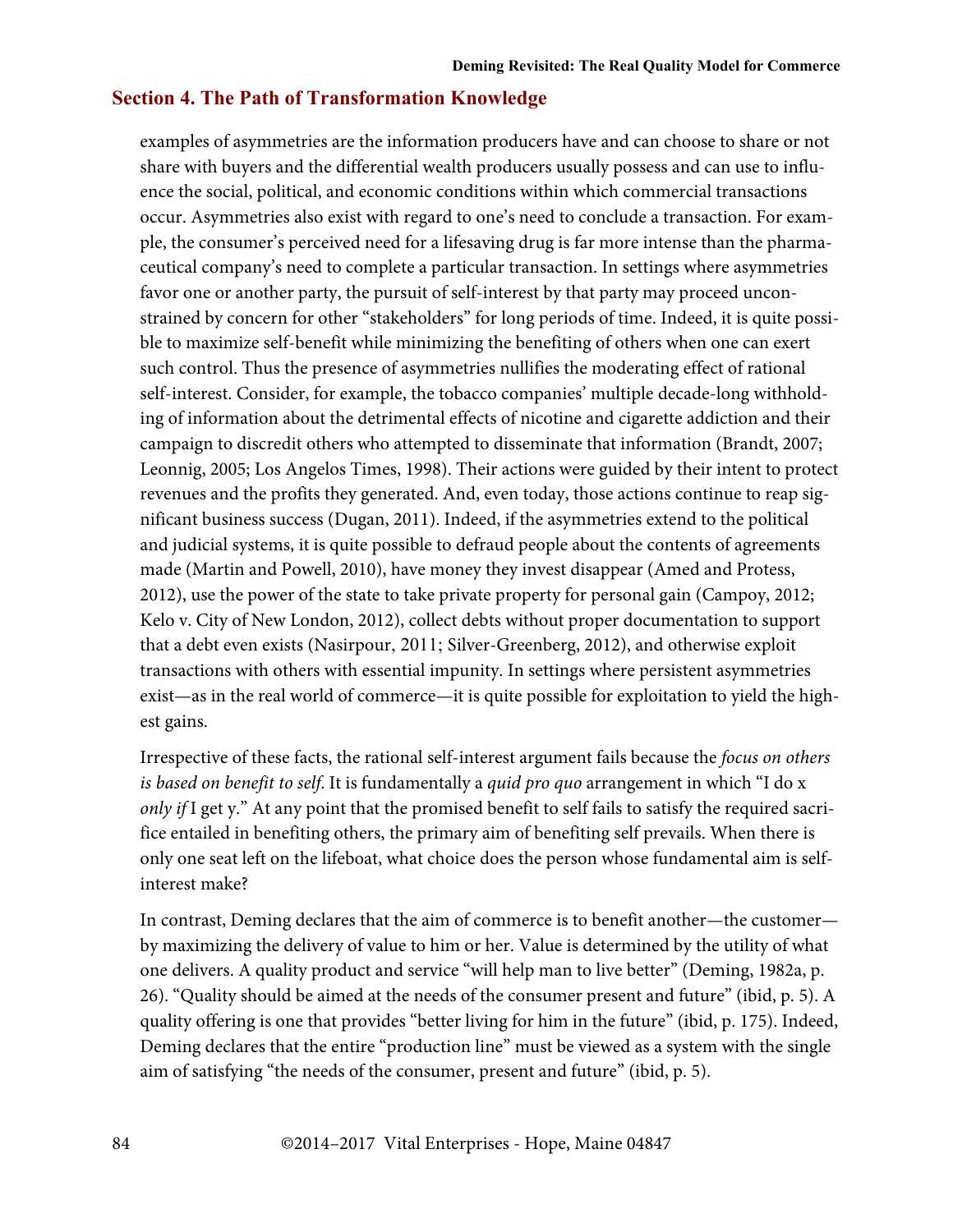#### **Section 4. The Path of Transformation Knowledge**

examples of asymmetries are the information producers have and can choose to share or not share with buyers and the differential wealth producers usually possess and can use to influence the social, political, and economic conditions within which commercial transactions occur. Asymmetries also exist with regard to one's need to conclude a transaction. For example, the consumer's perceived need for a lifesaving drug is far more intense than the pharmaceutical company's need to complete a particular transaction. In settings where asymmetries favor one or another party, the pursuit of self-interest by that party may proceed unconstrained by concern for other "stakeholders" for long periods of time. Indeed, it is quite possible to maximize self-benefit while minimizing the benefiting of others when one can exert such control. Thus the presence of asymmetries nullifies the moderating effect of rational self-interest. Consider, for example, the tobacco companies' multiple decade-long withholding of information about the detrimental effects of nicotine and cigarette addiction and their campaign to discredit others who attempted to disseminate that information (Brandt, 2007; Leonnig, 2005; Los Angelos Times, 1998). Their actions were guided by their intent to protect revenues and the profits they generated. And, even today, those actions continue to reap significant business success (Dugan, 2011). Indeed, if the asymmetries extend to the political and judicial systems, it is quite possible to defraud people about the contents of agreements made (Martin and Powell, 2010), have money they invest disappear (Amed and Protess, 2012), use the power of the state to take private property for personal gain (Campoy, 2012; Kelo v. City of New London, 2012), collect debts without proper documentation to support that a debt even exists (Nasirpour, 2011; Silver-Greenberg, 2012), and otherwise exploit transactions with others with essential impunity. In settings where persistent asymmetries exist—as in the real world of commerce—it is quite possible for exploitation to yield the highest gains.

Irrespective of these facts, the rational self-interest argument fails because the *focus on others is based on benefit to self*. It is fundamentally a *quid pro quo* arrangement in which "I do x *only if* I get y." At any point that the promised benefit to self fails to satisfy the required sacrifice entailed in benefiting others, the primary aim of benefiting self prevails. When there is only one seat left on the lifeboat, what choice does the person whose fundamental aim is selfinterest make?

In contrast, Deming declares that the aim of commerce is to benefit another—the customer by maximizing the delivery of value to him or her. Value is determined by the utility of what one delivers. A quality product and service "will help man to live better" (Deming, 1982a, p. 26). "Quality should be aimed at the needs of the consumer present and future" (ibid, p. 5). A quality offering is one that provides "better living for him in the future" (ibid, p. 175). Indeed, Deming declares that the entire "production line" must be viewed as a system with the single aim of satisfying "the needs of the consumer, present and future" (ibid, p. 5).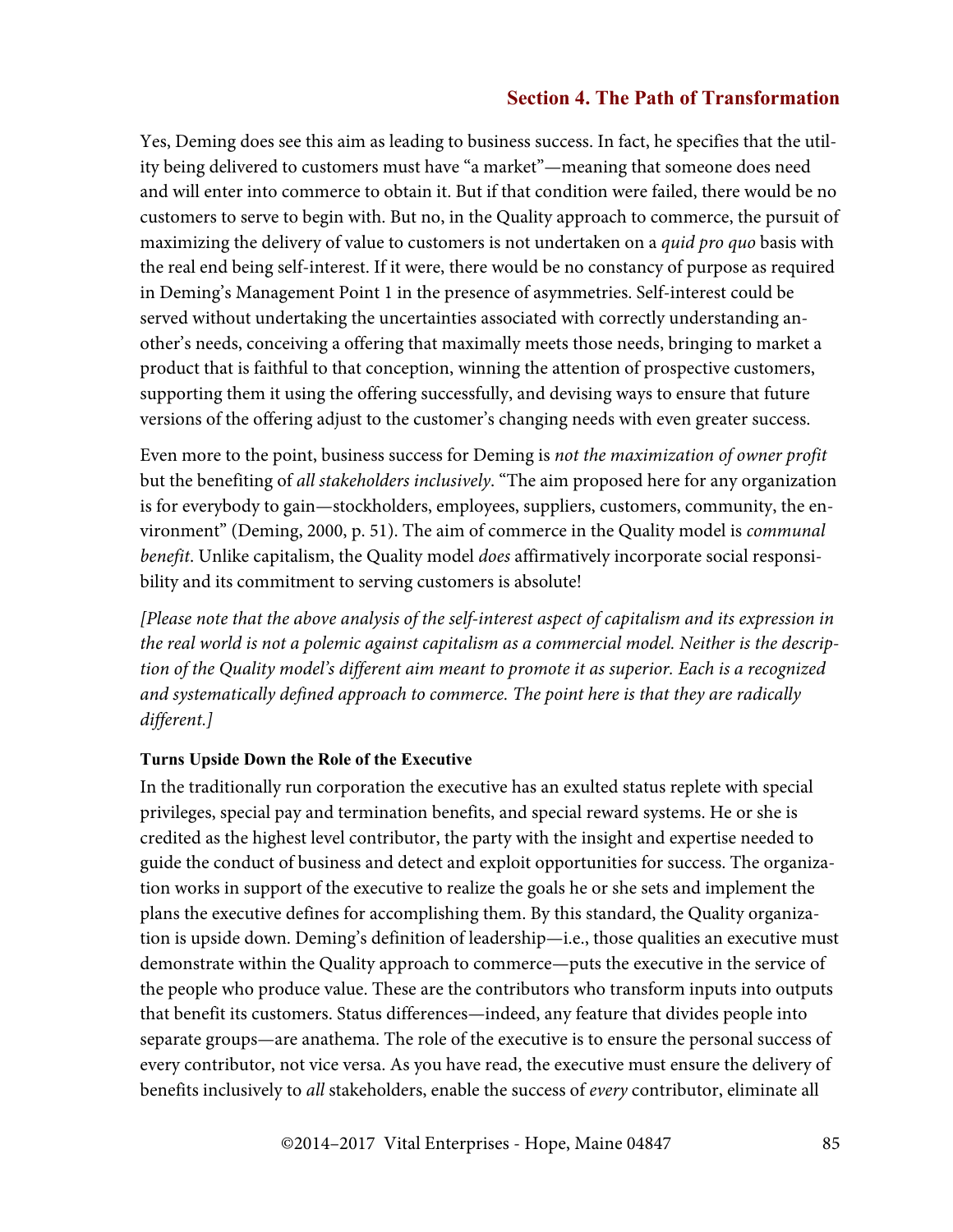## **Section 4. The Path of Transformation**

Yes, Deming does see this aim as leading to business success. In fact, he specifies that the utility being delivered to customers must have "a market"—meaning that someone does need and will enter into commerce to obtain it. But if that condition were failed, there would be no customers to serve to begin with. But no, in the Quality approach to commerce, the pursuit of maximizing the delivery of value to customers is not undertaken on a *quid pro quo* basis with the real end being self-interest. If it were, there would be no constancy of purpose as required in Deming's Management Point 1 in the presence of asymmetries. Self-interest could be served without undertaking the uncertainties associated with correctly understanding another's needs, conceiving a offering that maximally meets those needs, bringing to market a product that is faithful to that conception, winning the attention of prospective customers, supporting them it using the offering successfully, and devising ways to ensure that future versions of the offering adjust to the customer's changing needs with even greater success.

Even more to the point, business success for Deming is *not the maximization of owner profit* but the benefiting of *all stakeholders inclusively*. "The aim proposed here for any organization is for everybody to gain—stockholders, employees, suppliers, customers, community, the environment" (Deming, 2000, p. 51). The aim of commerce in the Quality model is *communal benefit*. Unlike capitalism, the Quality model *does* affirmatively incorporate social responsibility and its commitment to serving customers is absolute!

*[Please note that the above analysis of the self-interest aspect of capitalism and its expression in the real world is not a polemic against capitalism as a commercial model. Neither is the description of the Quality model's different aim meant to promote it as superior. Each is a recognized and systematically defined approach to commerce. The point here is that they are radically different.]*

#### **Turns Upside Down the Role of the Executive**

In the traditionally run corporation the executive has an exulted status replete with special privileges, special pay and termination benefits, and special reward systems. He or she is credited as the highest level contributor, the party with the insight and expertise needed to guide the conduct of business and detect and exploit opportunities for success. The organization works in support of the executive to realize the goals he or she sets and implement the plans the executive defines for accomplishing them. By this standard, the Quality organization is upside down. Deming's definition of leadership—i.e., those qualities an executive must demonstrate within the Quality approach to commerce—puts the executive in the service of the people who produce value. These are the contributors who transform inputs into outputs that benefit its customers. Status differences—indeed, any feature that divides people into separate groups—are anathema. The role of the executive is to ensure the personal success of every contributor, not vice versa. As you have read, the executive must ensure the delivery of benefits inclusively to *all* stakeholders, enable the success of *every* contributor, eliminate all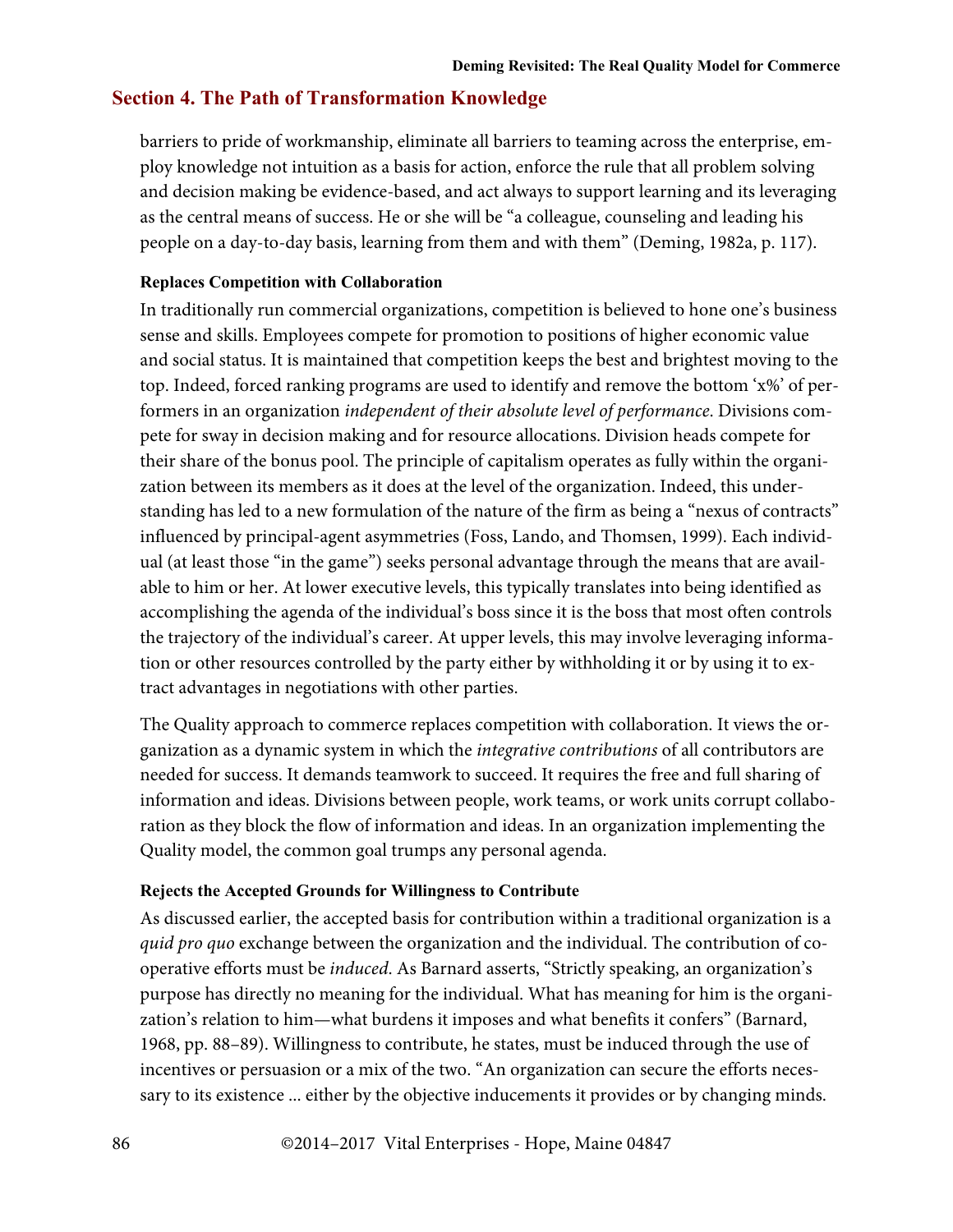### **Section 4. The Path of Transformation Knowledge**

barriers to pride of workmanship, eliminate all barriers to teaming across the enterprise, employ knowledge not intuition as a basis for action, enforce the rule that all problem solving and decision making be evidence-based, and act always to support learning and its leveraging as the central means of success. He or she will be "a colleague, counseling and leading his people on a day-to-day basis, learning from them and with them" (Deming, 1982a, p. 117).

#### **Replaces Competition with Collaboration**

In traditionally run commercial organizations, competition is believed to hone one's business sense and skills. Employees compete for promotion to positions of higher economic value and social status. It is maintained that competition keeps the best and brightest moving to the top. Indeed, forced ranking programs are used to identify and remove the bottom 'x%' of performers in an organization *independent of their absolute level of performance*. Divisions compete for sway in decision making and for resource allocations. Division heads compete for their share of the bonus pool. The principle of capitalism operates as fully within the organization between its members as it does at the level of the organization. Indeed, this understanding has led to a new formulation of the nature of the firm as being a "nexus of contracts" influenced by principal-agent asymmetries (Foss, Lando, and Thomsen, 1999). Each individual (at least those "in the game") seeks personal advantage through the means that are available to him or her. At lower executive levels, this typically translates into being identified as accomplishing the agenda of the individual's boss since it is the boss that most often controls the trajectory of the individual's career. At upper levels, this may involve leveraging information or other resources controlled by the party either by withholding it or by using it to extract advantages in negotiations with other parties.

The Quality approach to commerce replaces competition with collaboration. It views the organization as a dynamic system in which the *integrative contributions* of all contributors are needed for success. It demands teamwork to succeed. It requires the free and full sharing of information and ideas. Divisions between people, work teams, or work units corrupt collaboration as they block the flow of information and ideas. In an organization implementing the Quality model, the common goal trumps any personal agenda.

#### **Rejects the Accepted Grounds for Willingness to Contribute**

As discussed earlier, the accepted basis for contribution within a traditional organization is a *quid pro quo* exchange between the organization and the individual. The contribution of cooperative efforts must be *induced*. As Barnard asserts, "Strictly speaking, an organization's purpose has directly no meaning for the individual. What has meaning for him is the organization's relation to him—what burdens it imposes and what benefits it confers" (Barnard, 1968, pp. 88–89). Willingness to contribute, he states, must be induced through the use of incentives or persuasion or a mix of the two. "An organization can secure the efforts necessary to its existence ... either by the objective inducements it provides or by changing minds.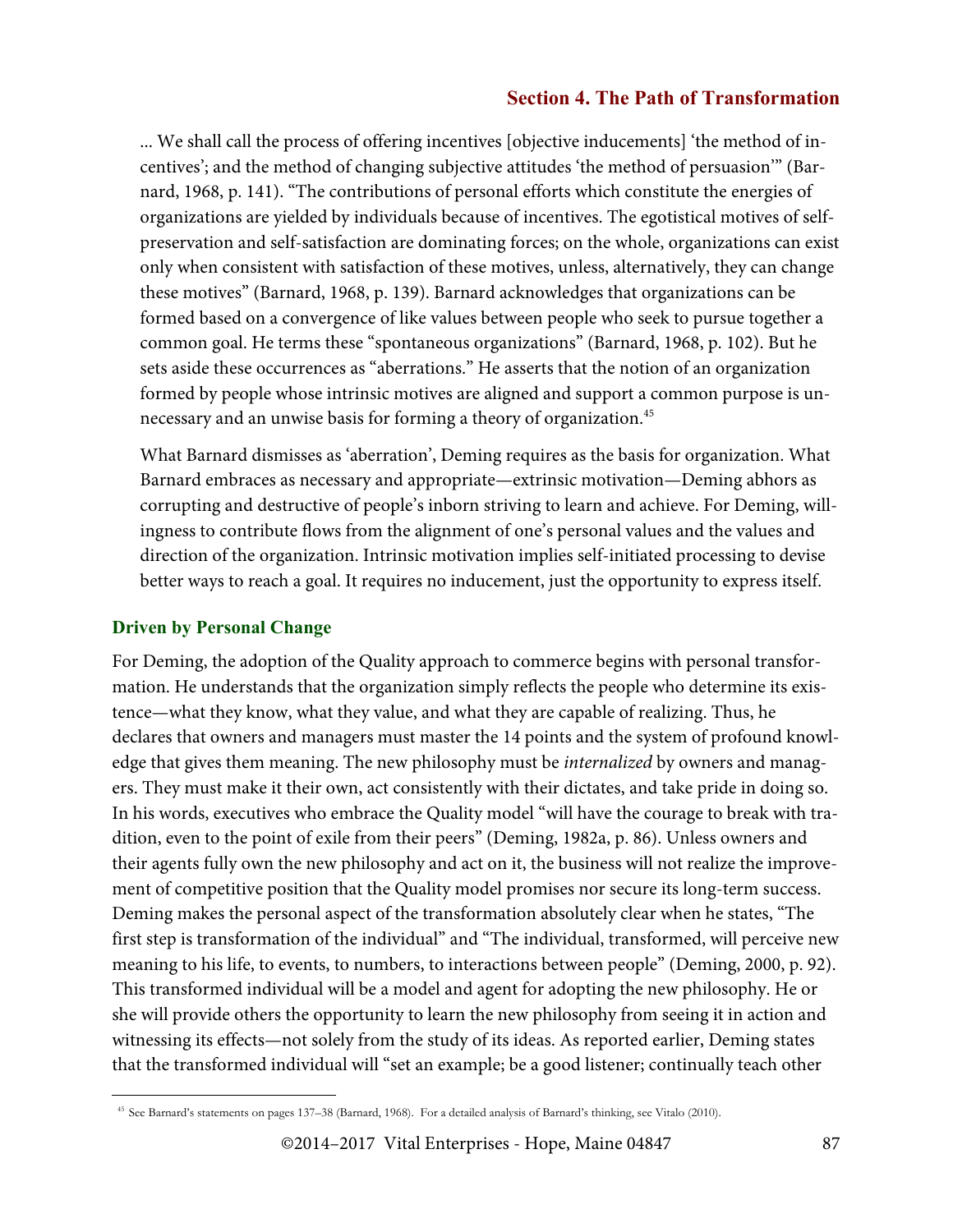### **Section 4. The Path of Transformation**

... We shall call the process of offering incentives [objective inducements] 'the method of incentives'; and the method of changing subjective attitudes 'the method of persuasion'" (Barnard, 1968, p. 141). "The contributions of personal efforts which constitute the energies of organizations are yielded by individuals because of incentives. The egotistical motives of selfpreservation and self-satisfaction are dominating forces; on the whole, organizations can exist only when consistent with satisfaction of these motives, unless, alternatively, they can change these motives" (Barnard, 1968, p. 139). Barnard acknowledges that organizations can be formed based on a convergence of like values between people who seek to pursue together a common goal. He terms these "spontaneous organizations" (Barnard, 1968, p. 102). But he sets aside these occurrences as "aberrations." He asserts that the notion of an organization formed by people whose intrinsic motives are aligned and support a common purpose is unnecessary and an unwise basis for forming a theory of organization.<sup>45</sup>

What Barnard dismisses as 'aberration', Deming requires as the basis for organization. What Barnard embraces as necessary and appropriate—extrinsic motivation—Deming abhors as corrupting and destructive of people's inborn striving to learn and achieve. For Deming, willingness to contribute flows from the alignment of one's personal values and the values and direction of the organization. Intrinsic motivation implies self-initiated processing to devise better ways to reach a goal. It requires no inducement, just the opportunity to express itself.

#### **Driven by Personal Change**

For Deming, the adoption of the Quality approach to commerce begins with personal transformation. He understands that the organization simply reflects the people who determine its existence—what they know, what they value, and what they are capable of realizing. Thus, he declares that owners and managers must master the 14 points and the system of profound knowledge that gives them meaning. The new philosophy must be *internalized* by owners and managers. They must make it their own, act consistently with their dictates, and take pride in doing so. In his words, executives who embrace the Quality model "will have the courage to break with tradition, even to the point of exile from their peers" (Deming, 1982a, p. 86). Unless owners and their agents fully own the new philosophy and act on it, the business will not realize the improvement of competitive position that the Quality model promises nor secure its long-term success. Deming makes the personal aspect of the transformation absolutely clear when he states, "The first step is transformation of the individual" and "The individual, transformed, will perceive new meaning to his life, to events, to numbers, to interactions between people" (Deming, 2000, p. 92). This transformed individual will be a model and agent for adopting the new philosophy. He or she will provide others the opportunity to learn the new philosophy from seeing it in action and witnessing its effects—not solely from the study of its ideas. As reported earlier, Deming states that the transformed individual will "set an example; be a good listener; continually teach other

<sup>45</sup> See Barnard's statements on pages 137–38 (Barnard, 1968). For a detailed analysis of Barnard's thinking, see Vitalo (2010).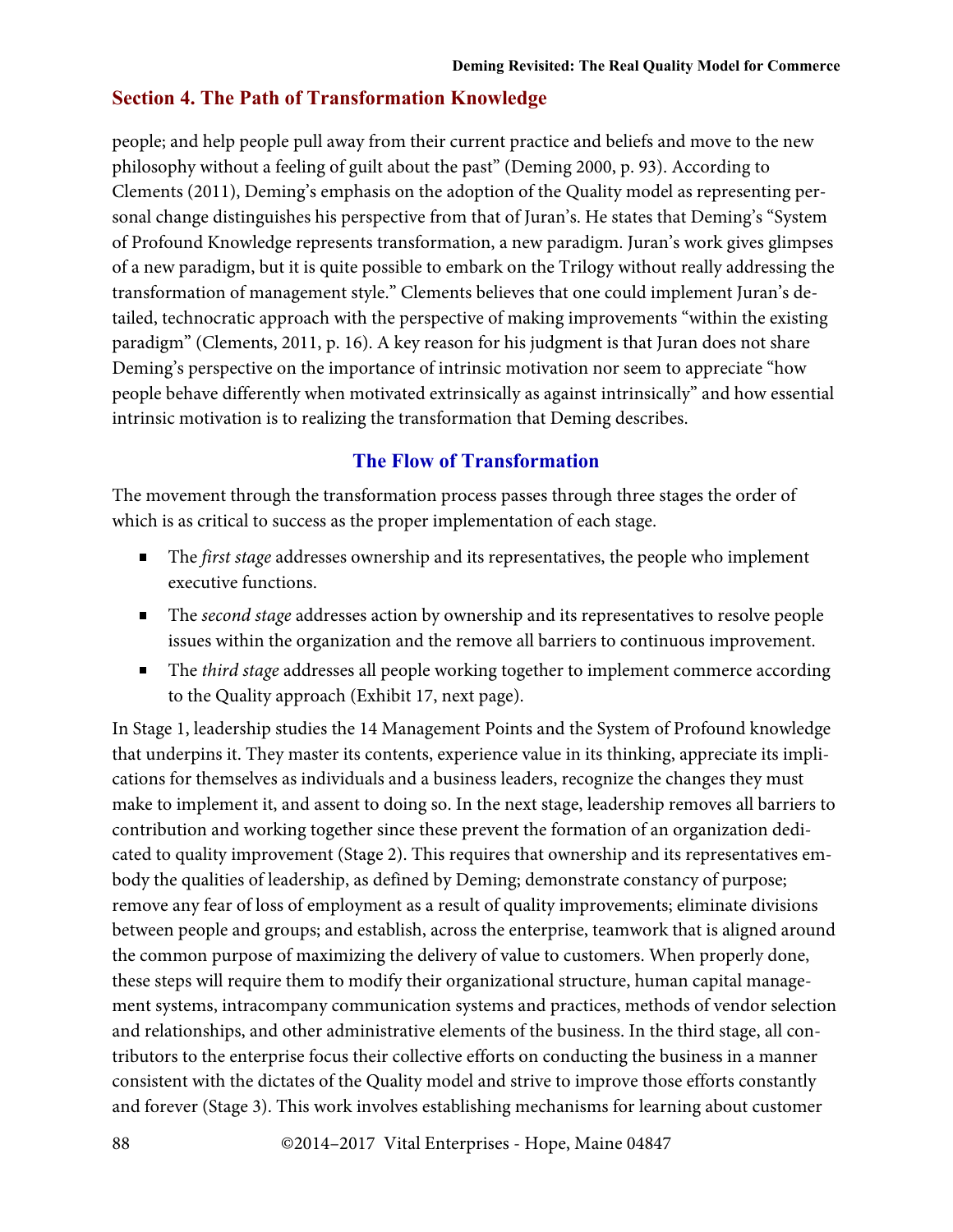# **Section 4. The Path of Transformation Knowledge**

people; and help people pull away from their current practice and beliefs and move to the new philosophy without a feeling of guilt about the past" (Deming 2000, p. 93). According to Clements (2011), Deming's emphasis on the adoption of the Quality model as representing personal change distinguishes his perspective from that of Juran's. He states that Deming's "System of Profound Knowledge represents transformation, a new paradigm. Juran's work gives glimpses of a new paradigm, but it is quite possible to embark on the Trilogy without really addressing the transformation of management style." Clements believes that one could implement Juran's detailed, technocratic approach with the perspective of making improvements "within the existing paradigm" (Clements, 2011, p. 16). A key reason for his judgment is that Juran does not share Deming's perspective on the importance of intrinsic motivation nor seem to appreciate "how people behave differently when motivated extrinsically as against intrinsically" and how essential intrinsic motivation is to realizing the transformation that Deming describes.

## **The Flow of Transformation**

The movement through the transformation process passes through three stages the order of which is as critical to success as the proper implementation of each stage.

- The *first stage* addresses ownership and its representatives, the people who implement executive functions.
- The *second stage* addresses action by ownership and its representatives to resolve people issues within the organization and the remove all barriers to continuous improvement.
- The *third stage* addresses all people working together to implement commerce according to the Quality approach (Exhibit 17, next page).

In Stage 1, leadership studies the 14 Management Points and the System of Profound knowledge that underpins it. They master its contents, experience value in its thinking, appreciate its implications for themselves as individuals and a business leaders, recognize the changes they must make to implement it, and assent to doing so. In the next stage, leadership removes all barriers to contribution and working together since these prevent the formation of an organization dedicated to quality improvement (Stage 2). This requires that ownership and its representatives embody the qualities of leadership, as defined by Deming; demonstrate constancy of purpose; remove any fear of loss of employment as a result of quality improvements; eliminate divisions between people and groups; and establish, across the enterprise, teamwork that is aligned around the common purpose of maximizing the delivery of value to customers. When properly done, these steps will require them to modify their organizational structure, human capital management systems, intracompany communication systems and practices, methods of vendor selection and relationships, and other administrative elements of the business. In the third stage, all contributors to the enterprise focus their collective efforts on conducting the business in a manner consistent with the dictates of the Quality model and strive to improve those efforts constantly and forever (Stage 3). This work involves establishing mechanisms for learning about customer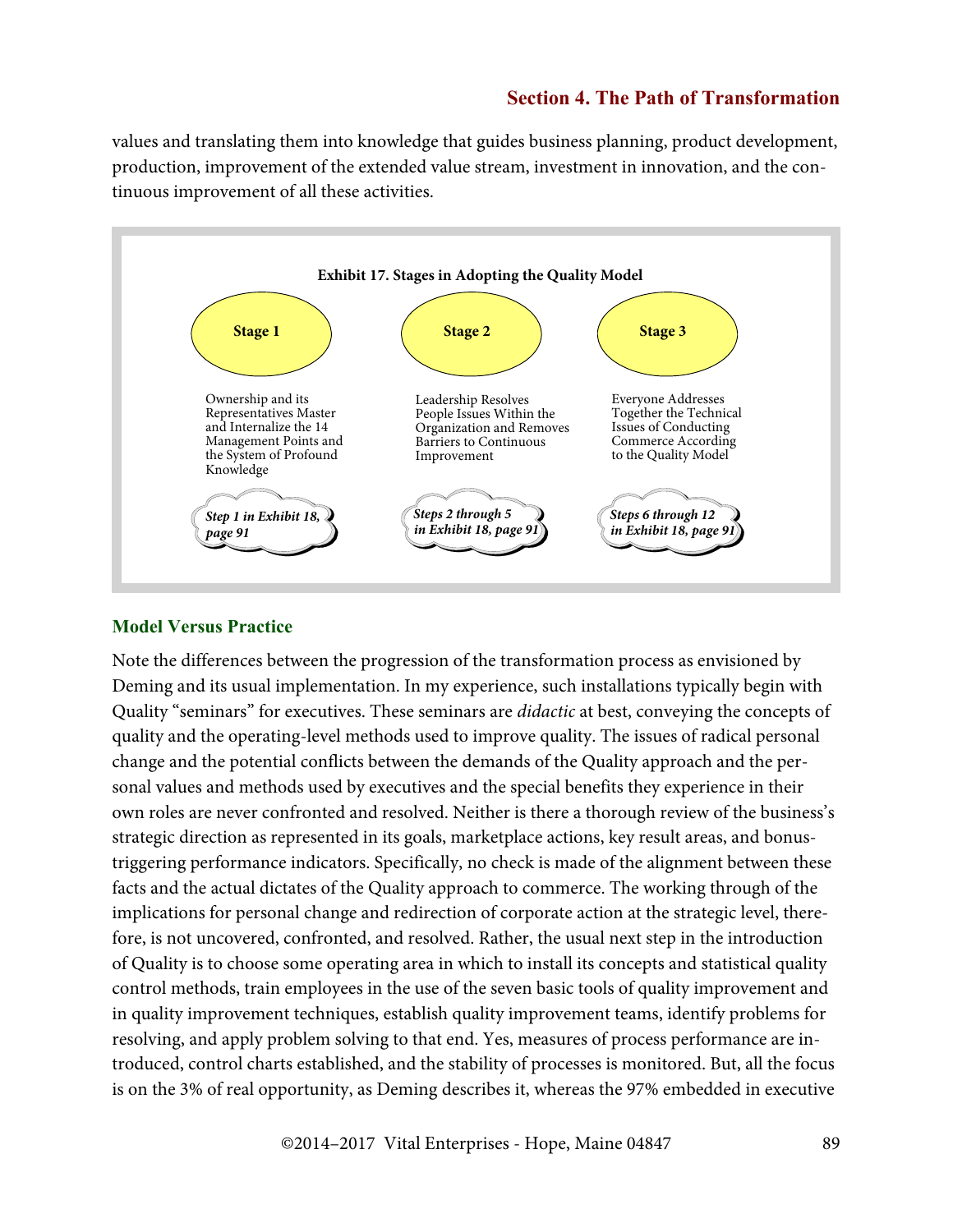## **Section 4. The Path of Transformation**

values and translating them into knowledge that guides business planning, product development, production, improvement of the extended value stream, investment in innovation, and the continuous improvement of all these activities.



#### **Model Versus Practice**

Note the differences between the progression of the transformation process as envisioned by Deming and its usual implementation. In my experience, such installations typically begin with Quality "seminars" for executives. These seminars are *didactic* at best, conveying the concepts of quality and the operating-level methods used to improve quality. The issues of radical personal change and the potential conflicts between the demands of the Quality approach and the personal values and methods used by executives and the special benefits they experience in their own roles are never confronted and resolved. Neither is there a thorough review of the business's strategic direction as represented in its goals, marketplace actions, key result areas, and bonustriggering performance indicators. Specifically, no check is made of the alignment between these facts and the actual dictates of the Quality approach to commerce. The working through of the implications for personal change and redirection of corporate action at the strategic level, therefore, is not uncovered, confronted, and resolved. Rather, the usual next step in the introduction of Quality is to choose some operating area in which to install its concepts and statistical quality control methods, train employees in the use of the seven basic tools of quality improvement and in quality improvement techniques, establish quality improvement teams, identify problems for resolving, and apply problem solving to that end. Yes, measures of process performance are introduced, control charts established, and the stability of processes is monitored. But, all the focus is on the 3% of real opportunity, as Deming describes it, whereas the 97% embedded in executive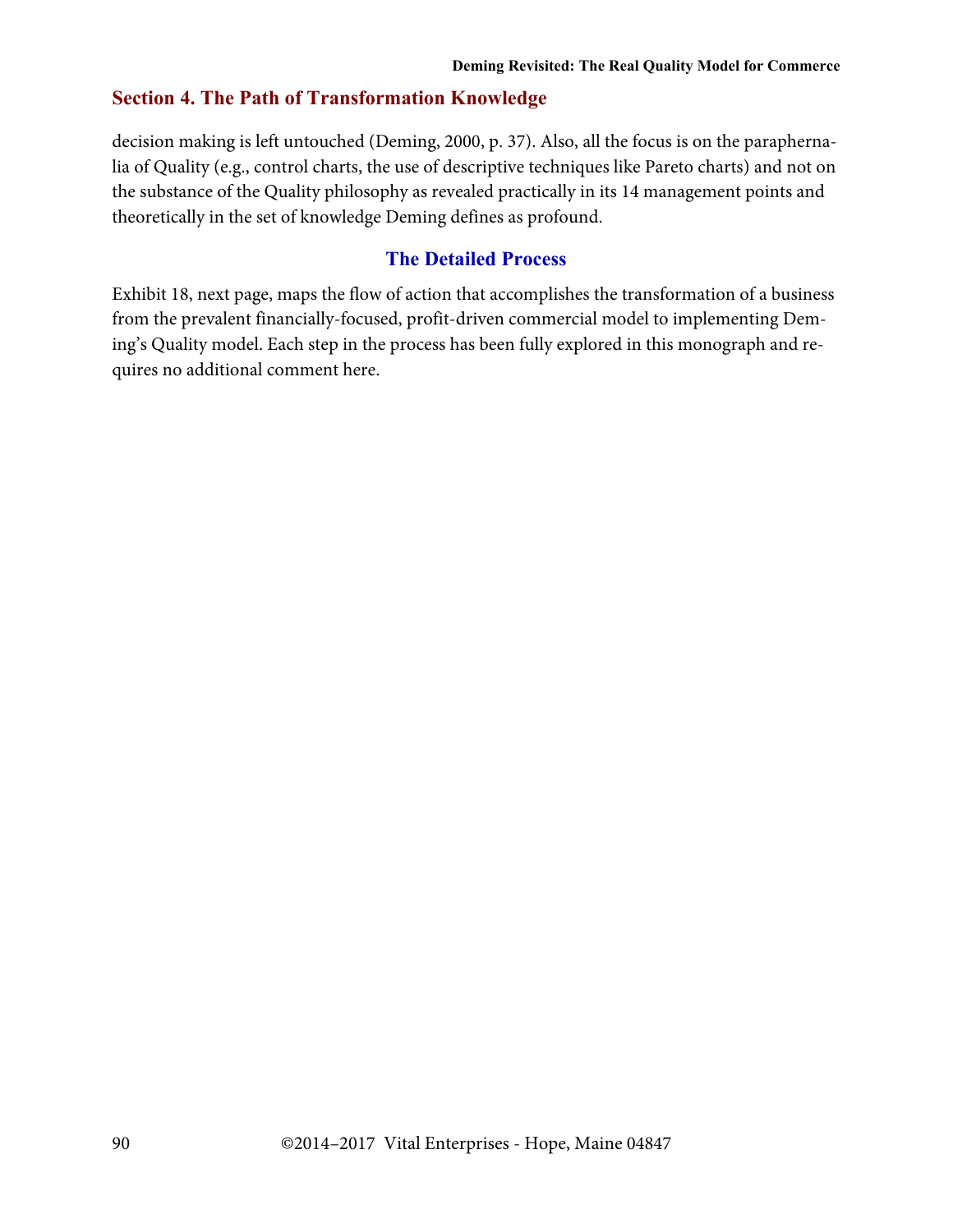## **Section 4. The Path of Transformation Knowledge**

decision making is left untouched (Deming, 2000, p. 37). Also, all the focus is on the paraphernalia of Quality (e.g., control charts, the use of descriptive techniques like Pareto charts) and not on the substance of the Quality philosophy as revealed practically in its 14 management points and theoretically in the set of knowledge Deming defines as profound.

## **The Detailed Process**

Exhibit 18, next page, maps the flow of action that accomplishes the transformation of a business from the prevalent financially-focused, profit-driven commercial model to implementing Deming's Quality model. Each step in the process has been fully explored in this monograph and requires no additional comment here.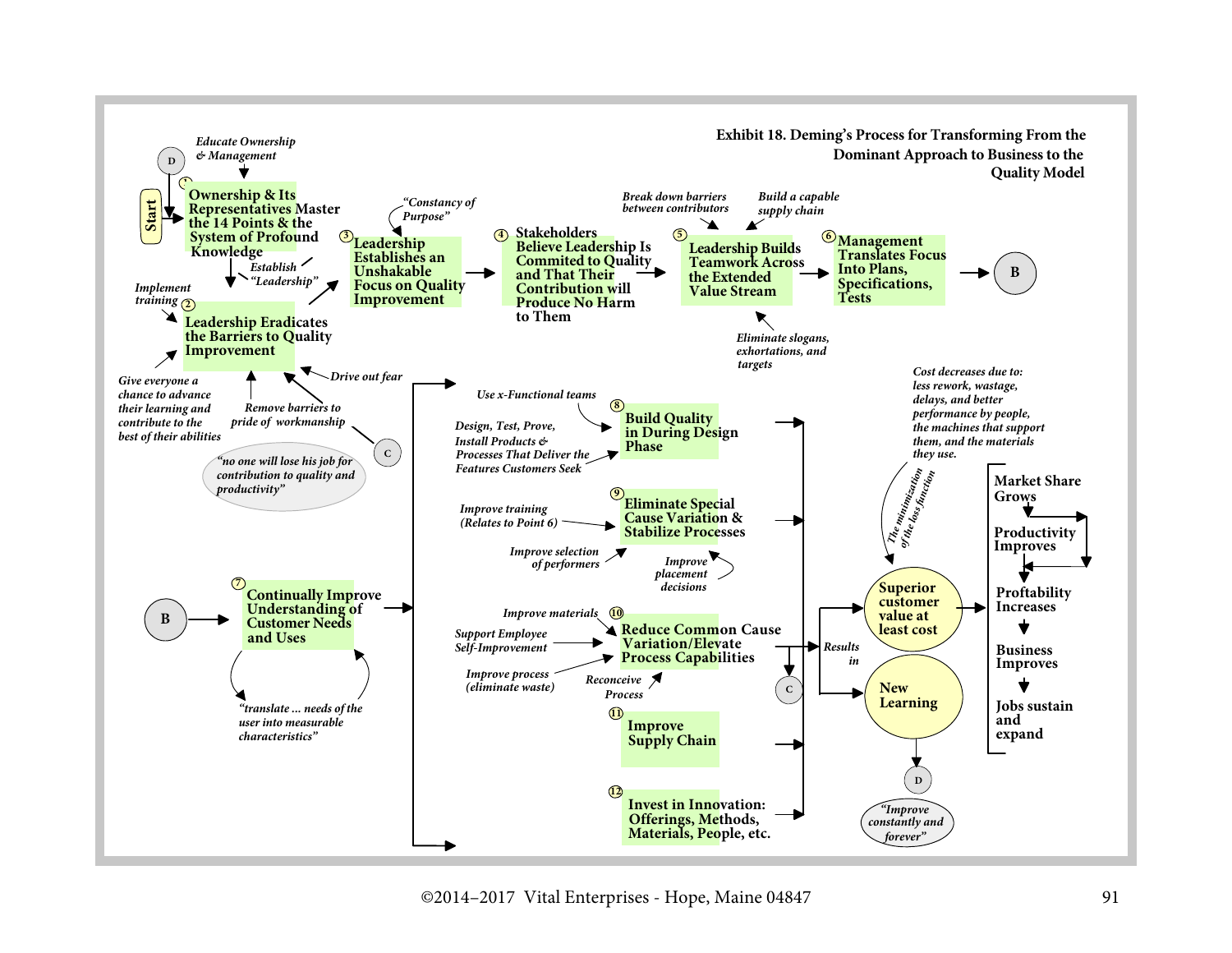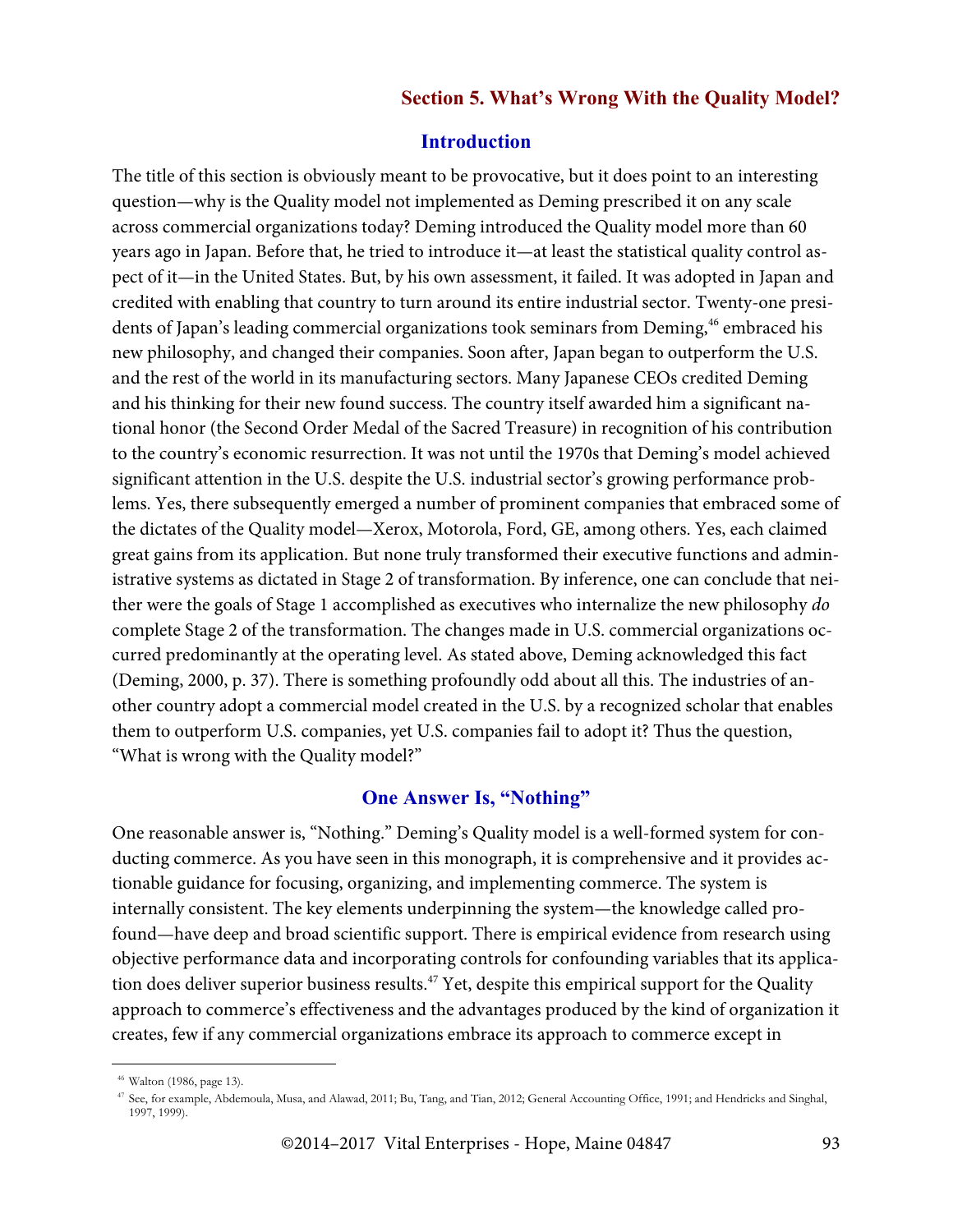#### **Introduction**

The title of this section is obviously meant to be provocative, but it does point to an interesting question—why is the Quality model not implemented as Deming prescribed it on any scale across commercial organizations today? Deming introduced the Quality model more than 60 years ago in Japan. Before that, he tried to introduce it—at least the statistical quality control aspect of it—in the United States. But, by his own assessment, it failed. It was adopted in Japan and credited with enabling that country to turn around its entire industrial sector. Twenty-one presidents of Japan's leading commercial organizations took seminars from Deming,<sup>46</sup> embraced his new philosophy, and changed their companies. Soon after, Japan began to outperform the U.S. and the rest of the world in its manufacturing sectors. Many Japanese CEOs credited Deming and his thinking for their new found success. The country itself awarded him a significant national honor (the Second Order Medal of the Sacred Treasure) in recognition of his contribution to the country's economic resurrection. It was not until the 1970s that Deming's model achieved significant attention in the U.S. despite the U.S. industrial sector's growing performance problems. Yes, there subsequently emerged a number of prominent companies that embraced some of the dictates of the Quality model—Xerox, Motorola, Ford, GE, among others. Yes, each claimed great gains from its application. But none truly transformed their executive functions and administrative systems as dictated in Stage 2 of transformation. By inference, one can conclude that neither were the goals of Stage 1 accomplished as executives who internalize the new philosophy *do* complete Stage 2 of the transformation. The changes made in U.S. commercial organizations occurred predominantly at the operating level. As stated above, Deming acknowledged this fact (Deming, 2000, p. 37). There is something profoundly odd about all this. The industries of another country adopt a commercial model created in the U.S. by a recognized scholar that enables them to outperform U.S. companies, yet U.S. companies fail to adopt it? Thus the question, "What is wrong with the Quality model?"

# **One Answer Is, "Nothing"**

One reasonable answer is, "Nothing." Deming's Quality model is a well-formed system for conducting commerce. As you have seen in this monograph, it is comprehensive and it provides actionable guidance for focusing, organizing, and implementing commerce. The system is internally consistent. The key elements underpinning the system—the knowledge called profound—have deep and broad scientific support. There is empirical evidence from research using objective performance data and incorporating controls for confounding variables that its application does deliver superior business results.<sup>47</sup> Yet, despite this empirical support for the Quality approach to commerce's effectiveness and the advantages produced by the kind of organization it creates, few if any commercial organizations embrace its approach to commerce except in

<sup>46</sup> Walton (1986, page 13).

<sup>47</sup> See, for example, Abdemoula, Musa, and Alawad, 2011; Bu, Tang, and Tian, 2012; General Accounting Office, 1991; and Hendricks and Singhal, 1997, 1999).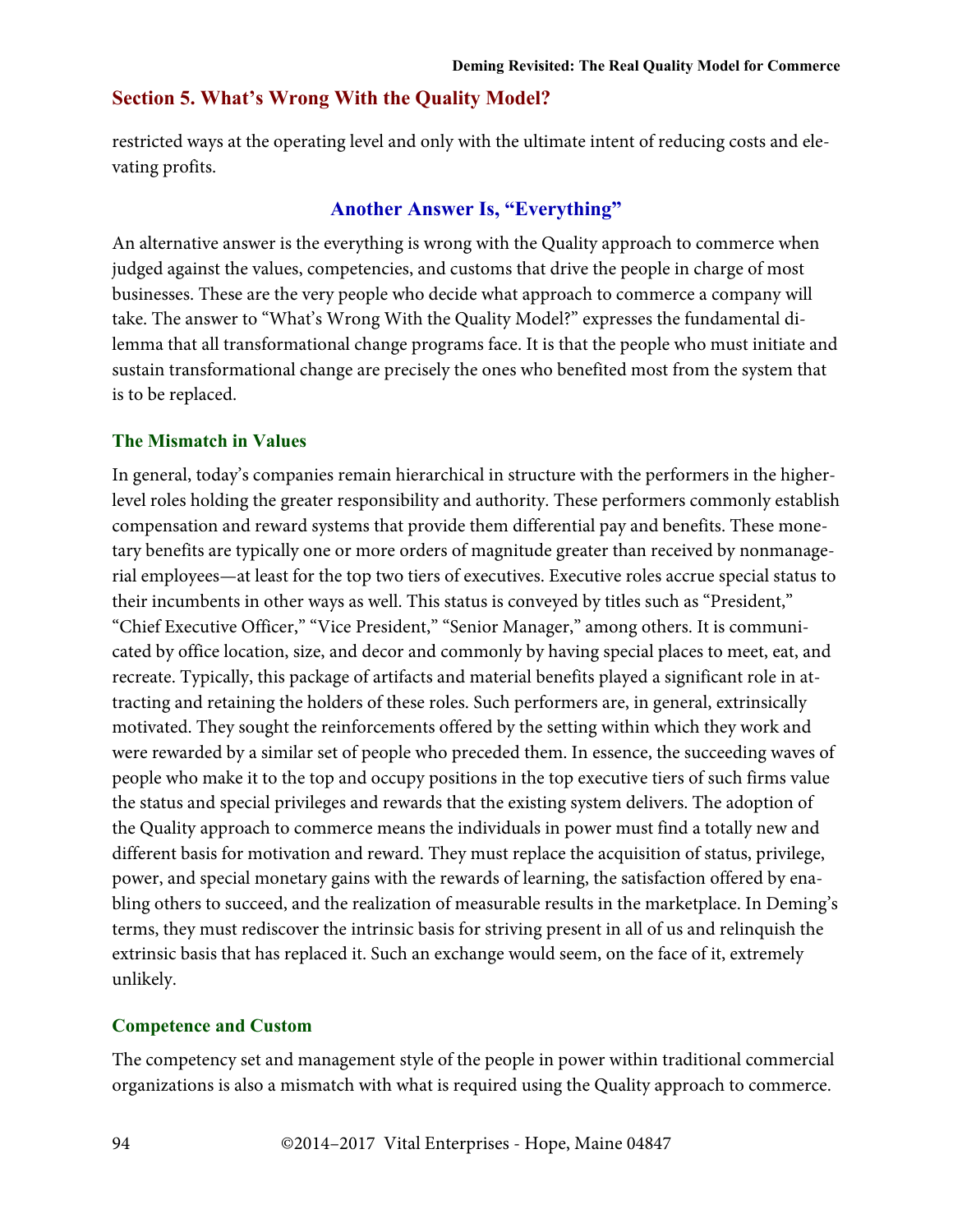restricted ways at the operating level and only with the ultimate intent of reducing costs and elevating profits.

## **Another Answer Is, "Everything"**

An alternative answer is the everything is wrong with the Quality approach to commerce when judged against the values, competencies, and customs that drive the people in charge of most businesses. These are the very people who decide what approach to commerce a company will take. The answer to "What's Wrong With the Quality Model?" expresses the fundamental dilemma that all transformational change programs face. It is that the people who must initiate and sustain transformational change are precisely the ones who benefited most from the system that is to be replaced.

#### **The Mismatch in Values**

In general, today's companies remain hierarchical in structure with the performers in the higherlevel roles holding the greater responsibility and authority. These performers commonly establish compensation and reward systems that provide them differential pay and benefits. These monetary benefits are typically one or more orders of magnitude greater than received by nonmanagerial employees—at least for the top two tiers of executives. Executive roles accrue special status to their incumbents in other ways as well. This status is conveyed by titles such as "President," "Chief Executive Officer," "Vice President," "Senior Manager," among others. It is communicated by office location, size, and decor and commonly by having special places to meet, eat, and recreate. Typically, this package of artifacts and material benefits played a significant role in attracting and retaining the holders of these roles. Such performers are, in general, extrinsically motivated. They sought the reinforcements offered by the setting within which they work and were rewarded by a similar set of people who preceded them. In essence, the succeeding waves of people who make it to the top and occupy positions in the top executive tiers of such firms value the status and special privileges and rewards that the existing system delivers. The adoption of the Quality approach to commerce means the individuals in power must find a totally new and different basis for motivation and reward. They must replace the acquisition of status, privilege, power, and special monetary gains with the rewards of learning, the satisfaction offered by enabling others to succeed, and the realization of measurable results in the marketplace. In Deming's terms, they must rediscover the intrinsic basis for striving present in all of us and relinquish the extrinsic basis that has replaced it. Such an exchange would seem, on the face of it, extremely unlikely.

#### **Competence and Custom**

The competency set and management style of the people in power within traditional commercial organizations is also a mismatch with what is required using the Quality approach to commerce.

94 ©2014–2017 Vital Enterprises - Hope, Maine 04847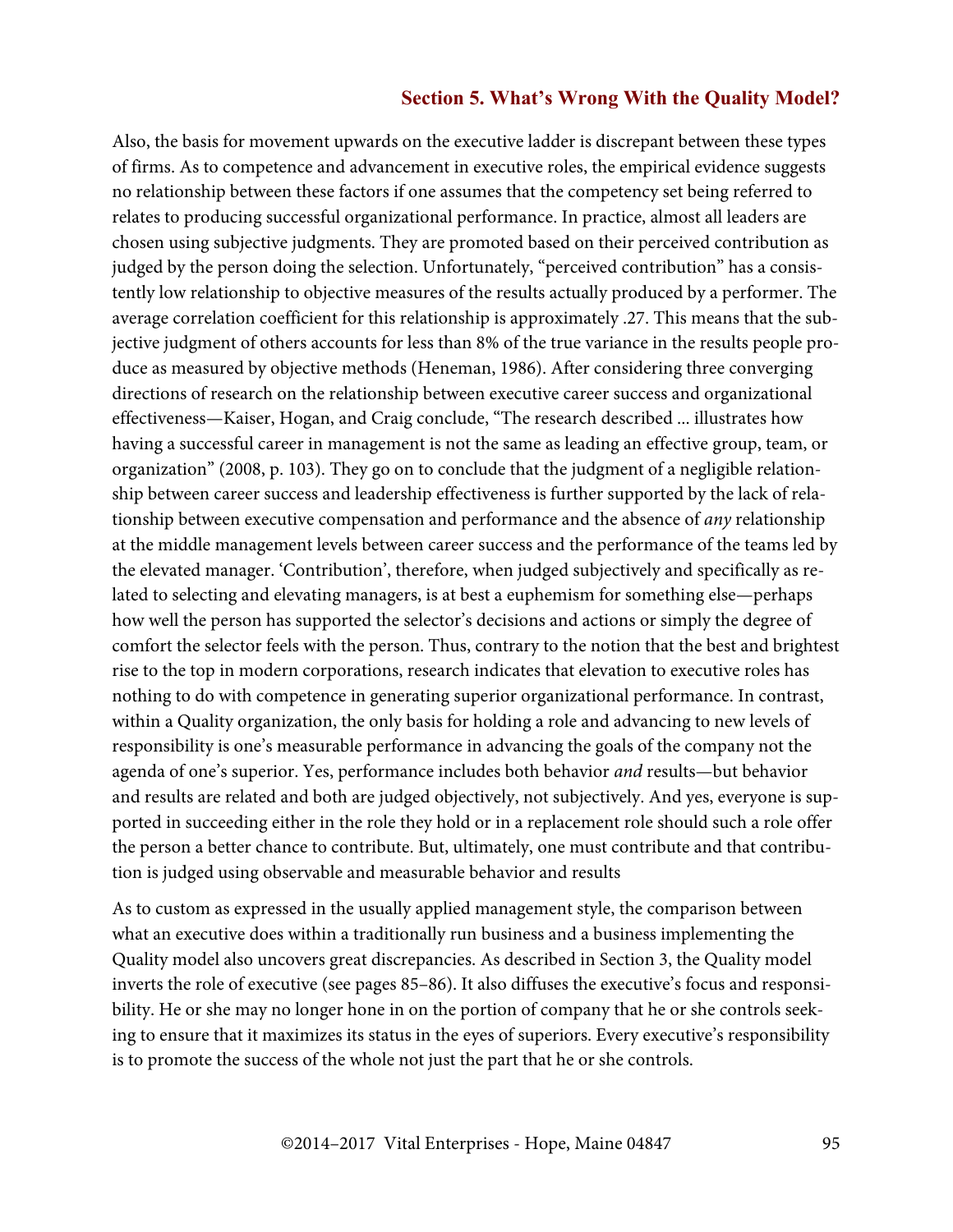Also, the basis for movement upwards on the executive ladder is discrepant between these types of firms. As to competence and advancement in executive roles, the empirical evidence suggests no relationship between these factors if one assumes that the competency set being referred to relates to producing successful organizational performance. In practice, almost all leaders are chosen using subjective judgments. They are promoted based on their perceived contribution as judged by the person doing the selection. Unfortunately, "perceived contribution" has a consistently low relationship to objective measures of the results actually produced by a performer. The average correlation coefficient for this relationship is approximately .27. This means that the subjective judgment of others accounts for less than 8% of the true variance in the results people produce as measured by objective methods (Heneman, 1986). After considering three converging directions of research on the relationship between executive career success and organizational effectiveness—Kaiser, Hogan, and Craig conclude, "The research described ... illustrates how having a successful career in management is not the same as leading an effective group, team, or organization" (2008, p. 103). They go on to conclude that the judgment of a negligible relationship between career success and leadership effectiveness is further supported by the lack of relationship between executive compensation and performance and the absence of *any* relationship at the middle management levels between career success and the performance of the teams led by the elevated manager. 'Contribution', therefore, when judged subjectively and specifically as related to selecting and elevating managers, is at best a euphemism for something else—perhaps how well the person has supported the selector's decisions and actions or simply the degree of comfort the selector feels with the person. Thus, contrary to the notion that the best and brightest rise to the top in modern corporations, research indicates that elevation to executive roles has nothing to do with competence in generating superior organizational performance. In contrast, within a Quality organization, the only basis for holding a role and advancing to new levels of responsibility is one's measurable performance in advancing the goals of the company not the agenda of one's superior. Yes, performance includes both behavior *and* results—but behavior and results are related and both are judged objectively, not subjectively. And yes, everyone is supported in succeeding either in the role they hold or in a replacement role should such a role offer the person a better chance to contribute. But, ultimately, one must contribute and that contribution is judged using observable and measurable behavior and results

As to custom as expressed in the usually applied management style, the comparison between what an executive does within a traditionally run business and a business implementing the Quality model also uncovers great discrepancies. As described in Section 3, the Quality model inverts the role of executive (see pages 85–86). It also diffuses the executive's focus and responsibility. He or she may no longer hone in on the portion of company that he or she controls seeking to ensure that it maximizes its status in the eyes of superiors. Every executive's responsibility is to promote the success of the whole not just the part that he or she controls.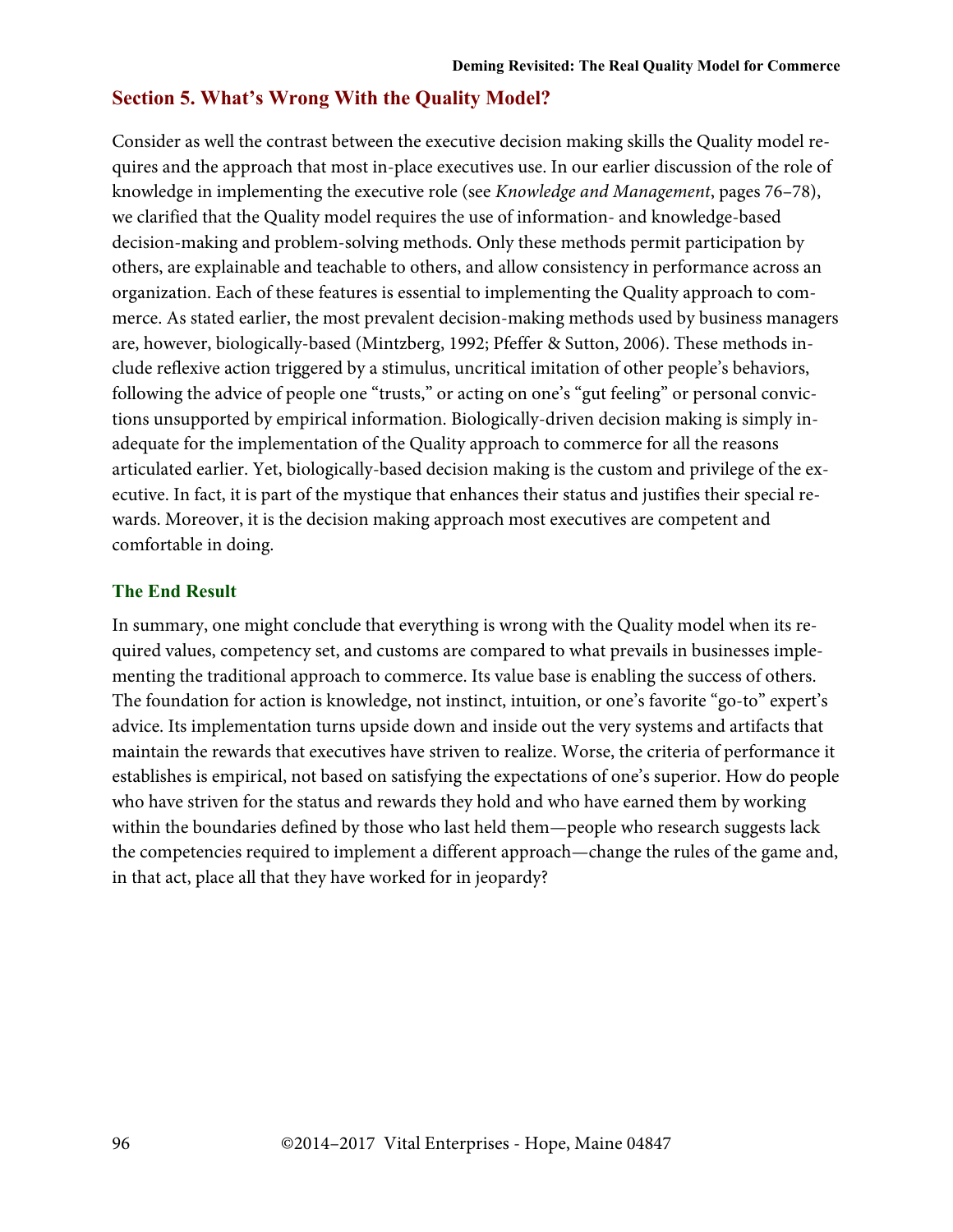Consider as well the contrast between the executive decision making skills the Quality model requires and the approach that most in-place executives use. In our earlier discussion of the role of knowledge in implementing the executive role (see *Knowledge and Management*, pages 76–78), we clarified that the Quality model requires the use of information- and knowledge-based decision-making and problem-solving methods. Only these methods permit participation by others, are explainable and teachable to others, and allow consistency in performance across an organization. Each of these features is essential to implementing the Quality approach to commerce. As stated earlier, the most prevalent decision-making methods used by business managers are, however, biologically-based (Mintzberg, 1992; Pfeffer & Sutton, 2006). These methods include reflexive action triggered by a stimulus, uncritical imitation of other people's behaviors, following the advice of people one "trusts," or acting on one's "gut feeling" or personal convictions unsupported by empirical information. Biologically-driven decision making is simply inadequate for the implementation of the Quality approach to commerce for all the reasons articulated earlier. Yet, biologically-based decision making is the custom and privilege of the executive. In fact, it is part of the mystique that enhances their status and justifies their special rewards. Moreover, it is the decision making approach most executives are competent and comfortable in doing.

#### **The End Result**

In summary, one might conclude that everything is wrong with the Quality model when its required values, competency set, and customs are compared to what prevails in businesses implementing the traditional approach to commerce. Its value base is enabling the success of others. The foundation for action is knowledge, not instinct, intuition, or one's favorite "go-to" expert's advice. Its implementation turns upside down and inside out the very systems and artifacts that maintain the rewards that executives have striven to realize. Worse, the criteria of performance it establishes is empirical, not based on satisfying the expectations of one's superior. How do people who have striven for the status and rewards they hold and who have earned them by working within the boundaries defined by those who last held them—people who research suggests lack the competencies required to implement a different approach—change the rules of the game and, in that act, place all that they have worked for in jeopardy?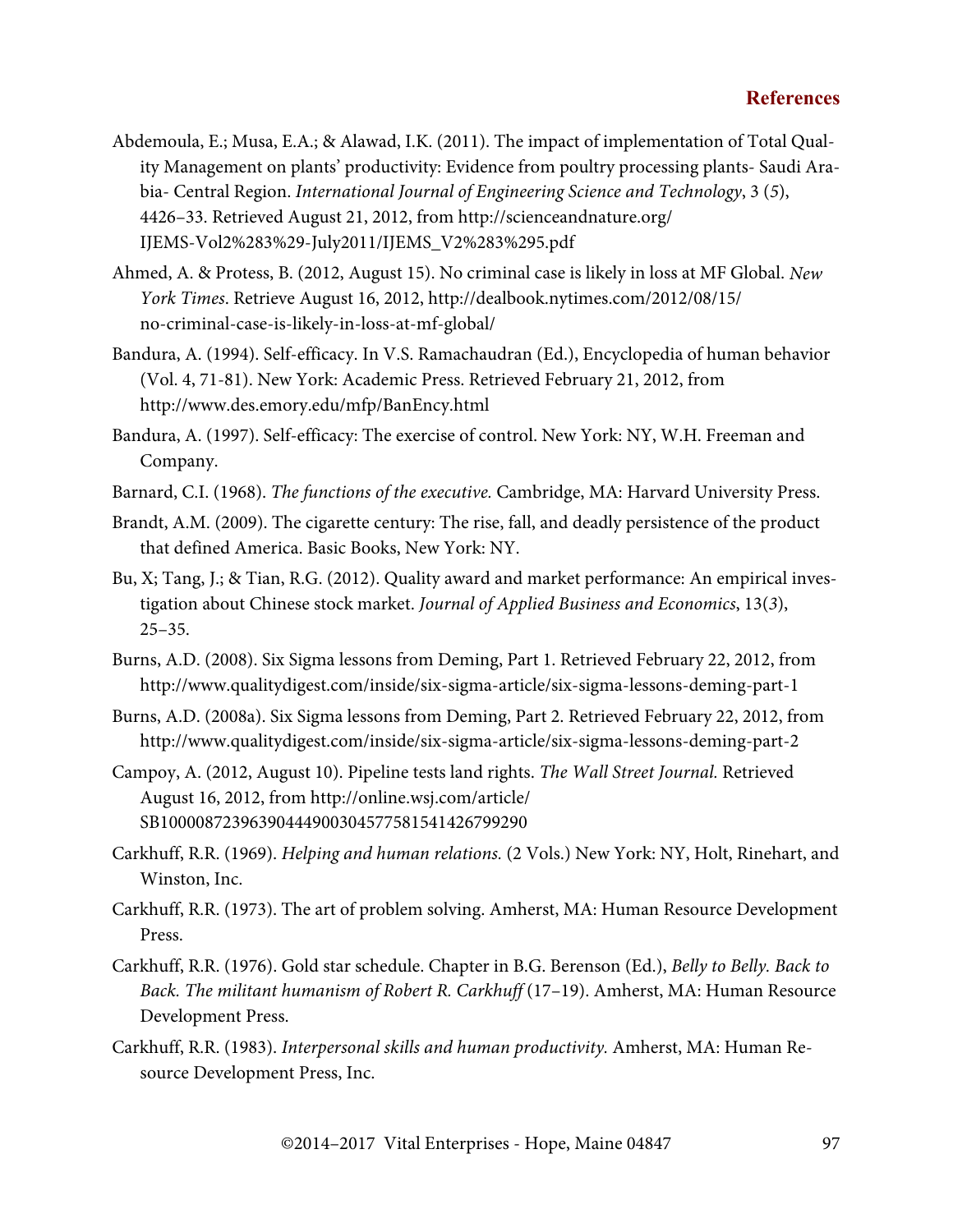- Abdemoula, E.; Musa, E.A.; & Alawad, I.K. (2011). The impact of implementation of Total Quality Management on plants' productivity: Evidence from poultry processing plants- Saudi Arabia- Central Region. *International Journal of Engineering Science and Technology*, 3 (*5*), 4426–33. Retrieved August 21, 2012, from http://scienceandnature.org/ IJEMS-Vol2%283%29-July2011/IJEMS\_V2%283%295.pdf
- Ahmed, A. & Protess, B. (2012, August 15). No criminal case is likely in loss at MF Global. *New York Times*. Retrieve August 16, 2012, http://dealbook.nytimes.com/2012/08/15/ no-criminal-case-is-likely-in-loss-at-mf-global/
- Bandura, A. (1994). Self-efficacy. In V.S. Ramachaudran (Ed.), Encyclopedia of human behavior (Vol. 4, 71-81). New York: Academic Press. Retrieved February 21, 2012, from http://www.des.emory.edu/mfp/BanEncy.html
- Bandura, A. (1997). Self-efficacy: The exercise of control. New York: NY, W.H. Freeman and Company.
- Barnard, C.I. (1968). *The functions of the executive.* Cambridge, MA: Harvard University Press.
- Brandt, A.M. (2009). The cigarette century: The rise, fall, and deadly persistence of the product that defined America. Basic Books, New York: NY.
- Bu, X; Tang, J.; & Tian, R.G. (2012). Quality award and market performance: An empirical investigation about Chinese stock market. *Journal of Applied Business and Economics*, 13(*3*),  $25 - 35.$
- Burns, A.D. (2008). Six Sigma lessons from Deming, Part 1. Retrieved February 22, 2012, from http://www.qualitydigest.com/inside/six-sigma-article/six-sigma-lessons-deming-part-1
- Burns, A.D. (2008a). Six Sigma lessons from Deming, Part 2. Retrieved February 22, 2012, from http://www.qualitydigest.com/inside/six-sigma-article/six-sigma-lessons-deming-part-2
- Campoy, A. (2012, August 10). Pipeline tests land rights. *The Wall Street Journal.* Retrieved August 16, 2012, from http://online.wsj.com/article/ SB10000872396390444900304577581541426799290
- Carkhuff, R.R. (1969). *Helping and human relations.* (2 Vols.) New York: NY, Holt, Rinehart, and Winston, Inc.
- Carkhuff, R.R. (1973). The art of problem solving. Amherst, MA: Human Resource Development Press.
- Carkhuff, R.R. (1976). Gold star schedule. Chapter in B.G. Berenson (Ed.), *Belly to Belly. Back to Back. The militant humanism of Robert R. Carkhuff* (17–19). Amherst, MA: Human Resource Development Press.
- Carkhuff, R.R. (1983). *Interpersonal skills and human productivity.* Amherst, MA: Human Resource Development Press, Inc.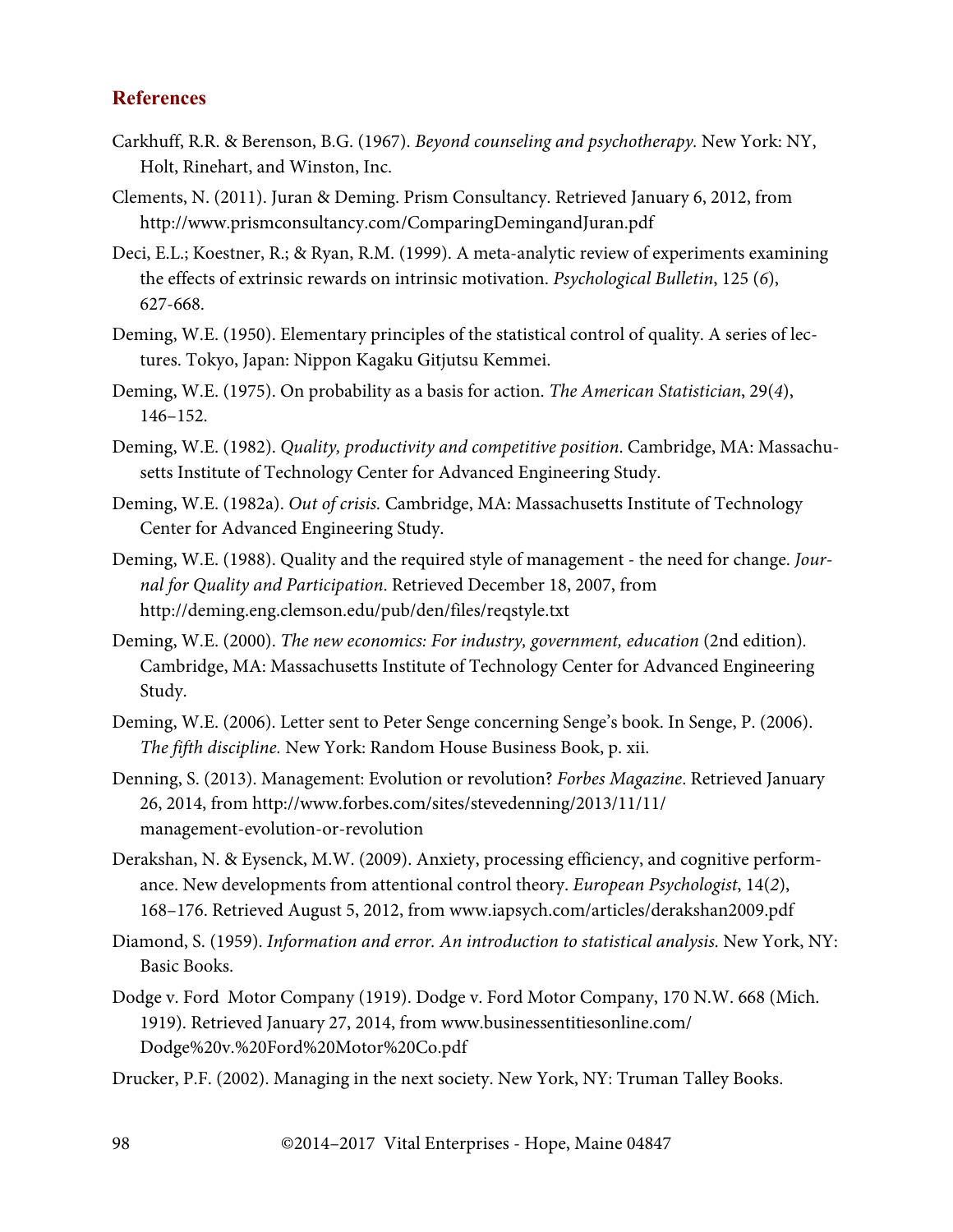### **References**

- Carkhuff, R.R. & Berenson, B.G. (1967). *Beyond counseling and psychotherapy.* New York: NY, Holt, Rinehart, and Winston, Inc.
- Clements, N. (2011). Juran & Deming. Prism Consultancy. Retrieved January 6, 2012, from http://www.prismconsultancy.com/ComparingDemingandJuran.pdf
- Deci, E.L.; Koestner, R.; & Ryan, R.M. (1999). A meta-analytic review of experiments examining the effects of extrinsic rewards on intrinsic motivation. *Psychological Bulletin*, 125 (*6*), 627-668.
- Deming, W.E. (1950). Elementary principles of the statistical control of quality. A series of lectures. Tokyo, Japan: Nippon Kagaku Gitjutsu Kemmei.
- Deming, W.E. (1975). On probability as a basis for action. *The American Statistician*, 29(*4*), 146–152.
- Deming, W.E. (1982). *Quality, productivity and competitive position*. Cambridge, MA: Massachusetts Institute of Technology Center for Advanced Engineering Study.
- Deming, W.E. (1982a). *Out of crisis.* Cambridge, MA: Massachusetts Institute of Technology Center for Advanced Engineering Study.
- Deming, W.E. (1988). Quality and the required style of management the need for change. *Journal for Quality and Participation*. Retrieved December 18, 2007, from http://deming.eng.clemson.edu/pub/den/files/reqstyle.txt
- Deming, W.E. (2000). The new economics: For industry, government, education (2nd edition). Cambridge, MA: Massachusetts Institute of Technology Center for Advanced Engineering Study.
- Deming, W.E. (2006). Letter sent to Peter Senge concerning Senge's book. In Senge, P. (2006). *The fifth discipline.* New York: Random House Business Book, p. xii.
- Denning, S. (2013). Management: Evolution or revolution? *Forbes Magazine*. Retrieved January 26, 2014, from http://www.forbes.com/sites/stevedenning/2013/11/11/ management-evolution-or-revolution
- Derakshan, N. & Eysenck, M.W. (2009). Anxiety, processing efficiency, and cognitive performance. New developments from attentional control theory. *European Psychologist*, 14(*2*), 168–176. Retrieved August 5, 2012, from www.iapsych.com/articles/derakshan2009.pdf
- Diamond, S. (1959). *Information and error. An introduction to statistical analysis.* New York, NY: Basic Books.
- Dodge v. Ford Motor Company (1919). Dodge v. Ford Motor Company, 170 N.W. 668 (Mich. 1919). Retrieved January 27, 2014, from www.businessentitiesonline.com/ Dodge%20v.%20Ford%20Motor%20Co.pdf
- Drucker, P.F. (2002). Managing in the next society. New York, NY: Truman Talley Books.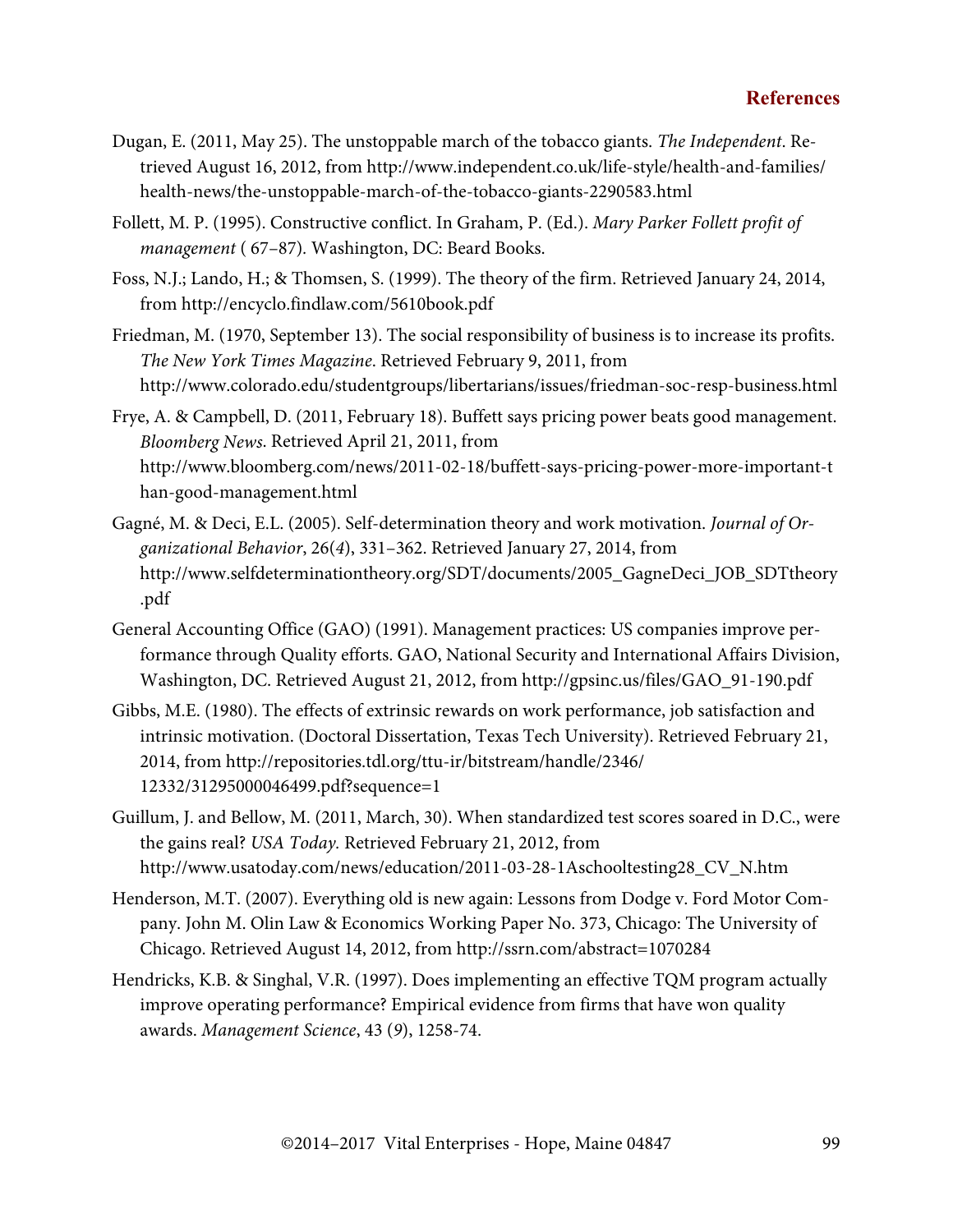- Dugan, E. (2011, May 25). The unstoppable march of the tobacco giants. *The Independent*. Retrieved August 16, 2012, from http://www.independent.co.uk/life-style/health-and-families/ health-news/the-unstoppable-march-of-the-tobacco-giants-2290583.html
- Follett, M. P. (1995). Constructive conflict. In Graham, P. (Ed.). *Mary Parker Follett profit of management* ( 67–87)*.* Washington, DC: Beard Books.
- Foss, N.J.; Lando, H.; & Thomsen, S. (1999). The theory of the firm. Retrieved January 24, 2014, from http://encyclo.findlaw.com/5610book.pdf
- Friedman, M. (1970, September 13). The social responsibility of business is to increase its profits. *The New York Times Magazine*. Retrieved February 9, 2011, from http://www.colorado.edu/studentgroups/libertarians/issues/friedman-soc-resp-business.html
- Frye, A. & Campbell, D. (2011, February 18). Buffett says pricing power beats good management. *Bloomberg News*. Retrieved April 21, 2011, from http://www.bloomberg.com/news/2011-02-18/buffett-says-pricing-power-more-important-t han-good-management.html
- Gagné, M. & Deci, E.L. (2005). Self-determination theory and work motivation. *Journal of Organizational Behavior*, 26(*4*), 331–362. Retrieved January 27, 2014, from http://www.selfdeterminationtheory.org/SDT/documents/2005\_GagneDeci\_JOB\_SDTtheory .pdf
- General Accounting Office (GAO) (1991). Management practices: US companies improve performance through Quality efforts. GAO, National Security and International Affairs Division, Washington, DC. Retrieved August 21, 2012, from http://gpsinc.us/files/GAO\_91-190.pdf
- Gibbs, M.E. (1980). The effects of extrinsic rewards on work performance, job satisfaction and intrinsic motivation. (Doctoral Dissertation, Texas Tech University). Retrieved February 21, 2014, from http://repositories.tdl.org/ttu-ir/bitstream/handle/2346/ 12332/31295000046499.pdf?sequence=1
- Guillum, J. and Bellow, M. (2011, March, 30). When standardized test scores soared in D.C., were the gains real? *USA Today.* Retrieved February 21, 2012, from http://www.usatoday.com/news/education/2011-03-28-1Aschooltesting28\_CV\_N.htm
- Henderson, M.T. (2007). Everything old is new again: Lessons from Dodge v. Ford Motor Company. John M. Olin Law & Economics Working Paper No. 373, Chicago: The University of Chicago. Retrieved August 14, 2012, from http://ssrn.com/abstract=1070284
- Hendricks, K.B. & Singhal, V.R. (1997). Does implementing an effective TQM program actually improve operating performance? Empirical evidence from firms that have won quality awards. *Management Science*, 43 (*9*), 1258-74.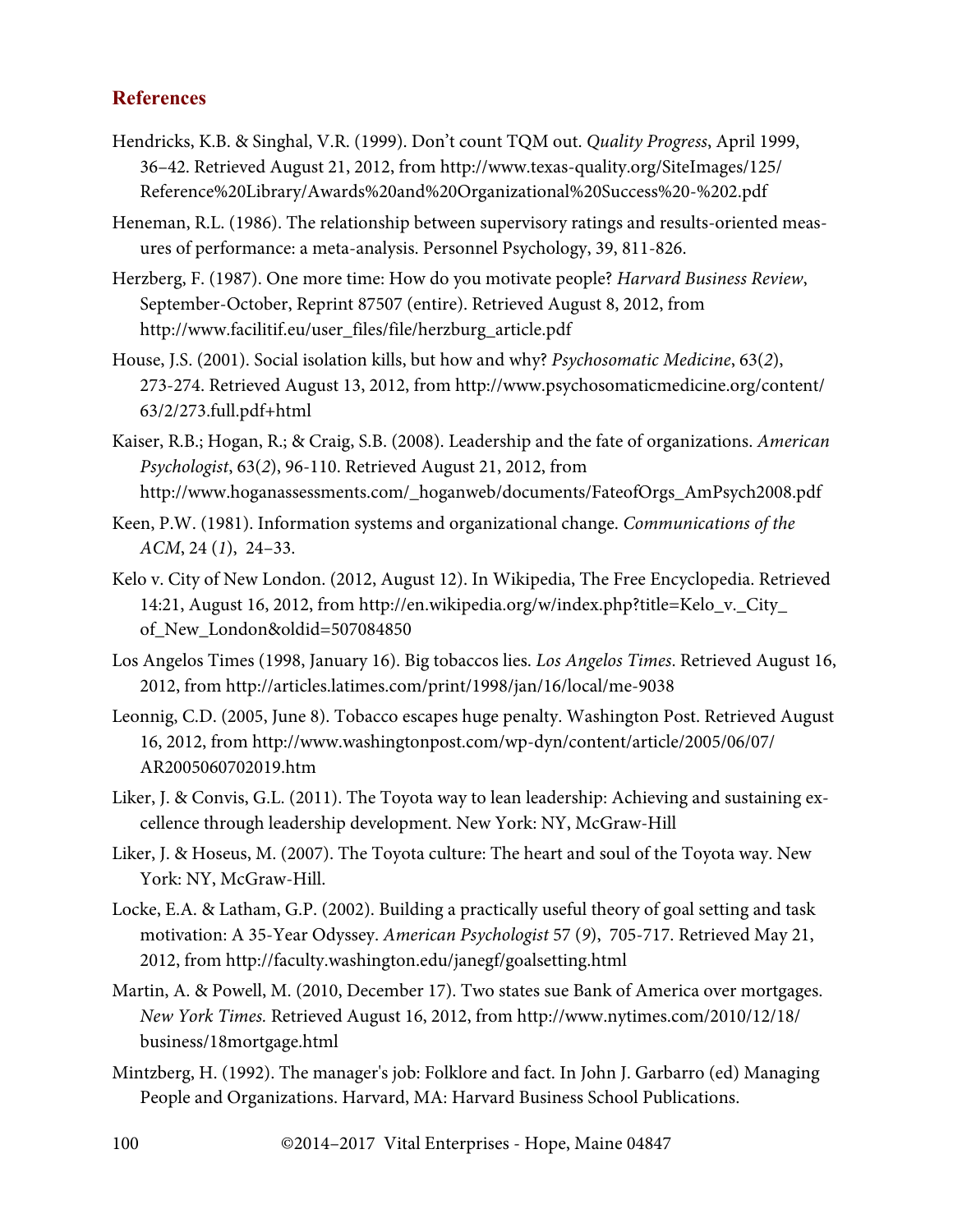#### **References**

- Hendricks, K.B. & Singhal, V.R. (1999). Don't count TQM out. *Quality Progress*, April 1999, 36–42. Retrieved August 21, 2012, from http://www.texas-quality.org/SiteImages/125/ Reference%20Library/Awards%20and%20Organizational%20Success%20-%202.pdf
- Heneman, R.L. (1986). The relationship between supervisory ratings and results-oriented measures of performance: a meta-analysis. Personnel Psychology, 39, 811-826.
- Herzberg, F. (1987). One more time: How do you motivate people? *Harvard Business Review*, September-October, Reprint 87507 (entire). Retrieved August 8, 2012, from http://www.facilitif.eu/user\_files/file/herzburg\_article.pdf
- House, J.S. (2001). Social isolation kills, but how and why? *Psychosomatic Medicine*, 63(*2*), 273-274. Retrieved August 13, 2012, from http://www.psychosomaticmedicine.org/content/ 63/2/273.full.pdf+html
- Kaiser, R.B.; Hogan, R.; & Craig, S.B. (2008). Leadership and the fate of organizations. *American Psychologist*, 63(*2*), 96-110. Retrieved August 21, 2012, from http://www.hoganassessments.com/\_hoganweb/documents/FateofOrgs\_AmPsych2008.pdf
- Keen, P.W. (1981). Information systems and organizational change. *Communications of the ACM*, 24 (*1*), 24–33.
- Kelo v. City of New London. (2012, August 12). In Wikipedia, The Free Encyclopedia. Retrieved 14:21, August 16, 2012, from http://en.wikipedia.org/w/index.php?title=Kelo\_v.\_City\_ of\_New\_London&oldid=507084850
- Los Angelos Times (1998, January 16). Big tobaccos lies. *Los Angelos Times*. Retrieved August 16, 2012, from http://articles.latimes.com/print/1998/jan/16/local/me-9038
- Leonnig, C.D. (2005, June 8). Tobacco escapes huge penalty. Washington Post. Retrieved August 16, 2012, from http://www.washingtonpost.com/wp-dyn/content/article/2005/06/07/ AR2005060702019.htm
- Liker, J. & Convis, G.L. (2011). The Toyota way to lean leadership: Achieving and sustaining excellence through leadership development. New York: NY, McGraw-Hill
- Liker, J. & Hoseus, M. (2007). The Toyota culture: The heart and soul of the Toyota way. New York: NY, McGraw-Hill.
- Locke, E.A. & Latham, G.P. (2002). Building a practically useful theory of goal setting and task motivation: A 35-Year Odyssey. *American Psychologist* 57 (*9*), 705-717. Retrieved May 21, 2012, from http://faculty.washington.edu/janegf/goalsetting.html
- Martin, A. & Powell, M. (2010, December 17). Two states sue Bank of America over mortgages. *New York Times.* Retrieved August 16, 2012, from http://www.nytimes.com/2010/12/18/ business/18mortgage.html
- Mintzberg, H. (1992). The manager's job: Folklore and fact. In John J. Garbarro (ed) Managing People and Organizations. Harvard, MA: Harvard Business School Publications.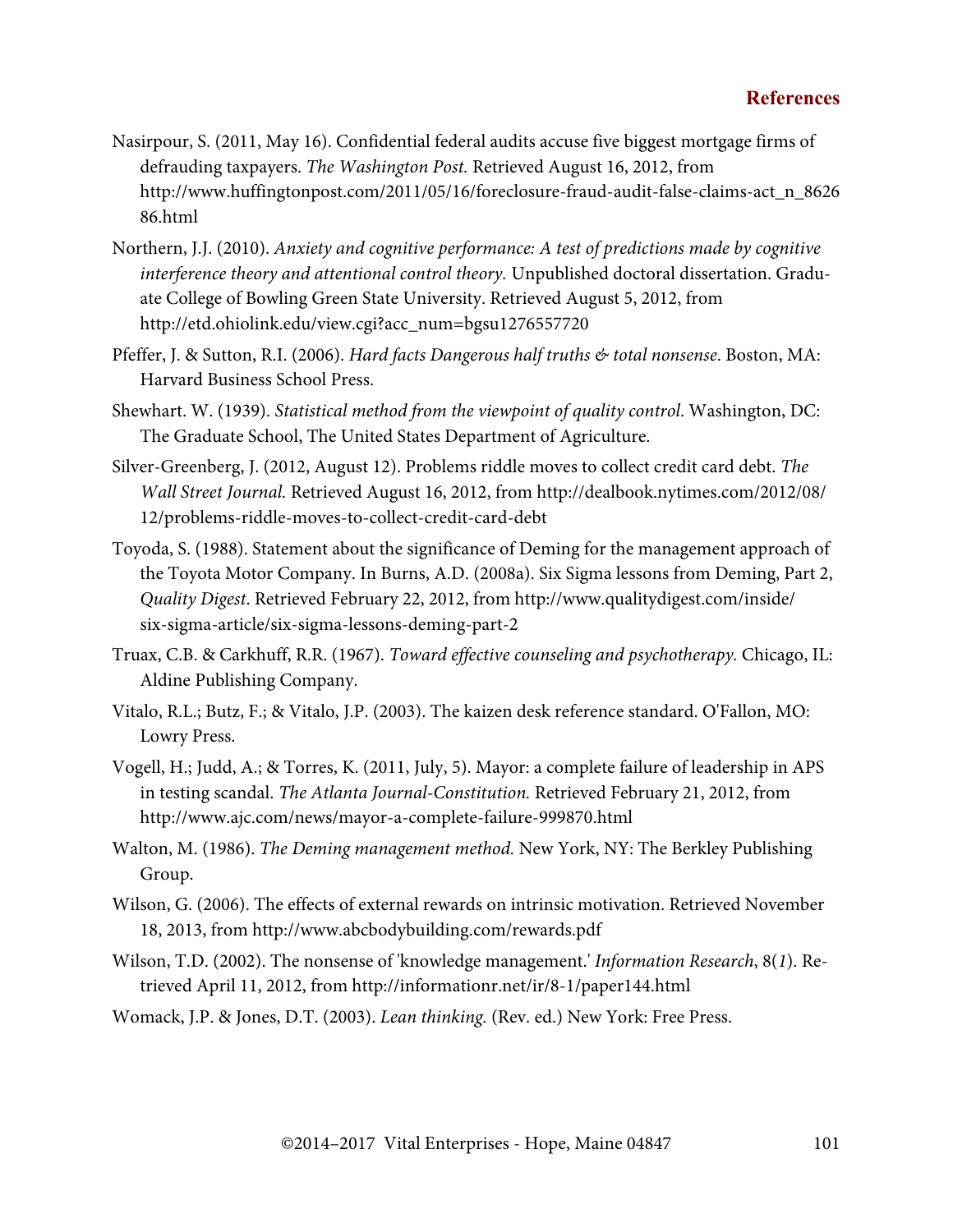- Nasirpour, S. (2011, May 16). Confidential federal audits accuse five biggest mortgage firms of defrauding taxpayers. *The Washington Post.* Retrieved August 16, 2012, from http://www.huffingtonpost.com/2011/05/16/foreclosure-fraud-audit-false-claims-act\_n\_8626 86.html
- Northern, J.J. (2010). *Anxiety and cognitive performance: A test of predictions made by cognitive interference theory and attentional control theory.* Unpublished doctoral dissertation. Graduate College of Bowling Green State University. Retrieved August 5, 2012, from http://etd.ohiolink.edu/view.cgi?acc\_num=bgsu1276557720
- Pfeffer, J. & Sutton, R.I. (2006). *Hard facts Dangerous half truths & total nonsense*. Boston, MA: Harvard Business School Press.
- Shewhart. W. (1939). *Statistical method from the viewpoint of quality control*. Washington, DC: The Graduate School, The United States Department of Agriculture.
- Silver-Greenberg, J. (2012, August 12). Problems riddle moves to collect credit card debt. *The Wall Street Journal.* Retrieved August 16, 2012, from http://dealbook.nytimes.com/2012/08/ 12/problems-riddle-moves-to-collect-credit-card-debt
- Toyoda, S. (1988). Statement about the significance of Deming for the management approach of the Toyota Motor Company. In Burns, A.D. (2008a). Six Sigma lessons from Deming, Part 2, *Quality Digest*. Retrieved February 22, 2012, from http://www.qualitydigest.com/inside/ six-sigma-article/six-sigma-lessons-deming-part-2
- Truax, C.B. & Carkhuff, R.R. (1967). *Toward effective counseling and psychotherapy.* Chicago, IL: Aldine Publishing Company.
- Vitalo, R.L.; Butz, F.; & Vitalo, J.P. (2003). The kaizen desk reference standard. O'Fallon, MO: Lowry Press.
- Vogell, H.; Judd, A.; & Torres, K. (2011, July, 5). Mayor: a complete failure of leadership in APS in testing scandal. *The Atlanta Journal-Constitution.* Retrieved February 21, 2012, from http://www.ajc.com/news/mayor-a-complete-failure-999870.html
- Walton, M. (1986). *The Deming management method.* New York, NY: The Berkley Publishing Group.
- Wilson, G. (2006). The effects of external rewards on intrinsic motivation. Retrieved November 18, 2013, from http://www.abcbodybuilding.com/rewards.pdf
- Wilson, T.D. (2002). The nonsense of 'knowledge management.' *Information Research*, 8(*1*). Retrieved April 11, 2012, from http://informationr.net/ir/8-1/paper144.html

Womack, J.P. & Jones, D.T. (2003). *Lean thinking.* (Rev. ed.) New York: Free Press.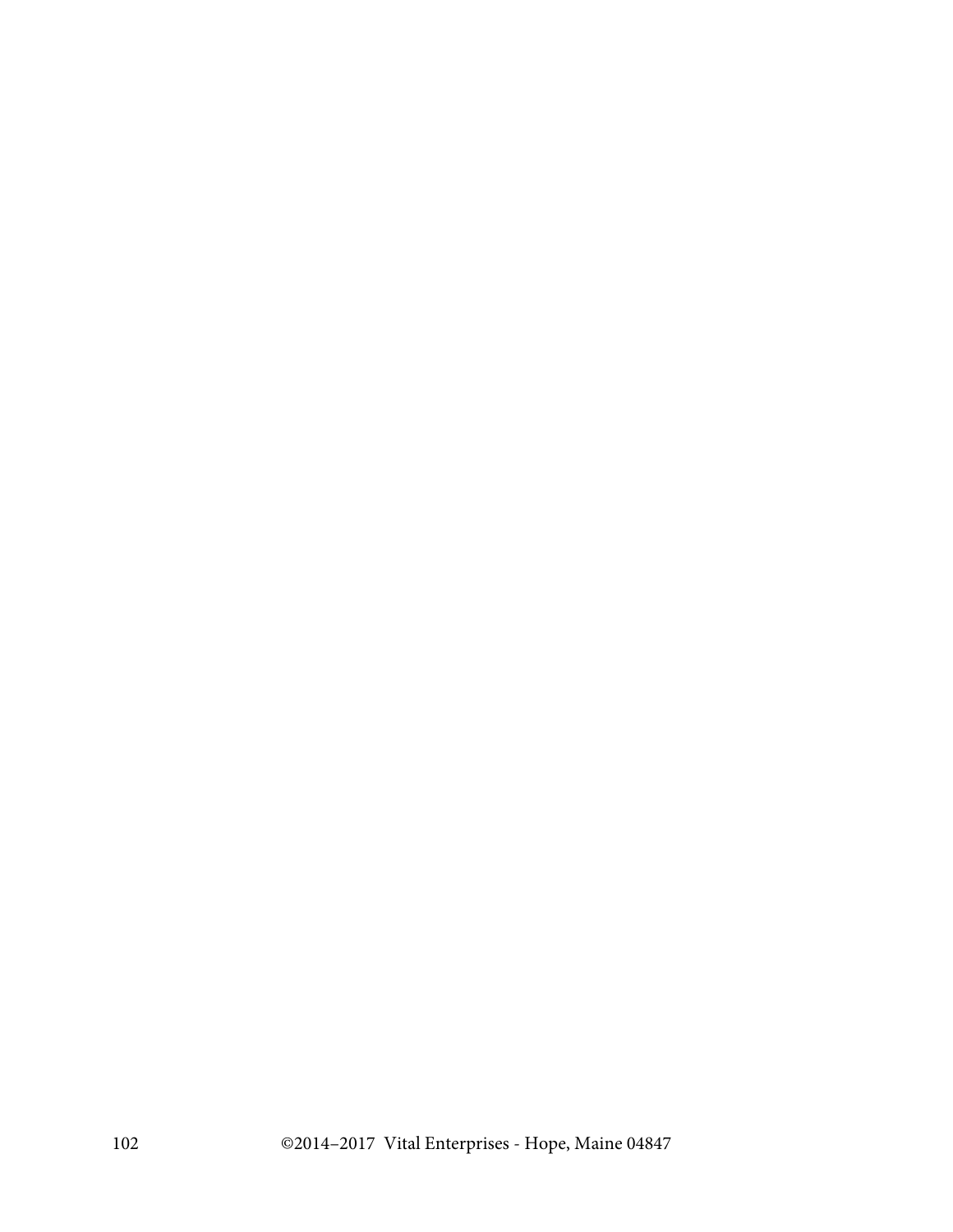©2014–2017 Vital Enterprises - Hope, Maine 04847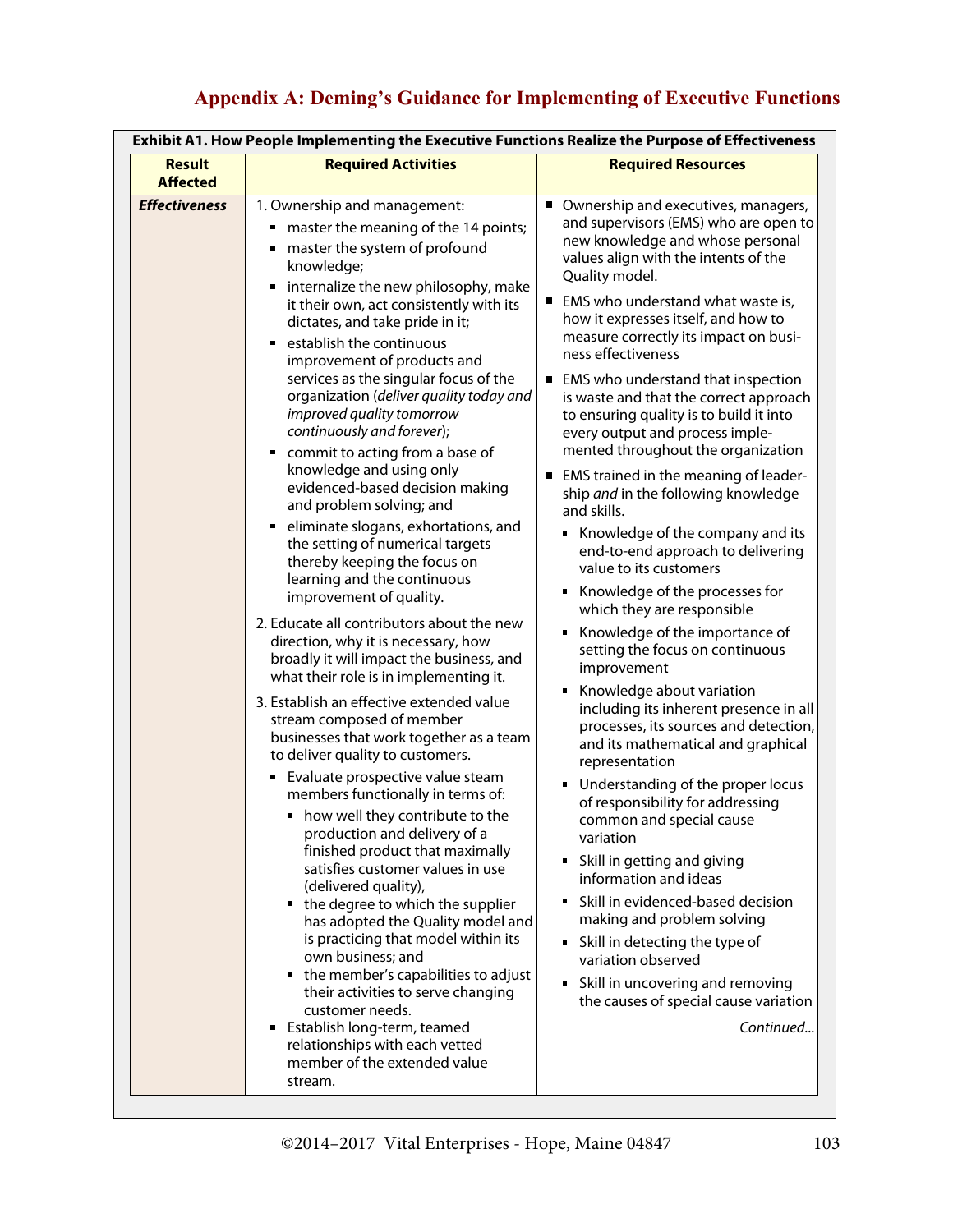|                                  |                                                                                                                                                                                                                                                                                                                                                                                                                                                                                                                                                                                                                                                                                                                                                                                                                                                                                                                                                                                                                                                                                                                                                                                                                                                                                                                                                                                                                                                                                                                                                                                                                                                                                                                            | Exhibit A1. How People Implementing the Executive Functions Realize the Purpose of Effectiveness                                                                                                                                                                                                                                                                                                                                                                                                                                                                                                                                                                                                                                                                                                                                                                                                                                                                                                                                                                                                                                                                                                                                                                                                                                                                                                                                                                                             |
|----------------------------------|----------------------------------------------------------------------------------------------------------------------------------------------------------------------------------------------------------------------------------------------------------------------------------------------------------------------------------------------------------------------------------------------------------------------------------------------------------------------------------------------------------------------------------------------------------------------------------------------------------------------------------------------------------------------------------------------------------------------------------------------------------------------------------------------------------------------------------------------------------------------------------------------------------------------------------------------------------------------------------------------------------------------------------------------------------------------------------------------------------------------------------------------------------------------------------------------------------------------------------------------------------------------------------------------------------------------------------------------------------------------------------------------------------------------------------------------------------------------------------------------------------------------------------------------------------------------------------------------------------------------------------------------------------------------------------------------------------------------------|----------------------------------------------------------------------------------------------------------------------------------------------------------------------------------------------------------------------------------------------------------------------------------------------------------------------------------------------------------------------------------------------------------------------------------------------------------------------------------------------------------------------------------------------------------------------------------------------------------------------------------------------------------------------------------------------------------------------------------------------------------------------------------------------------------------------------------------------------------------------------------------------------------------------------------------------------------------------------------------------------------------------------------------------------------------------------------------------------------------------------------------------------------------------------------------------------------------------------------------------------------------------------------------------------------------------------------------------------------------------------------------------------------------------------------------------------------------------------------------------|
| <b>Result</b><br><b>Affected</b> | <b>Required Activities</b>                                                                                                                                                                                                                                                                                                                                                                                                                                                                                                                                                                                                                                                                                                                                                                                                                                                                                                                                                                                                                                                                                                                                                                                                                                                                                                                                                                                                                                                                                                                                                                                                                                                                                                 | <b>Required Resources</b>                                                                                                                                                                                                                                                                                                                                                                                                                                                                                                                                                                                                                                                                                                                                                                                                                                                                                                                                                                                                                                                                                                                                                                                                                                                                                                                                                                                                                                                                    |
| <b>Effectiveness</b>             | 1. Ownership and management:<br>master the meaning of the 14 points;<br>Ξ<br>master the system of profound<br>knowledge;<br>internalize the new philosophy, make<br>it their own, act consistently with its<br>dictates, and take pride in it;<br>establish the continuous<br>improvement of products and<br>services as the singular focus of the<br>organization (deliver quality today and<br>improved quality tomorrow<br>continuously and forever);<br>commit to acting from a base of<br>knowledge and using only<br>evidenced-based decision making<br>and problem solving; and<br>eliminate slogans, exhortations, and<br>٠<br>the setting of numerical targets<br>thereby keeping the focus on<br>learning and the continuous<br>improvement of quality.<br>2. Educate all contributors about the new<br>direction, why it is necessary, how<br>broadly it will impact the business, and<br>what their role is in implementing it.<br>3. Establish an effective extended value<br>stream composed of member<br>businesses that work together as a team<br>to deliver quality to customers.<br>Evaluate prospective value steam<br>٠<br>members functionally in terms of:<br>• how well they contribute to the<br>production and delivery of a<br>finished product that maximally<br>satisfies customer values in use<br>(delivered quality),<br>the degree to which the supplier<br>$\blacksquare$<br>has adopted the Quality model and<br>is practicing that model within its<br>own business; and<br>• the member's capabilities to adjust<br>their activities to serve changing<br>customer needs.<br>Establish long-term, teamed<br>relationships with each vetted<br>member of the extended value<br>stream. | ■ Ownership and executives, managers,<br>and supervisors (EMS) who are open to<br>new knowledge and whose personal<br>values align with the intents of the<br>Quality model.<br>EMS who understand what waste is,<br>ш<br>how it expresses itself, and how to<br>measure correctly its impact on busi-<br>ness effectiveness<br>EMS who understand that inspection<br>ш<br>is waste and that the correct approach<br>to ensuring quality is to build it into<br>every output and process imple-<br>mented throughout the organization<br>EMS trained in the meaning of leader-<br>ш<br>ship and in the following knowledge<br>and skills.<br>Knowledge of the company and its<br>п.<br>end-to-end approach to delivering<br>value to its customers<br>Knowledge of the processes for<br>which they are responsible<br>٠<br>Knowledge of the importance of<br>setting the focus on continuous<br>improvement<br>Knowledge about variation<br>including its inherent presence in all<br>processes, its sources and detection,<br>and its mathematical and graphical<br>representation<br>Understanding of the proper locus<br>of responsibility for addressing<br>common and special cause<br>variation<br>Skill in getting and giving<br>information and ideas<br>Skill in evidenced-based decision<br>making and problem solving<br>٠<br>Skill in detecting the type of<br>variation observed<br>Skill in uncovering and removing<br>٠<br>the causes of special cause variation<br>Continued |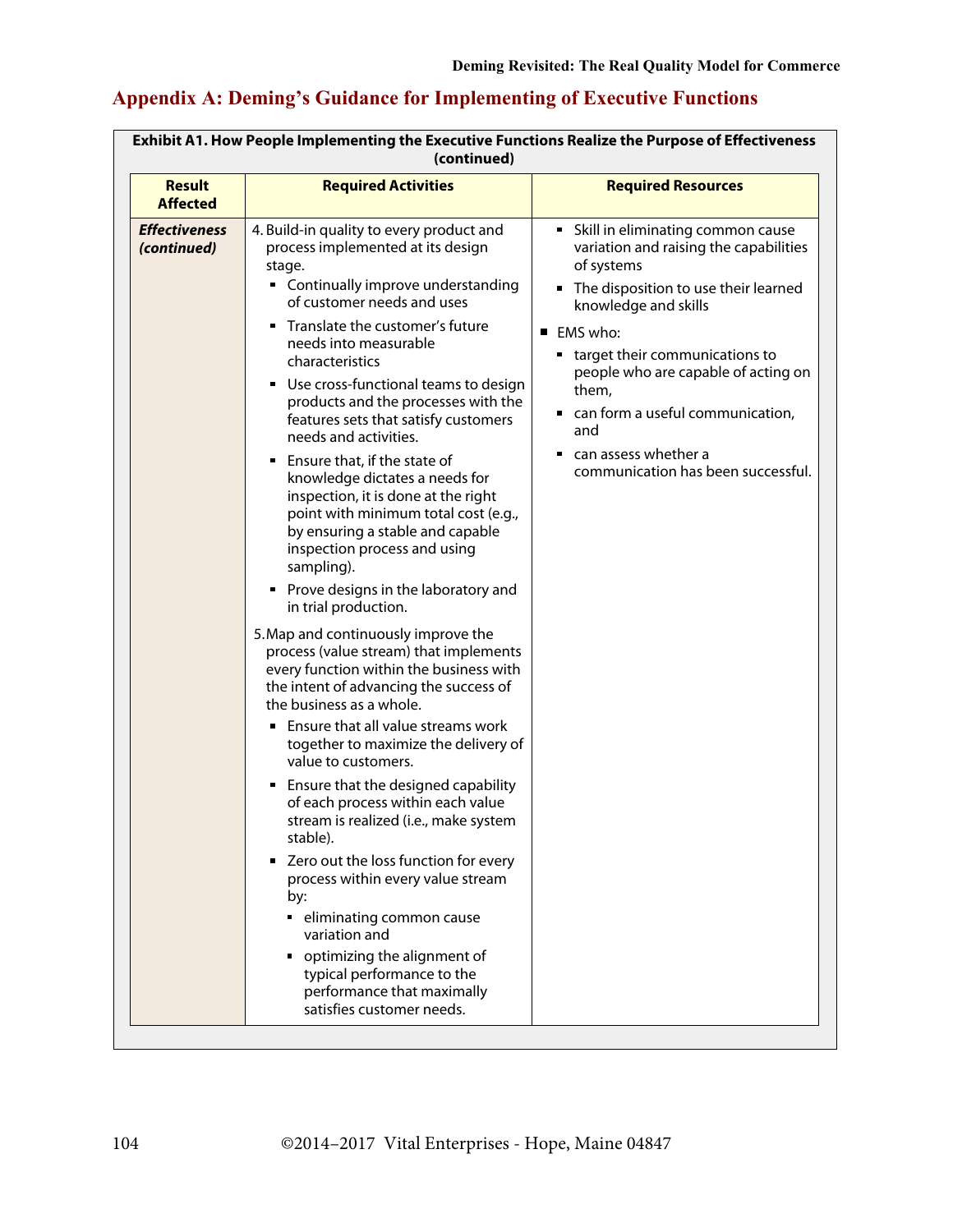| Exhibit A1. How People Implementing the Executive Functions Realize the Purpose of Effectiveness<br>(continued) |                                                                                                                                                                                                                                                                                                                                                                                                                                                                                                                                                                                                                                                                                                                                                                                                                                                                                                                                                                                                                                                                                                                                                                                                                                                                                                                                                                                                                               |                                                                                                                                                                                                                                                                                                                                                                      |  |
|-----------------------------------------------------------------------------------------------------------------|-------------------------------------------------------------------------------------------------------------------------------------------------------------------------------------------------------------------------------------------------------------------------------------------------------------------------------------------------------------------------------------------------------------------------------------------------------------------------------------------------------------------------------------------------------------------------------------------------------------------------------------------------------------------------------------------------------------------------------------------------------------------------------------------------------------------------------------------------------------------------------------------------------------------------------------------------------------------------------------------------------------------------------------------------------------------------------------------------------------------------------------------------------------------------------------------------------------------------------------------------------------------------------------------------------------------------------------------------------------------------------------------------------------------------------|----------------------------------------------------------------------------------------------------------------------------------------------------------------------------------------------------------------------------------------------------------------------------------------------------------------------------------------------------------------------|--|
| <b>Result</b><br><b>Affected</b>                                                                                | <b>Required Activities</b>                                                                                                                                                                                                                                                                                                                                                                                                                                                                                                                                                                                                                                                                                                                                                                                                                                                                                                                                                                                                                                                                                                                                                                                                                                                                                                                                                                                                    | <b>Required Resources</b>                                                                                                                                                                                                                                                                                                                                            |  |
| <b>Effectiveness</b><br>(continued)                                                                             | 4. Build-in quality to every product and<br>process implemented at its design<br>stage.<br>Continually improve understanding<br>٠<br>of customer needs and uses<br>Translate the customer's future<br>needs into measurable<br>characteristics<br>Use cross-functional teams to design<br>products and the processes with the<br>features sets that satisfy customers<br>needs and activities.<br>Ensure that, if the state of<br>knowledge dictates a needs for<br>inspection, it is done at the right<br>point with minimum total cost (e.g.,<br>by ensuring a stable and capable<br>inspection process and using<br>sampling).<br>Prove designs in the laboratory and<br>٠<br>in trial production.<br>5. Map and continuously improve the<br>process (value stream) that implements<br>every function within the business with<br>the intent of advancing the success of<br>the business as a whole.<br>Ensure that all value streams work<br>$\blacksquare$<br>together to maximize the delivery of<br>value to customers.<br>Ensure that the designed capability<br>п<br>of each process within each value<br>stream is realized (i.e., make system<br>stable).<br>Zero out the loss function for every<br>process within every value stream<br>by:<br>eliminating common cause<br>variation and<br>optimizing the alignment of<br>typical performance to the<br>performance that maximally<br>satisfies customer needs. | Skill in eliminating common cause<br>variation and raising the capabilities<br>of systems<br>The disposition to use their learned<br>knowledge and skills<br>■ EMS who:<br>" target their communications to<br>people who are capable of acting on<br>them,<br>can form a useful communication,<br>and<br>can assess whether a<br>communication has been successful. |  |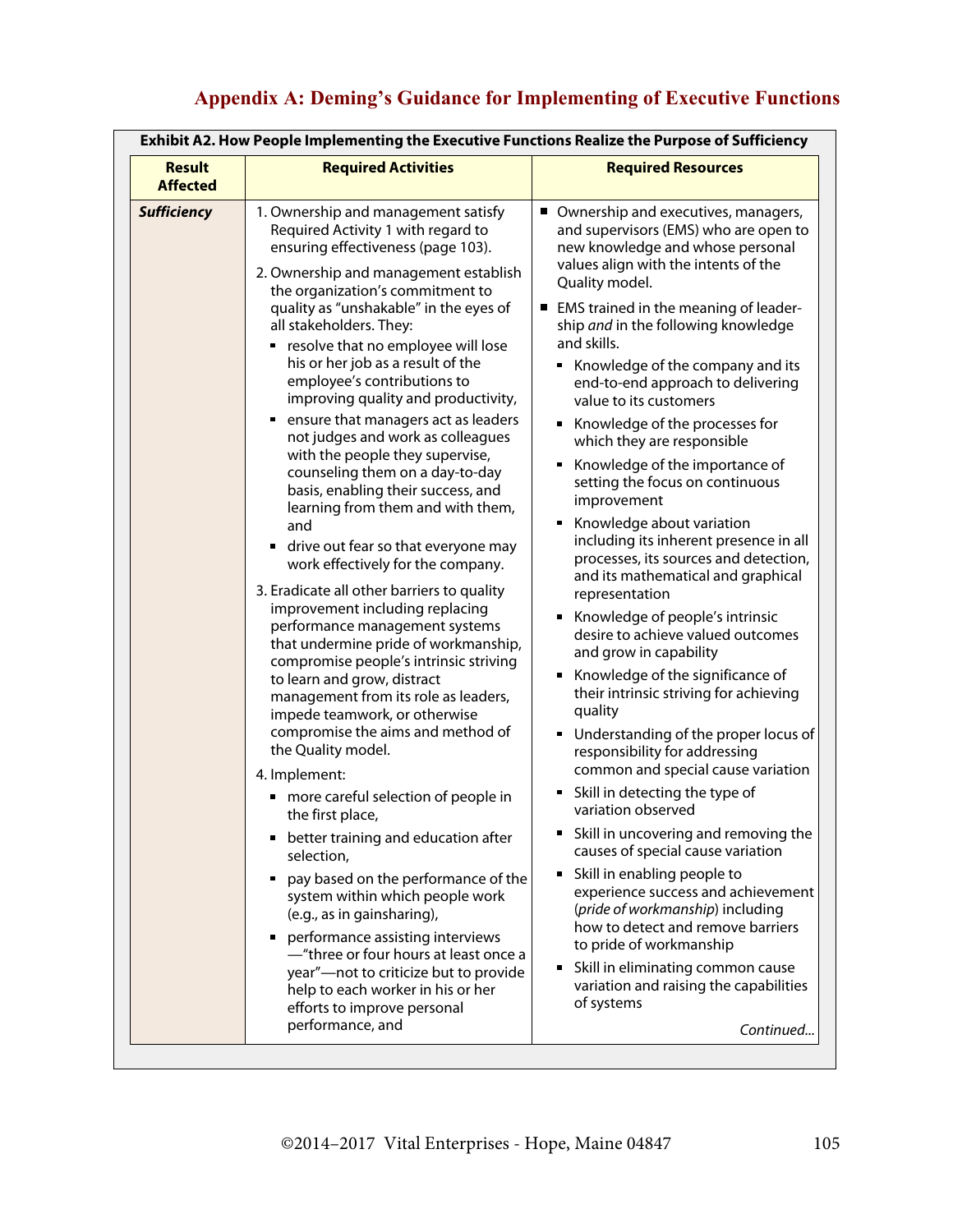| Exhibit A2. How People Implementing the Executive Functions Realize the Purpose of Sufficiency |                                                                                                                                                                                                                                                                                                                                                                                                                                                                                                                                                                                                                                                                                                                                                                                                                                                                                                                                                                                                                                                                                                                                                                                                                                                                                                                                                                                                                                                                                                                                                                             |                                                                                                                                                                                                                                                                                                                                                                                                                                                                                                                                                                                                                                                                                                                                                                                                                                                                                                                                                                                                                                                                                                                                                                                                                                                                                                                                                                                                                                                                                     |  |
|------------------------------------------------------------------------------------------------|-----------------------------------------------------------------------------------------------------------------------------------------------------------------------------------------------------------------------------------------------------------------------------------------------------------------------------------------------------------------------------------------------------------------------------------------------------------------------------------------------------------------------------------------------------------------------------------------------------------------------------------------------------------------------------------------------------------------------------------------------------------------------------------------------------------------------------------------------------------------------------------------------------------------------------------------------------------------------------------------------------------------------------------------------------------------------------------------------------------------------------------------------------------------------------------------------------------------------------------------------------------------------------------------------------------------------------------------------------------------------------------------------------------------------------------------------------------------------------------------------------------------------------------------------------------------------------|-------------------------------------------------------------------------------------------------------------------------------------------------------------------------------------------------------------------------------------------------------------------------------------------------------------------------------------------------------------------------------------------------------------------------------------------------------------------------------------------------------------------------------------------------------------------------------------------------------------------------------------------------------------------------------------------------------------------------------------------------------------------------------------------------------------------------------------------------------------------------------------------------------------------------------------------------------------------------------------------------------------------------------------------------------------------------------------------------------------------------------------------------------------------------------------------------------------------------------------------------------------------------------------------------------------------------------------------------------------------------------------------------------------------------------------------------------------------------------------|--|
| <b>Result</b><br><b>Affected</b>                                                               | <b>Required Activities</b>                                                                                                                                                                                                                                                                                                                                                                                                                                                                                                                                                                                                                                                                                                                                                                                                                                                                                                                                                                                                                                                                                                                                                                                                                                                                                                                                                                                                                                                                                                                                                  | <b>Required Resources</b>                                                                                                                                                                                                                                                                                                                                                                                                                                                                                                                                                                                                                                                                                                                                                                                                                                                                                                                                                                                                                                                                                                                                                                                                                                                                                                                                                                                                                                                           |  |
| <b>Sufficiency</b>                                                                             | 1. Ownership and management satisfy<br>Required Activity 1 with regard to<br>ensuring effectiveness (page 103).<br>2. Ownership and management establish<br>the organization's commitment to<br>quality as "unshakable" in the eyes of<br>all stakeholders. They:<br>resolve that no employee will lose<br>his or her job as a result of the<br>employee's contributions to<br>improving quality and productivity,<br>ensure that managers act as leaders<br>not judges and work as colleagues<br>with the people they supervise,<br>counseling them on a day-to-day<br>basis, enabling their success, and<br>learning from them and with them,<br>and<br>drive out fear so that everyone may<br>٠<br>work effectively for the company.<br>3. Eradicate all other barriers to quality<br>improvement including replacing<br>performance management systems<br>that undermine pride of workmanship,<br>compromise people's intrinsic striving<br>to learn and grow, distract<br>management from its role as leaders,<br>impede teamwork, or otherwise<br>compromise the aims and method of<br>the Quality model.<br>4. Implement:<br>more careful selection of people in<br>٠<br>the first place,<br>better training and education after<br>selection,<br>pay based on the performance of the<br>system within which people work<br>(e.g., as in gainsharing),<br>performance assisting interviews<br>-"three or four hours at least once a<br>year"-not to criticize but to provide<br>help to each worker in his or her<br>efforts to improve personal<br>performance, and | ■ Ownership and executives, managers,<br>and supervisors (EMS) who are open to<br>new knowledge and whose personal<br>values align with the intents of the<br>Quality model.<br>EMS trained in the meaning of leader-<br>ш<br>ship and in the following knowledge<br>and skills.<br>Knowledge of the company and its<br>end-to-end approach to delivering<br>value to its customers<br>Knowledge of the processes for<br>٠<br>which they are responsible<br>Knowledge of the importance of<br>٠<br>setting the focus on continuous<br>improvement<br>Knowledge about variation<br>٠<br>including its inherent presence in all<br>processes, its sources and detection,<br>and its mathematical and graphical<br>representation<br>Knowledge of people's intrinsic<br>desire to achieve valued outcomes<br>and grow in capability<br>Knowledge of the significance of<br>٠<br>their intrinsic striving for achieving<br>quality<br>Understanding of the proper locus of<br>responsibility for addressing<br>common and special cause variation<br>Skill in detecting the type of<br>٠<br>variation observed<br>Skill in uncovering and removing the<br>п<br>causes of special cause variation<br>" Skill in enabling people to<br>experience success and achievement<br>(pride of workmanship) including<br>how to detect and remove barriers<br>to pride of workmanship<br>• Skill in eliminating common cause<br>variation and raising the capabilities<br>of systems<br>Continued |  |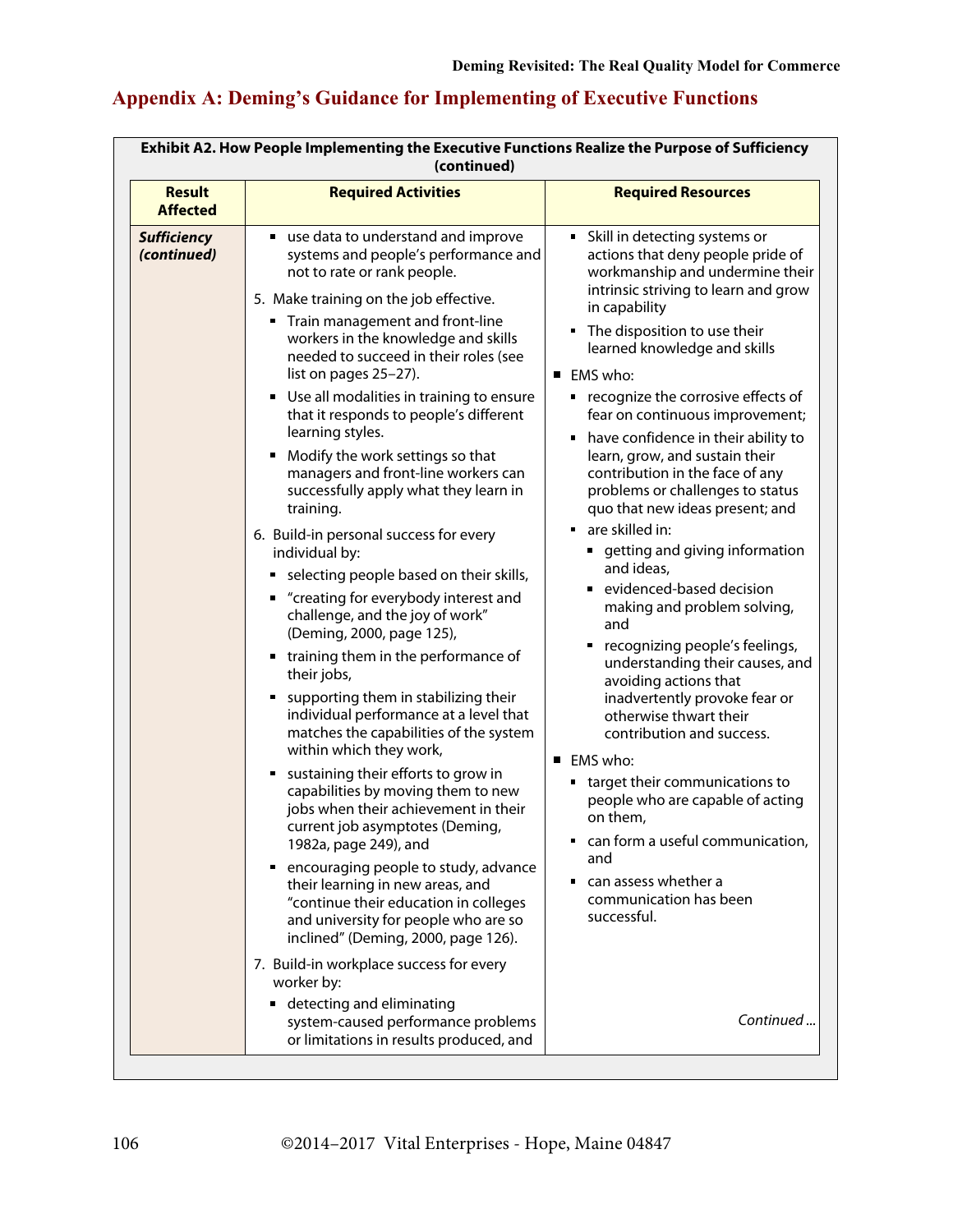| Exhibit A2. How People Implementing the Executive Functions Realize the Purpose of Sufficiency<br>(continued) |                                                                                                                                                                                                                                                                                                                                                                                                                                                                                                                                                                                                                                                                                                                                                                                                                                                                                                                                                                                                                                                                                                                                                                                                                                                                                                                                                                                                                                                                                                                                                          |                                                                                                                                                                                                                                                                                                                                                                                                                                                                                                                                                                                                                                                                                                                                                                                                                                                                                                                                                                                                                                                                                    |  |
|---------------------------------------------------------------------------------------------------------------|----------------------------------------------------------------------------------------------------------------------------------------------------------------------------------------------------------------------------------------------------------------------------------------------------------------------------------------------------------------------------------------------------------------------------------------------------------------------------------------------------------------------------------------------------------------------------------------------------------------------------------------------------------------------------------------------------------------------------------------------------------------------------------------------------------------------------------------------------------------------------------------------------------------------------------------------------------------------------------------------------------------------------------------------------------------------------------------------------------------------------------------------------------------------------------------------------------------------------------------------------------------------------------------------------------------------------------------------------------------------------------------------------------------------------------------------------------------------------------------------------------------------------------------------------------|------------------------------------------------------------------------------------------------------------------------------------------------------------------------------------------------------------------------------------------------------------------------------------------------------------------------------------------------------------------------------------------------------------------------------------------------------------------------------------------------------------------------------------------------------------------------------------------------------------------------------------------------------------------------------------------------------------------------------------------------------------------------------------------------------------------------------------------------------------------------------------------------------------------------------------------------------------------------------------------------------------------------------------------------------------------------------------|--|
| <b>Result</b><br><b>Affected</b>                                                                              | <b>Required Activities</b>                                                                                                                                                                                                                                                                                                                                                                                                                                                                                                                                                                                                                                                                                                                                                                                                                                                                                                                                                                                                                                                                                                                                                                                                                                                                                                                                                                                                                                                                                                                               | <b>Required Resources</b>                                                                                                                                                                                                                                                                                                                                                                                                                                                                                                                                                                                                                                                                                                                                                                                                                                                                                                                                                                                                                                                          |  |
| <b>Sufficiency</b><br>(continued)                                                                             | use data to understand and improve<br>systems and people's performance and<br>not to rate or rank people.<br>5. Make training on the job effective.<br>" Train management and front-line<br>workers in the knowledge and skills<br>needed to succeed in their roles (see<br>list on pages 25-27).<br>Use all modalities in training to ensure<br>$\blacksquare$<br>that it responds to people's different<br>learning styles.<br>Modify the work settings so that<br>managers and front-line workers can<br>successfully apply what they learn in<br>training.<br>6. Build-in personal success for every<br>individual by:<br>selecting people based on their skills,<br>"creating for everybody interest and<br>challenge, and the joy of work"<br>(Deming, 2000, page 125),<br>training them in the performance of<br>their jobs,<br>supporting them in stabilizing their<br>individual performance at a level that<br>matches the capabilities of the system<br>within which they work,<br>sustaining their efforts to grow in<br>capabilities by moving them to new<br>jobs when their achievement in their<br>current job asymptotes (Deming,<br>1982a, page 249), and<br>encouraging people to study, advance<br>their learning in new areas, and<br>"continue their education in colleges<br>and university for people who are so<br>inclined" (Deming, 2000, page 126).<br>7. Build-in workplace success for every<br>worker by:<br>• detecting and eliminating<br>system-caused performance problems<br>or limitations in results produced, and | Skill in detecting systems or<br>actions that deny people pride of<br>workmanship and undermine their<br>intrinsic striving to learn and grow<br>in capability<br>The disposition to use their<br>٠<br>learned knowledge and skills<br>■ EMS who:<br>" recognize the corrosive effects of<br>fear on continuous improvement;<br>have confidence in their ability to<br>learn, grow, and sustain their<br>contribution in the face of any<br>problems or challenges to status<br>quo that new ideas present; and<br>are skilled in:<br>getting and giving information<br>٠<br>and ideas,<br>evidenced-based decision<br>٠<br>making and problem solving,<br>and<br>recognizing people's feelings,<br>understanding their causes, and<br>avoiding actions that<br>inadvertently provoke fear or<br>otherwise thwart their<br>contribution and success.<br>■ EMS who:<br>target their communications to<br>٠<br>people who are capable of acting<br>on them,<br>can form a useful communication,<br>and<br>can assess whether a<br>communication has been<br>successful.<br>Continued |  |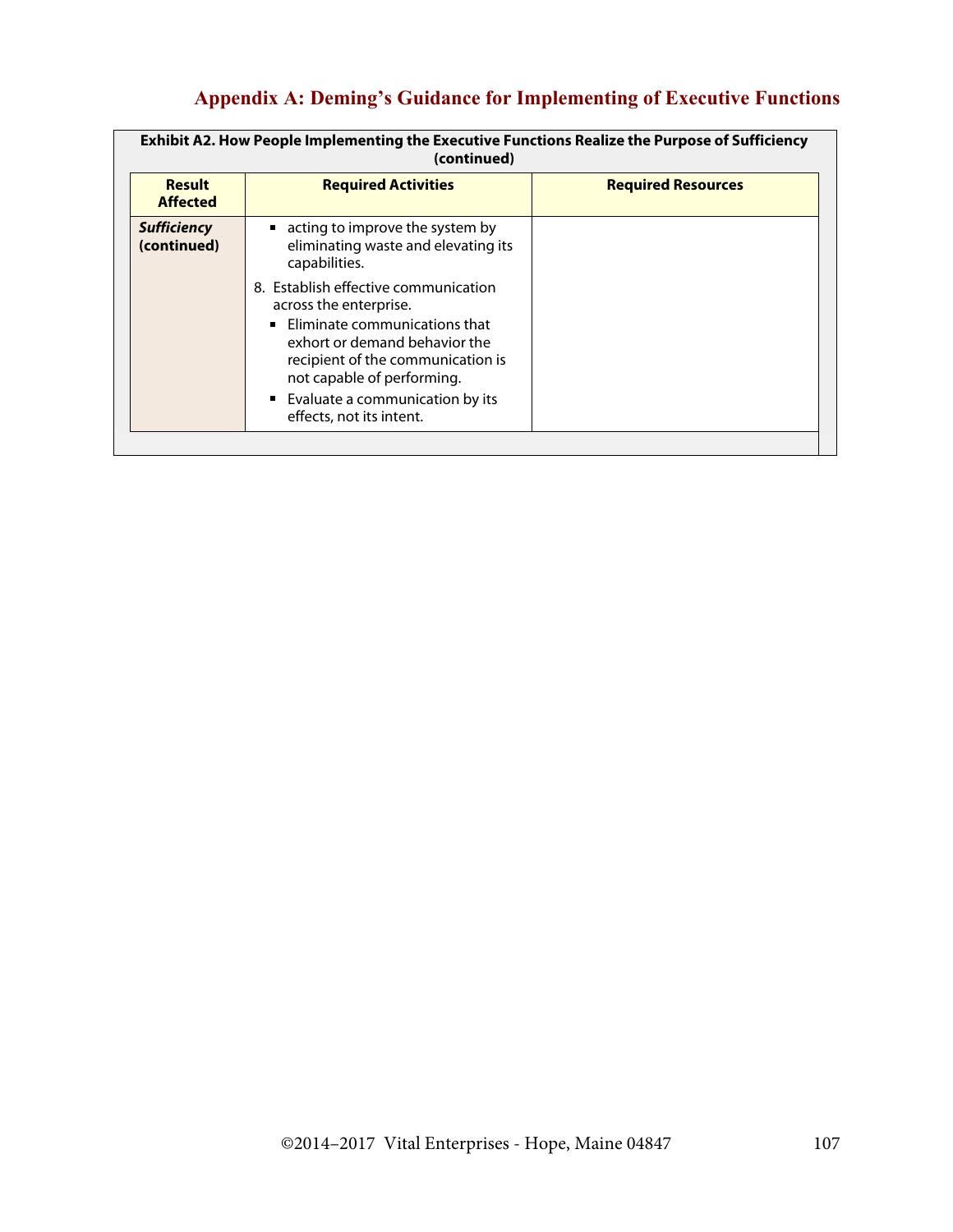| Exhibit A2. How People Implementing the Executive Functions Realize the Purpose of Sufficiency<br>(continued) |                                                                                                                                                                                                                                                                    |                           |
|---------------------------------------------------------------------------------------------------------------|--------------------------------------------------------------------------------------------------------------------------------------------------------------------------------------------------------------------------------------------------------------------|---------------------------|
| <b>Result</b><br><b>Affected</b>                                                                              | <b>Required Activities</b>                                                                                                                                                                                                                                         | <b>Required Resources</b> |
| <b>Sufficiency</b><br>(continued)                                                                             | acting to improve the system by<br>eliminating waste and elevating its<br>capabilities.                                                                                                                                                                            |                           |
|                                                                                                               | 8. Establish effective communication<br>across the enterprise.<br>Eliminate communications that<br>exhort or demand behavior the<br>recipient of the communication is<br>not capable of performing.<br>Evaluate a communication by its<br>effects, not its intent. |                           |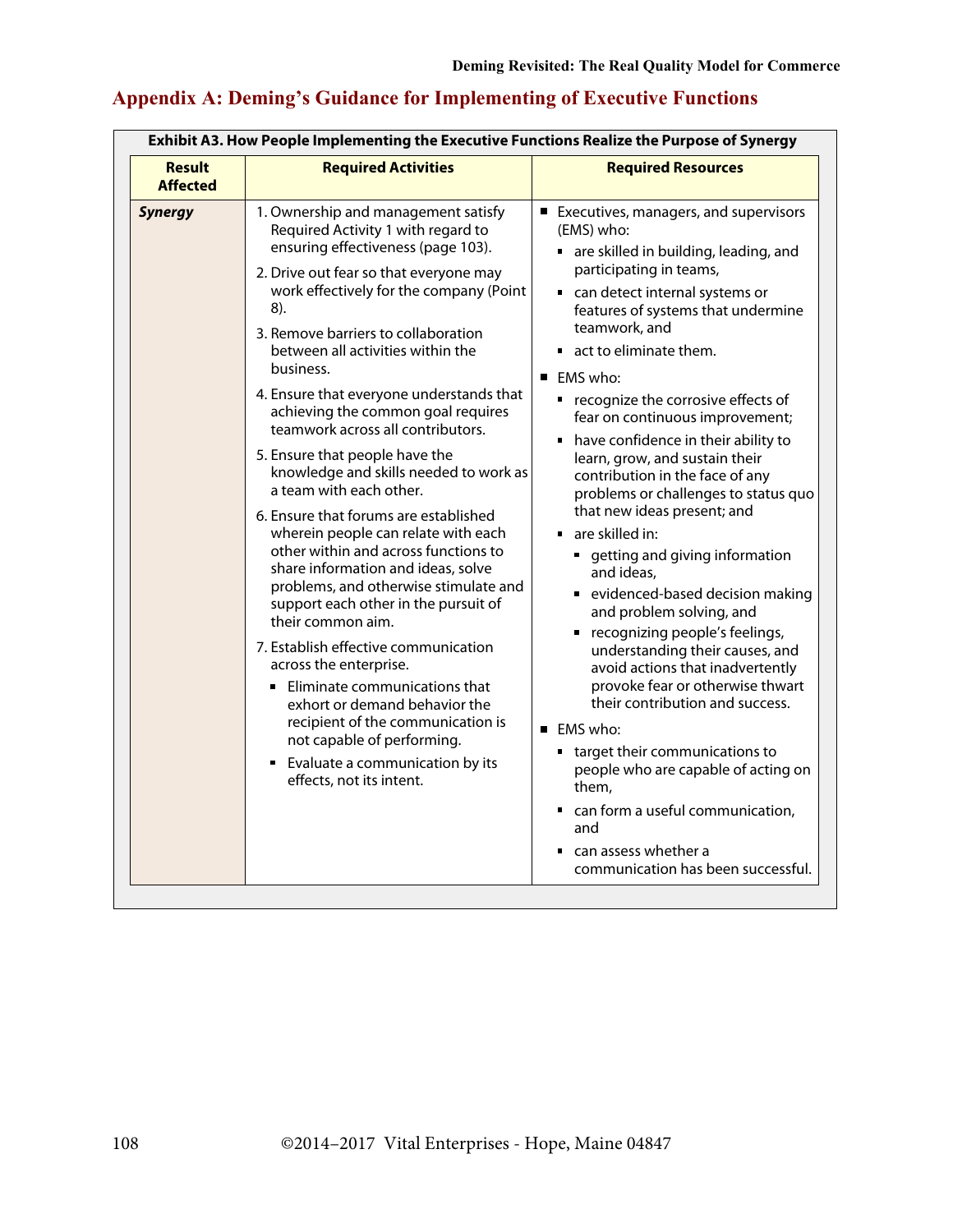|  |  | <b>Appendix A: Deming's Guidance for Implementing of Executive Functions</b> |
|--|--|------------------------------------------------------------------------------|
|  |  |                                                                              |

| <b>Result</b><br><b>Affected</b> | <b>Required Activities</b>                                                                                                                                                                                                                                                                                                                                                                                                                                                                                                                                                                                                                                                                                                                                                                                                                                                                                                                                                                                                                                                                     | <b>Required Resources</b>                                                                                                                                                                                                                                                                                                                                                                                                                                                                                                                                                                                                                                                                                                                                                                                                                                                                                                                                                                                                                                                              |
|----------------------------------|------------------------------------------------------------------------------------------------------------------------------------------------------------------------------------------------------------------------------------------------------------------------------------------------------------------------------------------------------------------------------------------------------------------------------------------------------------------------------------------------------------------------------------------------------------------------------------------------------------------------------------------------------------------------------------------------------------------------------------------------------------------------------------------------------------------------------------------------------------------------------------------------------------------------------------------------------------------------------------------------------------------------------------------------------------------------------------------------|----------------------------------------------------------------------------------------------------------------------------------------------------------------------------------------------------------------------------------------------------------------------------------------------------------------------------------------------------------------------------------------------------------------------------------------------------------------------------------------------------------------------------------------------------------------------------------------------------------------------------------------------------------------------------------------------------------------------------------------------------------------------------------------------------------------------------------------------------------------------------------------------------------------------------------------------------------------------------------------------------------------------------------------------------------------------------------------|
| <b>Synergy</b>                   | 1. Ownership and management satisfy<br>Required Activity 1 with regard to<br>ensuring effectiveness (page 103).<br>2. Drive out fear so that everyone may<br>work effectively for the company (Point<br>8).<br>3. Remove barriers to collaboration<br>between all activities within the<br>business.<br>4. Ensure that everyone understands that<br>achieving the common goal requires<br>teamwork across all contributors.<br>5. Ensure that people have the<br>knowledge and skills needed to work as<br>a team with each other.<br>6. Ensure that forums are established<br>wherein people can relate with each<br>other within and across functions to<br>share information and ideas, solve<br>problems, and otherwise stimulate and<br>support each other in the pursuit of<br>their common aim.<br>7. Establish effective communication<br>across the enterprise.<br>Eliminate communications that<br>exhort or demand behavior the<br>recipient of the communication is<br>not capable of performing.<br>Evaluate a communication by its<br>$\blacksquare$<br>effects, not its intent. | ■ Executives, managers, and supervisors<br>(EMS) who:<br>are skilled in building, leading, and<br>participating in teams,<br>can detect internal systems or<br>features of systems that undermine<br>teamwork, and<br>act to eliminate them.<br>$\blacksquare$ EMS who:<br>" recognize the corrosive effects of<br>fear on continuous improvement;<br>have confidence in their ability to<br>٠<br>learn, grow, and sustain their<br>contribution in the face of any<br>problems or challenges to status quo<br>that new ideas present; and<br>are skilled in:<br>getting and giving information<br>and ideas,<br>• evidenced-based decision making<br>and problem solving, and<br>recognizing people's feelings,<br>understanding their causes, and<br>avoid actions that inadvertently<br>provoke fear or otherwise thwart<br>their contribution and success.<br>$\blacksquare$ EMS who:<br>" target their communications to<br>people who are capable of acting on<br>them,<br>can form a useful communication,<br>and<br>can assess whether a<br>communication has been successful. |